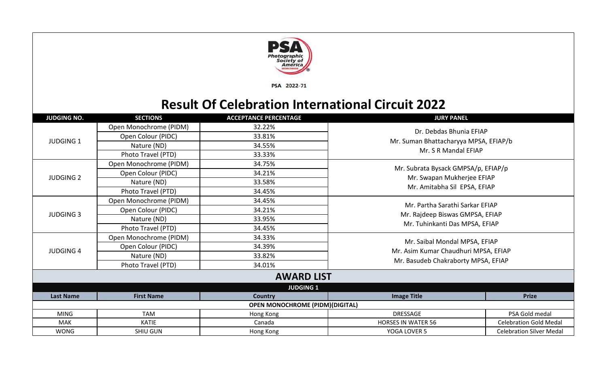

PSA 2022-71

## **Result Of Celebration International Circuit 2022**

| <b>JUDGING NO.</b> | <b>SECTIONS</b>        | <b>ACCEPTANCE PERCENTAGE</b>           | <b>JURY PANEL</b>                                                 |                                 |  |  |  |
|--------------------|------------------------|----------------------------------------|-------------------------------------------------------------------|---------------------------------|--|--|--|
|                    | Open Monochrome (PIDM) | 32.22%                                 | Dr. Debdas Bhunia EFIAP                                           |                                 |  |  |  |
|                    | Open Colour (PIDC)     | 33.81%                                 |                                                                   |                                 |  |  |  |
| <b>JUDGING 1</b>   | Nature (ND)            | 34.55%                                 | Mr. Suman Bhattacharyya MPSA, EFIAP/b                             |                                 |  |  |  |
|                    | Photo Travel (PTD)     | 33.33%                                 | Mr. S R Mandal EFIAP                                              |                                 |  |  |  |
|                    | Open Monochrome (PIDM) | 34.75%                                 |                                                                   |                                 |  |  |  |
|                    | Open Colour (PIDC)     | 34.21%                                 | Mr. Subrata Bysack GMPSA/p, EFIAP/p<br>Mr. Swapan Mukherjee EFIAP |                                 |  |  |  |
| <b>JUDGING 2</b>   | Nature (ND)            | 33.58%                                 |                                                                   |                                 |  |  |  |
|                    | Photo Travel (PTD)     | 34.45%                                 | Mr. Amitabha Sil EPSA, EFIAP                                      |                                 |  |  |  |
|                    | Open Monochrome (PIDM) | 34.45%                                 |                                                                   |                                 |  |  |  |
| <b>JUDGING 3</b>   | Open Colour (PIDC)     | 34.21%                                 | Mr. Partha Sarathi Sarkar EFIAP                                   |                                 |  |  |  |
|                    | Nature (ND)            | 33.95%                                 | Mr. Rajdeep Biswas GMPSA, EFIAP                                   |                                 |  |  |  |
|                    | Photo Travel (PTD)     | 34.45%                                 | Mr. Tuhinkanti Das MPSA, EFIAP                                    |                                 |  |  |  |
|                    | Open Monochrome (PIDM) | 34.33%                                 |                                                                   |                                 |  |  |  |
|                    | Open Colour (PIDC)     | 34.39%                                 | Mr. Saibal Mondal MPSA, EFIAP                                     |                                 |  |  |  |
| <b>JUDGING 4</b>   | Nature (ND)            | 33.82%                                 | Mr. Asim Kumar Chaudhuri MPSA, EFIAP                              |                                 |  |  |  |
|                    | Photo Travel (PTD)     | 34.01%                                 | Mr. Basudeb Chakraborty MPSA, EFIAP                               |                                 |  |  |  |
|                    |                        | <b>AWARD LIST</b>                      |                                                                   |                                 |  |  |  |
|                    |                        | <b>JUDGING 1</b>                       |                                                                   |                                 |  |  |  |
| <b>Last Name</b>   | <b>First Name</b>      | Country                                | <b>Image Title</b><br><b>Prize</b>                                |                                 |  |  |  |
|                    |                        | <b>OPEN MONOCHROME (PIDM)(DIGITAL)</b> |                                                                   |                                 |  |  |  |
| <b>MING</b>        | <b>TAM</b>             | Hong Kong                              | DRESSAGE                                                          | PSA Gold medal                  |  |  |  |
| MAK                | <b>KATIE</b>           | Canada                                 | <b>HORSES IN WATER 56</b>                                         | <b>Celebration Gold Medal</b>   |  |  |  |
| <b>WONG</b>        | <b>SHIU GUN</b>        | Hong Kong                              | YOGA LOVER 5                                                      | <b>Celebration Silver Medal</b> |  |  |  |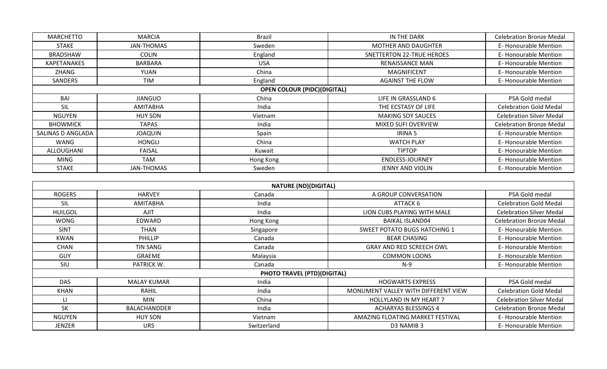| <b>MARCHETTO</b><br>MARCIA         |                | <b>Brazil</b> | IN THE DARK                | <b>Celebration Bronze Medal</b> |  |  |  |
|------------------------------------|----------------|---------------|----------------------------|---------------------------------|--|--|--|
| <b>STAKE</b>                       | JAN-THOMAS     | Sweden        | MOTHER AND DAUGHTER        | E-Honourable Mention            |  |  |  |
| <b>BRADSHAW</b>                    | <b>COLIN</b>   | England       | SNETTERTON 22-TRUE HEROES  | E-Honourable Mention            |  |  |  |
| KAPETANAKES                        | BARBARA        | <b>USA</b>    | RENAISSANCE MAN            | E-Honourable Mention            |  |  |  |
| ZHANG                              | YUAN           | China         | <b>MAGNIFICENT</b>         | E-Honourable Mention            |  |  |  |
| SANDERS                            | <b>TIM</b>     | England       | <b>AGAINST THE FLOW</b>    | E-Honourable Mention            |  |  |  |
| <b>OPEN COLOUR (PIDC)(DIGITAL)</b> |                |               |                            |                                 |  |  |  |
| BAI                                | <b>JIANGUO</b> | China         | LIFE IN GRASSLAND 6        | PSA Gold medal                  |  |  |  |
| SIL                                | AMITABHA       | India         | THE ECSTASY OF LIFE        | <b>Celebration Gold Medal</b>   |  |  |  |
| NGUYEN                             | <b>HUY SON</b> | Vietnam       | <b>MAKING SOY SAUCES</b>   | <b>Celebration Silver Medal</b> |  |  |  |
| <b>BHOWMICK</b>                    | <b>TAPAS</b>   | India         | <b>MIXED SUFI OVERVIEW</b> | <b>Celebration Bronze Medal</b> |  |  |  |
| SALINAS D ANGLADA                  | <b>JOAQUIN</b> | Spain         | IRINA 5                    | E-Honourable Mention            |  |  |  |
| WANG                               | <b>HONGLI</b>  | China         | <b>WATCH PLAY</b>          | E-Honourable Mention            |  |  |  |
| ALLOUGHANI                         | <b>FAISAL</b>  | Kuwait        | <b>TIPTOP</b>              | E-Honourable Mention            |  |  |  |
| MING                               | TAM            | Hong Kong     | <b>ENDLESS-JOURNEY</b>     | E-Honourable Mention            |  |  |  |
| <b>STAKE</b>                       | JAN-THOMAS     | Sweden        | <b>JENNY AND VIOLIN</b>    | E-Honourable Mention            |  |  |  |

|                |                    | <b>NATURE (ND)(DIGITAL)</b>        |                                     |                                 |
|----------------|--------------------|------------------------------------|-------------------------------------|---------------------------------|
| <b>ROGERS</b>  | <b>HARVEY</b>      | Canada                             | A GROUP CONVERSATION                | PSA Gold medal                  |
| SIL            | <b>AMITABHA</b>    | India                              | ATTACK 6                            | <b>Celebration Gold Medal</b>   |
| <b>HUILGOL</b> | <b>AJIT</b>        | India                              | LION CUBS PLAYING WITH MALE         | <b>Celebration Silver Medal</b> |
| WONG           | EDWARD             | Hong Kong                          | <b>BAIKAL ISLAND04</b>              | <b>Celebration Bronze Medal</b> |
| <b>SINT</b>    | <b>THAN</b>        | Singapore                          | <b>SWEET POTATO BUGS HATCHING 1</b> | E-Honourable Mention            |
| <b>KWAN</b>    | <b>PHILLIP</b>     | Canada                             | <b>BEAR CHASING</b>                 | E-Honourable Mention            |
| <b>CHAN</b>    | <b>TIN SANG</b>    | Canada                             | GRAY AND RED SCREECH OWL            | E-Honourable Mention            |
| <b>GUY</b>     | GRAEME             | Malaysia                           | <b>COMMON LOONS</b>                 | E-Honourable Mention            |
| SIU            | PATRICK W.         | Canada                             | $N-9$                               | E-Honourable Mention            |
|                |                    | <b>PHOTO TRAVEL (PTD)(DIGITAL)</b> |                                     |                                 |
| <b>DAS</b>     | <b>MALAY KUMAR</b> | India                              | <b>HOGWARTS EXPRESS</b>             | PSA Gold medal                  |
| <b>KHAN</b>    | <b>RAHIL</b>       | India                              | MONUMENT VALLEY WITH DIFFERENT VIEW | <b>Celebration Gold Medal</b>   |
| Ц              | MIN                | China                              | <b>HOLLYLAND IN MY HEART 7</b>      | <b>Celebration Silver Medal</b> |
| <b>SK</b>      | BALACHANDDER       | India                              | <b>ACHARYAS BLESSINGS 4</b>         | <b>Celebration Bronze Medal</b> |
| <b>NGUYEN</b>  | <b>HUY SON</b>     | Vietnam                            | AMAZING FLOATING MARKET FESTIVAL    | E-Honourable Mention            |
| JENZER         | <b>URS</b>         | Switzerland                        | D3 NAMIB 3                          | E-Honourable Mention            |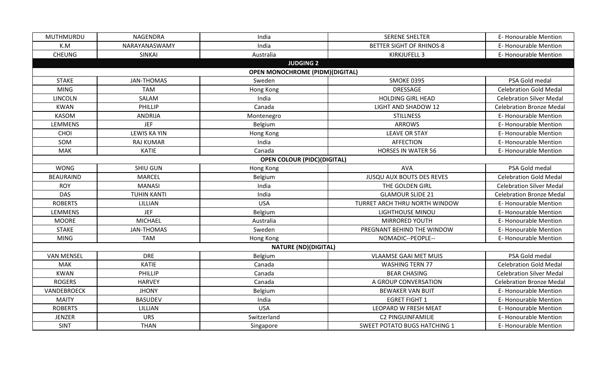| MUTHMURDU                                                    | NAGENDRA            | India                                   | <b>SERENE SHELTER</b>               | E-Honourable Mention            |
|--------------------------------------------------------------|---------------------|-----------------------------------------|-------------------------------------|---------------------------------|
| K.M                                                          | NARAYANASWAMY       | India                                   | <b>BETTER SIGHT OF RHINOS-8</b>     | <b>E-Honourable Mention</b>     |
| <b>CHEUNG</b>                                                | SINKAI              | Australia                               | KIRKJUFELL 3                        | <b>E- Honourable Mention</b>    |
|                                                              |                     | <b>JUDGING 2</b>                        |                                     |                                 |
|                                                              |                     | <b>OPEN MONOCHROME (PIDM) (DIGITAL)</b> |                                     |                                 |
| <b>STAKE</b>                                                 | <b>JAN-THOMAS</b>   | Sweden                                  | <b>SMOKE 0395</b>                   | PSA Gold medal                  |
| <b>MING</b>                                                  | <b>TAM</b>          | Hong Kong                               | <b>DRESSAGE</b>                     | <b>Celebration Gold Medal</b>   |
| <b>LINCOLN</b>                                               | SALAM               | India                                   | <b>HOLDING GIRL HEAD</b>            | <b>Celebration Silver Medal</b> |
| <b>KWAN</b>                                                  | PHILLIP             | Canada                                  | <b>LIGHT AND SHADOW 12</b>          | <b>Celebration Bronze Medal</b> |
| <b>KASOM</b>                                                 | ANDRIJA             | Montenegro                              | <b>STILLNESS</b>                    | <b>E- Honourable Mention</b>    |
| <b>LEMMENS</b>                                               | <b>JEF</b>          | Belgium                                 | <b>ARROWS</b>                       | <b>E-Honourable Mention</b>     |
| CHOI                                                         | <b>LEWIS KA YIN</b> | Hong Kong                               | <b>LEAVE OR STAY</b>                | <b>E- Honourable Mention</b>    |
| SOM                                                          | <b>RAJ KUMAR</b>    | India                                   | <b>AFFECTION</b>                    | E-Honourable Mention            |
| MAK                                                          | <b>KATIE</b>        | Canada                                  | <b>HORSES IN WATER 56</b>           | <b>E- Honourable Mention</b>    |
|                                                              |                     | <b>OPEN COLOUR (PIDC)(DIGITAL)</b>      |                                     |                                 |
| SHIU GUN<br><b>WONG</b><br><b>BEAURAIND</b><br><b>MARCEL</b> |                     | Hong Kong                               | <b>AVA</b>                          | PSA Gold medal                  |
|                                                              |                     | Belgium                                 | <b>JUSQU AUX BOUTS DES REVES</b>    | <b>Celebration Gold Medal</b>   |
| <b>ROY</b>                                                   | <b>MANASI</b>       | India                                   | THE GOLDEN GIRL                     | <b>Celebration Silver Medal</b> |
| <b>DAS</b>                                                   | <b>TUHIN KANTI</b>  | India                                   | <b>GLAMOUR SLIDE 21</b>             | <b>Celebration Bronze Medal</b> |
| <b>ROBERTS</b>                                               | LILLIAN             | <b>USA</b>                              | TURRET ARCH THRU NORTH WINDOW       | <b>E- Honourable Mention</b>    |
| <b>LEMMENS</b>                                               | <b>JEF</b>          | Belgium                                 | <b>LIGHTHOUSE MINOU</b>             | <b>E- Honourable Mention</b>    |
| <b>MOORE</b>                                                 | <b>MICHAEL</b>      | Australia                               | <b>MIRRORED YOUTH</b>               | E-Honourable Mention            |
| <b>STAKE</b>                                                 | <b>JAN-THOMAS</b>   | Sweden                                  | PREGNANT BEHIND THE WINDOW          | <b>E- Honourable Mention</b>    |
| <b>MING</b>                                                  | <b>TAM</b>          | Hong Kong                               | NOMADIC--PEOPLE--                   | E-Honourable Mention            |
|                                                              |                     | <b>NATURE (ND)(DIGITAL)</b>             |                                     |                                 |
| <b>VAN MENSEL</b>                                            | <b>DRE</b>          | Belgium                                 | <b>VLAAMSE GAAI MET MUIS</b>        | PSA Gold medal                  |
| <b>MAK</b>                                                   | <b>KATIE</b>        | Canada                                  | <b>WASHING TERN 77</b>              | <b>Celebration Gold Medal</b>   |
| <b>KWAN</b>                                                  | PHILLIP             | Canada                                  | <b>BEAR CHASING</b>                 | <b>Celebration Silver Medal</b> |
| <b>ROGERS</b>                                                | <b>HARVEY</b>       | Canada                                  | A GROUP CONVERSATION                | <b>Celebration Bronze Medal</b> |
| VANDEBROECK                                                  | <b>JHONY</b>        | Belgium                                 | <b>BEWAKER VAN BUIT</b>             | <b>E-Honourable Mention</b>     |
| <b>MAITY</b>                                                 | <b>BASUDEV</b>      | India                                   | <b>EGRET FIGHT 1</b>                | <b>E- Honourable Mention</b>    |
| <b>ROBERTS</b>                                               | LILLIAN             | <b>USA</b>                              | LEOPARD W FRESH MEAT                | E-Honourable Mention            |
| <b>JENZER</b>                                                | <b>URS</b>          | Switzerland                             | <b>C2 PINGUINFAMILIE</b>            | <b>E- Honourable Mention</b>    |
| <b>SINT</b>                                                  | <b>THAN</b>         | Singapore                               | <b>SWEET POTATO BUGS HATCHING 1</b> | <b>E-Honourable Mention</b>     |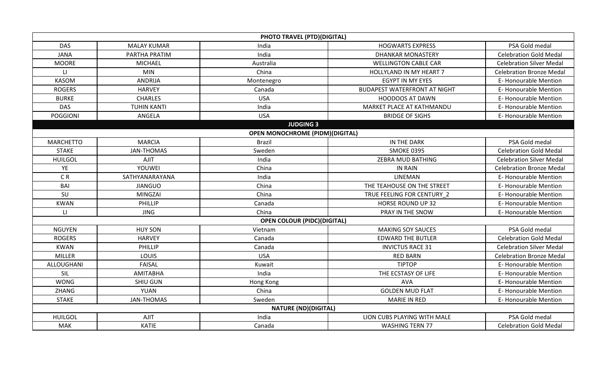|                  |                    | <b>PHOTO TRAVEL (PTD)(DIGITAL)</b>     |                                     |                                 |
|------------------|--------------------|----------------------------------------|-------------------------------------|---------------------------------|
| <b>DAS</b>       | <b>MALAY KUMAR</b> | India                                  | <b>HOGWARTS EXPRESS</b>             | PSA Gold medal                  |
| <b>JANA</b>      | PARTHA PRATIM      | India                                  | <b>DHANKAR MONASTERY</b>            | <b>Celebration Gold Medal</b>   |
| <b>MOORE</b>     | <b>MICHAEL</b>     | Australia                              | <b>WELLINGTON CABLE CAR</b>         | <b>Celebration Silver Medal</b> |
| $\mathsf{L}$     | <b>MIN</b>         | China                                  | HOLLYLAND IN MY HEART 7             | <b>Celebration Bronze Medal</b> |
| <b>KASOM</b>     | <b>ANDRIJA</b>     | Montenegro                             | EGYPT IN MY EYES                    | E-Honourable Mention            |
| <b>ROGERS</b>    | <b>HARVEY</b>      | Canada                                 | <b>BUDAPEST WATERFRONT AT NIGHT</b> | <b>E- Honourable Mention</b>    |
| <b>BURKE</b>     | <b>CHARLES</b>     | <b>USA</b>                             | <b>HOODOOS AT DAWN</b>              | <b>E- Honourable Mention</b>    |
| <b>DAS</b>       | <b>TUHIN KANTI</b> | India                                  | MARKET PLACE AT KATHMANDU           | <b>E- Honourable Mention</b>    |
| <b>POGGIONI</b>  | <b>ANGELA</b>      | <b>USA</b>                             | <b>BRIDGE OF SIGHS</b>              | <b>E- Honourable Mention</b>    |
|                  |                    | <b>JUDGING 3</b>                       |                                     |                                 |
|                  |                    | <b>OPEN MONOCHROME (PIDM)(DIGITAL)</b> |                                     |                                 |
| <b>MARCHETTO</b> | <b>MARCIA</b>      | <b>Brazil</b>                          | IN THE DARK                         | PSA Gold medal                  |
| <b>STAKE</b>     | <b>JAN-THOMAS</b>  | Sweden                                 | <b>SMOKE 0395</b>                   | <b>Celebration Gold Medal</b>   |
| <b>HUILGOL</b>   | AJIT               | India                                  | ZEBRA MUD BATHING                   | <b>Celebration Silver Medal</b> |
| YE               | YOUWEI             | China                                  | <b>IN RAIN</b>                      | <b>Celebration Bronze Medal</b> |
| C <sub>R</sub>   | SATHYANARAYANA     | India                                  | <b>LINEMAN</b>                      | <b>E- Honourable Mention</b>    |
| <b>BAI</b>       | <b>JIANGUO</b>     | China                                  | THE TEAHOUSE ON THE STREET          | <b>E- Honourable Mention</b>    |
| SU               | <b>MINGZAI</b>     | China                                  | TRUE FEELING FOR CENTURY 2          | <b>E- Honourable Mention</b>    |
| <b>KWAN</b>      | PHILLIP            | Canada                                 | <b>HORSE ROUND UP 32</b>            | E- Honourable Mention           |
| LI.              | <b>JING</b>        | China                                  | PRAY IN THE SNOW                    | <b>E- Honourable Mention</b>    |
|                  |                    | <b>OPEN COLOUR (PIDC)(DIGITAL)</b>     |                                     |                                 |
| <b>NGUYEN</b>    | <b>HUY SON</b>     | Vietnam                                | <b>MAKING SOY SAUCES</b>            | PSA Gold medal                  |
| <b>ROGERS</b>    | <b>HARVEY</b>      | Canada                                 | <b>EDWARD THE BUTLER</b>            | <b>Celebration Gold Medal</b>   |
| <b>KWAN</b>      | PHILLIP            | Canada                                 | <b>INVICTUS RACE 31</b>             | <b>Celebration Silver Medal</b> |
| <b>MILLER</b>    | LOUIS              | <b>USA</b>                             | <b>RED BARN</b>                     | <b>Celebration Bronze Medal</b> |
| ALLOUGHANI       | <b>FAISAL</b>      | Kuwait                                 | <b>TIPTOP</b>                       | <b>E-Honourable Mention</b>     |
| SIL              | <b>AMITABHA</b>    | India                                  | THE ECSTASY OF LIFE                 | <b>E- Honourable Mention</b>    |
| <b>WONG</b>      | <b>SHIU GUN</b>    | Hong Kong                              | <b>AVA</b>                          | <b>E- Honourable Mention</b>    |
| ZHANG            | YUAN               | China                                  | <b>GOLDEN MUD FLAT</b>              | <b>E- Honourable Mention</b>    |
| <b>STAKE</b>     | <b>JAN-THOMAS</b>  | Sweden                                 | MARIE IN RED                        | E-Honourable Mention            |
|                  |                    | <b>NATURE (ND)(DIGITAL)</b>            |                                     |                                 |
| <b>HUILGOL</b>   | <b>AJIT</b>        | India                                  | LION CUBS PLAYING WITH MALE         | PSA Gold medal                  |
| MAK              | <b>KATIE</b>       | Canada                                 | <b>WASHING TERN 77</b>              | <b>Celebration Gold Medal</b>   |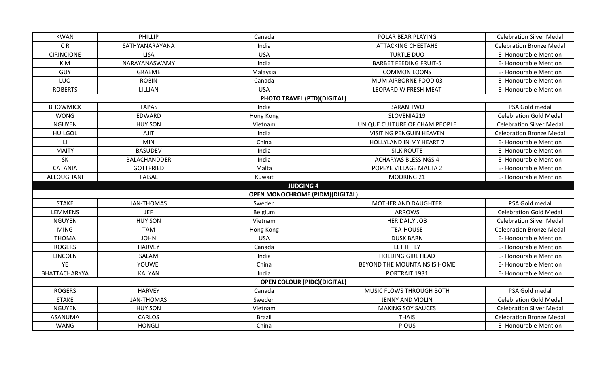| <b>KWAN</b>           | PHILLIP             | Canada                                 | POLAR BEAR PLAYING             | <b>Celebration Silver Medal</b> |
|-----------------------|---------------------|----------------------------------------|--------------------------------|---------------------------------|
| C <sub>R</sub>        | SATHYANARAYANA      | India                                  | <b>ATTACKING CHEETAHS</b>      | <b>Celebration Bronze Medal</b> |
| <b>CIRINCIONE</b>     | <b>LISA</b>         | <b>USA</b>                             | <b>TURTLE DUO</b>              | E-Honourable Mention            |
| K.M                   | NARAYANASWAMY       | India                                  | <b>BARBET FEEDING FRUIT-5</b>  | <b>E- Honourable Mention</b>    |
| GUY                   | <b>GRAEME</b>       | Malaysia                               | <b>COMMON LOONS</b>            | <b>E-Honourable Mention</b>     |
| LUO                   | <b>ROBIN</b>        | Canada                                 | MUM AIRBORNE FOOD 03           | <b>E- Honourable Mention</b>    |
| <b>ROBERTS</b>        | LILLIAN             | <b>USA</b>                             | LEOPARD W FRESH MEAT           | E-Honourable Mention            |
|                       |                     | <b>PHOTO TRAVEL (PTD)(DIGITAL)</b>     |                                |                                 |
| <b>BHOWMICK</b>       | <b>TAPAS</b>        | India                                  | <b>BARAN TWO</b>               | PSA Gold medal                  |
| <b>WONG</b>           | EDWARD              | Hong Kong                              | SLOVENIA219                    | <b>Celebration Gold Medal</b>   |
| <b>NGUYEN</b>         | <b>HUY SON</b>      | Vietnam                                | UNIQUE CULTURE OF CHAM PEOPLE  | <b>Celebration Silver Medal</b> |
| <b>HUILGOL</b>        | <b>AJIT</b>         | India                                  | <b>VISITING PENGUIN HEAVEN</b> | <b>Celebration Bronze Medal</b> |
| $\mathsf{L}$          | <b>MIN</b>          | China                                  | HOLLYLAND IN MY HEART 7        | <b>E- Honourable Mention</b>    |
| <b>MAITY</b>          | <b>BASUDEV</b>      | India                                  | <b>SILK ROUTE</b>              | <b>E- Honourable Mention</b>    |
| SK                    | <b>BALACHANDDER</b> | India                                  | <b>ACHARYAS BLESSINGS 4</b>    | <b>E- Honourable Mention</b>    |
| <b>CATANIA</b>        | <b>GOTTFRIED</b>    | Malta                                  | POPEYE VILLAGE MALTA 2         | <b>E- Honourable Mention</b>    |
| ALLOUGHANI<br>FAISAL  |                     | Kuwait                                 | MOORING 21                     | E-Honourable Mention            |
|                       |                     | <b>JUDGING 4</b>                       |                                |                                 |
|                       |                     | <b>OPEN MONOCHROME (PIDM)(DIGITAL)</b> |                                |                                 |
| <b>STAKE</b>          | <b>JAN-THOMAS</b>   | Sweden                                 | MOTHER AND DAUGHTER            | PSA Gold medal                  |
| LEMMENS               | <b>JEF</b>          | Belgium                                | <b>ARROWS</b>                  | <b>Celebration Gold Medal</b>   |
| <b>NGUYEN</b>         | <b>HUY SON</b>      | Vietnam                                | HER DAILY JOB                  | <b>Celebration Silver Medal</b> |
| <b>MING</b>           | <b>TAM</b>          | Hong Kong                              | <b>TEA-HOUSE</b>               | <b>Celebration Bronze Medal</b> |
| <b>THOMA</b>          | <b>JOHN</b>         | <b>USA</b>                             | <b>DUSK BARN</b>               | <b>E-Honourable Mention</b>     |
| <b>ROGERS</b>         | <b>HARVEY</b>       | Canada                                 | LET IT FLY                     | <b>E- Honourable Mention</b>    |
| <b>LINCOLN</b>        | SALAM               | India                                  | <b>HOLDING GIRL HEAD</b>       | E-Honourable Mention            |
| YE                    | YOUWEI              | China                                  | BEYOND THE MOUNTAINS IS HOME   | <b>E- Honourable Mention</b>    |
| BHATTACHARYYA         | <b>KALYAN</b>       | India                                  | PORTRAIT 1931                  | E-Honourable Mention            |
|                       |                     | <b>OPEN COLOUR (PIDC)(DIGITAL)</b>     |                                |                                 |
| <b>ROGERS</b>         | <b>HARVEY</b>       | Canada                                 | MUSIC FLOWS THROUGH BOTH       | PSA Gold medal                  |
| <b>STAKE</b>          | <b>JAN-THOMAS</b>   | Sweden                                 | JENNY AND VIOLIN               | <b>Celebration Gold Medal</b>   |
| <b>NGUYEN</b>         | <b>HUY SON</b>      | Vietnam                                | <b>MAKING SOY SAUCES</b>       | <b>Celebration Silver Medal</b> |
| <b>ASANUMA</b>        | <b>CARLOS</b>       | <b>Brazil</b>                          | <b>THAIS</b>                   | <b>Celebration Bronze Medal</b> |
| WANG<br><b>HONGLI</b> |                     | China                                  | <b>PIOUS</b>                   | <b>E-Honourable Mention</b>     |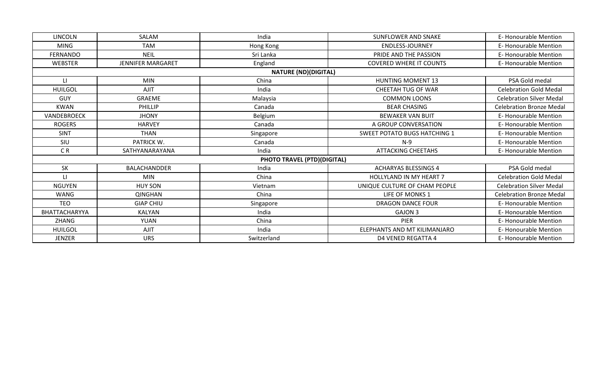| LINCOLN              | SALAM                    | India                              | SUNFLOWER AND SNAKE                 | E-Honourable Mention            |
|----------------------|--------------------------|------------------------------------|-------------------------------------|---------------------------------|
| <b>MING</b>          | <b>TAM</b>               | Hong Kong                          | <b>ENDLESS-JOURNEY</b>              | <b>E- Honourable Mention</b>    |
| <b>FERNANDO</b>      | <b>NEIL</b>              | Sri Lanka                          | PRIDE AND THE PASSION               | <b>E- Honourable Mention</b>    |
| <b>WEBSTER</b>       | <b>JENNIFER MARGARET</b> | England                            | <b>COVERED WHERE IT COUNTS</b>      | <b>E- Honourable Mention</b>    |
|                      |                          | <b>NATURE (ND)(DIGITAL)</b>        |                                     |                                 |
| $\mathsf{L}$         | <b>MIN</b>               | China                              | <b>HUNTING MOMENT 13</b>            | PSA Gold medal                  |
| <b>HUILGOL</b>       | <b>AJIT</b>              | India                              | CHEETAH TUG OF WAR                  | <b>Celebration Gold Medal</b>   |
| <b>GUY</b>           | <b>GRAEME</b>            | Malaysia                           | <b>COMMON LOONS</b>                 | <b>Celebration Silver Medal</b> |
| <b>KWAN</b>          | <b>PHILLIP</b>           | Canada                             | <b>BEAR CHASING</b>                 | <b>Celebration Bronze Medal</b> |
| VANDEBROECK          | <b>JHONY</b>             | Belgium                            | <b>BEWAKER VAN BUIT</b>             | E-Honourable Mention            |
| <b>ROGERS</b>        | <b>HARVEY</b>            | Canada                             | A GROUP CONVERSATION                | <b>E- Honourable Mention</b>    |
| <b>SINT</b>          | <b>THAN</b>              | Singapore                          | <b>SWEET POTATO BUGS HATCHING 1</b> | <b>E- Honourable Mention</b>    |
| SIU                  | PATRICK W.               | Canada                             | $N-9$                               | <b>E- Honourable Mention</b>    |
| C <sub>R</sub>       | SATHYANARAYANA           | India                              | <b>ATTACKING CHEETAHS</b>           | <b>E- Honourable Mention</b>    |
|                      |                          | <b>PHOTO TRAVEL (PTD)(DIGITAL)</b> |                                     |                                 |
| SK                   | <b>BALACHANDDER</b>      | India                              | <b>ACHARYAS BLESSINGS 4</b>         | PSA Gold medal                  |
| $\mathsf{L}$         | <b>MIN</b>               | China                              | HOLLYLAND IN MY HEART 7             | <b>Celebration Gold Medal</b>   |
| <b>NGUYEN</b>        | <b>HUY SON</b>           | Vietnam                            | UNIQUE CULTURE OF CHAM PEOPLE       | <b>Celebration Silver Medal</b> |
| <b>WANG</b>          | <b>QINGHAN</b>           | China                              | LIFE OF MONKS 1                     | <b>Celebration Bronze Medal</b> |
| <b>TEO</b>           | <b>GIAP CHIU</b>         | Singapore                          | <b>DRAGON DANCE FOUR</b>            | <b>E- Honourable Mention</b>    |
| <b>BHATTACHARYYA</b> | <b>KALYAN</b>            | India                              | <b>GAJON 3</b>                      | <b>E- Honourable Mention</b>    |
| ZHANG                | <b>YUAN</b>              | China                              | PIER                                | <b>E- Honourable Mention</b>    |
| <b>HUILGOL</b>       | <b>AJIT</b>              | India                              | ELEPHANTS AND MT KILIMANJARO        | <b>E- Honourable Mention</b>    |
| JENZER               | <b>URS</b>               | Switzerland                        | D4 VENED REGATTA 4                  | <b>E- Honourable Mention</b>    |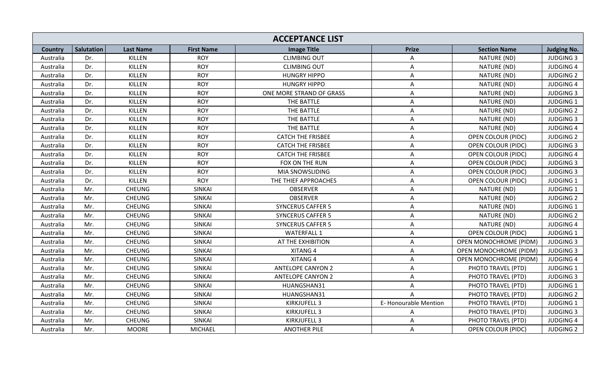| <b>ACCEPTANCE LIST</b> |                   |                  |                   |                          |                      |                               |                    |  |
|------------------------|-------------------|------------------|-------------------|--------------------------|----------------------|-------------------------------|--------------------|--|
| Country                | <b>Salutation</b> | <b>Last Name</b> | <b>First Name</b> | <b>Image Title</b>       | <b>Prize</b>         | <b>Section Name</b>           | <b>Judging No.</b> |  |
| Australia              | Dr.               | KILLEN           | <b>ROY</b>        | <b>CLIMBING OUT</b>      | Α                    | NATURE (ND)                   | <b>JUDGING 3</b>   |  |
| Australia              | Dr.               | KILLEN           | <b>ROY</b>        | <b>CLIMBING OUT</b>      | A                    | NATURE (ND)                   | <b>JUDGING 4</b>   |  |
| Australia              | Dr.               | KILLEN           | <b>ROY</b>        | <b>HUNGRY HIPPO</b>      | A                    | NATURE (ND)                   | <b>JUDGING 2</b>   |  |
| Australia              | Dr.               | KILLEN           | <b>ROY</b>        | <b>HUNGRY HIPPO</b>      | A                    | NATURE (ND)                   | <b>JUDGING 4</b>   |  |
| Australia              | Dr.               | KILLEN           | <b>ROY</b>        | ONE MORE STRAND OF GRASS | A                    | NATURE (ND)                   | <b>JUDGING 3</b>   |  |
| Australia              | Dr.               | KILLEN           | <b>ROY</b>        | THE BATTLE               | A                    | NATURE (ND)                   | <b>JUDGING 1</b>   |  |
| Australia              | Dr.               | KILLEN           | <b>ROY</b>        | THE BATTLE               | A                    | NATURE (ND)                   | <b>JUDGING 2</b>   |  |
| Australia              | Dr.               | KILLEN           | <b>ROY</b>        | THE BATTLE               | A                    | NATURE (ND)                   | <b>JUDGING 3</b>   |  |
| Australia              | Dr.               | KILLEN           | <b>ROY</b>        | THE BATTLE               | A                    | NATURE (ND)                   | <b>JUDGING 4</b>   |  |
| Australia              | Dr.               | KILLEN           | <b>ROY</b>        | <b>CATCH THE FRISBEE</b> | A                    | OPEN COLOUR (PIDC)            | <b>JUDGING 2</b>   |  |
| Australia              | Dr.               | KILLEN           | <b>ROY</b>        | <b>CATCH THE FRISBEE</b> | A                    | <b>OPEN COLOUR (PIDC)</b>     | <b>JUDGING 3</b>   |  |
| Australia              | Dr.               | KILLEN           | <b>ROY</b>        | <b>CATCH THE FRISBEE</b> | A                    | <b>OPEN COLOUR (PIDC)</b>     | <b>JUDGING 4</b>   |  |
| Australia              | Dr.               | KILLEN           | <b>ROY</b>        | FOX ON THE RUN           | A                    | OPEN COLOUR (PIDC)            | <b>JUDGING 3</b>   |  |
| Australia              | Dr.               | KILLEN           | <b>ROY</b>        | MIA SNOWSLIDING          | A                    | OPEN COLOUR (PIDC)            | <b>JUDGING 3</b>   |  |
| Australia              | Dr.               | KILLEN           | <b>ROY</b>        | THE THIEF APPROACHES     | A                    | OPEN COLOUR (PIDC)            | <b>JUDGING 1</b>   |  |
| Australia              | Mr.               | <b>CHEUNG</b>    | <b>SINKAI</b>     | <b>OBSERVER</b>          | A                    | NATURE (ND)                   | <b>JUDGING 1</b>   |  |
| Australia              | Mr.               | <b>CHEUNG</b>    | <b>SINKAI</b>     | <b>OBSERVER</b>          | A                    | NATURE (ND)                   | <b>JUDGING 2</b>   |  |
| Australia              | Mr.               | <b>CHEUNG</b>    | <b>SINKAI</b>     | <b>SYNCERUS CAFFER 5</b> | A                    | NATURE (ND)                   | <b>JUDGING 1</b>   |  |
| Australia              | Mr.               | <b>CHEUNG</b>    | <b>SINKAI</b>     | <b>SYNCERUS CAFFER 5</b> | A                    | NATURE (ND)                   | <b>JUDGING 2</b>   |  |
| Australia              | Mr.               | <b>CHEUNG</b>    | <b>SINKAI</b>     | <b>SYNCERUS CAFFER 5</b> | A                    | NATURE (ND)                   | <b>JUDGING 4</b>   |  |
| Australia              | Mr.               | <b>CHEUNG</b>    | <b>SINKAI</b>     | <b>WATERFALL 1</b>       | A                    | <b>OPEN COLOUR (PIDC)</b>     | <b>JUDGING 1</b>   |  |
| Australia              | Mr.               | <b>CHEUNG</b>    | SINKAI            | AT THE EXHIBITION        | A                    | <b>OPEN MONOCHROME (PIDM)</b> | <b>JUDGING 3</b>   |  |
| Australia              | Mr.               | <b>CHEUNG</b>    | <b>SINKAI</b>     | XITANG 4                 | A                    | <b>OPEN MONOCHROME (PIDM)</b> | <b>JUDGING 3</b>   |  |
| Australia              | Mr.               | <b>CHEUNG</b>    | <b>SINKAI</b>     | XITANG 4                 | A                    | <b>OPEN MONOCHROME (PIDM)</b> | <b>JUDGING 4</b>   |  |
| Australia              | Mr.               | <b>CHEUNG</b>    | <b>SINKAI</b>     | <b>ANTELOPE CANYON 2</b> | A                    | PHOTO TRAVEL (PTD)            | <b>JUDGING 1</b>   |  |
| Australia              | Mr.               | <b>CHEUNG</b>    | <b>SINKAI</b>     | <b>ANTELOPE CANYON 2</b> | A                    | PHOTO TRAVEL (PTD)            | <b>JUDGING 3</b>   |  |
| Australia              | Mr.               | <b>CHEUNG</b>    | <b>SINKAI</b>     | HUANGSHAN31              | A                    | PHOTO TRAVEL (PTD)            | <b>JUDGING 1</b>   |  |
| Australia              | Mr.               | <b>CHEUNG</b>    | SINKAI            | HUANGSHAN31              | $\mathsf{A}$         | PHOTO TRAVEL (PTD)            | <b>JUDGING 2</b>   |  |
| Australia              | Mr.               | <b>CHEUNG</b>    | <b>SINKAI</b>     | KIRKJUFELL 3             | E-Honourable Mention | PHOTO TRAVEL (PTD)            | <b>JUDGING 1</b>   |  |
| Australia              | Mr.               | <b>CHEUNG</b>    | SINKAI            | KIRKJUFELL 3             | A                    | PHOTO TRAVEL (PTD)            | <b>JUDGING 3</b>   |  |
| Australia              | Mr.               | <b>CHEUNG</b>    | SINKAI            | KIRKJUFELL 3             | A                    | PHOTO TRAVEL (PTD)            | <b>JUDGING 4</b>   |  |
| Australia              | Mr.               | <b>MOORE</b>     | <b>MICHAEL</b>    | <b>ANOTHER PILE</b>      | A                    | OPEN COLOUR (PIDC)            | <b>JUDGING 2</b>   |  |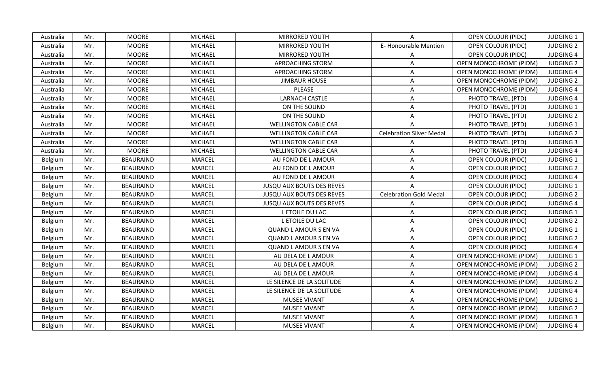| Australia | Mr. | <b>MOORE</b>     | <b>MICHAEL</b> | <b>MIRRORED YOUTH</b>            | A                               | <b>OPEN COLOUR (PIDC)</b>     | <b>JUDGING 1</b> |
|-----------|-----|------------------|----------------|----------------------------------|---------------------------------|-------------------------------|------------------|
| Australia | Mr. | <b>MOORE</b>     | <b>MICHAEL</b> | MIRRORED YOUTH                   | E-Honourable Mention            | OPEN COLOUR (PIDC)            | <b>JUDGING 2</b> |
| Australia | Mr. | <b>MOORE</b>     | MICHAEL        | <b>MIRRORED YOUTH</b>            | A                               | OPEN COLOUR (PIDC)            | <b>JUDGING 4</b> |
| Australia | Mr. | <b>MOORE</b>     | MICHAEL        | APROACHING STORM                 | A                               | OPEN MONOCHROME (PIDM)        | <b>JUDGING 2</b> |
| Australia | Mr. | <b>MOORE</b>     | <b>MICHAEL</b> | APROACHING STORM                 | A                               | OPEN MONOCHROME (PIDM)        | <b>JUDGING 4</b> |
| Australia | Mr. | <b>MOORE</b>     | <b>MICHAEL</b> | <b>JIMBAUR HOUSE</b>             | A                               | <b>OPEN MONOCHROME (PIDM)</b> | <b>JUDGING 2</b> |
| Australia | Mr. | <b>MOORE</b>     | <b>MICHAEL</b> | PLEASE                           | $\mathsf{A}$                    | <b>OPEN MONOCHROME (PIDM)</b> | <b>JUDGING 4</b> |
| Australia | Mr. | <b>MOORE</b>     | <b>MICHAEL</b> | <b>LARNACH CASTLE</b>            | A                               | PHOTO TRAVEL (PTD)            | <b>JUDGING 4</b> |
| Australia | Mr. | <b>MOORE</b>     | <b>MICHAEL</b> | ON THE SOUND                     | A                               | PHOTO TRAVEL (PTD)            | <b>JUDGING 1</b> |
| Australia | Mr. | <b>MOORE</b>     | <b>MICHAEL</b> | ON THE SOUND                     | A                               | PHOTO TRAVEL (PTD)            | <b>JUDGING 2</b> |
| Australia | Mr. | <b>MOORE</b>     | <b>MICHAEL</b> | <b>WELLINGTON CABLE CAR</b>      | A                               | PHOTO TRAVEL (PTD)            | <b>JUDGING 1</b> |
| Australia | Mr. | <b>MOORE</b>     | MICHAEL        | <b>WELLINGTON CABLE CAR</b>      | <b>Celebration Silver Medal</b> | PHOTO TRAVEL (PTD)            | <b>JUDGING 2</b> |
| Australia | Mr. | <b>MOORE</b>     | <b>MICHAEL</b> | <b>WELLINGTON CABLE CAR</b>      | A                               | PHOTO TRAVEL (PTD)            | <b>JUDGING 3</b> |
| Australia | Mr. | <b>MOORE</b>     | <b>MICHAEL</b> | <b>WELLINGTON CABLE CAR</b>      | A                               | PHOTO TRAVEL (PTD)            | <b>JUDGING 4</b> |
| Belgium   | Mr. | <b>BEAURAIND</b> | <b>MARCEL</b>  | AU FOND DE L AMOUR               | A                               | OPEN COLOUR (PIDC)            | <b>JUDGING 1</b> |
| Belgium   | Mr. | <b>BEAURAIND</b> | <b>MARCEL</b>  | AU FOND DE L AMOUR               | A                               | OPEN COLOUR (PIDC)            | <b>JUDGING 2</b> |
| Belgium   | Mr. | <b>BEAURAIND</b> | <b>MARCEL</b>  | AU FOND DE L AMOUR               | A                               | OPEN COLOUR (PIDC)            | <b>JUDGING 4</b> |
| Belgium   | Mr. | <b>BEAURAIND</b> | <b>MARCEL</b>  | <b>JUSQU AUX BOUTS DES REVES</b> | A                               | OPEN COLOUR (PIDC)            | <b>JUDGING 1</b> |
| Belgium   | Mr. | <b>BEAURAIND</b> | <b>MARCEL</b>  | <b>JUSQU AUX BOUTS DES REVES</b> | <b>Celebration Gold Medal</b>   | <b>OPEN COLOUR (PIDC)</b>     | <b>JUDGING 2</b> |
| Belgium   | Mr. | <b>BEAURAIND</b> | <b>MARCEL</b>  | <b>JUSQU AUX BOUTS DES REVES</b> | A                               | OPEN COLOUR (PIDC)            | <b>JUDGING 4</b> |
| Belgium   | Mr. | <b>BEAURAIND</b> | <b>MARCEL</b>  | L ETOILE DU LAC                  | A                               | <b>OPEN COLOUR (PIDC)</b>     | <b>JUDGING 1</b> |
| Belgium   | Mr. | <b>BEAURAIND</b> | <b>MARCEL</b>  | L ETOILE DU LAC                  | A                               | <b>OPEN COLOUR (PIDC)</b>     | <b>JUDGING 2</b> |
| Belgium   | Mr. | <b>BEAURAIND</b> | <b>MARCEL</b>  | <b>QUAND L AMOUR S EN VA</b>     | A                               | OPEN COLOUR (PIDC)            | <b>JUDGING 1</b> |
| Belgium   | Mr. | <b>BEAURAIND</b> | <b>MARCEL</b>  | <b>QUAND L AMOUR S EN VA</b>     | A                               | OPEN COLOUR (PIDC)            | <b>JUDGING 2</b> |
| Belgium   | Mr. | <b>BEAURAIND</b> | <b>MARCEL</b>  | <b>QUAND L AMOUR S EN VA</b>     | Α                               | OPEN COLOUR (PIDC)            | <b>JUDGING 4</b> |
| Belgium   | Mr. | <b>BEAURAIND</b> | <b>MARCEL</b>  | AU DELA DE L AMOUR               | A                               | <b>OPEN MONOCHROME (PIDM)</b> | <b>JUDGING 1</b> |
| Belgium   | Mr. | <b>BEAURAIND</b> | <b>MARCEL</b>  | AU DELA DE L AMOUR               | A                               | OPEN MONOCHROME (PIDM)        | <b>JUDGING 2</b> |
| Belgium   | Mr. | <b>BEAURAIND</b> | <b>MARCEL</b>  | AU DELA DE L AMOUR               | A                               | OPEN MONOCHROME (PIDM)        | <b>JUDGING 4</b> |
| Belgium   | Mr. | <b>BEAURAIND</b> | <b>MARCEL</b>  | LE SILENCE DE LA SOLITUDE        | A                               | OPEN MONOCHROME (PIDM)        | <b>JUDGING 2</b> |
| Belgium   | Mr. | <b>BEAURAIND</b> | <b>MARCEL</b>  | LE SILENCE DE LA SOLITUDE        | A                               | <b>OPEN MONOCHROME (PIDM)</b> | <b>JUDGING 4</b> |
| Belgium   | Mr. | <b>BEAURAIND</b> | <b>MARCEL</b>  | MUSEE VIVANT                     | A                               | <b>OPEN MONOCHROME (PIDM)</b> | <b>JUDGING 1</b> |
| Belgium   | Mr. | <b>BEAURAIND</b> | <b>MARCEL</b>  | MUSEE VIVANT                     | A                               | OPEN MONOCHROME (PIDM)        | <b>JUDGING 2</b> |
| Belgium   | Mr. | <b>BEAURAIND</b> | <b>MARCEL</b>  | <b>MUSEE VIVANT</b>              | A                               | <b>OPEN MONOCHROME (PIDM)</b> | <b>JUDGING 3</b> |
| Belgium   | Mr. | <b>BEAURAIND</b> | <b>MARCEL</b>  | <b>MUSEE VIVANT</b>              | A                               | <b>OPEN MONOCHROME (PIDM)</b> | <b>JUDGING 4</b> |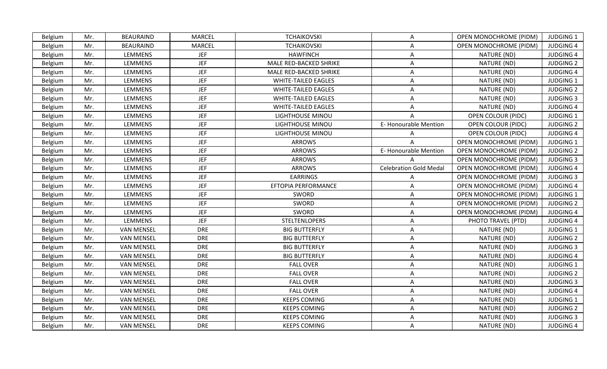| Belgium        | Mr. | <b>BEAURAIND</b>  | <b>MARCEL</b> | <b>TCHAIKOVSKI</b>         | A                             | OPEN MONOCHROME (PIDM)        | <b>JUDGING 1</b> |
|----------------|-----|-------------------|---------------|----------------------------|-------------------------------|-------------------------------|------------------|
| Belgium        | Mr. | <b>BEAURAIND</b>  | <b>MARCEL</b> | <b>TCHAIKOVSKI</b>         | A                             | OPEN MONOCHROME (PIDM)        | <b>JUDGING 4</b> |
| <b>Belgium</b> | Mr. | <b>LEMMENS</b>    | <b>JEF</b>    | <b>HAWFINCH</b>            | A                             | NATURE (ND)                   | <b>JUDGING 4</b> |
| Belgium        | Mr. | LEMMENS           | <b>JEF</b>    | MALE RED-BACKED SHRIKE     | A                             | NATURE (ND)                   | <b>JUDGING 2</b> |
| Belgium        | Mr. | LEMMENS           | <b>JEF</b>    | MALE RED-BACKED SHRIKE     | A                             | NATURE (ND)                   | <b>JUDGING 4</b> |
| <b>Belgium</b> | Mr. | LEMMENS           | <b>JEF</b>    | <b>WHITE-TAILED EAGLES</b> | A                             | NATURE (ND)                   | <b>JUDGING 1</b> |
| <b>Belgium</b> | Mr. | <b>LEMMENS</b>    | <b>JEF</b>    | <b>WHITE-TAILED EAGLES</b> | A                             | NATURE (ND)                   | <b>JUDGING 2</b> |
| Belgium        | Mr. | <b>LEMMENS</b>    | <b>JEF</b>    | <b>WHITE-TAILED EAGLES</b> | Α                             | NATURE (ND)                   | <b>JUDGING 3</b> |
| Belgium        | Mr. | <b>LEMMENS</b>    | <b>JEF</b>    | <b>WHITE-TAILED EAGLES</b> | A                             | NATURE (ND)                   | <b>JUDGING 4</b> |
| <b>Belgium</b> | Mr. | LEMMENS           | <b>JEF</b>    | <b>LIGHTHOUSE MINOU</b>    | A                             | OPEN COLOUR (PIDC)            | <b>JUDGING 1</b> |
| Belgium        | Mr. | LEMMENS           | <b>JEF</b>    | LIGHTHOUSE MINOU           | E-Honourable Mention          | OPEN COLOUR (PIDC)            | <b>JUDGING 2</b> |
| Belgium        | Mr. | LEMMENS           | <b>JEF</b>    | <b>LIGHTHOUSE MINOU</b>    | A                             | OPEN COLOUR (PIDC)            | <b>JUDGING 4</b> |
| Belgium        | Mr. | LEMMENS           | <b>JEF</b>    | <b>ARROWS</b>              | $\mathsf{A}$                  | OPEN MONOCHROME (PIDM)        | <b>JUDGING 1</b> |
| Belgium        | Mr. | <b>LEMMENS</b>    | <b>JEF</b>    | <b>ARROWS</b>              | E-Honourable Mention          | OPEN MONOCHROME (PIDM)        | <b>JUDGING 2</b> |
| <b>Belgium</b> | Mr. | <b>LEMMENS</b>    | <b>JEF</b>    | <b>ARROWS</b>              |                               | OPEN MONOCHROME (PIDM)        | <b>JUDGING 3</b> |
| Belgium        | Mr. | LEMMENS           | <b>JEF</b>    | ARROWS                     | <b>Celebration Gold Medal</b> | OPEN MONOCHROME (PIDM)        | <b>JUDGING 4</b> |
| Belgium        | Mr. | LEMMENS           | <b>JEF</b>    | <b>EARRINGS</b>            | A                             | <b>OPEN MONOCHROME (PIDM)</b> | <b>JUDGING 3</b> |
| <b>Belgium</b> | Mr. | <b>LEMMENS</b>    | <b>JEF</b>    | EFTOPIA PERFORMANCE        | Α                             | OPEN MONOCHROME (PIDM)        | <b>JUDGING 4</b> |
| Belgium        | Mr. | <b>LEMMENS</b>    | <b>JEF</b>    | SWORD                      | A                             | OPEN MONOCHROME (PIDM)        | <b>JUDGING 1</b> |
| Belgium        | Mr. | <b>LEMMENS</b>    | <b>JEF</b>    | SWORD                      | A                             | OPEN MONOCHROME (PIDM)        | <b>JUDGING 2</b> |
| Belgium        | Mr. | <b>LEMMENS</b>    | <b>JEF</b>    | SWORD                      | A                             | OPEN MONOCHROME (PIDM)        | <b>JUDGING 4</b> |
| Belgium        | Mr. | LEMMENS           | <b>JEF</b>    | <b>STELTENLOPERS</b>       | A                             | PHOTO TRAVEL (PTD)            | <b>JUDGING 4</b> |
| Belgium        | Mr. | <b>VAN MENSEL</b> | <b>DRE</b>    | <b>BIG BUTTERFLY</b>       | A                             | NATURE (ND)                   | <b>JUDGING 1</b> |
| Belgium        | Mr. | <b>VAN MENSEL</b> | <b>DRE</b>    | <b>BIG BUTTERFLY</b>       | A                             | NATURE (ND)                   | <b>JUDGING 2</b> |
| Belgium        | Mr. | <b>VAN MENSEL</b> | <b>DRE</b>    | <b>BIG BUTTERFLY</b>       | A                             | NATURE (ND)                   | <b>JUDGING 3</b> |
| Belgium        | Mr. | <b>VAN MENSEL</b> | <b>DRE</b>    | <b>BIG BUTTERFLY</b>       | A                             | NATURE (ND)                   | <b>JUDGING 4</b> |
| <b>Belgium</b> | Mr. | <b>VAN MENSEL</b> | <b>DRE</b>    | <b>FALL OVER</b>           | A                             | NATURE (ND)                   | <b>JUDGING 1</b> |
| <b>Belgium</b> | Mr. | <b>VAN MENSEL</b> | <b>DRE</b>    | <b>FALL OVER</b>           | A                             | NATURE (ND)                   | <b>JUDGING 2</b> |
| Belgium        | Mr. | <b>VAN MENSEL</b> | <b>DRE</b>    | <b>FALL OVER</b>           | A                             | NATURE (ND)                   | <b>JUDGING 3</b> |
| Belgium        | Mr. | <b>VAN MENSEL</b> | <b>DRE</b>    | <b>FALL OVER</b>           | A                             | NATURE (ND)                   | <b>JUDGING 4</b> |
| Belgium        | Mr. | <b>VAN MENSEL</b> | <b>DRE</b>    | <b>KEEPS COMING</b>        | A                             | NATURE (ND)                   | JUDGING 1        |
| Belgium        | Mr. | <b>VAN MENSEL</b> | <b>DRE</b>    | <b>KEEPS COMING</b>        | A                             | NATURE (ND)                   | <b>JUDGING 2</b> |
| <b>Belgium</b> | Mr. | <b>VAN MENSEL</b> | <b>DRE</b>    | <b>KEEPS COMING</b>        | A                             | NATURE (ND)                   | <b>JUDGING 3</b> |
| Belgium        | Mr. | <b>VAN MENSEL</b> | <b>DRE</b>    | <b>KEEPS COMING</b>        | A                             | NATURE (ND)                   | <b>JUDGING 4</b> |
|                |     |                   |               |                            |                               |                               |                  |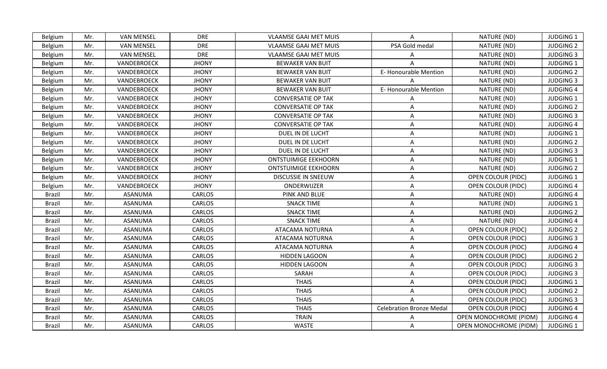| <b>VAN MENSEL</b><br><b>DRE</b><br>NATURE (ND)<br><b>JUDGING 1</b><br>Belgium<br>Mr.<br><b>VLAAMSE GAAI MET MUIS</b><br>A<br>PSA Gold medal<br>NATURE (ND)<br><b>JUDGING 2</b><br><b>VAN MENSEL</b><br><b>DRE</b><br><b>VLAAMSE GAAI MET MUIS</b><br>Belgium<br>Mr.<br><b>VAN MENSEL</b><br><b>DRE</b><br><b>VLAAMSE GAAI MET MUIS</b><br>NATURE (ND)<br><b>JUDGING 3</b><br>Mr.<br>Belgium<br>A<br>NATURE (ND)<br>VANDEBROECK<br><b>JHONY</b><br><b>BEWAKER VAN BUIT</b><br><b>JUDGING 1</b><br>Mr.<br>Belgium<br>NATURE (ND)<br>VANDEBROECK<br><b>JHONY</b><br><b>BEWAKER VAN BUIT</b><br>E-Honourable Mention<br><b>JUDGING 2</b><br>Mr.<br>Belgium<br>VANDEBROECK<br>NATURE (ND)<br>Belgium<br>Mr.<br><b>JHONY</b><br><b>BEWAKER VAN BUIT</b><br><b>JUDGING 3</b><br>E-Honourable Mention<br>NATURE (ND)<br>VANDEBROECK<br><b>JHONY</b><br><b>BEWAKER VAN BUIT</b><br><b>JUDGING 4</b><br>Belgium<br>Mr.<br>NATURE (ND)<br><b>JUDGING 1</b><br>Mr.<br>VANDEBROECK<br><b>JHONY</b><br><b>CONVERSATIE OP TAK</b><br>Belgium<br>A<br>VANDEBROECK<br><b>JHONY</b><br><b>CONVERSATIE OP TAK</b><br>NATURE (ND)<br><b>JUDGING 2</b><br>Belgium<br>Mr.<br>A<br>NATURE (ND)<br>Mr.<br>VANDEBROECK<br><b>JHONY</b><br><b>JUDGING 3</b><br>Belgium<br><b>CONVERSATIE OP TAK</b><br>A<br>Mr.<br>VANDEBROECK<br><b>JHONY</b><br><b>CONVERSATIE OP TAK</b><br>NATURE (ND)<br><b>JUDGING 4</b><br>Belgium<br>A<br>VANDEBROECK<br>DUEL IN DE LUCHT<br>NATURE (ND)<br><b>JUDGING 1</b><br>Belgium<br>Mr.<br><b>JHONY</b><br>A<br>VANDEBROECK<br><b>JHONY</b><br>DUEL IN DE LUCHT<br>NATURE (ND)<br><b>JUDGING 2</b><br>Mr.<br>A<br>Belgium<br>VANDEBROECK<br><b>JHONY</b><br>DUEL IN DE LUCHT<br>NATURE (ND)<br><b>JUDGING 3</b><br>Belgium<br>Mr.<br>A<br>VANDEBROECK<br><b>ONTSTUIMIGE EEKHOORN</b><br>NATURE (ND)<br><b>JUDGING 1</b><br>Belgium<br>Mr.<br><b>JHONY</b><br>A<br>Mr.<br>VANDEBROECK<br><b>JHONY</b><br>NATURE (ND)<br><b>JUDGING 2</b><br><b>ONTSTUIMIGE EEKHOORN</b><br>A<br>Belgium<br>VANDEBROECK<br>A<br><b>OPEN COLOUR (PIDC)</b><br><b>JUDGING 1</b><br>Belgium<br>Mr.<br><b>JHONY</b><br>DISCUSSIE IN SNEEUW<br>Mr.<br>VANDEBROECK<br><b>JHONY</b><br>ONDERWIJZER<br>A<br>OPEN COLOUR (PIDC)<br><b>JUDGING 4</b><br>Belgium<br><b>CARLOS</b><br>PINK AND BLUE<br>NATURE (ND)<br><b>JUDGING 4</b><br><b>Brazil</b><br>Mr.<br>ASANUMA<br>A<br>Mr.<br><b>ASANUMA</b><br><b>CARLOS</b><br><b>SNACK TIME</b><br>NATURE (ND)<br><b>JUDGING 1</b><br><b>Brazil</b><br>Α<br>CARLOS<br><b>SNACK TIME</b><br><b>JUDGING 2</b><br>Mr.<br><b>ASANUMA</b><br>NATURE (ND)<br><b>Brazil</b><br>Α<br>ASANUMA<br><b>CARLOS</b><br><b>SNACK TIME</b><br>NATURE (ND)<br><b>JUDGING 4</b><br><b>Brazil</b><br>Mr.<br>A<br><b>ASANUMA</b><br><b>CARLOS</b><br>ATACAMA NOTURNA<br>OPEN COLOUR (PIDC)<br><b>JUDGING 2</b><br><b>Brazil</b><br>Mr.<br>$\mathsf{A}$<br><b>CARLOS</b><br><b>JUDGING 3</b><br><b>Brazil</b><br>Mr.<br>ASANUMA<br>ATACAMA NOTURNA<br>A<br><b>OPEN COLOUR (PIDC)</b><br>ASANUMA<br><b>CARLOS</b><br><b>JUDGING 4</b><br><b>Brazil</b><br>Mr.<br>ATACAMA NOTURNA<br>Α<br><b>OPEN COLOUR (PIDC)</b><br>Mr.<br><b>ASANUMA</b><br><b>CARLOS</b><br><b>HIDDEN LAGOON</b><br><b>OPEN COLOUR (PIDC)</b><br><b>JUDGING 2</b><br><b>Brazil</b><br>Α<br><b>CARLOS</b><br><b>Brazil</b><br>Mr.<br><b>ASANUMA</b><br><b>HIDDEN LAGOON</b><br>OPEN COLOUR (PIDC)<br><b>JUDGING 3</b><br>A<br>Mr.<br><b>ASANUMA</b><br>CARLOS<br>SARAH<br><b>JUDGING 3</b><br><b>Brazil</b><br>A<br><b>OPEN COLOUR (PIDC)</b><br><b>CARLOS</b><br><b>THAIS</b><br><b>Brazil</b><br>Mr.<br>ASANUMA<br>A<br><b>OPEN COLOUR (PIDC)</b><br><b>JUDGING 1</b><br><b>ASANUMA</b><br><b>CARLOS</b><br><b>THAIS</b><br><b>JUDGING 2</b><br><b>Brazil</b><br>Mr.<br>A<br><b>OPEN COLOUR (PIDC)</b><br>CARLOS<br><b>THAIS</b><br><b>Brazil</b><br>Mr.<br>ASANUMA<br><b>OPEN COLOUR (PIDC)</b><br><b>JUDGING 3</b><br>ASANUMA<br>CARLOS<br><b>THAIS</b><br><b>Celebration Bronze Medal</b><br>OPEN COLOUR (PIDC)<br><b>JUDGING 4</b><br><b>Brazil</b><br>Mr.<br>ASANUMA<br>CARLOS<br><b>TRAIN</b><br><b>OPEN MONOCHROME (PIDM)</b><br><b>JUDGING 4</b><br><b>Brazil</b><br>Mr.<br>A<br><b>CARLOS</b><br><b>WASTE</b><br>A<br>OPEN MONOCHROME (PIDM)<br><b>JUDGING 1</b><br><b>Brazil</b><br>Mr.<br>ASANUMA |  |  |  |  |  |
|----------------------------------------------------------------------------------------------------------------------------------------------------------------------------------------------------------------------------------------------------------------------------------------------------------------------------------------------------------------------------------------------------------------------------------------------------------------------------------------------------------------------------------------------------------------------------------------------------------------------------------------------------------------------------------------------------------------------------------------------------------------------------------------------------------------------------------------------------------------------------------------------------------------------------------------------------------------------------------------------------------------------------------------------------------------------------------------------------------------------------------------------------------------------------------------------------------------------------------------------------------------------------------------------------------------------------------------------------------------------------------------------------------------------------------------------------------------------------------------------------------------------------------------------------------------------------------------------------------------------------------------------------------------------------------------------------------------------------------------------------------------------------------------------------------------------------------------------------------------------------------------------------------------------------------------------------------------------------------------------------------------------------------------------------------------------------------------------------------------------------------------------------------------------------------------------------------------------------------------------------------------------------------------------------------------------------------------------------------------------------------------------------------------------------------------------------------------------------------------------------------------------------------------------------------------------------------------------------------------------------------------------------------------------------------------------------------------------------------------------------------------------------------------------------------------------------------------------------------------------------------------------------------------------------------------------------------------------------------------------------------------------------------------------------------------------------------------------------------------------------------------------------------------------------------------------------------------------------------------------------------------------------------------------------------------------------------------------------------------------------------------------------------------------------------------------------------------------------------------------------------------------------------------------------------------------------------------------------------------------------------------------------------------------------------------------------------------------------------------------------------------------------------------------------------------------------------------------------------------------------------------------------------------------------------------------------------------------------------------------------------------------------------------------------------------------------------------------------------------------------------------------------------------------------------------------------------------------------------------------------------------------------------|--|--|--|--|--|
|                                                                                                                                                                                                                                                                                                                                                                                                                                                                                                                                                                                                                                                                                                                                                                                                                                                                                                                                                                                                                                                                                                                                                                                                                                                                                                                                                                                                                                                                                                                                                                                                                                                                                                                                                                                                                                                                                                                                                                                                                                                                                                                                                                                                                                                                                                                                                                                                                                                                                                                                                                                                                                                                                                                                                                                                                                                                                                                                                                                                                                                                                                                                                                                                                                                                                                                                                                                                                                                                                                                                                                                                                                                                                                                                                                                                                                                                                                                                                                                                                                                                                                                                                                                                                                                                                  |  |  |  |  |  |
|                                                                                                                                                                                                                                                                                                                                                                                                                                                                                                                                                                                                                                                                                                                                                                                                                                                                                                                                                                                                                                                                                                                                                                                                                                                                                                                                                                                                                                                                                                                                                                                                                                                                                                                                                                                                                                                                                                                                                                                                                                                                                                                                                                                                                                                                                                                                                                                                                                                                                                                                                                                                                                                                                                                                                                                                                                                                                                                                                                                                                                                                                                                                                                                                                                                                                                                                                                                                                                                                                                                                                                                                                                                                                                                                                                                                                                                                                                                                                                                                                                                                                                                                                                                                                                                                                  |  |  |  |  |  |
|                                                                                                                                                                                                                                                                                                                                                                                                                                                                                                                                                                                                                                                                                                                                                                                                                                                                                                                                                                                                                                                                                                                                                                                                                                                                                                                                                                                                                                                                                                                                                                                                                                                                                                                                                                                                                                                                                                                                                                                                                                                                                                                                                                                                                                                                                                                                                                                                                                                                                                                                                                                                                                                                                                                                                                                                                                                                                                                                                                                                                                                                                                                                                                                                                                                                                                                                                                                                                                                                                                                                                                                                                                                                                                                                                                                                                                                                                                                                                                                                                                                                                                                                                                                                                                                                                  |  |  |  |  |  |
|                                                                                                                                                                                                                                                                                                                                                                                                                                                                                                                                                                                                                                                                                                                                                                                                                                                                                                                                                                                                                                                                                                                                                                                                                                                                                                                                                                                                                                                                                                                                                                                                                                                                                                                                                                                                                                                                                                                                                                                                                                                                                                                                                                                                                                                                                                                                                                                                                                                                                                                                                                                                                                                                                                                                                                                                                                                                                                                                                                                                                                                                                                                                                                                                                                                                                                                                                                                                                                                                                                                                                                                                                                                                                                                                                                                                                                                                                                                                                                                                                                                                                                                                                                                                                                                                                  |  |  |  |  |  |
|                                                                                                                                                                                                                                                                                                                                                                                                                                                                                                                                                                                                                                                                                                                                                                                                                                                                                                                                                                                                                                                                                                                                                                                                                                                                                                                                                                                                                                                                                                                                                                                                                                                                                                                                                                                                                                                                                                                                                                                                                                                                                                                                                                                                                                                                                                                                                                                                                                                                                                                                                                                                                                                                                                                                                                                                                                                                                                                                                                                                                                                                                                                                                                                                                                                                                                                                                                                                                                                                                                                                                                                                                                                                                                                                                                                                                                                                                                                                                                                                                                                                                                                                                                                                                                                                                  |  |  |  |  |  |
|                                                                                                                                                                                                                                                                                                                                                                                                                                                                                                                                                                                                                                                                                                                                                                                                                                                                                                                                                                                                                                                                                                                                                                                                                                                                                                                                                                                                                                                                                                                                                                                                                                                                                                                                                                                                                                                                                                                                                                                                                                                                                                                                                                                                                                                                                                                                                                                                                                                                                                                                                                                                                                                                                                                                                                                                                                                                                                                                                                                                                                                                                                                                                                                                                                                                                                                                                                                                                                                                                                                                                                                                                                                                                                                                                                                                                                                                                                                                                                                                                                                                                                                                                                                                                                                                                  |  |  |  |  |  |
|                                                                                                                                                                                                                                                                                                                                                                                                                                                                                                                                                                                                                                                                                                                                                                                                                                                                                                                                                                                                                                                                                                                                                                                                                                                                                                                                                                                                                                                                                                                                                                                                                                                                                                                                                                                                                                                                                                                                                                                                                                                                                                                                                                                                                                                                                                                                                                                                                                                                                                                                                                                                                                                                                                                                                                                                                                                                                                                                                                                                                                                                                                                                                                                                                                                                                                                                                                                                                                                                                                                                                                                                                                                                                                                                                                                                                                                                                                                                                                                                                                                                                                                                                                                                                                                                                  |  |  |  |  |  |
|                                                                                                                                                                                                                                                                                                                                                                                                                                                                                                                                                                                                                                                                                                                                                                                                                                                                                                                                                                                                                                                                                                                                                                                                                                                                                                                                                                                                                                                                                                                                                                                                                                                                                                                                                                                                                                                                                                                                                                                                                                                                                                                                                                                                                                                                                                                                                                                                                                                                                                                                                                                                                                                                                                                                                                                                                                                                                                                                                                                                                                                                                                                                                                                                                                                                                                                                                                                                                                                                                                                                                                                                                                                                                                                                                                                                                                                                                                                                                                                                                                                                                                                                                                                                                                                                                  |  |  |  |  |  |
|                                                                                                                                                                                                                                                                                                                                                                                                                                                                                                                                                                                                                                                                                                                                                                                                                                                                                                                                                                                                                                                                                                                                                                                                                                                                                                                                                                                                                                                                                                                                                                                                                                                                                                                                                                                                                                                                                                                                                                                                                                                                                                                                                                                                                                                                                                                                                                                                                                                                                                                                                                                                                                                                                                                                                                                                                                                                                                                                                                                                                                                                                                                                                                                                                                                                                                                                                                                                                                                                                                                                                                                                                                                                                                                                                                                                                                                                                                                                                                                                                                                                                                                                                                                                                                                                                  |  |  |  |  |  |
|                                                                                                                                                                                                                                                                                                                                                                                                                                                                                                                                                                                                                                                                                                                                                                                                                                                                                                                                                                                                                                                                                                                                                                                                                                                                                                                                                                                                                                                                                                                                                                                                                                                                                                                                                                                                                                                                                                                                                                                                                                                                                                                                                                                                                                                                                                                                                                                                                                                                                                                                                                                                                                                                                                                                                                                                                                                                                                                                                                                                                                                                                                                                                                                                                                                                                                                                                                                                                                                                                                                                                                                                                                                                                                                                                                                                                                                                                                                                                                                                                                                                                                                                                                                                                                                                                  |  |  |  |  |  |
|                                                                                                                                                                                                                                                                                                                                                                                                                                                                                                                                                                                                                                                                                                                                                                                                                                                                                                                                                                                                                                                                                                                                                                                                                                                                                                                                                                                                                                                                                                                                                                                                                                                                                                                                                                                                                                                                                                                                                                                                                                                                                                                                                                                                                                                                                                                                                                                                                                                                                                                                                                                                                                                                                                                                                                                                                                                                                                                                                                                                                                                                                                                                                                                                                                                                                                                                                                                                                                                                                                                                                                                                                                                                                                                                                                                                                                                                                                                                                                                                                                                                                                                                                                                                                                                                                  |  |  |  |  |  |
|                                                                                                                                                                                                                                                                                                                                                                                                                                                                                                                                                                                                                                                                                                                                                                                                                                                                                                                                                                                                                                                                                                                                                                                                                                                                                                                                                                                                                                                                                                                                                                                                                                                                                                                                                                                                                                                                                                                                                                                                                                                                                                                                                                                                                                                                                                                                                                                                                                                                                                                                                                                                                                                                                                                                                                                                                                                                                                                                                                                                                                                                                                                                                                                                                                                                                                                                                                                                                                                                                                                                                                                                                                                                                                                                                                                                                                                                                                                                                                                                                                                                                                                                                                                                                                                                                  |  |  |  |  |  |
|                                                                                                                                                                                                                                                                                                                                                                                                                                                                                                                                                                                                                                                                                                                                                                                                                                                                                                                                                                                                                                                                                                                                                                                                                                                                                                                                                                                                                                                                                                                                                                                                                                                                                                                                                                                                                                                                                                                                                                                                                                                                                                                                                                                                                                                                                                                                                                                                                                                                                                                                                                                                                                                                                                                                                                                                                                                                                                                                                                                                                                                                                                                                                                                                                                                                                                                                                                                                                                                                                                                                                                                                                                                                                                                                                                                                                                                                                                                                                                                                                                                                                                                                                                                                                                                                                  |  |  |  |  |  |
|                                                                                                                                                                                                                                                                                                                                                                                                                                                                                                                                                                                                                                                                                                                                                                                                                                                                                                                                                                                                                                                                                                                                                                                                                                                                                                                                                                                                                                                                                                                                                                                                                                                                                                                                                                                                                                                                                                                                                                                                                                                                                                                                                                                                                                                                                                                                                                                                                                                                                                                                                                                                                                                                                                                                                                                                                                                                                                                                                                                                                                                                                                                                                                                                                                                                                                                                                                                                                                                                                                                                                                                                                                                                                                                                                                                                                                                                                                                                                                                                                                                                                                                                                                                                                                                                                  |  |  |  |  |  |
|                                                                                                                                                                                                                                                                                                                                                                                                                                                                                                                                                                                                                                                                                                                                                                                                                                                                                                                                                                                                                                                                                                                                                                                                                                                                                                                                                                                                                                                                                                                                                                                                                                                                                                                                                                                                                                                                                                                                                                                                                                                                                                                                                                                                                                                                                                                                                                                                                                                                                                                                                                                                                                                                                                                                                                                                                                                                                                                                                                                                                                                                                                                                                                                                                                                                                                                                                                                                                                                                                                                                                                                                                                                                                                                                                                                                                                                                                                                                                                                                                                                                                                                                                                                                                                                                                  |  |  |  |  |  |
|                                                                                                                                                                                                                                                                                                                                                                                                                                                                                                                                                                                                                                                                                                                                                                                                                                                                                                                                                                                                                                                                                                                                                                                                                                                                                                                                                                                                                                                                                                                                                                                                                                                                                                                                                                                                                                                                                                                                                                                                                                                                                                                                                                                                                                                                                                                                                                                                                                                                                                                                                                                                                                                                                                                                                                                                                                                                                                                                                                                                                                                                                                                                                                                                                                                                                                                                                                                                                                                                                                                                                                                                                                                                                                                                                                                                                                                                                                                                                                                                                                                                                                                                                                                                                                                                                  |  |  |  |  |  |
|                                                                                                                                                                                                                                                                                                                                                                                                                                                                                                                                                                                                                                                                                                                                                                                                                                                                                                                                                                                                                                                                                                                                                                                                                                                                                                                                                                                                                                                                                                                                                                                                                                                                                                                                                                                                                                                                                                                                                                                                                                                                                                                                                                                                                                                                                                                                                                                                                                                                                                                                                                                                                                                                                                                                                                                                                                                                                                                                                                                                                                                                                                                                                                                                                                                                                                                                                                                                                                                                                                                                                                                                                                                                                                                                                                                                                                                                                                                                                                                                                                                                                                                                                                                                                                                                                  |  |  |  |  |  |
|                                                                                                                                                                                                                                                                                                                                                                                                                                                                                                                                                                                                                                                                                                                                                                                                                                                                                                                                                                                                                                                                                                                                                                                                                                                                                                                                                                                                                                                                                                                                                                                                                                                                                                                                                                                                                                                                                                                                                                                                                                                                                                                                                                                                                                                                                                                                                                                                                                                                                                                                                                                                                                                                                                                                                                                                                                                                                                                                                                                                                                                                                                                                                                                                                                                                                                                                                                                                                                                                                                                                                                                                                                                                                                                                                                                                                                                                                                                                                                                                                                                                                                                                                                                                                                                                                  |  |  |  |  |  |
|                                                                                                                                                                                                                                                                                                                                                                                                                                                                                                                                                                                                                                                                                                                                                                                                                                                                                                                                                                                                                                                                                                                                                                                                                                                                                                                                                                                                                                                                                                                                                                                                                                                                                                                                                                                                                                                                                                                                                                                                                                                                                                                                                                                                                                                                                                                                                                                                                                                                                                                                                                                                                                                                                                                                                                                                                                                                                                                                                                                                                                                                                                                                                                                                                                                                                                                                                                                                                                                                                                                                                                                                                                                                                                                                                                                                                                                                                                                                                                                                                                                                                                                                                                                                                                                                                  |  |  |  |  |  |
|                                                                                                                                                                                                                                                                                                                                                                                                                                                                                                                                                                                                                                                                                                                                                                                                                                                                                                                                                                                                                                                                                                                                                                                                                                                                                                                                                                                                                                                                                                                                                                                                                                                                                                                                                                                                                                                                                                                                                                                                                                                                                                                                                                                                                                                                                                                                                                                                                                                                                                                                                                                                                                                                                                                                                                                                                                                                                                                                                                                                                                                                                                                                                                                                                                                                                                                                                                                                                                                                                                                                                                                                                                                                                                                                                                                                                                                                                                                                                                                                                                                                                                                                                                                                                                                                                  |  |  |  |  |  |
|                                                                                                                                                                                                                                                                                                                                                                                                                                                                                                                                                                                                                                                                                                                                                                                                                                                                                                                                                                                                                                                                                                                                                                                                                                                                                                                                                                                                                                                                                                                                                                                                                                                                                                                                                                                                                                                                                                                                                                                                                                                                                                                                                                                                                                                                                                                                                                                                                                                                                                                                                                                                                                                                                                                                                                                                                                                                                                                                                                                                                                                                                                                                                                                                                                                                                                                                                                                                                                                                                                                                                                                                                                                                                                                                                                                                                                                                                                                                                                                                                                                                                                                                                                                                                                                                                  |  |  |  |  |  |
|                                                                                                                                                                                                                                                                                                                                                                                                                                                                                                                                                                                                                                                                                                                                                                                                                                                                                                                                                                                                                                                                                                                                                                                                                                                                                                                                                                                                                                                                                                                                                                                                                                                                                                                                                                                                                                                                                                                                                                                                                                                                                                                                                                                                                                                                                                                                                                                                                                                                                                                                                                                                                                                                                                                                                                                                                                                                                                                                                                                                                                                                                                                                                                                                                                                                                                                                                                                                                                                                                                                                                                                                                                                                                                                                                                                                                                                                                                                                                                                                                                                                                                                                                                                                                                                                                  |  |  |  |  |  |
|                                                                                                                                                                                                                                                                                                                                                                                                                                                                                                                                                                                                                                                                                                                                                                                                                                                                                                                                                                                                                                                                                                                                                                                                                                                                                                                                                                                                                                                                                                                                                                                                                                                                                                                                                                                                                                                                                                                                                                                                                                                                                                                                                                                                                                                                                                                                                                                                                                                                                                                                                                                                                                                                                                                                                                                                                                                                                                                                                                                                                                                                                                                                                                                                                                                                                                                                                                                                                                                                                                                                                                                                                                                                                                                                                                                                                                                                                                                                                                                                                                                                                                                                                                                                                                                                                  |  |  |  |  |  |
|                                                                                                                                                                                                                                                                                                                                                                                                                                                                                                                                                                                                                                                                                                                                                                                                                                                                                                                                                                                                                                                                                                                                                                                                                                                                                                                                                                                                                                                                                                                                                                                                                                                                                                                                                                                                                                                                                                                                                                                                                                                                                                                                                                                                                                                                                                                                                                                                                                                                                                                                                                                                                                                                                                                                                                                                                                                                                                                                                                                                                                                                                                                                                                                                                                                                                                                                                                                                                                                                                                                                                                                                                                                                                                                                                                                                                                                                                                                                                                                                                                                                                                                                                                                                                                                                                  |  |  |  |  |  |
|                                                                                                                                                                                                                                                                                                                                                                                                                                                                                                                                                                                                                                                                                                                                                                                                                                                                                                                                                                                                                                                                                                                                                                                                                                                                                                                                                                                                                                                                                                                                                                                                                                                                                                                                                                                                                                                                                                                                                                                                                                                                                                                                                                                                                                                                                                                                                                                                                                                                                                                                                                                                                                                                                                                                                                                                                                                                                                                                                                                                                                                                                                                                                                                                                                                                                                                                                                                                                                                                                                                                                                                                                                                                                                                                                                                                                                                                                                                                                                                                                                                                                                                                                                                                                                                                                  |  |  |  |  |  |
|                                                                                                                                                                                                                                                                                                                                                                                                                                                                                                                                                                                                                                                                                                                                                                                                                                                                                                                                                                                                                                                                                                                                                                                                                                                                                                                                                                                                                                                                                                                                                                                                                                                                                                                                                                                                                                                                                                                                                                                                                                                                                                                                                                                                                                                                                                                                                                                                                                                                                                                                                                                                                                                                                                                                                                                                                                                                                                                                                                                                                                                                                                                                                                                                                                                                                                                                                                                                                                                                                                                                                                                                                                                                                                                                                                                                                                                                                                                                                                                                                                                                                                                                                                                                                                                                                  |  |  |  |  |  |
|                                                                                                                                                                                                                                                                                                                                                                                                                                                                                                                                                                                                                                                                                                                                                                                                                                                                                                                                                                                                                                                                                                                                                                                                                                                                                                                                                                                                                                                                                                                                                                                                                                                                                                                                                                                                                                                                                                                                                                                                                                                                                                                                                                                                                                                                                                                                                                                                                                                                                                                                                                                                                                                                                                                                                                                                                                                                                                                                                                                                                                                                                                                                                                                                                                                                                                                                                                                                                                                                                                                                                                                                                                                                                                                                                                                                                                                                                                                                                                                                                                                                                                                                                                                                                                                                                  |  |  |  |  |  |
|                                                                                                                                                                                                                                                                                                                                                                                                                                                                                                                                                                                                                                                                                                                                                                                                                                                                                                                                                                                                                                                                                                                                                                                                                                                                                                                                                                                                                                                                                                                                                                                                                                                                                                                                                                                                                                                                                                                                                                                                                                                                                                                                                                                                                                                                                                                                                                                                                                                                                                                                                                                                                                                                                                                                                                                                                                                                                                                                                                                                                                                                                                                                                                                                                                                                                                                                                                                                                                                                                                                                                                                                                                                                                                                                                                                                                                                                                                                                                                                                                                                                                                                                                                                                                                                                                  |  |  |  |  |  |
|                                                                                                                                                                                                                                                                                                                                                                                                                                                                                                                                                                                                                                                                                                                                                                                                                                                                                                                                                                                                                                                                                                                                                                                                                                                                                                                                                                                                                                                                                                                                                                                                                                                                                                                                                                                                                                                                                                                                                                                                                                                                                                                                                                                                                                                                                                                                                                                                                                                                                                                                                                                                                                                                                                                                                                                                                                                                                                                                                                                                                                                                                                                                                                                                                                                                                                                                                                                                                                                                                                                                                                                                                                                                                                                                                                                                                                                                                                                                                                                                                                                                                                                                                                                                                                                                                  |  |  |  |  |  |
|                                                                                                                                                                                                                                                                                                                                                                                                                                                                                                                                                                                                                                                                                                                                                                                                                                                                                                                                                                                                                                                                                                                                                                                                                                                                                                                                                                                                                                                                                                                                                                                                                                                                                                                                                                                                                                                                                                                                                                                                                                                                                                                                                                                                                                                                                                                                                                                                                                                                                                                                                                                                                                                                                                                                                                                                                                                                                                                                                                                                                                                                                                                                                                                                                                                                                                                                                                                                                                                                                                                                                                                                                                                                                                                                                                                                                                                                                                                                                                                                                                                                                                                                                                                                                                                                                  |  |  |  |  |  |
|                                                                                                                                                                                                                                                                                                                                                                                                                                                                                                                                                                                                                                                                                                                                                                                                                                                                                                                                                                                                                                                                                                                                                                                                                                                                                                                                                                                                                                                                                                                                                                                                                                                                                                                                                                                                                                                                                                                                                                                                                                                                                                                                                                                                                                                                                                                                                                                                                                                                                                                                                                                                                                                                                                                                                                                                                                                                                                                                                                                                                                                                                                                                                                                                                                                                                                                                                                                                                                                                                                                                                                                                                                                                                                                                                                                                                                                                                                                                                                                                                                                                                                                                                                                                                                                                                  |  |  |  |  |  |
|                                                                                                                                                                                                                                                                                                                                                                                                                                                                                                                                                                                                                                                                                                                                                                                                                                                                                                                                                                                                                                                                                                                                                                                                                                                                                                                                                                                                                                                                                                                                                                                                                                                                                                                                                                                                                                                                                                                                                                                                                                                                                                                                                                                                                                                                                                                                                                                                                                                                                                                                                                                                                                                                                                                                                                                                                                                                                                                                                                                                                                                                                                                                                                                                                                                                                                                                                                                                                                                                                                                                                                                                                                                                                                                                                                                                                                                                                                                                                                                                                                                                                                                                                                                                                                                                                  |  |  |  |  |  |
|                                                                                                                                                                                                                                                                                                                                                                                                                                                                                                                                                                                                                                                                                                                                                                                                                                                                                                                                                                                                                                                                                                                                                                                                                                                                                                                                                                                                                                                                                                                                                                                                                                                                                                                                                                                                                                                                                                                                                                                                                                                                                                                                                                                                                                                                                                                                                                                                                                                                                                                                                                                                                                                                                                                                                                                                                                                                                                                                                                                                                                                                                                                                                                                                                                                                                                                                                                                                                                                                                                                                                                                                                                                                                                                                                                                                                                                                                                                                                                                                                                                                                                                                                                                                                                                                                  |  |  |  |  |  |
|                                                                                                                                                                                                                                                                                                                                                                                                                                                                                                                                                                                                                                                                                                                                                                                                                                                                                                                                                                                                                                                                                                                                                                                                                                                                                                                                                                                                                                                                                                                                                                                                                                                                                                                                                                                                                                                                                                                                                                                                                                                                                                                                                                                                                                                                                                                                                                                                                                                                                                                                                                                                                                                                                                                                                                                                                                                                                                                                                                                                                                                                                                                                                                                                                                                                                                                                                                                                                                                                                                                                                                                                                                                                                                                                                                                                                                                                                                                                                                                                                                                                                                                                                                                                                                                                                  |  |  |  |  |  |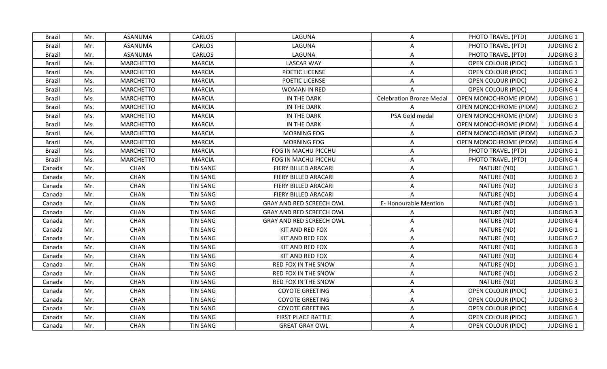| <b>Brazil</b> | Mr. | ASANUMA          | <b>CARLOS</b>   | LAGUNA                          | A                               | PHOTO TRAVEL (PTD)            | <b>JUDGING 1</b> |
|---------------|-----|------------------|-----------------|---------------------------------|---------------------------------|-------------------------------|------------------|
| <b>Brazil</b> | Mr. | <b>ASANUMA</b>   | <b>CARLOS</b>   | LAGUNA                          | A                               | PHOTO TRAVEL (PTD)            | <b>JUDGING 2</b> |
| <b>Brazil</b> | Mr. | ASANUMA          | CARLOS          | LAGUNA                          | A                               | PHOTO TRAVEL (PTD)            | <b>JUDGING 3</b> |
| <b>Brazil</b> | Ms. | <b>MARCHETTO</b> | <b>MARCIA</b>   | <b>LASCAR WAY</b>               | A                               | OPEN COLOUR (PIDC)            | <b>JUDGING 1</b> |
| <b>Brazil</b> | Ms. | <b>MARCHETTO</b> | <b>MARCIA</b>   | POETIC LICENSE                  | A                               | OPEN COLOUR (PIDC)            | <b>JUDGING 1</b> |
| <b>Brazil</b> | Ms. | <b>MARCHETTO</b> | <b>MARCIA</b>   | POETIC LICENSE                  | A                               | <b>OPEN COLOUR (PIDC)</b>     | <b>JUDGING 2</b> |
| <b>Brazil</b> | Ms. | <b>MARCHETTO</b> | <b>MARCIA</b>   | <b>WOMAN IN RED</b>             | A                               | <b>OPEN COLOUR (PIDC)</b>     | <b>JUDGING 4</b> |
| <b>Brazil</b> | Ms. | <b>MARCHETTO</b> | <b>MARCIA</b>   | IN THE DARK                     | <b>Celebration Bronze Medal</b> | OPEN MONOCHROME (PIDM)        | <b>JUDGING 1</b> |
| <b>Brazil</b> | Ms. | <b>MARCHETTO</b> | <b>MARCIA</b>   | IN THE DARK                     |                                 | <b>OPEN MONOCHROME (PIDM)</b> | <b>JUDGING 2</b> |
| <b>Brazil</b> | Ms. | <b>MARCHETTO</b> | <b>MARCIA</b>   | IN THE DARK                     | PSA Gold medal                  | OPEN MONOCHROME (PIDM)        | <b>JUDGING 3</b> |
| <b>Brazil</b> | Ms. | <b>MARCHETTO</b> | <b>MARCIA</b>   | IN THE DARK                     | A                               | <b>OPEN MONOCHROME (PIDM)</b> | <b>JUDGING 4</b> |
| <b>Brazil</b> | Ms. | <b>MARCHETTO</b> | <b>MARCIA</b>   | MORNING FOG                     | A                               | OPEN MONOCHROME (PIDM)        | <b>JUDGING 2</b> |
| <b>Brazil</b> | Ms. | <b>MARCHETTO</b> | <b>MARCIA</b>   | MORNING FOG                     | A                               | OPEN MONOCHROME (PIDM)        | <b>JUDGING 4</b> |
| <b>Brazil</b> | Ms. | <b>MARCHETTO</b> | <b>MARCIA</b>   | FOG IN MACHU PICCHU             | $\mathsf{A}$                    | PHOTO TRAVEL (PTD)            | <b>JUDGING 1</b> |
| <b>Brazil</b> | Ms. | <b>MARCHETTO</b> | <b>MARCIA</b>   | FOG IN MACHU PICCHU             | A                               | PHOTO TRAVEL (PTD)            | <b>JUDGING 4</b> |
| Canada        | Mr. | <b>CHAN</b>      | <b>TIN SANG</b> | FIERY BILLED ARACARI            | A                               | NATURE (ND)                   | <b>JUDGING 1</b> |
| Canada        | Mr. | <b>CHAN</b>      | <b>TIN SANG</b> | FIERY BILLED ARACARI            | A                               | NATURE (ND)                   | <b>JUDGING 2</b> |
| Canada        | Mr. | <b>CHAN</b>      | <b>TIN SANG</b> | FIERY BILLED ARACARI            | Α                               | NATURE (ND)                   | <b>JUDGING 3</b> |
| Canada        | Mr. | <b>CHAN</b>      | <b>TIN SANG</b> | FIERY BILLED ARACARI            | $\mathsf{A}$                    | NATURE (ND)                   | <b>JUDGING 4</b> |
| Canada        | Mr. | <b>CHAN</b>      | TIN SANG        | <b>GRAY AND RED SCREECH OWL</b> | E-Honourable Mention            | NATURE (ND)                   | <b>JUDGING 1</b> |
| Canada        | Mr. | <b>CHAN</b>      | <b>TIN SANG</b> | <b>GRAY AND RED SCREECH OWL</b> | A                               | NATURE (ND)                   | <b>JUDGING 3</b> |
| Canada        | Mr. | <b>CHAN</b>      | <b>TIN SANG</b> | <b>GRAY AND RED SCREECH OWL</b> | A                               | NATURE (ND)                   | <b>JUDGING 4</b> |
| Canada        | Mr. | <b>CHAN</b>      | <b>TIN SANG</b> | KIT AND RED FOX                 | A                               | NATURE (ND)                   | <b>JUDGING 1</b> |
| Canada        | Mr. | CHAN             | <b>TIN SANG</b> | KIT AND RED FOX                 | A                               | NATURE (ND)                   | <b>JUDGING 2</b> |
| Canada        | Mr. | <b>CHAN</b>      | <b>TIN SANG</b> | KIT AND RED FOX                 | Α                               | NATURE (ND)                   | <b>JUDGING 3</b> |
| Canada        | Mr. | <b>CHAN</b>      | <b>TIN SANG</b> | KIT AND RED FOX                 | A                               | NATURE (ND)                   | <b>JUDGING 4</b> |
| Canada        | Mr. | <b>CHAN</b>      | <b>TIN SANG</b> | RED FOX IN THE SNOW             | A                               | NATURE (ND)                   | <b>JUDGING 1</b> |
| Canada        | Mr. | <b>CHAN</b>      | <b>TIN SANG</b> | RED FOX IN THE SNOW             | A                               | NATURE (ND)                   | <b>JUDGING 2</b> |
| Canada        | Mr. | <b>CHAN</b>      | <b>TIN SANG</b> | RED FOX IN THE SNOW             | A                               | NATURE (ND)                   | <b>JUDGING 3</b> |
| Canada        | Mr. | <b>CHAN</b>      | <b>TIN SANG</b> | <b>COYOTE GREETING</b>          | A                               | OPEN COLOUR (PIDC)            | JUDGING 1        |
| Canada        | Mr. | CHAN             | <b>TIN SANG</b> | <b>COYOTE GREETING</b>          | A                               | <b>OPEN COLOUR (PIDC)</b>     | <b>JUDGING 3</b> |
| Canada        | Mr. | CHAN             | TIN SANG        | <b>COYOTE GREETING</b>          | A                               | OPEN COLOUR (PIDC)            | <b>JUDGING 4</b> |
| Canada        | Mr. | <b>CHAN</b>      | <b>TIN SANG</b> | FIRST PLACE BATTLE              | $\mathsf{A}$                    | OPEN COLOUR (PIDC)            | <b>JUDGING 1</b> |
| Canada        | Mr. | <b>CHAN</b>      | <b>TIN SANG</b> | <b>GREAT GRAY OWL</b>           | A                               | <b>OPEN COLOUR (PIDC)</b>     | <b>JUDGING 1</b> |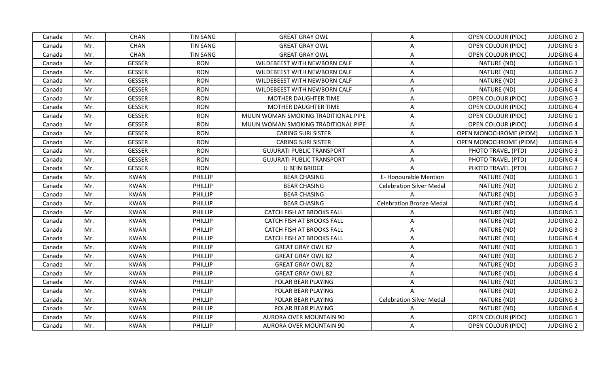| Canada | Mr. | <b>CHAN</b>   | <b>TIN SANG</b> | <b>GREAT GRAY OWL</b>               | A                               | <b>OPEN COLOUR (PIDC)</b> | <b>JUDGING 2</b> |
|--------|-----|---------------|-----------------|-------------------------------------|---------------------------------|---------------------------|------------------|
| Canada | Mr. | <b>CHAN</b>   | <b>TIN SANG</b> | <b>GREAT GRAY OWL</b>               | A                               | OPEN COLOUR (PIDC)        | <b>JUDGING 3</b> |
| Canada | Mr. | <b>CHAN</b>   | <b>TIN SANG</b> | <b>GREAT GRAY OWL</b>               | A                               | <b>OPEN COLOUR (PIDC)</b> | <b>JUDGING 4</b> |
| Canada | Mr. | <b>GESSER</b> | <b>RON</b>      | WILDEBEEST WITH NEWBORN CALF        | A                               | NATURE (ND)               | <b>JUDGING 1</b> |
| Canada | Mr. | <b>GESSER</b> | <b>RON</b>      | WILDEBEEST WITH NEWBORN CALF        | A                               | NATURE (ND)               | <b>JUDGING 2</b> |
| Canada | Mr. | <b>GESSER</b> | <b>RON</b>      | WILDEBEEST WITH NEWBORN CALF        | A                               | NATURE (ND)               | <b>JUDGING 3</b> |
| Canada | Mr. | <b>GESSER</b> | <b>RON</b>      | WILDEBEEST WITH NEWBORN CALF        | A                               | NATURE (ND)               | <b>JUDGING 4</b> |
| Canada | Mr. | <b>GESSER</b> | <b>RON</b>      | MOTHER DAUGHTER TIME                | Α                               | OPEN COLOUR (PIDC)        | <b>JUDGING 3</b> |
| Canada | Mr. | <b>GESSER</b> | <b>RON</b>      | MOTHER DAUGHTER TIME                | A                               | <b>OPEN COLOUR (PIDC)</b> | <b>JUDGING 4</b> |
| Canada | Mr. | <b>GESSER</b> | <b>RON</b>      | MUUN WOMAN SMOKING TRADITIONAL PIPE | A                               | OPEN COLOUR (PIDC)        | <b>JUDGING 1</b> |
| Canada | Mr. | <b>GESSER</b> | <b>RON</b>      | MUUN WOMAN SMOKING TRADITIONAL PIPE | A                               | OPEN COLOUR (PIDC)        | <b>JUDGING 4</b> |
| Canada | Mr. | <b>GESSER</b> | <b>RON</b>      | <b>CARING SURI SISTER</b>           | A                               | OPEN MONOCHROME (PIDM)    | <b>JUDGING 3</b> |
| Canada | Mr. | <b>GESSER</b> | <b>RON</b>      | <b>CARING SURI SISTER</b>           | A                               | OPEN MONOCHROME (PIDM)    | <b>JUDGING 4</b> |
| Canada | Mr. | <b>GESSER</b> | <b>RON</b>      | <b>GUJURATI PUBLIC TRANSPORT</b>    | A                               | PHOTO TRAVEL (PTD)        | <b>JUDGING 3</b> |
| Canada | Mr. | <b>GESSER</b> | <b>RON</b>      | <b>GUJURATI PUBLIC TRANSPORT</b>    | A                               | PHOTO TRAVEL (PTD)        | <b>JUDGING 4</b> |
| Canada | Mr. | <b>GESSER</b> | <b>RON</b>      | U BEIN BRIDGE                       |                                 | PHOTO TRAVEL (PTD)        | <b>JUDGING 2</b> |
| Canada | Mr. | <b>KWAN</b>   | PHILLIP         | <b>BEAR CHASING</b>                 | <b>E- Honourable Mention</b>    | NATURE (ND)               | <b>JUDGING 1</b> |
| Canada | Mr. | <b>KWAN</b>   | PHILLIP         | <b>BEAR CHASING</b>                 | <b>Celebration Silver Medal</b> | NATURE (ND)               | <b>JUDGING 2</b> |
| Canada | Mr. | <b>KWAN</b>   | PHILLIP         | <b>BEAR CHASING</b>                 |                                 | NATURE (ND)               | <b>JUDGING 3</b> |
| Canada | Mr. | <b>KWAN</b>   | PHILLIP         | <b>BEAR CHASING</b>                 | <b>Celebration Bronze Medal</b> | NATURE (ND)               | <b>JUDGING 4</b> |
| Canada | Mr. | <b>KWAN</b>   | PHILLIP         | <b>CATCH FISH AT BROOKS FALL</b>    | A                               | NATURE (ND)               | <b>JUDGING 1</b> |
| Canada | Mr. | <b>KWAN</b>   | PHILLIP         | <b>CATCH FISH AT BROOKS FALL</b>    | A                               | NATURE (ND)               | <b>JUDGING 2</b> |
| Canada | Mr. | <b>KWAN</b>   | PHILLIP         | <b>CATCH FISH AT BROOKS FALL</b>    | A                               | NATURE (ND)               | <b>JUDGING 3</b> |
| Canada | Mr. | <b>KWAN</b>   | PHILLIP         | CATCH FISH AT BROOKS FALL           | A                               | NATURE (ND)               | <b>JUDGING 4</b> |
| Canada | Mr. | <b>KWAN</b>   | PHILLIP         | <b>GREAT GRAY OWL 82</b>            | Α                               | NATURE (ND)               | <b>JUDGING 1</b> |
| Canada | Mr. | <b>KWAN</b>   | PHILLIP         | <b>GREAT GRAY OWL 82</b>            | A                               | NATURE (ND)               | <b>JUDGING 2</b> |
| Canada | Mr. | <b>KWAN</b>   | PHILLIP         | <b>GREAT GRAY OWL 82</b>            | A                               | NATURE (ND)               | <b>JUDGING 3</b> |
| Canada | Mr. | <b>KWAN</b>   | PHILLIP         | <b>GREAT GRAY OWL 82</b>            | A                               | NATURE (ND)               | <b>JUDGING 4</b> |
| Canada | Mr. | <b>KWAN</b>   | PHILLIP         | POLAR BEAR PLAYING                  | A                               | NATURE (ND)               | <b>JUDGING 1</b> |
| Canada | Mr. | <b>KWAN</b>   | PHILLIP         | POLAR BEAR PLAYING                  | $\mathsf{A}$                    | NATURE (ND)               | <b>JUDGING 2</b> |
| Canada | Mr. | <b>KWAN</b>   | PHILLIP         | POLAR BEAR PLAYING                  | <b>Celebration Silver Medal</b> | NATURE (ND)               | <b>JUDGING 3</b> |
| Canada | Mr. | <b>KWAN</b>   | PHILLIP         | POLAR BEAR PLAYING                  | A                               | NATURE (ND)               | <b>JUDGING 4</b> |
| Canada | Mr. | <b>KWAN</b>   | PHILLIP         | <b>AURORA OVER MOUNTAIN 90</b>      | A                               | <b>OPEN COLOUR (PIDC)</b> | <b>JUDGING 1</b> |
| Canada | Mr. | <b>KWAN</b>   | <b>PHILLIP</b>  | <b>AURORA OVER MOUNTAIN 90</b>      | A                               | OPEN COLOUR (PIDC)        | <b>JUDGING 2</b> |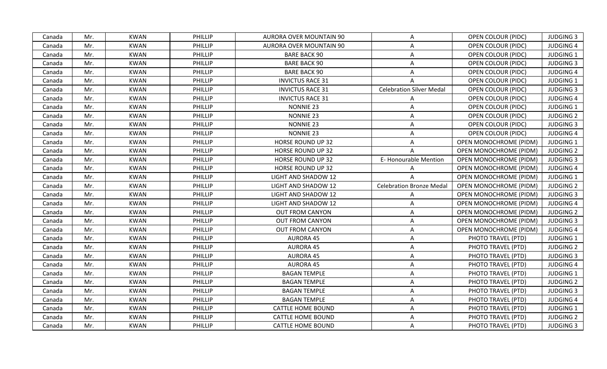| <b>KWAN</b><br><b>PHILLIP</b><br><b>JUDGING 3</b><br>Mr.<br><b>AURORA OVER MOUNTAIN 90</b><br>OPEN COLOUR (PIDC)<br>Canada<br>A<br>Mr.<br><b>KWAN</b><br><b>PHILLIP</b><br><b>AURORA OVER MOUNTAIN 90</b><br>A<br>OPEN COLOUR (PIDC)<br><b>JUDGING 4</b><br>Canada<br><b>PHILLIP</b><br><b>BARE BACK 90</b><br>Mr.<br><b>KWAN</b><br>OPEN COLOUR (PIDC)<br><b>JUDGING 1</b><br>Canada<br>A<br><b>KWAN</b><br>PHILLIP<br><b>BARE BACK 90</b><br><b>JUDGING 3</b><br>Mr.<br>A<br>OPEN COLOUR (PIDC)<br>Canada<br>Mr.<br><b>KWAN</b><br><b>BARE BACK 90</b><br><b>JUDGING 4</b><br>PHILLIP<br>A<br>OPEN COLOUR (PIDC)<br>Canada<br>Mr.<br><b>KWAN</b><br><b>PHILLIP</b><br><b>INVICTUS RACE 31</b><br>OPEN COLOUR (PIDC)<br><b>JUDGING 1</b><br>Canada<br>A<br><b>Celebration Silver Medal</b><br>Mr.<br><b>KWAN</b><br><b>PHILLIP</b><br><b>INVICTUS RACE 31</b><br><b>JUDGING 3</b><br>Canada<br>OPEN COLOUR (PIDC)<br><b>KWAN</b><br><b>PHILLIP</b><br>Mr.<br><b>INVICTUS RACE 31</b><br><b>JUDGING 4</b><br><b>OPEN COLOUR (PIDC)</b><br>Canada<br>Α<br>Mr.<br><b>KWAN</b><br>PHILLIP<br><b>NONNIE 23</b><br><b>JUDGING 1</b><br>A<br>OPEN COLOUR (PIDC)<br>Canada<br>Mr.<br><b>KWAN</b><br>PHILLIP<br><b>NONNIE 23</b><br><b>JUDGING 2</b><br>A<br>OPEN COLOUR (PIDC)<br>Canada<br>Mr.<br><b>KWAN</b><br>PHILLIP<br><b>NONNIE 23</b><br>Canada<br>OPEN COLOUR (PIDC)<br><b>JUDGING 3</b><br>A<br><b>KWAN</b><br><b>PHILLIP</b><br><b>NONNIE 23</b><br><b>JUDGING 4</b><br>Mr.<br>A<br><b>OPEN COLOUR (PIDC)</b><br>Canada<br><b>KWAN</b><br>PHILLIP<br><b>HORSE ROUND UP 32</b><br><b>JUDGING 1</b><br>Mr.<br>A<br>OPEN MONOCHROME (PIDM)<br>Canada<br><b>KWAN</b><br>PHILLIP<br><b>HORSE ROUND UP 32</b><br>OPEN MONOCHROME (PIDM)<br><b>JUDGING 2</b><br>Mr.<br>A<br>Canada<br>E-Honourable Mention<br>Mr.<br><b>KWAN</b><br><b>JUDGING 3</b><br>PHILLIP<br><b>HORSE ROUND UP 32</b><br><b>OPEN MONOCHROME (PIDM)</b><br>Canada<br>Mr.<br><b>KWAN</b><br>PHILLIP<br><b>HORSE ROUND UP 32</b><br><b>OPEN MONOCHROME (PIDM)</b><br><b>JUDGING 4</b><br>Canada<br>A<br><b>KWAN</b><br><b>PHILLIP</b><br>OPEN MONOCHROME (PIDM)<br>JUDGING 1<br>Mr.<br><b>LIGHT AND SHADOW 12</b><br>Canada<br>Mr.<br><b>KWAN</b><br><b>PHILLIP</b><br><b>Celebration Bronze Medal</b><br><b>OPEN MONOCHROME (PIDM)</b><br><b>LIGHT AND SHADOW 12</b><br><b>JUDGING 2</b><br>Canada<br><b>KWAN</b><br>PHILLIP<br><b>JUDGING 3</b><br>Mr.<br>LIGHT AND SHADOW 12<br><b>OPEN MONOCHROME (PIDM)</b><br>Canada<br>A<br>Mr.<br><b>KWAN</b><br><b>JUDGING 4</b><br><b>PHILLIP</b><br><b>LIGHT AND SHADOW 12</b><br>A<br><b>OPEN MONOCHROME (PIDM)</b><br>Canada<br>Mr.<br><b>KWAN</b><br>PHILLIP<br><b>OUT FROM CANYON</b><br><b>JUDGING 2</b><br>Canada<br><b>OPEN MONOCHROME (PIDM)</b><br>A<br><b>KWAN</b><br><b>PHILLIP</b><br>OPEN MONOCHROME (PIDM)<br><b>JUDGING 3</b><br>Mr.<br><b>OUT FROM CANYON</b><br>A<br>Canada<br><b>KWAN</b><br><b>OUT FROM CANYON</b><br><b>OPEN MONOCHROME (PIDM)</b><br>Mr.<br><b>PHILLIP</b><br>$\mathsf{A}$<br><b>JUDGING 4</b><br>Canada<br>PHILLIP<br>Mr.<br><b>KWAN</b><br><b>AURORA 45</b><br>A<br>PHOTO TRAVEL (PTD)<br><b>JUDGING 1</b><br>Canada<br><b>KWAN</b><br><b>AURORA 45</b><br>A<br>Mr.<br>PHILLIP<br>PHOTO TRAVEL (PTD)<br><b>JUDGING 2</b><br>Canada<br>Mr.<br><b>KWAN</b><br>PHILLIP<br><b>AURORA 45</b><br>PHOTO TRAVEL (PTD)<br><b>JUDGING 3</b><br>Canada<br>A<br><b>AURORA 45</b><br>Mr.<br><b>KWAN</b><br>PHILLIP<br>PHOTO TRAVEL (PTD)<br><b>JUDGING 4</b><br>Canada<br>A<br>Mr.<br><b>KWAN</b><br>PHILLIP<br><b>BAGAN TEMPLE</b><br>PHOTO TRAVEL (PTD)<br>A<br><b>JUDGING 1</b><br>Canada<br><b>KWAN</b><br>PHILLIP<br>Mr.<br><b>BAGAN TEMPLE</b><br>A<br>PHOTO TRAVEL (PTD)<br><b>JUDGING 2</b><br>Canada<br><b>KWAN</b><br><b>PHILLIP</b><br>A<br><b>JUDGING 3</b><br>Mr.<br><b>BAGAN TEMPLE</b><br>PHOTO TRAVEL (PTD)<br>Canada<br>Mr.<br><b>KWAN</b><br>PHILLIP<br><b>BAGAN TEMPLE</b><br>PHOTO TRAVEL (PTD)<br><b>JUDGING 4</b><br>Canada<br>A<br><b>PHILLIP</b><br>PHOTO TRAVEL (PTD)<br>JUDGING 1<br>Mr.<br><b>KWAN</b><br><b>CATTLE HOME BOUND</b><br>A<br>Canada<br><b>KWAN</b><br><b>CATTLE HOME BOUND</b><br>PHOTO TRAVEL (PTD)<br><b>JUDGING 2</b><br>Canada<br>Mr.<br>PHILLIP<br>A<br>PHOTO TRAVEL (PTD)<br><b>JUDGING 3</b><br>Mr.<br><b>KWAN</b><br><b>PHILLIP</b><br><b>CATTLE HOME BOUND</b><br>A<br>Canada |  |  |  |  |  |
|----------------------------------------------------------------------------------------------------------------------------------------------------------------------------------------------------------------------------------------------------------------------------------------------------------------------------------------------------------------------------------------------------------------------------------------------------------------------------------------------------------------------------------------------------------------------------------------------------------------------------------------------------------------------------------------------------------------------------------------------------------------------------------------------------------------------------------------------------------------------------------------------------------------------------------------------------------------------------------------------------------------------------------------------------------------------------------------------------------------------------------------------------------------------------------------------------------------------------------------------------------------------------------------------------------------------------------------------------------------------------------------------------------------------------------------------------------------------------------------------------------------------------------------------------------------------------------------------------------------------------------------------------------------------------------------------------------------------------------------------------------------------------------------------------------------------------------------------------------------------------------------------------------------------------------------------------------------------------------------------------------------------------------------------------------------------------------------------------------------------------------------------------------------------------------------------------------------------------------------------------------------------------------------------------------------------------------------------------------------------------------------------------------------------------------------------------------------------------------------------------------------------------------------------------------------------------------------------------------------------------------------------------------------------------------------------------------------------------------------------------------------------------------------------------------------------------------------------------------------------------------------------------------------------------------------------------------------------------------------------------------------------------------------------------------------------------------------------------------------------------------------------------------------------------------------------------------------------------------------------------------------------------------------------------------------------------------------------------------------------------------------------------------------------------------------------------------------------------------------------------------------------------------------------------------------------------------------------------------------------------------------------------------------------------------------------------------------------------------------------------------------------------------------------------------------------------------------------------------------------------------------------------------------------------------------------------------------------------------------------------------------------------------------------------------------------------------------------------------------------------------------------------------------------------------------------------------------------------------------------------------------------------------------------------------------------------------------------------------------------|--|--|--|--|--|
|                                                                                                                                                                                                                                                                                                                                                                                                                                                                                                                                                                                                                                                                                                                                                                                                                                                                                                                                                                                                                                                                                                                                                                                                                                                                                                                                                                                                                                                                                                                                                                                                                                                                                                                                                                                                                                                                                                                                                                                                                                                                                                                                                                                                                                                                                                                                                                                                                                                                                                                                                                                                                                                                                                                                                                                                                                                                                                                                                                                                                                                                                                                                                                                                                                                                                                                                                                                                                                                                                                                                                                                                                                                                                                                                                                                                                                                                                                                                                                                                                                                                                                                                                                                                                                                                                                                                                                      |  |  |  |  |  |
|                                                                                                                                                                                                                                                                                                                                                                                                                                                                                                                                                                                                                                                                                                                                                                                                                                                                                                                                                                                                                                                                                                                                                                                                                                                                                                                                                                                                                                                                                                                                                                                                                                                                                                                                                                                                                                                                                                                                                                                                                                                                                                                                                                                                                                                                                                                                                                                                                                                                                                                                                                                                                                                                                                                                                                                                                                                                                                                                                                                                                                                                                                                                                                                                                                                                                                                                                                                                                                                                                                                                                                                                                                                                                                                                                                                                                                                                                                                                                                                                                                                                                                                                                                                                                                                                                                                                                                      |  |  |  |  |  |
|                                                                                                                                                                                                                                                                                                                                                                                                                                                                                                                                                                                                                                                                                                                                                                                                                                                                                                                                                                                                                                                                                                                                                                                                                                                                                                                                                                                                                                                                                                                                                                                                                                                                                                                                                                                                                                                                                                                                                                                                                                                                                                                                                                                                                                                                                                                                                                                                                                                                                                                                                                                                                                                                                                                                                                                                                                                                                                                                                                                                                                                                                                                                                                                                                                                                                                                                                                                                                                                                                                                                                                                                                                                                                                                                                                                                                                                                                                                                                                                                                                                                                                                                                                                                                                                                                                                                                                      |  |  |  |  |  |
|                                                                                                                                                                                                                                                                                                                                                                                                                                                                                                                                                                                                                                                                                                                                                                                                                                                                                                                                                                                                                                                                                                                                                                                                                                                                                                                                                                                                                                                                                                                                                                                                                                                                                                                                                                                                                                                                                                                                                                                                                                                                                                                                                                                                                                                                                                                                                                                                                                                                                                                                                                                                                                                                                                                                                                                                                                                                                                                                                                                                                                                                                                                                                                                                                                                                                                                                                                                                                                                                                                                                                                                                                                                                                                                                                                                                                                                                                                                                                                                                                                                                                                                                                                                                                                                                                                                                                                      |  |  |  |  |  |
|                                                                                                                                                                                                                                                                                                                                                                                                                                                                                                                                                                                                                                                                                                                                                                                                                                                                                                                                                                                                                                                                                                                                                                                                                                                                                                                                                                                                                                                                                                                                                                                                                                                                                                                                                                                                                                                                                                                                                                                                                                                                                                                                                                                                                                                                                                                                                                                                                                                                                                                                                                                                                                                                                                                                                                                                                                                                                                                                                                                                                                                                                                                                                                                                                                                                                                                                                                                                                                                                                                                                                                                                                                                                                                                                                                                                                                                                                                                                                                                                                                                                                                                                                                                                                                                                                                                                                                      |  |  |  |  |  |
|                                                                                                                                                                                                                                                                                                                                                                                                                                                                                                                                                                                                                                                                                                                                                                                                                                                                                                                                                                                                                                                                                                                                                                                                                                                                                                                                                                                                                                                                                                                                                                                                                                                                                                                                                                                                                                                                                                                                                                                                                                                                                                                                                                                                                                                                                                                                                                                                                                                                                                                                                                                                                                                                                                                                                                                                                                                                                                                                                                                                                                                                                                                                                                                                                                                                                                                                                                                                                                                                                                                                                                                                                                                                                                                                                                                                                                                                                                                                                                                                                                                                                                                                                                                                                                                                                                                                                                      |  |  |  |  |  |
|                                                                                                                                                                                                                                                                                                                                                                                                                                                                                                                                                                                                                                                                                                                                                                                                                                                                                                                                                                                                                                                                                                                                                                                                                                                                                                                                                                                                                                                                                                                                                                                                                                                                                                                                                                                                                                                                                                                                                                                                                                                                                                                                                                                                                                                                                                                                                                                                                                                                                                                                                                                                                                                                                                                                                                                                                                                                                                                                                                                                                                                                                                                                                                                                                                                                                                                                                                                                                                                                                                                                                                                                                                                                                                                                                                                                                                                                                                                                                                                                                                                                                                                                                                                                                                                                                                                                                                      |  |  |  |  |  |
|                                                                                                                                                                                                                                                                                                                                                                                                                                                                                                                                                                                                                                                                                                                                                                                                                                                                                                                                                                                                                                                                                                                                                                                                                                                                                                                                                                                                                                                                                                                                                                                                                                                                                                                                                                                                                                                                                                                                                                                                                                                                                                                                                                                                                                                                                                                                                                                                                                                                                                                                                                                                                                                                                                                                                                                                                                                                                                                                                                                                                                                                                                                                                                                                                                                                                                                                                                                                                                                                                                                                                                                                                                                                                                                                                                                                                                                                                                                                                                                                                                                                                                                                                                                                                                                                                                                                                                      |  |  |  |  |  |
|                                                                                                                                                                                                                                                                                                                                                                                                                                                                                                                                                                                                                                                                                                                                                                                                                                                                                                                                                                                                                                                                                                                                                                                                                                                                                                                                                                                                                                                                                                                                                                                                                                                                                                                                                                                                                                                                                                                                                                                                                                                                                                                                                                                                                                                                                                                                                                                                                                                                                                                                                                                                                                                                                                                                                                                                                                                                                                                                                                                                                                                                                                                                                                                                                                                                                                                                                                                                                                                                                                                                                                                                                                                                                                                                                                                                                                                                                                                                                                                                                                                                                                                                                                                                                                                                                                                                                                      |  |  |  |  |  |
|                                                                                                                                                                                                                                                                                                                                                                                                                                                                                                                                                                                                                                                                                                                                                                                                                                                                                                                                                                                                                                                                                                                                                                                                                                                                                                                                                                                                                                                                                                                                                                                                                                                                                                                                                                                                                                                                                                                                                                                                                                                                                                                                                                                                                                                                                                                                                                                                                                                                                                                                                                                                                                                                                                                                                                                                                                                                                                                                                                                                                                                                                                                                                                                                                                                                                                                                                                                                                                                                                                                                                                                                                                                                                                                                                                                                                                                                                                                                                                                                                                                                                                                                                                                                                                                                                                                                                                      |  |  |  |  |  |
|                                                                                                                                                                                                                                                                                                                                                                                                                                                                                                                                                                                                                                                                                                                                                                                                                                                                                                                                                                                                                                                                                                                                                                                                                                                                                                                                                                                                                                                                                                                                                                                                                                                                                                                                                                                                                                                                                                                                                                                                                                                                                                                                                                                                                                                                                                                                                                                                                                                                                                                                                                                                                                                                                                                                                                                                                                                                                                                                                                                                                                                                                                                                                                                                                                                                                                                                                                                                                                                                                                                                                                                                                                                                                                                                                                                                                                                                                                                                                                                                                                                                                                                                                                                                                                                                                                                                                                      |  |  |  |  |  |
|                                                                                                                                                                                                                                                                                                                                                                                                                                                                                                                                                                                                                                                                                                                                                                                                                                                                                                                                                                                                                                                                                                                                                                                                                                                                                                                                                                                                                                                                                                                                                                                                                                                                                                                                                                                                                                                                                                                                                                                                                                                                                                                                                                                                                                                                                                                                                                                                                                                                                                                                                                                                                                                                                                                                                                                                                                                                                                                                                                                                                                                                                                                                                                                                                                                                                                                                                                                                                                                                                                                                                                                                                                                                                                                                                                                                                                                                                                                                                                                                                                                                                                                                                                                                                                                                                                                                                                      |  |  |  |  |  |
|                                                                                                                                                                                                                                                                                                                                                                                                                                                                                                                                                                                                                                                                                                                                                                                                                                                                                                                                                                                                                                                                                                                                                                                                                                                                                                                                                                                                                                                                                                                                                                                                                                                                                                                                                                                                                                                                                                                                                                                                                                                                                                                                                                                                                                                                                                                                                                                                                                                                                                                                                                                                                                                                                                                                                                                                                                                                                                                                                                                                                                                                                                                                                                                                                                                                                                                                                                                                                                                                                                                                                                                                                                                                                                                                                                                                                                                                                                                                                                                                                                                                                                                                                                                                                                                                                                                                                                      |  |  |  |  |  |
|                                                                                                                                                                                                                                                                                                                                                                                                                                                                                                                                                                                                                                                                                                                                                                                                                                                                                                                                                                                                                                                                                                                                                                                                                                                                                                                                                                                                                                                                                                                                                                                                                                                                                                                                                                                                                                                                                                                                                                                                                                                                                                                                                                                                                                                                                                                                                                                                                                                                                                                                                                                                                                                                                                                                                                                                                                                                                                                                                                                                                                                                                                                                                                                                                                                                                                                                                                                                                                                                                                                                                                                                                                                                                                                                                                                                                                                                                                                                                                                                                                                                                                                                                                                                                                                                                                                                                                      |  |  |  |  |  |
|                                                                                                                                                                                                                                                                                                                                                                                                                                                                                                                                                                                                                                                                                                                                                                                                                                                                                                                                                                                                                                                                                                                                                                                                                                                                                                                                                                                                                                                                                                                                                                                                                                                                                                                                                                                                                                                                                                                                                                                                                                                                                                                                                                                                                                                                                                                                                                                                                                                                                                                                                                                                                                                                                                                                                                                                                                                                                                                                                                                                                                                                                                                                                                                                                                                                                                                                                                                                                                                                                                                                                                                                                                                                                                                                                                                                                                                                                                                                                                                                                                                                                                                                                                                                                                                                                                                                                                      |  |  |  |  |  |
|                                                                                                                                                                                                                                                                                                                                                                                                                                                                                                                                                                                                                                                                                                                                                                                                                                                                                                                                                                                                                                                                                                                                                                                                                                                                                                                                                                                                                                                                                                                                                                                                                                                                                                                                                                                                                                                                                                                                                                                                                                                                                                                                                                                                                                                                                                                                                                                                                                                                                                                                                                                                                                                                                                                                                                                                                                                                                                                                                                                                                                                                                                                                                                                                                                                                                                                                                                                                                                                                                                                                                                                                                                                                                                                                                                                                                                                                                                                                                                                                                                                                                                                                                                                                                                                                                                                                                                      |  |  |  |  |  |
|                                                                                                                                                                                                                                                                                                                                                                                                                                                                                                                                                                                                                                                                                                                                                                                                                                                                                                                                                                                                                                                                                                                                                                                                                                                                                                                                                                                                                                                                                                                                                                                                                                                                                                                                                                                                                                                                                                                                                                                                                                                                                                                                                                                                                                                                                                                                                                                                                                                                                                                                                                                                                                                                                                                                                                                                                                                                                                                                                                                                                                                                                                                                                                                                                                                                                                                                                                                                                                                                                                                                                                                                                                                                                                                                                                                                                                                                                                                                                                                                                                                                                                                                                                                                                                                                                                                                                                      |  |  |  |  |  |
|                                                                                                                                                                                                                                                                                                                                                                                                                                                                                                                                                                                                                                                                                                                                                                                                                                                                                                                                                                                                                                                                                                                                                                                                                                                                                                                                                                                                                                                                                                                                                                                                                                                                                                                                                                                                                                                                                                                                                                                                                                                                                                                                                                                                                                                                                                                                                                                                                                                                                                                                                                                                                                                                                                                                                                                                                                                                                                                                                                                                                                                                                                                                                                                                                                                                                                                                                                                                                                                                                                                                                                                                                                                                                                                                                                                                                                                                                                                                                                                                                                                                                                                                                                                                                                                                                                                                                                      |  |  |  |  |  |
|                                                                                                                                                                                                                                                                                                                                                                                                                                                                                                                                                                                                                                                                                                                                                                                                                                                                                                                                                                                                                                                                                                                                                                                                                                                                                                                                                                                                                                                                                                                                                                                                                                                                                                                                                                                                                                                                                                                                                                                                                                                                                                                                                                                                                                                                                                                                                                                                                                                                                                                                                                                                                                                                                                                                                                                                                                                                                                                                                                                                                                                                                                                                                                                                                                                                                                                                                                                                                                                                                                                                                                                                                                                                                                                                                                                                                                                                                                                                                                                                                                                                                                                                                                                                                                                                                                                                                                      |  |  |  |  |  |
|                                                                                                                                                                                                                                                                                                                                                                                                                                                                                                                                                                                                                                                                                                                                                                                                                                                                                                                                                                                                                                                                                                                                                                                                                                                                                                                                                                                                                                                                                                                                                                                                                                                                                                                                                                                                                                                                                                                                                                                                                                                                                                                                                                                                                                                                                                                                                                                                                                                                                                                                                                                                                                                                                                                                                                                                                                                                                                                                                                                                                                                                                                                                                                                                                                                                                                                                                                                                                                                                                                                                                                                                                                                                                                                                                                                                                                                                                                                                                                                                                                                                                                                                                                                                                                                                                                                                                                      |  |  |  |  |  |
|                                                                                                                                                                                                                                                                                                                                                                                                                                                                                                                                                                                                                                                                                                                                                                                                                                                                                                                                                                                                                                                                                                                                                                                                                                                                                                                                                                                                                                                                                                                                                                                                                                                                                                                                                                                                                                                                                                                                                                                                                                                                                                                                                                                                                                                                                                                                                                                                                                                                                                                                                                                                                                                                                                                                                                                                                                                                                                                                                                                                                                                                                                                                                                                                                                                                                                                                                                                                                                                                                                                                                                                                                                                                                                                                                                                                                                                                                                                                                                                                                                                                                                                                                                                                                                                                                                                                                                      |  |  |  |  |  |
|                                                                                                                                                                                                                                                                                                                                                                                                                                                                                                                                                                                                                                                                                                                                                                                                                                                                                                                                                                                                                                                                                                                                                                                                                                                                                                                                                                                                                                                                                                                                                                                                                                                                                                                                                                                                                                                                                                                                                                                                                                                                                                                                                                                                                                                                                                                                                                                                                                                                                                                                                                                                                                                                                                                                                                                                                                                                                                                                                                                                                                                                                                                                                                                                                                                                                                                                                                                                                                                                                                                                                                                                                                                                                                                                                                                                                                                                                                                                                                                                                                                                                                                                                                                                                                                                                                                                                                      |  |  |  |  |  |
|                                                                                                                                                                                                                                                                                                                                                                                                                                                                                                                                                                                                                                                                                                                                                                                                                                                                                                                                                                                                                                                                                                                                                                                                                                                                                                                                                                                                                                                                                                                                                                                                                                                                                                                                                                                                                                                                                                                                                                                                                                                                                                                                                                                                                                                                                                                                                                                                                                                                                                                                                                                                                                                                                                                                                                                                                                                                                                                                                                                                                                                                                                                                                                                                                                                                                                                                                                                                                                                                                                                                                                                                                                                                                                                                                                                                                                                                                                                                                                                                                                                                                                                                                                                                                                                                                                                                                                      |  |  |  |  |  |
|                                                                                                                                                                                                                                                                                                                                                                                                                                                                                                                                                                                                                                                                                                                                                                                                                                                                                                                                                                                                                                                                                                                                                                                                                                                                                                                                                                                                                                                                                                                                                                                                                                                                                                                                                                                                                                                                                                                                                                                                                                                                                                                                                                                                                                                                                                                                                                                                                                                                                                                                                                                                                                                                                                                                                                                                                                                                                                                                                                                                                                                                                                                                                                                                                                                                                                                                                                                                                                                                                                                                                                                                                                                                                                                                                                                                                                                                                                                                                                                                                                                                                                                                                                                                                                                                                                                                                                      |  |  |  |  |  |
|                                                                                                                                                                                                                                                                                                                                                                                                                                                                                                                                                                                                                                                                                                                                                                                                                                                                                                                                                                                                                                                                                                                                                                                                                                                                                                                                                                                                                                                                                                                                                                                                                                                                                                                                                                                                                                                                                                                                                                                                                                                                                                                                                                                                                                                                                                                                                                                                                                                                                                                                                                                                                                                                                                                                                                                                                                                                                                                                                                                                                                                                                                                                                                                                                                                                                                                                                                                                                                                                                                                                                                                                                                                                                                                                                                                                                                                                                                                                                                                                                                                                                                                                                                                                                                                                                                                                                                      |  |  |  |  |  |
|                                                                                                                                                                                                                                                                                                                                                                                                                                                                                                                                                                                                                                                                                                                                                                                                                                                                                                                                                                                                                                                                                                                                                                                                                                                                                                                                                                                                                                                                                                                                                                                                                                                                                                                                                                                                                                                                                                                                                                                                                                                                                                                                                                                                                                                                                                                                                                                                                                                                                                                                                                                                                                                                                                                                                                                                                                                                                                                                                                                                                                                                                                                                                                                                                                                                                                                                                                                                                                                                                                                                                                                                                                                                                                                                                                                                                                                                                                                                                                                                                                                                                                                                                                                                                                                                                                                                                                      |  |  |  |  |  |
|                                                                                                                                                                                                                                                                                                                                                                                                                                                                                                                                                                                                                                                                                                                                                                                                                                                                                                                                                                                                                                                                                                                                                                                                                                                                                                                                                                                                                                                                                                                                                                                                                                                                                                                                                                                                                                                                                                                                                                                                                                                                                                                                                                                                                                                                                                                                                                                                                                                                                                                                                                                                                                                                                                                                                                                                                                                                                                                                                                                                                                                                                                                                                                                                                                                                                                                                                                                                                                                                                                                                                                                                                                                                                                                                                                                                                                                                                                                                                                                                                                                                                                                                                                                                                                                                                                                                                                      |  |  |  |  |  |
|                                                                                                                                                                                                                                                                                                                                                                                                                                                                                                                                                                                                                                                                                                                                                                                                                                                                                                                                                                                                                                                                                                                                                                                                                                                                                                                                                                                                                                                                                                                                                                                                                                                                                                                                                                                                                                                                                                                                                                                                                                                                                                                                                                                                                                                                                                                                                                                                                                                                                                                                                                                                                                                                                                                                                                                                                                                                                                                                                                                                                                                                                                                                                                                                                                                                                                                                                                                                                                                                                                                                                                                                                                                                                                                                                                                                                                                                                                                                                                                                                                                                                                                                                                                                                                                                                                                                                                      |  |  |  |  |  |
|                                                                                                                                                                                                                                                                                                                                                                                                                                                                                                                                                                                                                                                                                                                                                                                                                                                                                                                                                                                                                                                                                                                                                                                                                                                                                                                                                                                                                                                                                                                                                                                                                                                                                                                                                                                                                                                                                                                                                                                                                                                                                                                                                                                                                                                                                                                                                                                                                                                                                                                                                                                                                                                                                                                                                                                                                                                                                                                                                                                                                                                                                                                                                                                                                                                                                                                                                                                                                                                                                                                                                                                                                                                                                                                                                                                                                                                                                                                                                                                                                                                                                                                                                                                                                                                                                                                                                                      |  |  |  |  |  |
|                                                                                                                                                                                                                                                                                                                                                                                                                                                                                                                                                                                                                                                                                                                                                                                                                                                                                                                                                                                                                                                                                                                                                                                                                                                                                                                                                                                                                                                                                                                                                                                                                                                                                                                                                                                                                                                                                                                                                                                                                                                                                                                                                                                                                                                                                                                                                                                                                                                                                                                                                                                                                                                                                                                                                                                                                                                                                                                                                                                                                                                                                                                                                                                                                                                                                                                                                                                                                                                                                                                                                                                                                                                                                                                                                                                                                                                                                                                                                                                                                                                                                                                                                                                                                                                                                                                                                                      |  |  |  |  |  |
|                                                                                                                                                                                                                                                                                                                                                                                                                                                                                                                                                                                                                                                                                                                                                                                                                                                                                                                                                                                                                                                                                                                                                                                                                                                                                                                                                                                                                                                                                                                                                                                                                                                                                                                                                                                                                                                                                                                                                                                                                                                                                                                                                                                                                                                                                                                                                                                                                                                                                                                                                                                                                                                                                                                                                                                                                                                                                                                                                                                                                                                                                                                                                                                                                                                                                                                                                                                                                                                                                                                                                                                                                                                                                                                                                                                                                                                                                                                                                                                                                                                                                                                                                                                                                                                                                                                                                                      |  |  |  |  |  |
|                                                                                                                                                                                                                                                                                                                                                                                                                                                                                                                                                                                                                                                                                                                                                                                                                                                                                                                                                                                                                                                                                                                                                                                                                                                                                                                                                                                                                                                                                                                                                                                                                                                                                                                                                                                                                                                                                                                                                                                                                                                                                                                                                                                                                                                                                                                                                                                                                                                                                                                                                                                                                                                                                                                                                                                                                                                                                                                                                                                                                                                                                                                                                                                                                                                                                                                                                                                                                                                                                                                                                                                                                                                                                                                                                                                                                                                                                                                                                                                                                                                                                                                                                                                                                                                                                                                                                                      |  |  |  |  |  |
|                                                                                                                                                                                                                                                                                                                                                                                                                                                                                                                                                                                                                                                                                                                                                                                                                                                                                                                                                                                                                                                                                                                                                                                                                                                                                                                                                                                                                                                                                                                                                                                                                                                                                                                                                                                                                                                                                                                                                                                                                                                                                                                                                                                                                                                                                                                                                                                                                                                                                                                                                                                                                                                                                                                                                                                                                                                                                                                                                                                                                                                                                                                                                                                                                                                                                                                                                                                                                                                                                                                                                                                                                                                                                                                                                                                                                                                                                                                                                                                                                                                                                                                                                                                                                                                                                                                                                                      |  |  |  |  |  |
|                                                                                                                                                                                                                                                                                                                                                                                                                                                                                                                                                                                                                                                                                                                                                                                                                                                                                                                                                                                                                                                                                                                                                                                                                                                                                                                                                                                                                                                                                                                                                                                                                                                                                                                                                                                                                                                                                                                                                                                                                                                                                                                                                                                                                                                                                                                                                                                                                                                                                                                                                                                                                                                                                                                                                                                                                                                                                                                                                                                                                                                                                                                                                                                                                                                                                                                                                                                                                                                                                                                                                                                                                                                                                                                                                                                                                                                                                                                                                                                                                                                                                                                                                                                                                                                                                                                                                                      |  |  |  |  |  |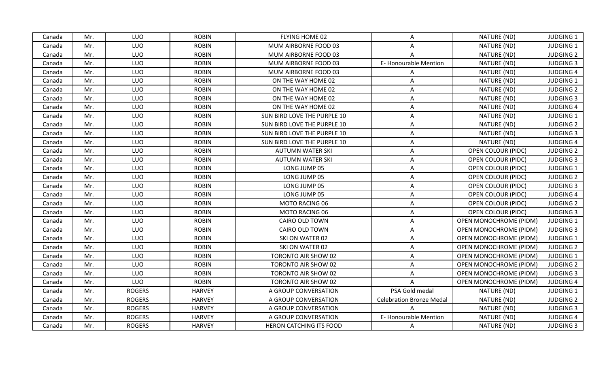| Canada | Mr. | LUO           | <b>ROBIN</b>  | FLYING HOME 02              | A                               | NATURE (ND)                   | JUDGING 1        |
|--------|-----|---------------|---------------|-----------------------------|---------------------------------|-------------------------------|------------------|
| Canada | Mr. | LUO           | <b>ROBIN</b>  | MUM AIRBORNE FOOD 03        | A                               | NATURE (ND)                   | <b>JUDGING 1</b> |
| Canada | Mr. | LUO           | <b>ROBIN</b>  | MUM AIRBORNE FOOD 03        | $\mathsf{A}$                    | NATURE (ND)                   | <b>JUDGING 2</b> |
| Canada | Mr. | LUO           | <b>ROBIN</b>  | MUM AIRBORNE FOOD 03        | E-Honourable Mention            | NATURE (ND)                   | <b>JUDGING 3</b> |
| Canada | Mr. | LUO           | <b>ROBIN</b>  | MUM AIRBORNE FOOD 03        | A                               | NATURE (ND)                   | <b>JUDGING 4</b> |
| Canada | Mr. | LUO           | <b>ROBIN</b>  | ON THE WAY HOME 02          | A                               | NATURE (ND)                   | <b>JUDGING 1</b> |
| Canada | Mr. | LUO           | <b>ROBIN</b>  | ON THE WAY HOME 02          | A                               | NATURE (ND)                   | <b>JUDGING 2</b> |
| Canada | Mr. | LUO           | <b>ROBIN</b>  | ON THE WAY HOME 02          | A                               | NATURE (ND)                   | <b>JUDGING 3</b> |
| Canada | Mr. | LUO           | <b>ROBIN</b>  | ON THE WAY HOME 02          | A                               | NATURE (ND)                   | <b>JUDGING 4</b> |
| Canada | Mr. | LUO           | <b>ROBIN</b>  | SUN BIRD LOVE THE PURPLE 10 | A                               | NATURE (ND)                   | <b>JUDGING 1</b> |
| Canada | Mr. | LUO           | <b>ROBIN</b>  | SUN BIRD LOVE THE PURPLE 10 | A                               | NATURE (ND)                   | <b>JUDGING 2</b> |
| Canada | Mr. | LUO           | <b>ROBIN</b>  | SUN BIRD LOVE THE PURPLE 10 | A                               | NATURE (ND)                   | <b>JUDGING 3</b> |
| Canada | Mr. | LUO           | <b>ROBIN</b>  | SUN BIRD LOVE THE PURPLE 10 | A                               | NATURE (ND)                   | <b>JUDGING 4</b> |
| Canada | Mr. | LUO           | <b>ROBIN</b>  | <b>AUTUMN WATER SKI</b>     | A                               | OPEN COLOUR (PIDC)            | <b>JUDGING 2</b> |
| Canada | Mr. | LUO           | <b>ROBIN</b>  | <b>AUTUMN WATER SKI</b>     | A                               | OPEN COLOUR (PIDC)            | <b>JUDGING 3</b> |
| Canada | Mr. | LUO           | <b>ROBIN</b>  | LONG JUMP 05                | A                               | OPEN COLOUR (PIDC)            | <b>JUDGING 1</b> |
| Canada | Mr. | LUO           | <b>ROBIN</b>  | LONG JUMP 05                | A                               | OPEN COLOUR (PIDC)            | <b>JUDGING 2</b> |
| Canada | Mr. | LUO           | <b>ROBIN</b>  | LONG JUMP 05                | A                               | OPEN COLOUR (PIDC)            | <b>JUDGING 3</b> |
| Canada | Mr. | LUO           | <b>ROBIN</b>  | LONG JUMP 05                | A                               | OPEN COLOUR (PIDC)            | <b>JUDGING 4</b> |
| Canada | Mr. | LUO           | <b>ROBIN</b>  | MOTO RACING 06              | A                               | <b>OPEN COLOUR (PIDC)</b>     | <b>JUDGING 2</b> |
| Canada | Mr. | LUO           | <b>ROBIN</b>  | MOTO RACING 06              | A                               | OPEN COLOUR (PIDC)            | <b>JUDGING 3</b> |
| Canada | Mr. | LUO           | <b>ROBIN</b>  | CAIRO OLD TOWN              | A                               | <b>OPEN MONOCHROME (PIDM)</b> | JUDGING 1        |
| Canada | Mr. | LUO           | <b>ROBIN</b>  | CAIRO OLD TOWN              | A                               | OPEN MONOCHROME (PIDM)        | <b>JUDGING 3</b> |
| Canada | Mr. | LUO           | <b>ROBIN</b>  | SKI ON WATER 02             | A                               | OPEN MONOCHROME (PIDM)        | <b>JUDGING 1</b> |
| Canada | Mr. | LUO           | <b>ROBIN</b>  | SKI ON WATER 02             | A                               | OPEN MONOCHROME (PIDM)        | <b>JUDGING 2</b> |
| Canada | Mr. | LUO           | <b>ROBIN</b>  | <b>TORONTO AIR SHOW 02</b>  | A                               | <b>OPEN MONOCHROME (PIDM)</b> | <b>JUDGING 1</b> |
| Canada | Mr. | LUO           | <b>ROBIN</b>  | TORONTO AIR SHOW 02         | A                               | OPEN MONOCHROME (PIDM)        | <b>JUDGING 2</b> |
| Canada | Mr. | LUO           | <b>ROBIN</b>  | TORONTO AIR SHOW 02         | A                               | OPEN MONOCHROME (PIDM)        | <b>JUDGING 3</b> |
| Canada | Mr. | LUO           | <b>ROBIN</b>  | TORONTO AIR SHOW 02         | $\mathsf{A}$                    | OPEN MONOCHROME (PIDM)        | <b>JUDGING 4</b> |
| Canada | Mr. | <b>ROGERS</b> | <b>HARVEY</b> | A GROUP CONVERSATION        | PSA Gold medal                  | NATURE (ND)                   | <b>JUDGING 1</b> |
| Canada | Mr. | <b>ROGERS</b> | <b>HARVEY</b> | A GROUP CONVERSATION        | <b>Celebration Bronze Medal</b> | NATURE (ND)                   | <b>JUDGING 2</b> |
| Canada | Mr. | <b>ROGERS</b> | <b>HARVEY</b> | A GROUP CONVERSATION        | A                               | NATURE (ND)                   | <b>JUDGING 3</b> |
| Canada | Mr. | <b>ROGERS</b> | <b>HARVEY</b> | A GROUP CONVERSATION        | E-Honourable Mention            | NATURE (ND)                   | <b>JUDGING 4</b> |
| Canada | Mr. | <b>ROGERS</b> | <b>HARVEY</b> | HERON CATCHING ITS FOOD     | A                               | NATURE (ND)                   | <b>JUDGING 3</b> |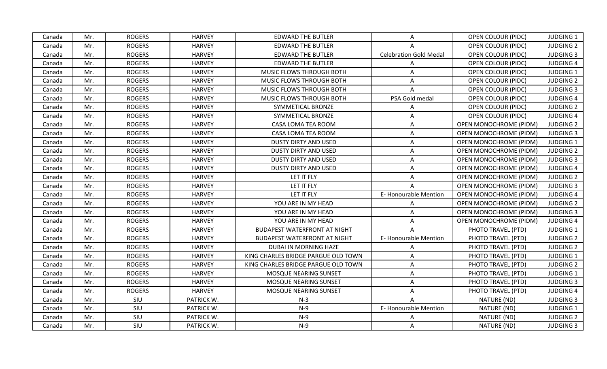| Canada | Mr. | <b>ROGERS</b> | <b>HARVEY</b> | <b>EDWARD THE BUTLER</b>            | $\mathsf{A}$                  | <b>OPEN COLOUR (PIDC)</b>     | JUDGING 1        |
|--------|-----|---------------|---------------|-------------------------------------|-------------------------------|-------------------------------|------------------|
| Canada | Mr. | <b>ROGERS</b> | <b>HARVEY</b> | <b>EDWARD THE BUTLER</b>            | $\mathsf{A}$                  | OPEN COLOUR (PIDC)            | <b>JUDGING 2</b> |
| Canada | Mr. | <b>ROGERS</b> | <b>HARVEY</b> | <b>EDWARD THE BUTLER</b>            | <b>Celebration Gold Medal</b> | <b>OPEN COLOUR (PIDC)</b>     | <b>JUDGING 3</b> |
| Canada | Mr. | <b>ROGERS</b> | <b>HARVEY</b> | <b>EDWARD THE BUTLER</b>            | A                             | OPEN COLOUR (PIDC)            | <b>JUDGING 4</b> |
| Canada | Mr. | <b>ROGERS</b> | <b>HARVEY</b> | MUSIC FLOWS THROUGH BOTH            | A                             | OPEN COLOUR (PIDC)            | <b>JUDGING 1</b> |
| Canada | Mr. | <b>ROGERS</b> | <b>HARVEY</b> | MUSIC FLOWS THROUGH BOTH            | A                             | <b>OPEN COLOUR (PIDC)</b>     | <b>JUDGING 2</b> |
| Canada | Mr. | <b>ROGERS</b> | <b>HARVEY</b> | MUSIC FLOWS THROUGH BOTH            | Α                             | OPEN COLOUR (PIDC)            | <b>JUDGING 3</b> |
| Canada | Mr. | <b>ROGERS</b> | <b>HARVEY</b> | MUSIC FLOWS THROUGH BOTH            | PSA Gold medal                | OPEN COLOUR (PIDC)            | <b>JUDGING 4</b> |
| Canada | Mr. | <b>ROGERS</b> | <b>HARVEY</b> | SYMMETICAL BRONZE                   | A                             | <b>OPEN COLOUR (PIDC)</b>     | <b>JUDGING 2</b> |
| Canada | Mr. | <b>ROGERS</b> | <b>HARVEY</b> | SYMMETICAL BRONZE                   | A                             | OPEN COLOUR (PIDC)            | <b>JUDGING 4</b> |
| Canada | Mr. | <b>ROGERS</b> | <b>HARVEY</b> | CASA LOMA TEA ROOM                  | A                             | <b>OPEN MONOCHROME (PIDM)</b> | <b>JUDGING 2</b> |
| Canada | Mr. | <b>ROGERS</b> | <b>HARVEY</b> | CASA LOMA TEA ROOM                  | A                             | OPEN MONOCHROME (PIDM)        | <b>JUDGING 3</b> |
| Canada | Mr. | <b>ROGERS</b> | <b>HARVEY</b> | <b>DUSTY DIRTY AND USED</b>         | A                             | OPEN MONOCHROME (PIDM)        | <b>JUDGING 1</b> |
| Canada | Mr. | <b>ROGERS</b> | <b>HARVEY</b> | <b>DUSTY DIRTY AND USED</b>         | A                             | OPEN MONOCHROME (PIDM)        | <b>JUDGING 2</b> |
| Canada | Mr. | <b>ROGERS</b> | <b>HARVEY</b> | <b>DUSTY DIRTY AND USED</b>         | A                             | OPEN MONOCHROME (PIDM)        | <b>JUDGING 3</b> |
| Canada | Mr. | <b>ROGERS</b> | <b>HARVEY</b> | <b>DUSTY DIRTY AND USED</b>         | A                             | <b>OPEN MONOCHROME (PIDM)</b> | <b>JUDGING 4</b> |
| Canada | Mr. | <b>ROGERS</b> | <b>HARVEY</b> | LET IT FLY                          | A                             | <b>OPEN MONOCHROME (PIDM)</b> | <b>JUDGING 2</b> |
| Canada | Mr. | <b>ROGERS</b> | <b>HARVEY</b> | LET IT FLY                          | $\mathsf{A}$                  | <b>OPEN MONOCHROME (PIDM)</b> | <b>JUDGING 3</b> |
| Canada | Mr. | <b>ROGERS</b> | <b>HARVEY</b> | LET IT FLY                          | E-Honourable Mention          | <b>OPEN MONOCHROME (PIDM)</b> | <b>JUDGING 4</b> |
| Canada | Mr. | <b>ROGERS</b> | <b>HARVEY</b> | YOU ARE IN MY HEAD                  | $\mathsf{A}$                  | <b>OPEN MONOCHROME (PIDM)</b> | <b>JUDGING 2</b> |
| Canada | Mr. | <b>ROGERS</b> | <b>HARVEY</b> | YOU ARE IN MY HEAD                  | A                             | <b>OPEN MONOCHROME (PIDM)</b> | <b>JUDGING 3</b> |
| Canada | Mr. | <b>ROGERS</b> | <b>HARVEY</b> | YOU ARE IN MY HEAD                  | $\mathsf{A}$                  | OPEN MONOCHROME (PIDM)        | <b>JUDGING 4</b> |
| Canada | Mr. | <b>ROGERS</b> | <b>HARVEY</b> | <b>BUDAPEST WATERFRONT AT NIGHT</b> | $\mathsf{A}$                  | PHOTO TRAVEL (PTD)            | <b>JUDGING 1</b> |
| Canada | Mr. | <b>ROGERS</b> | <b>HARVEY</b> | <b>BUDAPEST WATERFRONT AT NIGHT</b> | E-Honourable Mention          | PHOTO TRAVEL (PTD)            | <b>JUDGING 2</b> |
| Canada | Mr. | <b>ROGERS</b> | <b>HARVEY</b> | DUBAI IN MORNING HAZE               | A                             | PHOTO TRAVEL (PTD)            | <b>JUDGING 2</b> |
| Canada | Mr. | <b>ROGERS</b> | <b>HARVEY</b> | KING CHARLES BRIDGE PARGUE OLD TOWN | A                             | PHOTO TRAVEL (PTD)            | <b>JUDGING 1</b> |
| Canada | Mr. | <b>ROGERS</b> | <b>HARVEY</b> | KING CHARLES BRIDGE PARGUE OLD TOWN | $\mathsf{A}$                  | PHOTO TRAVEL (PTD)            | <b>JUDGING 2</b> |
| Canada | Mr. | <b>ROGERS</b> | <b>HARVEY</b> | MOSQUE NEARING SUNSET               | A                             | PHOTO TRAVEL (PTD)            | <b>JUDGING 1</b> |
| Canada | Mr. | <b>ROGERS</b> | <b>HARVEY</b> | <b>MOSQUE NEARING SUNSET</b>        | A                             | PHOTO TRAVEL (PTD)            | <b>JUDGING 3</b> |
| Canada | Mr. | <b>ROGERS</b> | <b>HARVEY</b> | MOSQUE NEARING SUNSET               | A                             | PHOTO TRAVEL (PTD)            | <b>JUDGING 4</b> |
| Canada | Mr. | SIU           | PATRICK W.    | $N-3$                               | $\mathsf{A}$                  | NATURE (ND)                   | <b>JUDGING 3</b> |
| Canada | Mr. | SIU           | PATRICK W.    | $N-9$                               | E-Honourable Mention          | NATURE (ND)                   | <b>JUDGING 1</b> |
| Canada | Mr. | SIU           | PATRICK W.    | $N-9$                               | A                             | NATURE (ND)                   | <b>JUDGING 2</b> |
| Canada | Mr. | SIU           | PATRICK W.    | $N-9$                               | A                             | NATURE (ND)                   | <b>JUDGING 3</b> |
|        |     |               |               |                                     |                               |                               |                  |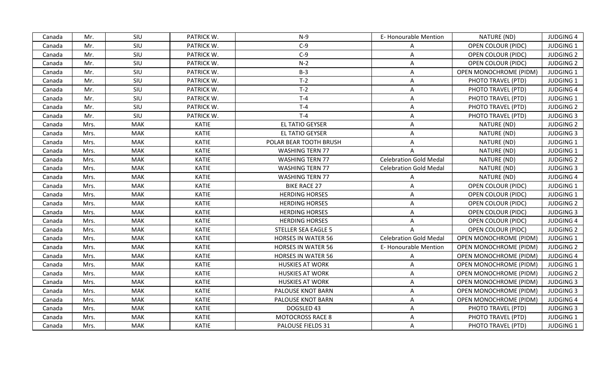| SIU<br>PATRICK W.<br>$N-9$<br>E-Honourable Mention<br>NATURE (ND)<br><b>JUDGING 4</b><br>Canada<br>Mr.<br>SIU<br>PATRICK W.<br>$C-9$<br><b>JUDGING 1</b><br>Mr.<br>OPEN COLOUR (PIDC)<br>Canada<br>A<br>$C-9$<br>SIU<br>PATRICK W.<br><b>JUDGING 2</b><br>Mr.<br>A<br>OPEN COLOUR (PIDC)<br>Canada<br>SIU<br>$N-2$<br>Mr.<br>PATRICK W.<br>OPEN COLOUR (PIDC)<br><b>JUDGING 2</b><br>Canada<br>A<br>SIU<br>PATRICK W.<br>$B-3$<br>Mr.<br>JUDGING 1<br>A<br>OPEN MONOCHROME (PIDM)<br>Canada<br>$T-2$<br>Mr.<br>SIU<br>PATRICK W.<br>A<br>PHOTO TRAVEL (PTD)<br><b>JUDGING 1</b><br>Canada<br>SIU<br>PATRICK W.<br>$T-2$<br>Mr.<br>$\mathsf{A}$<br>PHOTO TRAVEL (PTD)<br><b>JUDGING 4</b><br>Canada<br>SIU<br>PATRICK W.<br>$T-4$<br>Mr.<br>A<br>PHOTO TRAVEL (PTD)<br><b>JUDGING 1</b><br>Canada<br>SIU<br>$T-4$<br>Mr.<br>PATRICK W.<br>PHOTO TRAVEL (PTD)<br><b>JUDGING 2</b><br>A<br>Canada<br>SIU<br>$T-4$<br>Mr.<br>PATRICK W.<br>PHOTO TRAVEL (PTD)<br><b>JUDGING 3</b><br>Canada<br>A<br>EL TATIO GEYSER<br>Mrs.<br><b>MAK</b><br>KATIE<br>NATURE (ND)<br><b>JUDGING 2</b><br>Canada<br>A<br><b>MAK</b><br><b>KATIE</b><br><b>EL TATIO GEYSER</b><br>A<br>NATURE (ND)<br><b>JUDGING 3</b><br>Canada<br>Mrs.<br>NATURE (ND)<br>MAK<br><b>KATIE</b><br>POLAR BEAR TOOTH BRUSH<br><b>JUDGING 1</b><br>Mrs.<br>A<br>Canada<br><b>MAK</b><br>KATIE<br><b>WASHING TERN 77</b><br>NATURE (ND)<br><b>JUDGING 1</b><br>Canada<br>Mrs.<br>A<br><b>MAK</b><br><b>KATIE</b><br><b>WASHING TERN 77</b><br><b>Celebration Gold Medal</b><br>NATURE (ND)<br><b>JUDGING 2</b><br>Canada<br>Mrs.<br><b>MAK</b><br>KATIE<br><b>Celebration Gold Medal</b><br>NATURE (ND)<br><b>JUDGING 3</b><br>Canada<br>Mrs.<br><b>WASHING TERN 77</b><br>MAK<br><b>KATIE</b><br><b>WASHING TERN 77</b><br>NATURE (ND)<br><b>JUDGING 4</b><br>Canada<br>Mrs.<br>A<br>MAK<br><b>KATIE</b><br><b>BIKE RACE 27</b><br>A<br>OPEN COLOUR (PIDC)<br>JUDGING 1<br>Mrs.<br>Canada<br><b>MAK</b><br>KATIE<br><b>HERDING HORSES</b><br><b>JUDGING 1</b><br>Mrs.<br>A<br>OPEN COLOUR (PIDC)<br>Canada<br><b>MAK</b><br><b>KATIE</b><br><b>HERDING HORSES</b><br><b>JUDGING 2</b><br>Canada<br>Mrs.<br>A<br>OPEN COLOUR (PIDC)<br><b>KATIE</b><br>Mrs.<br><b>MAK</b><br><b>HERDING HORSES</b><br>OPEN COLOUR (PIDC)<br><b>JUDGING 3</b><br>Canada<br>A<br>MAK<br>KATIE<br><b>HERDING HORSES</b><br>OPEN COLOUR (PIDC)<br><b>JUDGING 4</b><br>Canada<br>Mrs.<br>A<br><b>MAK</b><br><b>KATIE</b><br><b>STELLER SEA EAGLE 5</b><br>OPEN COLOUR (PIDC)<br><b>JUDGING 2</b><br>Mrs.<br>$\mathsf{A}$<br>Canada<br><b>Celebration Gold Medal</b><br>KATIE<br><b>HORSES IN WATER 56</b><br><b>JUDGING 1</b><br>Mrs.<br>MAK<br><b>OPEN MONOCHROME (PIDM)</b><br>Canada<br><b>MAK</b><br><b>KATIE</b><br>E-Honourable Mention<br><b>JUDGING 2</b><br>Mrs.<br><b>HORSES IN WATER 56</b><br>OPEN MONOCHROME (PIDM)<br>Canada<br>Mrs.<br><b>MAK</b><br>KATIE<br><b>HORSES IN WATER 56</b><br><b>JUDGING 4</b><br>Canada<br><b>OPEN MONOCHROME (PIDM)</b><br>A<br>MAK<br><b>KATIE</b><br>Canada<br>Mrs.<br><b>HUSKIES AT WORK</b><br>OPEN MONOCHROME (PIDM)<br><b>JUDGING 1</b><br>A<br><b>MAK</b><br>Mrs.<br><b>KATIE</b><br><b>HUSKIES AT WORK</b><br>A<br><b>OPEN MONOCHROME (PIDM)</b><br><b>JUDGING 2</b><br>Canada<br><b>MAK</b><br>KATIE<br>Mrs.<br><b>HUSKIES AT WORK</b><br>A<br><b>OPEN MONOCHROME (PIDM)</b><br><b>JUDGING 3</b><br>Canada<br>KATIE<br><b>MAK</b><br>A<br><b>JUDGING 3</b><br>Mrs.<br>PALOUSE KNOT BARN<br>OPEN MONOCHROME (PIDM)<br>Canada<br>Mrs.<br><b>MAK</b><br>KATIE<br>PALOUSE KNOT BARN<br>A<br>OPEN MONOCHROME (PIDM)<br><b>JUDGING 4</b><br>Canada<br>KATIE<br>DOGSLED 43<br>PHOTO TRAVEL (PTD)<br><b>JUDGING 3</b><br>Canada<br>Mrs.<br>MAK<br>$\mathsf{A}$<br><b>MAK</b><br><b>KATIE</b><br><b>MOTOCROSS RACE 8</b><br>PHOTO TRAVEL (PTD)<br><b>JUDGING 1</b><br>Canada<br>Mrs.<br>Α<br>KATIE<br>PHOTO TRAVEL (PTD)<br><b>JUDGING 1</b><br>Canada<br>MAK<br>PALOUSE FIELDS 31<br>A<br>Mrs. |  |  |  |  |  |
|--------------------------------------------------------------------------------------------------------------------------------------------------------------------------------------------------------------------------------------------------------------------------------------------------------------------------------------------------------------------------------------------------------------------------------------------------------------------------------------------------------------------------------------------------------------------------------------------------------------------------------------------------------------------------------------------------------------------------------------------------------------------------------------------------------------------------------------------------------------------------------------------------------------------------------------------------------------------------------------------------------------------------------------------------------------------------------------------------------------------------------------------------------------------------------------------------------------------------------------------------------------------------------------------------------------------------------------------------------------------------------------------------------------------------------------------------------------------------------------------------------------------------------------------------------------------------------------------------------------------------------------------------------------------------------------------------------------------------------------------------------------------------------------------------------------------------------------------------------------------------------------------------------------------------------------------------------------------------------------------------------------------------------------------------------------------------------------------------------------------------------------------------------------------------------------------------------------------------------------------------------------------------------------------------------------------------------------------------------------------------------------------------------------------------------------------------------------------------------------------------------------------------------------------------------------------------------------------------------------------------------------------------------------------------------------------------------------------------------------------------------------------------------------------------------------------------------------------------------------------------------------------------------------------------------------------------------------------------------------------------------------------------------------------------------------------------------------------------------------------------------------------------------------------------------------------------------------------------------------------------------------------------------------------------------------------------------------------------------------------------------------------------------------------------------------------------------------------------------------------------------------------------------------------------------------------------------------------------------------------------------------------------------------------------------------------------------------------------------------------------------------------------------------------------------------------------------------------------------------------------------------------------------------------------------------------------------------------------------|--|--|--|--|--|
|                                                                                                                                                                                                                                                                                                                                                                                                                                                                                                                                                                                                                                                                                                                                                                                                                                                                                                                                                                                                                                                                                                                                                                                                                                                                                                                                                                                                                                                                                                                                                                                                                                                                                                                                                                                                                                                                                                                                                                                                                                                                                                                                                                                                                                                                                                                                                                                                                                                                                                                                                                                                                                                                                                                                                                                                                                                                                                                                                                                                                                                                                                                                                                                                                                                                                                                                                                                                                                                                                                                                                                                                                                                                                                                                                                                                                                                                                                                                                                                |  |  |  |  |  |
|                                                                                                                                                                                                                                                                                                                                                                                                                                                                                                                                                                                                                                                                                                                                                                                                                                                                                                                                                                                                                                                                                                                                                                                                                                                                                                                                                                                                                                                                                                                                                                                                                                                                                                                                                                                                                                                                                                                                                                                                                                                                                                                                                                                                                                                                                                                                                                                                                                                                                                                                                                                                                                                                                                                                                                                                                                                                                                                                                                                                                                                                                                                                                                                                                                                                                                                                                                                                                                                                                                                                                                                                                                                                                                                                                                                                                                                                                                                                                                                |  |  |  |  |  |
|                                                                                                                                                                                                                                                                                                                                                                                                                                                                                                                                                                                                                                                                                                                                                                                                                                                                                                                                                                                                                                                                                                                                                                                                                                                                                                                                                                                                                                                                                                                                                                                                                                                                                                                                                                                                                                                                                                                                                                                                                                                                                                                                                                                                                                                                                                                                                                                                                                                                                                                                                                                                                                                                                                                                                                                                                                                                                                                                                                                                                                                                                                                                                                                                                                                                                                                                                                                                                                                                                                                                                                                                                                                                                                                                                                                                                                                                                                                                                                                |  |  |  |  |  |
|                                                                                                                                                                                                                                                                                                                                                                                                                                                                                                                                                                                                                                                                                                                                                                                                                                                                                                                                                                                                                                                                                                                                                                                                                                                                                                                                                                                                                                                                                                                                                                                                                                                                                                                                                                                                                                                                                                                                                                                                                                                                                                                                                                                                                                                                                                                                                                                                                                                                                                                                                                                                                                                                                                                                                                                                                                                                                                                                                                                                                                                                                                                                                                                                                                                                                                                                                                                                                                                                                                                                                                                                                                                                                                                                                                                                                                                                                                                                                                                |  |  |  |  |  |
|                                                                                                                                                                                                                                                                                                                                                                                                                                                                                                                                                                                                                                                                                                                                                                                                                                                                                                                                                                                                                                                                                                                                                                                                                                                                                                                                                                                                                                                                                                                                                                                                                                                                                                                                                                                                                                                                                                                                                                                                                                                                                                                                                                                                                                                                                                                                                                                                                                                                                                                                                                                                                                                                                                                                                                                                                                                                                                                                                                                                                                                                                                                                                                                                                                                                                                                                                                                                                                                                                                                                                                                                                                                                                                                                                                                                                                                                                                                                                                                |  |  |  |  |  |
|                                                                                                                                                                                                                                                                                                                                                                                                                                                                                                                                                                                                                                                                                                                                                                                                                                                                                                                                                                                                                                                                                                                                                                                                                                                                                                                                                                                                                                                                                                                                                                                                                                                                                                                                                                                                                                                                                                                                                                                                                                                                                                                                                                                                                                                                                                                                                                                                                                                                                                                                                                                                                                                                                                                                                                                                                                                                                                                                                                                                                                                                                                                                                                                                                                                                                                                                                                                                                                                                                                                                                                                                                                                                                                                                                                                                                                                                                                                                                                                |  |  |  |  |  |
|                                                                                                                                                                                                                                                                                                                                                                                                                                                                                                                                                                                                                                                                                                                                                                                                                                                                                                                                                                                                                                                                                                                                                                                                                                                                                                                                                                                                                                                                                                                                                                                                                                                                                                                                                                                                                                                                                                                                                                                                                                                                                                                                                                                                                                                                                                                                                                                                                                                                                                                                                                                                                                                                                                                                                                                                                                                                                                                                                                                                                                                                                                                                                                                                                                                                                                                                                                                                                                                                                                                                                                                                                                                                                                                                                                                                                                                                                                                                                                                |  |  |  |  |  |
|                                                                                                                                                                                                                                                                                                                                                                                                                                                                                                                                                                                                                                                                                                                                                                                                                                                                                                                                                                                                                                                                                                                                                                                                                                                                                                                                                                                                                                                                                                                                                                                                                                                                                                                                                                                                                                                                                                                                                                                                                                                                                                                                                                                                                                                                                                                                                                                                                                                                                                                                                                                                                                                                                                                                                                                                                                                                                                                                                                                                                                                                                                                                                                                                                                                                                                                                                                                                                                                                                                                                                                                                                                                                                                                                                                                                                                                                                                                                                                                |  |  |  |  |  |
|                                                                                                                                                                                                                                                                                                                                                                                                                                                                                                                                                                                                                                                                                                                                                                                                                                                                                                                                                                                                                                                                                                                                                                                                                                                                                                                                                                                                                                                                                                                                                                                                                                                                                                                                                                                                                                                                                                                                                                                                                                                                                                                                                                                                                                                                                                                                                                                                                                                                                                                                                                                                                                                                                                                                                                                                                                                                                                                                                                                                                                                                                                                                                                                                                                                                                                                                                                                                                                                                                                                                                                                                                                                                                                                                                                                                                                                                                                                                                                                |  |  |  |  |  |
|                                                                                                                                                                                                                                                                                                                                                                                                                                                                                                                                                                                                                                                                                                                                                                                                                                                                                                                                                                                                                                                                                                                                                                                                                                                                                                                                                                                                                                                                                                                                                                                                                                                                                                                                                                                                                                                                                                                                                                                                                                                                                                                                                                                                                                                                                                                                                                                                                                                                                                                                                                                                                                                                                                                                                                                                                                                                                                                                                                                                                                                                                                                                                                                                                                                                                                                                                                                                                                                                                                                                                                                                                                                                                                                                                                                                                                                                                                                                                                                |  |  |  |  |  |
|                                                                                                                                                                                                                                                                                                                                                                                                                                                                                                                                                                                                                                                                                                                                                                                                                                                                                                                                                                                                                                                                                                                                                                                                                                                                                                                                                                                                                                                                                                                                                                                                                                                                                                                                                                                                                                                                                                                                                                                                                                                                                                                                                                                                                                                                                                                                                                                                                                                                                                                                                                                                                                                                                                                                                                                                                                                                                                                                                                                                                                                                                                                                                                                                                                                                                                                                                                                                                                                                                                                                                                                                                                                                                                                                                                                                                                                                                                                                                                                |  |  |  |  |  |
|                                                                                                                                                                                                                                                                                                                                                                                                                                                                                                                                                                                                                                                                                                                                                                                                                                                                                                                                                                                                                                                                                                                                                                                                                                                                                                                                                                                                                                                                                                                                                                                                                                                                                                                                                                                                                                                                                                                                                                                                                                                                                                                                                                                                                                                                                                                                                                                                                                                                                                                                                                                                                                                                                                                                                                                                                                                                                                                                                                                                                                                                                                                                                                                                                                                                                                                                                                                                                                                                                                                                                                                                                                                                                                                                                                                                                                                                                                                                                                                |  |  |  |  |  |
|                                                                                                                                                                                                                                                                                                                                                                                                                                                                                                                                                                                                                                                                                                                                                                                                                                                                                                                                                                                                                                                                                                                                                                                                                                                                                                                                                                                                                                                                                                                                                                                                                                                                                                                                                                                                                                                                                                                                                                                                                                                                                                                                                                                                                                                                                                                                                                                                                                                                                                                                                                                                                                                                                                                                                                                                                                                                                                                                                                                                                                                                                                                                                                                                                                                                                                                                                                                                                                                                                                                                                                                                                                                                                                                                                                                                                                                                                                                                                                                |  |  |  |  |  |
|                                                                                                                                                                                                                                                                                                                                                                                                                                                                                                                                                                                                                                                                                                                                                                                                                                                                                                                                                                                                                                                                                                                                                                                                                                                                                                                                                                                                                                                                                                                                                                                                                                                                                                                                                                                                                                                                                                                                                                                                                                                                                                                                                                                                                                                                                                                                                                                                                                                                                                                                                                                                                                                                                                                                                                                                                                                                                                                                                                                                                                                                                                                                                                                                                                                                                                                                                                                                                                                                                                                                                                                                                                                                                                                                                                                                                                                                                                                                                                                |  |  |  |  |  |
|                                                                                                                                                                                                                                                                                                                                                                                                                                                                                                                                                                                                                                                                                                                                                                                                                                                                                                                                                                                                                                                                                                                                                                                                                                                                                                                                                                                                                                                                                                                                                                                                                                                                                                                                                                                                                                                                                                                                                                                                                                                                                                                                                                                                                                                                                                                                                                                                                                                                                                                                                                                                                                                                                                                                                                                                                                                                                                                                                                                                                                                                                                                                                                                                                                                                                                                                                                                                                                                                                                                                                                                                                                                                                                                                                                                                                                                                                                                                                                                |  |  |  |  |  |
|                                                                                                                                                                                                                                                                                                                                                                                                                                                                                                                                                                                                                                                                                                                                                                                                                                                                                                                                                                                                                                                                                                                                                                                                                                                                                                                                                                                                                                                                                                                                                                                                                                                                                                                                                                                                                                                                                                                                                                                                                                                                                                                                                                                                                                                                                                                                                                                                                                                                                                                                                                                                                                                                                                                                                                                                                                                                                                                                                                                                                                                                                                                                                                                                                                                                                                                                                                                                                                                                                                                                                                                                                                                                                                                                                                                                                                                                                                                                                                                |  |  |  |  |  |
|                                                                                                                                                                                                                                                                                                                                                                                                                                                                                                                                                                                                                                                                                                                                                                                                                                                                                                                                                                                                                                                                                                                                                                                                                                                                                                                                                                                                                                                                                                                                                                                                                                                                                                                                                                                                                                                                                                                                                                                                                                                                                                                                                                                                                                                                                                                                                                                                                                                                                                                                                                                                                                                                                                                                                                                                                                                                                                                                                                                                                                                                                                                                                                                                                                                                                                                                                                                                                                                                                                                                                                                                                                                                                                                                                                                                                                                                                                                                                                                |  |  |  |  |  |
|                                                                                                                                                                                                                                                                                                                                                                                                                                                                                                                                                                                                                                                                                                                                                                                                                                                                                                                                                                                                                                                                                                                                                                                                                                                                                                                                                                                                                                                                                                                                                                                                                                                                                                                                                                                                                                                                                                                                                                                                                                                                                                                                                                                                                                                                                                                                                                                                                                                                                                                                                                                                                                                                                                                                                                                                                                                                                                                                                                                                                                                                                                                                                                                                                                                                                                                                                                                                                                                                                                                                                                                                                                                                                                                                                                                                                                                                                                                                                                                |  |  |  |  |  |
|                                                                                                                                                                                                                                                                                                                                                                                                                                                                                                                                                                                                                                                                                                                                                                                                                                                                                                                                                                                                                                                                                                                                                                                                                                                                                                                                                                                                                                                                                                                                                                                                                                                                                                                                                                                                                                                                                                                                                                                                                                                                                                                                                                                                                                                                                                                                                                                                                                                                                                                                                                                                                                                                                                                                                                                                                                                                                                                                                                                                                                                                                                                                                                                                                                                                                                                                                                                                                                                                                                                                                                                                                                                                                                                                                                                                                                                                                                                                                                                |  |  |  |  |  |
|                                                                                                                                                                                                                                                                                                                                                                                                                                                                                                                                                                                                                                                                                                                                                                                                                                                                                                                                                                                                                                                                                                                                                                                                                                                                                                                                                                                                                                                                                                                                                                                                                                                                                                                                                                                                                                                                                                                                                                                                                                                                                                                                                                                                                                                                                                                                                                                                                                                                                                                                                                                                                                                                                                                                                                                                                                                                                                                                                                                                                                                                                                                                                                                                                                                                                                                                                                                                                                                                                                                                                                                                                                                                                                                                                                                                                                                                                                                                                                                |  |  |  |  |  |
|                                                                                                                                                                                                                                                                                                                                                                                                                                                                                                                                                                                                                                                                                                                                                                                                                                                                                                                                                                                                                                                                                                                                                                                                                                                                                                                                                                                                                                                                                                                                                                                                                                                                                                                                                                                                                                                                                                                                                                                                                                                                                                                                                                                                                                                                                                                                                                                                                                                                                                                                                                                                                                                                                                                                                                                                                                                                                                                                                                                                                                                                                                                                                                                                                                                                                                                                                                                                                                                                                                                                                                                                                                                                                                                                                                                                                                                                                                                                                                                |  |  |  |  |  |
|                                                                                                                                                                                                                                                                                                                                                                                                                                                                                                                                                                                                                                                                                                                                                                                                                                                                                                                                                                                                                                                                                                                                                                                                                                                                                                                                                                                                                                                                                                                                                                                                                                                                                                                                                                                                                                                                                                                                                                                                                                                                                                                                                                                                                                                                                                                                                                                                                                                                                                                                                                                                                                                                                                                                                                                                                                                                                                                                                                                                                                                                                                                                                                                                                                                                                                                                                                                                                                                                                                                                                                                                                                                                                                                                                                                                                                                                                                                                                                                |  |  |  |  |  |
|                                                                                                                                                                                                                                                                                                                                                                                                                                                                                                                                                                                                                                                                                                                                                                                                                                                                                                                                                                                                                                                                                                                                                                                                                                                                                                                                                                                                                                                                                                                                                                                                                                                                                                                                                                                                                                                                                                                                                                                                                                                                                                                                                                                                                                                                                                                                                                                                                                                                                                                                                                                                                                                                                                                                                                                                                                                                                                                                                                                                                                                                                                                                                                                                                                                                                                                                                                                                                                                                                                                                                                                                                                                                                                                                                                                                                                                                                                                                                                                |  |  |  |  |  |
|                                                                                                                                                                                                                                                                                                                                                                                                                                                                                                                                                                                                                                                                                                                                                                                                                                                                                                                                                                                                                                                                                                                                                                                                                                                                                                                                                                                                                                                                                                                                                                                                                                                                                                                                                                                                                                                                                                                                                                                                                                                                                                                                                                                                                                                                                                                                                                                                                                                                                                                                                                                                                                                                                                                                                                                                                                                                                                                                                                                                                                                                                                                                                                                                                                                                                                                                                                                                                                                                                                                                                                                                                                                                                                                                                                                                                                                                                                                                                                                |  |  |  |  |  |
|                                                                                                                                                                                                                                                                                                                                                                                                                                                                                                                                                                                                                                                                                                                                                                                                                                                                                                                                                                                                                                                                                                                                                                                                                                                                                                                                                                                                                                                                                                                                                                                                                                                                                                                                                                                                                                                                                                                                                                                                                                                                                                                                                                                                                                                                                                                                                                                                                                                                                                                                                                                                                                                                                                                                                                                                                                                                                                                                                                                                                                                                                                                                                                                                                                                                                                                                                                                                                                                                                                                                                                                                                                                                                                                                                                                                                                                                                                                                                                                |  |  |  |  |  |
|                                                                                                                                                                                                                                                                                                                                                                                                                                                                                                                                                                                                                                                                                                                                                                                                                                                                                                                                                                                                                                                                                                                                                                                                                                                                                                                                                                                                                                                                                                                                                                                                                                                                                                                                                                                                                                                                                                                                                                                                                                                                                                                                                                                                                                                                                                                                                                                                                                                                                                                                                                                                                                                                                                                                                                                                                                                                                                                                                                                                                                                                                                                                                                                                                                                                                                                                                                                                                                                                                                                                                                                                                                                                                                                                                                                                                                                                                                                                                                                |  |  |  |  |  |
|                                                                                                                                                                                                                                                                                                                                                                                                                                                                                                                                                                                                                                                                                                                                                                                                                                                                                                                                                                                                                                                                                                                                                                                                                                                                                                                                                                                                                                                                                                                                                                                                                                                                                                                                                                                                                                                                                                                                                                                                                                                                                                                                                                                                                                                                                                                                                                                                                                                                                                                                                                                                                                                                                                                                                                                                                                                                                                                                                                                                                                                                                                                                                                                                                                                                                                                                                                                                                                                                                                                                                                                                                                                                                                                                                                                                                                                                                                                                                                                |  |  |  |  |  |
|                                                                                                                                                                                                                                                                                                                                                                                                                                                                                                                                                                                                                                                                                                                                                                                                                                                                                                                                                                                                                                                                                                                                                                                                                                                                                                                                                                                                                                                                                                                                                                                                                                                                                                                                                                                                                                                                                                                                                                                                                                                                                                                                                                                                                                                                                                                                                                                                                                                                                                                                                                                                                                                                                                                                                                                                                                                                                                                                                                                                                                                                                                                                                                                                                                                                                                                                                                                                                                                                                                                                                                                                                                                                                                                                                                                                                                                                                                                                                                                |  |  |  |  |  |
|                                                                                                                                                                                                                                                                                                                                                                                                                                                                                                                                                                                                                                                                                                                                                                                                                                                                                                                                                                                                                                                                                                                                                                                                                                                                                                                                                                                                                                                                                                                                                                                                                                                                                                                                                                                                                                                                                                                                                                                                                                                                                                                                                                                                                                                                                                                                                                                                                                                                                                                                                                                                                                                                                                                                                                                                                                                                                                                                                                                                                                                                                                                                                                                                                                                                                                                                                                                                                                                                                                                                                                                                                                                                                                                                                                                                                                                                                                                                                                                |  |  |  |  |  |
|                                                                                                                                                                                                                                                                                                                                                                                                                                                                                                                                                                                                                                                                                                                                                                                                                                                                                                                                                                                                                                                                                                                                                                                                                                                                                                                                                                                                                                                                                                                                                                                                                                                                                                                                                                                                                                                                                                                                                                                                                                                                                                                                                                                                                                                                                                                                                                                                                                                                                                                                                                                                                                                                                                                                                                                                                                                                                                                                                                                                                                                                                                                                                                                                                                                                                                                                                                                                                                                                                                                                                                                                                                                                                                                                                                                                                                                                                                                                                                                |  |  |  |  |  |
|                                                                                                                                                                                                                                                                                                                                                                                                                                                                                                                                                                                                                                                                                                                                                                                                                                                                                                                                                                                                                                                                                                                                                                                                                                                                                                                                                                                                                                                                                                                                                                                                                                                                                                                                                                                                                                                                                                                                                                                                                                                                                                                                                                                                                                                                                                                                                                                                                                                                                                                                                                                                                                                                                                                                                                                                                                                                                                                                                                                                                                                                                                                                                                                                                                                                                                                                                                                                                                                                                                                                                                                                                                                                                                                                                                                                                                                                                                                                                                                |  |  |  |  |  |
|                                                                                                                                                                                                                                                                                                                                                                                                                                                                                                                                                                                                                                                                                                                                                                                                                                                                                                                                                                                                                                                                                                                                                                                                                                                                                                                                                                                                                                                                                                                                                                                                                                                                                                                                                                                                                                                                                                                                                                                                                                                                                                                                                                                                                                                                                                                                                                                                                                                                                                                                                                                                                                                                                                                                                                                                                                                                                                                                                                                                                                                                                                                                                                                                                                                                                                                                                                                                                                                                                                                                                                                                                                                                                                                                                                                                                                                                                                                                                                                |  |  |  |  |  |
|                                                                                                                                                                                                                                                                                                                                                                                                                                                                                                                                                                                                                                                                                                                                                                                                                                                                                                                                                                                                                                                                                                                                                                                                                                                                                                                                                                                                                                                                                                                                                                                                                                                                                                                                                                                                                                                                                                                                                                                                                                                                                                                                                                                                                                                                                                                                                                                                                                                                                                                                                                                                                                                                                                                                                                                                                                                                                                                                                                                                                                                                                                                                                                                                                                                                                                                                                                                                                                                                                                                                                                                                                                                                                                                                                                                                                                                                                                                                                                                |  |  |  |  |  |
|                                                                                                                                                                                                                                                                                                                                                                                                                                                                                                                                                                                                                                                                                                                                                                                                                                                                                                                                                                                                                                                                                                                                                                                                                                                                                                                                                                                                                                                                                                                                                                                                                                                                                                                                                                                                                                                                                                                                                                                                                                                                                                                                                                                                                                                                                                                                                                                                                                                                                                                                                                                                                                                                                                                                                                                                                                                                                                                                                                                                                                                                                                                                                                                                                                                                                                                                                                                                                                                                                                                                                                                                                                                                                                                                                                                                                                                                                                                                                                                |  |  |  |  |  |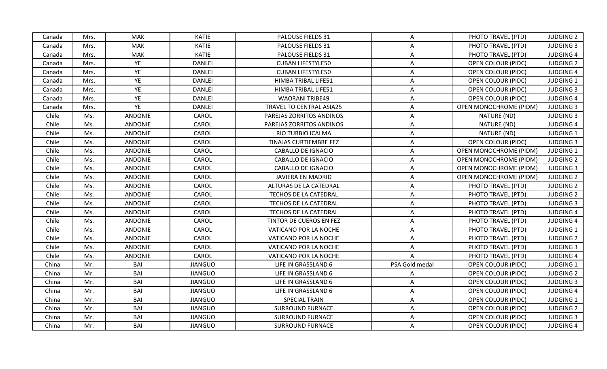| PHOTO TRAVEL (PTD)<br><b>JUDGING 2</b><br>Mrs.<br>MAK<br>KATIE<br>PALOUSE FIELDS 31<br>Canada<br>A<br><b>MAK</b><br><b>KATIE</b><br>PALOUSE FIELDS 31<br>A<br>PHOTO TRAVEL (PTD)<br><b>JUDGING 3</b><br>Canada<br>Mrs.<br><b>KATIE</b><br>PALOUSE FIELDS 31<br><b>MAK</b><br>PHOTO TRAVEL (PTD)<br><b>JUDGING 4</b><br>Canada<br>Mrs.<br>A<br>YE<br><b>DANLEI</b><br><b>CUBAN LIFESTYLE50</b><br><b>JUDGING 2</b><br>Mrs.<br>A<br>OPEN COLOUR (PIDC)<br>Canada<br>YE<br><b>DANLEI</b><br><b>JUDGING 4</b><br>Mrs.<br><b>CUBAN LIFESTYLE50</b><br>A<br>OPEN COLOUR (PIDC)<br>Canada<br>YE<br>Mrs.<br><b>DANLEI</b><br>HIMBA TRIBAL LIFE51<br>A<br>OPEN COLOUR (PIDC)<br><b>JUDGING 1</b><br>Canada<br>YE<br><b>DANLEI</b><br>HIMBA TRIBAL LIFE51<br>A<br><b>JUDGING 3</b><br>Mrs.<br><b>OPEN COLOUR (PIDC)</b><br>Canada<br>YE<br><b>DANLEI</b><br><b>WAORANI TRIBE49</b><br><b>OPEN COLOUR (PIDC)</b><br><b>JUDGING 4</b><br>Mrs.<br>A<br>Canada<br>YE<br><b>DANLEI</b><br><b>JUDGING 3</b><br>Mrs.<br>TRAVEL TO CENTRAL ASIA25<br>A<br><b>OPEN MONOCHROME (PIDM)</b><br>Canada<br>Chile<br>Ms.<br><b>ANDONIE</b><br>CAROL<br>NATURE (ND)<br><b>JUDGING 3</b><br>PAREJAS ZORRITOS ANDINOS<br>A<br>Chile<br>ANDONIE<br>CAROL<br><b>JUDGING 4</b><br>Ms.<br>PAREJAS ZORRITOS ANDINOS<br>NATURE (ND)<br>A<br>CAROL<br><b>JUDGING 1</b><br>Chile<br>Ms.<br>ANDONIE<br>RIO TURBIO ICALMA<br>A<br>NATURE (ND)<br>Chile<br>Ms.<br><b>ANDONIE</b><br>CAROL<br>TINAJAS CURTIEMBRE FEZ<br>A<br><b>OPEN COLOUR (PIDC)</b><br><b>JUDGING 3</b><br>CAROL<br><b>JUDGING 1</b><br>Chile<br>Ms.<br><b>ANDONIE</b><br><b>CABALLO DE IGNACIO</b><br>A<br><b>OPEN MONOCHROME (PIDM)</b><br>Chile<br><b>ANDONIE</b><br>CAROL<br>Ms.<br><b>CABALLO DE IGNACIO</b><br>OPEN MONOCHROME (PIDM)<br><b>JUDGING 2</b><br>A<br>ANDONIE<br>CAROL<br>Chile<br>Ms.<br>CABALLO DE IGNACIO<br><b>OPEN MONOCHROME (PIDM)</b><br><b>JUDGING 3</b><br>A<br><b>ANDONIE</b><br>CAROL<br><b>JUDGING 2</b><br>Chile<br>Ms.<br><b>JAVIERA EN MADRID</b><br>A<br><b>OPEN MONOCHROME (PIDM)</b><br>Chile<br>Ms.<br><b>ANDONIE</b><br>CAROL<br>ALTURAS DE LA CATEDRAL<br>A<br>PHOTO TRAVEL (PTD)<br><b>JUDGING 2</b><br><b>ANDONIE</b><br>CAROL<br>Chile<br>Ms.<br>TECHOS DE LA CATEDRAL<br>A<br>PHOTO TRAVEL (PTD)<br><b>JUDGING 2</b><br>Chile<br>Ms.<br>ANDONIE<br>CAROL<br>Α<br><b>JUDGING 3</b><br>TECHOS DE LA CATEDRAL<br>PHOTO TRAVEL (PTD)<br>Chile<br><b>ANDONIE</b><br>CAROL<br>Ms.<br>TECHOS DE LA CATEDRAL<br>PHOTO TRAVEL (PTD)<br><b>JUDGING 4</b><br>A<br>ANDONIE<br>CAROL<br><b>JUDGING 4</b><br>Chile<br>Ms.<br>TINTOR DE CUEROS EN FEZ<br>A<br>PHOTO TRAVEL (PTD)<br>Ms.<br>Chile<br><b>ANDONIE</b><br>CAROL<br>VATICANO POR LA NOCHE<br>A<br>PHOTO TRAVEL (PTD)<br><b>JUDGING 1</b><br>Chile<br>Ms.<br><b>ANDONIE</b><br>CAROL<br>VATICANO POR LA NOCHE<br>A<br>PHOTO TRAVEL (PTD)<br><b>JUDGING 2</b><br>Chile<br>Ms.<br><b>ANDONIE</b><br>CAROL<br>PHOTO TRAVEL (PTD)<br><b>JUDGING 3</b><br>VATICANO POR LA NOCHE<br>Α<br>CAROL<br>Chile<br>Ms.<br>ANDONIE<br>VATICANO POR LA NOCHE<br>PHOTO TRAVEL (PTD)<br><b>JUDGING 4</b><br>A<br>BAI<br><b>JIANGUO</b><br>LIFE IN GRASSLAND 6<br>PSA Gold medal<br><b>JUDGING 1</b><br>China<br>Mr.<br>OPEN COLOUR (PIDC)<br>BAI<br>Mr.<br><b>JIANGUO</b><br>LIFE IN GRASSLAND 6<br>OPEN COLOUR (PIDC)<br><b>JUDGING 2</b><br>China<br>A<br>BAI<br>Mr.<br><b>JIANGUO</b><br>LIFE IN GRASSLAND 6<br><b>OPEN COLOUR (PIDC)</b><br><b>JUDGING 3</b><br>China<br>A<br>BAI<br><b>JIANGUO</b><br>A<br><b>JUDGING 4</b><br>China<br>Mr.<br>LIFE IN GRASSLAND 6<br><b>OPEN COLOUR (PIDC)</b><br>Mr.<br>BAI<br><b>JIANGUO</b><br><b>SPECIAL TRAIN</b><br><b>JUDGING 1</b><br>China<br>A<br>OPEN COLOUR (PIDC)<br>BAI<br><b>JIANGUO</b><br><b>SURROUND FURNACE</b><br>A<br><b>JUDGING 2</b><br>China<br>Mr.<br>OPEN COLOUR (PIDC)<br>BAI<br><b>JIANGUO</b><br><b>SURROUND FURNACE</b><br>A<br>OPEN COLOUR (PIDC)<br><b>JUDGING 3</b><br>China<br>Mr.<br>China<br>Mr.<br>BAI<br><b>JIANGUO</b><br><b>SURROUND FURNACE</b><br>OPEN COLOUR (PIDC)<br><b>JUDGING 4</b><br>A |  |  |  |  |  |
|-------------------------------------------------------------------------------------------------------------------------------------------------------------------------------------------------------------------------------------------------------------------------------------------------------------------------------------------------------------------------------------------------------------------------------------------------------------------------------------------------------------------------------------------------------------------------------------------------------------------------------------------------------------------------------------------------------------------------------------------------------------------------------------------------------------------------------------------------------------------------------------------------------------------------------------------------------------------------------------------------------------------------------------------------------------------------------------------------------------------------------------------------------------------------------------------------------------------------------------------------------------------------------------------------------------------------------------------------------------------------------------------------------------------------------------------------------------------------------------------------------------------------------------------------------------------------------------------------------------------------------------------------------------------------------------------------------------------------------------------------------------------------------------------------------------------------------------------------------------------------------------------------------------------------------------------------------------------------------------------------------------------------------------------------------------------------------------------------------------------------------------------------------------------------------------------------------------------------------------------------------------------------------------------------------------------------------------------------------------------------------------------------------------------------------------------------------------------------------------------------------------------------------------------------------------------------------------------------------------------------------------------------------------------------------------------------------------------------------------------------------------------------------------------------------------------------------------------------------------------------------------------------------------------------------------------------------------------------------------------------------------------------------------------------------------------------------------------------------------------------------------------------------------------------------------------------------------------------------------------------------------------------------------------------------------------------------------------------------------------------------------------------------------------------------------------------------------------------------------------------------------------------------------------------------------------------------------------------------------------------------------------------------------------------------------------------------------------------------------------------------------------------------------------------------------------------------------------------------------------------------------------------------------------------------------------------------------------------------------------------------------------------------------------------------------------------------|--|--|--|--|--|
|                                                                                                                                                                                                                                                                                                                                                                                                                                                                                                                                                                                                                                                                                                                                                                                                                                                                                                                                                                                                                                                                                                                                                                                                                                                                                                                                                                                                                                                                                                                                                                                                                                                                                                                                                                                                                                                                                                                                                                                                                                                                                                                                                                                                                                                                                                                                                                                                                                                                                                                                                                                                                                                                                                                                                                                                                                                                                                                                                                                                                                                                                                                                                                                                                                                                                                                                                                                                                                                                                                                                                                                                                                                                                                                                                                                                                                                                                                                                                                                                                                                                               |  |  |  |  |  |
|                                                                                                                                                                                                                                                                                                                                                                                                                                                                                                                                                                                                                                                                                                                                                                                                                                                                                                                                                                                                                                                                                                                                                                                                                                                                                                                                                                                                                                                                                                                                                                                                                                                                                                                                                                                                                                                                                                                                                                                                                                                                                                                                                                                                                                                                                                                                                                                                                                                                                                                                                                                                                                                                                                                                                                                                                                                                                                                                                                                                                                                                                                                                                                                                                                                                                                                                                                                                                                                                                                                                                                                                                                                                                                                                                                                                                                                                                                                                                                                                                                                                               |  |  |  |  |  |
|                                                                                                                                                                                                                                                                                                                                                                                                                                                                                                                                                                                                                                                                                                                                                                                                                                                                                                                                                                                                                                                                                                                                                                                                                                                                                                                                                                                                                                                                                                                                                                                                                                                                                                                                                                                                                                                                                                                                                                                                                                                                                                                                                                                                                                                                                                                                                                                                                                                                                                                                                                                                                                                                                                                                                                                                                                                                                                                                                                                                                                                                                                                                                                                                                                                                                                                                                                                                                                                                                                                                                                                                                                                                                                                                                                                                                                                                                                                                                                                                                                                                               |  |  |  |  |  |
|                                                                                                                                                                                                                                                                                                                                                                                                                                                                                                                                                                                                                                                                                                                                                                                                                                                                                                                                                                                                                                                                                                                                                                                                                                                                                                                                                                                                                                                                                                                                                                                                                                                                                                                                                                                                                                                                                                                                                                                                                                                                                                                                                                                                                                                                                                                                                                                                                                                                                                                                                                                                                                                                                                                                                                                                                                                                                                                                                                                                                                                                                                                                                                                                                                                                                                                                                                                                                                                                                                                                                                                                                                                                                                                                                                                                                                                                                                                                                                                                                                                                               |  |  |  |  |  |
|                                                                                                                                                                                                                                                                                                                                                                                                                                                                                                                                                                                                                                                                                                                                                                                                                                                                                                                                                                                                                                                                                                                                                                                                                                                                                                                                                                                                                                                                                                                                                                                                                                                                                                                                                                                                                                                                                                                                                                                                                                                                                                                                                                                                                                                                                                                                                                                                                                                                                                                                                                                                                                                                                                                                                                                                                                                                                                                                                                                                                                                                                                                                                                                                                                                                                                                                                                                                                                                                                                                                                                                                                                                                                                                                                                                                                                                                                                                                                                                                                                                                               |  |  |  |  |  |
|                                                                                                                                                                                                                                                                                                                                                                                                                                                                                                                                                                                                                                                                                                                                                                                                                                                                                                                                                                                                                                                                                                                                                                                                                                                                                                                                                                                                                                                                                                                                                                                                                                                                                                                                                                                                                                                                                                                                                                                                                                                                                                                                                                                                                                                                                                                                                                                                                                                                                                                                                                                                                                                                                                                                                                                                                                                                                                                                                                                                                                                                                                                                                                                                                                                                                                                                                                                                                                                                                                                                                                                                                                                                                                                                                                                                                                                                                                                                                                                                                                                                               |  |  |  |  |  |
|                                                                                                                                                                                                                                                                                                                                                                                                                                                                                                                                                                                                                                                                                                                                                                                                                                                                                                                                                                                                                                                                                                                                                                                                                                                                                                                                                                                                                                                                                                                                                                                                                                                                                                                                                                                                                                                                                                                                                                                                                                                                                                                                                                                                                                                                                                                                                                                                                                                                                                                                                                                                                                                                                                                                                                                                                                                                                                                                                                                                                                                                                                                                                                                                                                                                                                                                                                                                                                                                                                                                                                                                                                                                                                                                                                                                                                                                                                                                                                                                                                                                               |  |  |  |  |  |
|                                                                                                                                                                                                                                                                                                                                                                                                                                                                                                                                                                                                                                                                                                                                                                                                                                                                                                                                                                                                                                                                                                                                                                                                                                                                                                                                                                                                                                                                                                                                                                                                                                                                                                                                                                                                                                                                                                                                                                                                                                                                                                                                                                                                                                                                                                                                                                                                                                                                                                                                                                                                                                                                                                                                                                                                                                                                                                                                                                                                                                                                                                                                                                                                                                                                                                                                                                                                                                                                                                                                                                                                                                                                                                                                                                                                                                                                                                                                                                                                                                                                               |  |  |  |  |  |
|                                                                                                                                                                                                                                                                                                                                                                                                                                                                                                                                                                                                                                                                                                                                                                                                                                                                                                                                                                                                                                                                                                                                                                                                                                                                                                                                                                                                                                                                                                                                                                                                                                                                                                                                                                                                                                                                                                                                                                                                                                                                                                                                                                                                                                                                                                                                                                                                                                                                                                                                                                                                                                                                                                                                                                                                                                                                                                                                                                                                                                                                                                                                                                                                                                                                                                                                                                                                                                                                                                                                                                                                                                                                                                                                                                                                                                                                                                                                                                                                                                                                               |  |  |  |  |  |
|                                                                                                                                                                                                                                                                                                                                                                                                                                                                                                                                                                                                                                                                                                                                                                                                                                                                                                                                                                                                                                                                                                                                                                                                                                                                                                                                                                                                                                                                                                                                                                                                                                                                                                                                                                                                                                                                                                                                                                                                                                                                                                                                                                                                                                                                                                                                                                                                                                                                                                                                                                                                                                                                                                                                                                                                                                                                                                                                                                                                                                                                                                                                                                                                                                                                                                                                                                                                                                                                                                                                                                                                                                                                                                                                                                                                                                                                                                                                                                                                                                                                               |  |  |  |  |  |
|                                                                                                                                                                                                                                                                                                                                                                                                                                                                                                                                                                                                                                                                                                                                                                                                                                                                                                                                                                                                                                                                                                                                                                                                                                                                                                                                                                                                                                                                                                                                                                                                                                                                                                                                                                                                                                                                                                                                                                                                                                                                                                                                                                                                                                                                                                                                                                                                                                                                                                                                                                                                                                                                                                                                                                                                                                                                                                                                                                                                                                                                                                                                                                                                                                                                                                                                                                                                                                                                                                                                                                                                                                                                                                                                                                                                                                                                                                                                                                                                                                                                               |  |  |  |  |  |
|                                                                                                                                                                                                                                                                                                                                                                                                                                                                                                                                                                                                                                                                                                                                                                                                                                                                                                                                                                                                                                                                                                                                                                                                                                                                                                                                                                                                                                                                                                                                                                                                                                                                                                                                                                                                                                                                                                                                                                                                                                                                                                                                                                                                                                                                                                                                                                                                                                                                                                                                                                                                                                                                                                                                                                                                                                                                                                                                                                                                                                                                                                                                                                                                                                                                                                                                                                                                                                                                                                                                                                                                                                                                                                                                                                                                                                                                                                                                                                                                                                                                               |  |  |  |  |  |
|                                                                                                                                                                                                                                                                                                                                                                                                                                                                                                                                                                                                                                                                                                                                                                                                                                                                                                                                                                                                                                                                                                                                                                                                                                                                                                                                                                                                                                                                                                                                                                                                                                                                                                                                                                                                                                                                                                                                                                                                                                                                                                                                                                                                                                                                                                                                                                                                                                                                                                                                                                                                                                                                                                                                                                                                                                                                                                                                                                                                                                                                                                                                                                                                                                                                                                                                                                                                                                                                                                                                                                                                                                                                                                                                                                                                                                                                                                                                                                                                                                                                               |  |  |  |  |  |
|                                                                                                                                                                                                                                                                                                                                                                                                                                                                                                                                                                                                                                                                                                                                                                                                                                                                                                                                                                                                                                                                                                                                                                                                                                                                                                                                                                                                                                                                                                                                                                                                                                                                                                                                                                                                                                                                                                                                                                                                                                                                                                                                                                                                                                                                                                                                                                                                                                                                                                                                                                                                                                                                                                                                                                                                                                                                                                                                                                                                                                                                                                                                                                                                                                                                                                                                                                                                                                                                                                                                                                                                                                                                                                                                                                                                                                                                                                                                                                                                                                                                               |  |  |  |  |  |
|                                                                                                                                                                                                                                                                                                                                                                                                                                                                                                                                                                                                                                                                                                                                                                                                                                                                                                                                                                                                                                                                                                                                                                                                                                                                                                                                                                                                                                                                                                                                                                                                                                                                                                                                                                                                                                                                                                                                                                                                                                                                                                                                                                                                                                                                                                                                                                                                                                                                                                                                                                                                                                                                                                                                                                                                                                                                                                                                                                                                                                                                                                                                                                                                                                                                                                                                                                                                                                                                                                                                                                                                                                                                                                                                                                                                                                                                                                                                                                                                                                                                               |  |  |  |  |  |
|                                                                                                                                                                                                                                                                                                                                                                                                                                                                                                                                                                                                                                                                                                                                                                                                                                                                                                                                                                                                                                                                                                                                                                                                                                                                                                                                                                                                                                                                                                                                                                                                                                                                                                                                                                                                                                                                                                                                                                                                                                                                                                                                                                                                                                                                                                                                                                                                                                                                                                                                                                                                                                                                                                                                                                                                                                                                                                                                                                                                                                                                                                                                                                                                                                                                                                                                                                                                                                                                                                                                                                                                                                                                                                                                                                                                                                                                                                                                                                                                                                                                               |  |  |  |  |  |
|                                                                                                                                                                                                                                                                                                                                                                                                                                                                                                                                                                                                                                                                                                                                                                                                                                                                                                                                                                                                                                                                                                                                                                                                                                                                                                                                                                                                                                                                                                                                                                                                                                                                                                                                                                                                                                                                                                                                                                                                                                                                                                                                                                                                                                                                                                                                                                                                                                                                                                                                                                                                                                                                                                                                                                                                                                                                                                                                                                                                                                                                                                                                                                                                                                                                                                                                                                                                                                                                                                                                                                                                                                                                                                                                                                                                                                                                                                                                                                                                                                                                               |  |  |  |  |  |
|                                                                                                                                                                                                                                                                                                                                                                                                                                                                                                                                                                                                                                                                                                                                                                                                                                                                                                                                                                                                                                                                                                                                                                                                                                                                                                                                                                                                                                                                                                                                                                                                                                                                                                                                                                                                                                                                                                                                                                                                                                                                                                                                                                                                                                                                                                                                                                                                                                                                                                                                                                                                                                                                                                                                                                                                                                                                                                                                                                                                                                                                                                                                                                                                                                                                                                                                                                                                                                                                                                                                                                                                                                                                                                                                                                                                                                                                                                                                                                                                                                                                               |  |  |  |  |  |
|                                                                                                                                                                                                                                                                                                                                                                                                                                                                                                                                                                                                                                                                                                                                                                                                                                                                                                                                                                                                                                                                                                                                                                                                                                                                                                                                                                                                                                                                                                                                                                                                                                                                                                                                                                                                                                                                                                                                                                                                                                                                                                                                                                                                                                                                                                                                                                                                                                                                                                                                                                                                                                                                                                                                                                                                                                                                                                                                                                                                                                                                                                                                                                                                                                                                                                                                                                                                                                                                                                                                                                                                                                                                                                                                                                                                                                                                                                                                                                                                                                                                               |  |  |  |  |  |
|                                                                                                                                                                                                                                                                                                                                                                                                                                                                                                                                                                                                                                                                                                                                                                                                                                                                                                                                                                                                                                                                                                                                                                                                                                                                                                                                                                                                                                                                                                                                                                                                                                                                                                                                                                                                                                                                                                                                                                                                                                                                                                                                                                                                                                                                                                                                                                                                                                                                                                                                                                                                                                                                                                                                                                                                                                                                                                                                                                                                                                                                                                                                                                                                                                                                                                                                                                                                                                                                                                                                                                                                                                                                                                                                                                                                                                                                                                                                                                                                                                                                               |  |  |  |  |  |
|                                                                                                                                                                                                                                                                                                                                                                                                                                                                                                                                                                                                                                                                                                                                                                                                                                                                                                                                                                                                                                                                                                                                                                                                                                                                                                                                                                                                                                                                                                                                                                                                                                                                                                                                                                                                                                                                                                                                                                                                                                                                                                                                                                                                                                                                                                                                                                                                                                                                                                                                                                                                                                                                                                                                                                                                                                                                                                                                                                                                                                                                                                                                                                                                                                                                                                                                                                                                                                                                                                                                                                                                                                                                                                                                                                                                                                                                                                                                                                                                                                                                               |  |  |  |  |  |
|                                                                                                                                                                                                                                                                                                                                                                                                                                                                                                                                                                                                                                                                                                                                                                                                                                                                                                                                                                                                                                                                                                                                                                                                                                                                                                                                                                                                                                                                                                                                                                                                                                                                                                                                                                                                                                                                                                                                                                                                                                                                                                                                                                                                                                                                                                                                                                                                                                                                                                                                                                                                                                                                                                                                                                                                                                                                                                                                                                                                                                                                                                                                                                                                                                                                                                                                                                                                                                                                                                                                                                                                                                                                                                                                                                                                                                                                                                                                                                                                                                                                               |  |  |  |  |  |
|                                                                                                                                                                                                                                                                                                                                                                                                                                                                                                                                                                                                                                                                                                                                                                                                                                                                                                                                                                                                                                                                                                                                                                                                                                                                                                                                                                                                                                                                                                                                                                                                                                                                                                                                                                                                                                                                                                                                                                                                                                                                                                                                                                                                                                                                                                                                                                                                                                                                                                                                                                                                                                                                                                                                                                                                                                                                                                                                                                                                                                                                                                                                                                                                                                                                                                                                                                                                                                                                                                                                                                                                                                                                                                                                                                                                                                                                                                                                                                                                                                                                               |  |  |  |  |  |
|                                                                                                                                                                                                                                                                                                                                                                                                                                                                                                                                                                                                                                                                                                                                                                                                                                                                                                                                                                                                                                                                                                                                                                                                                                                                                                                                                                                                                                                                                                                                                                                                                                                                                                                                                                                                                                                                                                                                                                                                                                                                                                                                                                                                                                                                                                                                                                                                                                                                                                                                                                                                                                                                                                                                                                                                                                                                                                                                                                                                                                                                                                                                                                                                                                                                                                                                                                                                                                                                                                                                                                                                                                                                                                                                                                                                                                                                                                                                                                                                                                                                               |  |  |  |  |  |
|                                                                                                                                                                                                                                                                                                                                                                                                                                                                                                                                                                                                                                                                                                                                                                                                                                                                                                                                                                                                                                                                                                                                                                                                                                                                                                                                                                                                                                                                                                                                                                                                                                                                                                                                                                                                                                                                                                                                                                                                                                                                                                                                                                                                                                                                                                                                                                                                                                                                                                                                                                                                                                                                                                                                                                                                                                                                                                                                                                                                                                                                                                                                                                                                                                                                                                                                                                                                                                                                                                                                                                                                                                                                                                                                                                                                                                                                                                                                                                                                                                                                               |  |  |  |  |  |
|                                                                                                                                                                                                                                                                                                                                                                                                                                                                                                                                                                                                                                                                                                                                                                                                                                                                                                                                                                                                                                                                                                                                                                                                                                                                                                                                                                                                                                                                                                                                                                                                                                                                                                                                                                                                                                                                                                                                                                                                                                                                                                                                                                                                                                                                                                                                                                                                                                                                                                                                                                                                                                                                                                                                                                                                                                                                                                                                                                                                                                                                                                                                                                                                                                                                                                                                                                                                                                                                                                                                                                                                                                                                                                                                                                                                                                                                                                                                                                                                                                                                               |  |  |  |  |  |
|                                                                                                                                                                                                                                                                                                                                                                                                                                                                                                                                                                                                                                                                                                                                                                                                                                                                                                                                                                                                                                                                                                                                                                                                                                                                                                                                                                                                                                                                                                                                                                                                                                                                                                                                                                                                                                                                                                                                                                                                                                                                                                                                                                                                                                                                                                                                                                                                                                                                                                                                                                                                                                                                                                                                                                                                                                                                                                                                                                                                                                                                                                                                                                                                                                                                                                                                                                                                                                                                                                                                                                                                                                                                                                                                                                                                                                                                                                                                                                                                                                                                               |  |  |  |  |  |
|                                                                                                                                                                                                                                                                                                                                                                                                                                                                                                                                                                                                                                                                                                                                                                                                                                                                                                                                                                                                                                                                                                                                                                                                                                                                                                                                                                                                                                                                                                                                                                                                                                                                                                                                                                                                                                                                                                                                                                                                                                                                                                                                                                                                                                                                                                                                                                                                                                                                                                                                                                                                                                                                                                                                                                                                                                                                                                                                                                                                                                                                                                                                                                                                                                                                                                                                                                                                                                                                                                                                                                                                                                                                                                                                                                                                                                                                                                                                                                                                                                                                               |  |  |  |  |  |
|                                                                                                                                                                                                                                                                                                                                                                                                                                                                                                                                                                                                                                                                                                                                                                                                                                                                                                                                                                                                                                                                                                                                                                                                                                                                                                                                                                                                                                                                                                                                                                                                                                                                                                                                                                                                                                                                                                                                                                                                                                                                                                                                                                                                                                                                                                                                                                                                                                                                                                                                                                                                                                                                                                                                                                                                                                                                                                                                                                                                                                                                                                                                                                                                                                                                                                                                                                                                                                                                                                                                                                                                                                                                                                                                                                                                                                                                                                                                                                                                                                                                               |  |  |  |  |  |
|                                                                                                                                                                                                                                                                                                                                                                                                                                                                                                                                                                                                                                                                                                                                                                                                                                                                                                                                                                                                                                                                                                                                                                                                                                                                                                                                                                                                                                                                                                                                                                                                                                                                                                                                                                                                                                                                                                                                                                                                                                                                                                                                                                                                                                                                                                                                                                                                                                                                                                                                                                                                                                                                                                                                                                                                                                                                                                                                                                                                                                                                                                                                                                                                                                                                                                                                                                                                                                                                                                                                                                                                                                                                                                                                                                                                                                                                                                                                                                                                                                                                               |  |  |  |  |  |
|                                                                                                                                                                                                                                                                                                                                                                                                                                                                                                                                                                                                                                                                                                                                                                                                                                                                                                                                                                                                                                                                                                                                                                                                                                                                                                                                                                                                                                                                                                                                                                                                                                                                                                                                                                                                                                                                                                                                                                                                                                                                                                                                                                                                                                                                                                                                                                                                                                                                                                                                                                                                                                                                                                                                                                                                                                                                                                                                                                                                                                                                                                                                                                                                                                                                                                                                                                                                                                                                                                                                                                                                                                                                                                                                                                                                                                                                                                                                                                                                                                                                               |  |  |  |  |  |
|                                                                                                                                                                                                                                                                                                                                                                                                                                                                                                                                                                                                                                                                                                                                                                                                                                                                                                                                                                                                                                                                                                                                                                                                                                                                                                                                                                                                                                                                                                                                                                                                                                                                                                                                                                                                                                                                                                                                                                                                                                                                                                                                                                                                                                                                                                                                                                                                                                                                                                                                                                                                                                                                                                                                                                                                                                                                                                                                                                                                                                                                                                                                                                                                                                                                                                                                                                                                                                                                                                                                                                                                                                                                                                                                                                                                                                                                                                                                                                                                                                                                               |  |  |  |  |  |
|                                                                                                                                                                                                                                                                                                                                                                                                                                                                                                                                                                                                                                                                                                                                                                                                                                                                                                                                                                                                                                                                                                                                                                                                                                                                                                                                                                                                                                                                                                                                                                                                                                                                                                                                                                                                                                                                                                                                                                                                                                                                                                                                                                                                                                                                                                                                                                                                                                                                                                                                                                                                                                                                                                                                                                                                                                                                                                                                                                                                                                                                                                                                                                                                                                                                                                                                                                                                                                                                                                                                                                                                                                                                                                                                                                                                                                                                                                                                                                                                                                                                               |  |  |  |  |  |
|                                                                                                                                                                                                                                                                                                                                                                                                                                                                                                                                                                                                                                                                                                                                                                                                                                                                                                                                                                                                                                                                                                                                                                                                                                                                                                                                                                                                                                                                                                                                                                                                                                                                                                                                                                                                                                                                                                                                                                                                                                                                                                                                                                                                                                                                                                                                                                                                                                                                                                                                                                                                                                                                                                                                                                                                                                                                                                                                                                                                                                                                                                                                                                                                                                                                                                                                                                                                                                                                                                                                                                                                                                                                                                                                                                                                                                                                                                                                                                                                                                                                               |  |  |  |  |  |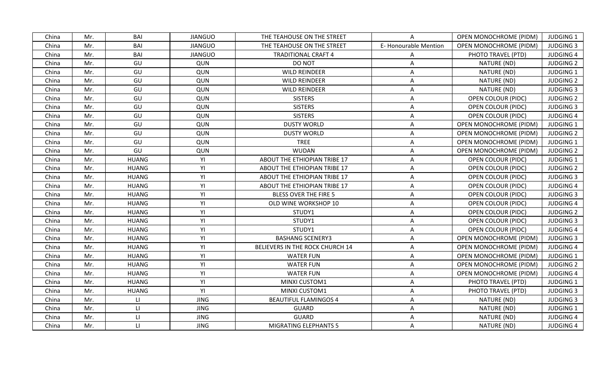| BAI<br>OPEN MONOCHROME (PIDM)<br>Mr.<br><b>JIANGUO</b><br>THE TEAHOUSE ON THE STREET<br><b>JUDGING 1</b><br>China<br>A<br>BAI<br><b>JIANGUO</b><br>E-Honourable Mention<br>China<br>Mr.<br>THE TEAHOUSE ON THE STREET<br>OPEN MONOCHROME (PIDM)<br><b>JUDGING 3</b><br>BAI<br>PHOTO TRAVEL (PTD)<br>Mr.<br><b>JIANGUO</b><br><b>TRADITIONAL CRAFT 4</b><br><b>JUDGING 4</b><br>China<br>A<br>GU<br>NATURE (ND)<br><b>JUDGING 2</b><br>Mr.<br>QUN<br>DO NOT<br>A<br>China<br>GU<br>NATURE (ND)<br>China<br>Mr.<br>QUN<br><b>WILD REINDEER</b><br><b>JUDGING 1</b><br>A<br>GU<br>China<br>Mr.<br>QUN<br><b>WILD REINDEER</b><br>NATURE (ND)<br><b>JUDGING 2</b><br>A<br>Mr.<br>GU<br>NATURE (ND)<br><b>JUDGING 3</b><br>China<br>QUN<br><b>WILD REINDEER</b><br>A<br>GU<br><b>SISTERS</b><br>OPEN COLOUR (PIDC)<br>China<br>Mr.<br>QUN<br>A<br><b>JUDGING 2</b><br>GU<br>QUN<br><b>SISTERS</b><br>China<br>Mr.<br>A<br><b>OPEN COLOUR (PIDC)</b><br><b>JUDGING 3</b><br>GU<br><b>SISTERS</b><br>China<br>Mr.<br>QUN<br>OPEN COLOUR (PIDC)<br><b>JUDGING 4</b><br>$\mathsf{A}$<br>GU<br><b>DUSTY WORLD</b><br><b>JUDGING 1</b><br>China<br>Mr.<br>QUN<br>OPEN MONOCHROME (PIDM)<br>$\mathsf{A}$<br>GU<br><b>DUSTY WORLD</b><br><b>JUDGING 2</b><br>China<br>Mr.<br>QUN<br>A<br><b>OPEN MONOCHROME (PIDM)</b><br>GU<br>Mr.<br>QUN<br><b>TREE</b><br><b>OPEN MONOCHROME (PIDM)</b><br>JUDGING 1<br>China<br>A<br>GU<br><b>WUDAN</b><br>Mr.<br>QUN<br>A<br>OPEN MONOCHROME (PIDM)<br><b>JUDGING 2</b><br>China<br><b>HUANG</b><br>YI<br>China<br>Mr.<br>ABOUT THE ETHIOPIAN TRIBE 17<br>A<br>OPEN COLOUR (PIDC)<br><b>JUDGING 1</b><br>YI<br>Mr.<br><b>HUANG</b><br><b>JUDGING 2</b><br>China<br>ABOUT THE ETHIOPIAN TRIBE 17<br>A<br>OPEN COLOUR (PIDC)<br><b>HUANG</b><br>YI<br>ABOUT THE ETHIOPIAN TRIBE 17<br><b>JUDGING 3</b><br>China<br>Mr.<br>A<br><b>OPEN COLOUR (PIDC)</b><br>YI<br>Mr.<br><b>HUANG</b><br>ABOUT THE ETHIOPIAN TRIBE 17<br><b>JUDGING 4</b><br>China<br>A<br><b>OPEN COLOUR (PIDC)</b><br><b>HUANG</b><br>YI<br>China<br>Mr.<br><b>BLESS OVER THE FIRE 5</b><br>A<br>OPEN COLOUR (PIDC)<br><b>JUDGING 3</b><br>YI<br><b>HUANG</b><br>China<br>Mr.<br>OLD WINE WORKSHOP 10<br><b>JUDGING 4</b><br>A<br><b>OPEN COLOUR (PIDC)</b><br><b>HUANG</b><br>YI<br>Mr.<br><b>JUDGING 2</b><br>China<br>STUDY1<br>A<br><b>OPEN COLOUR (PIDC)</b><br><b>HUANG</b><br>YI<br><b>JUDGING 3</b><br>China<br>Mr.<br>STUDY1<br>A<br><b>OPEN COLOUR (PIDC)</b><br>YI<br>China<br>Mr.<br><b>HUANG</b><br>STUDY1<br>OPEN COLOUR (PIDC)<br><b>JUDGING 4</b><br>A<br>YI<br>China<br>Mr.<br><b>HUANG</b><br><b>BASHANG SCENERY3</b><br><b>OPEN MONOCHROME (PIDM)</b><br><b>JUDGING 3</b><br>A<br>YI<br>Mr.<br><b>HUANG</b><br>BELIEVERS IN THE ROCK CHURCH 14<br><b>JUDGING 4</b><br>China<br>A<br><b>OPEN MONOCHROME (PIDM)</b><br>YI<br>Mr.<br><b>HUANG</b><br><b>WATER FUN</b><br><b>OPEN MONOCHROME (PIDM)</b><br><b>JUDGING 1</b><br>China<br>A<br>YI<br>China<br>Mr.<br><b>HUANG</b><br><b>WATER FUN</b><br>A<br>OPEN MONOCHROME (PIDM)<br><b>JUDGING 2</b><br>YI<br>China<br>Mr.<br><b>HUANG</b><br><b>WATER FUN</b><br>OPEN MONOCHROME (PIDM)<br><b>JUDGING 4</b><br>A<br>YI<br><b>HUANG</b><br>China<br>Mr.<br>MINXI CUSTOM1<br>A<br>PHOTO TRAVEL (PTD)<br><b>JUDGING 1</b><br>YI<br>China<br>Mr.<br><b>HUANG</b><br>MINXI CUSTOM1<br>A<br>PHOTO TRAVEL (PTD)<br><b>JUDGING 3</b><br><b>JING</b><br>NATURE (ND)<br>China<br>Mr.<br>LI.<br><b>BEAUTIFUL FLAMINGOS 4</b><br>A<br><b>JUDGING 3</b><br>Mr.<br>$\mathbf{H}$<br><b>JING</b><br><b>GUARD</b><br>A<br>NATURE (ND)<br>JUDGING 1<br>China<br>$\mathsf{L}\mathsf{L}$<br><b>GUARD</b><br>NATURE (ND)<br>Mr.<br><b>JING</b><br>A<br><b>JUDGING 4</b><br>China<br>LI.<br><b>MIGRATING ELEPHANTS 5</b><br><b>JUDGING 4</b><br>China<br>Mr.<br><b>JING</b><br>A<br>NATURE (ND) |  |  |  |  |  |
|-------------------------------------------------------------------------------------------------------------------------------------------------------------------------------------------------------------------------------------------------------------------------------------------------------------------------------------------------------------------------------------------------------------------------------------------------------------------------------------------------------------------------------------------------------------------------------------------------------------------------------------------------------------------------------------------------------------------------------------------------------------------------------------------------------------------------------------------------------------------------------------------------------------------------------------------------------------------------------------------------------------------------------------------------------------------------------------------------------------------------------------------------------------------------------------------------------------------------------------------------------------------------------------------------------------------------------------------------------------------------------------------------------------------------------------------------------------------------------------------------------------------------------------------------------------------------------------------------------------------------------------------------------------------------------------------------------------------------------------------------------------------------------------------------------------------------------------------------------------------------------------------------------------------------------------------------------------------------------------------------------------------------------------------------------------------------------------------------------------------------------------------------------------------------------------------------------------------------------------------------------------------------------------------------------------------------------------------------------------------------------------------------------------------------------------------------------------------------------------------------------------------------------------------------------------------------------------------------------------------------------------------------------------------------------------------------------------------------------------------------------------------------------------------------------------------------------------------------------------------------------------------------------------------------------------------------------------------------------------------------------------------------------------------------------------------------------------------------------------------------------------------------------------------------------------------------------------------------------------------------------------------------------------------------------------------------------------------------------------------------------------------------------------------------------------------------------------------------------------------------------------------------------------------------------------------------------------------------------------------------------------------------------------------------------------------------------------------------------------------------------------------------------------------------------------------------------------|--|--|--|--|--|
|                                                                                                                                                                                                                                                                                                                                                                                                                                                                                                                                                                                                                                                                                                                                                                                                                                                                                                                                                                                                                                                                                                                                                                                                                                                                                                                                                                                                                                                                                                                                                                                                                                                                                                                                                                                                                                                                                                                                                                                                                                                                                                                                                                                                                                                                                                                                                                                                                                                                                                                                                                                                                                                                                                                                                                                                                                                                                                                                                                                                                                                                                                                                                                                                                                                                                                                                                                                                                                                                                                                                                                                                                                                                                                                                                                                                                                     |  |  |  |  |  |
|                                                                                                                                                                                                                                                                                                                                                                                                                                                                                                                                                                                                                                                                                                                                                                                                                                                                                                                                                                                                                                                                                                                                                                                                                                                                                                                                                                                                                                                                                                                                                                                                                                                                                                                                                                                                                                                                                                                                                                                                                                                                                                                                                                                                                                                                                                                                                                                                                                                                                                                                                                                                                                                                                                                                                                                                                                                                                                                                                                                                                                                                                                                                                                                                                                                                                                                                                                                                                                                                                                                                                                                                                                                                                                                                                                                                                                     |  |  |  |  |  |
|                                                                                                                                                                                                                                                                                                                                                                                                                                                                                                                                                                                                                                                                                                                                                                                                                                                                                                                                                                                                                                                                                                                                                                                                                                                                                                                                                                                                                                                                                                                                                                                                                                                                                                                                                                                                                                                                                                                                                                                                                                                                                                                                                                                                                                                                                                                                                                                                                                                                                                                                                                                                                                                                                                                                                                                                                                                                                                                                                                                                                                                                                                                                                                                                                                                                                                                                                                                                                                                                                                                                                                                                                                                                                                                                                                                                                                     |  |  |  |  |  |
|                                                                                                                                                                                                                                                                                                                                                                                                                                                                                                                                                                                                                                                                                                                                                                                                                                                                                                                                                                                                                                                                                                                                                                                                                                                                                                                                                                                                                                                                                                                                                                                                                                                                                                                                                                                                                                                                                                                                                                                                                                                                                                                                                                                                                                                                                                                                                                                                                                                                                                                                                                                                                                                                                                                                                                                                                                                                                                                                                                                                                                                                                                                                                                                                                                                                                                                                                                                                                                                                                                                                                                                                                                                                                                                                                                                                                                     |  |  |  |  |  |
|                                                                                                                                                                                                                                                                                                                                                                                                                                                                                                                                                                                                                                                                                                                                                                                                                                                                                                                                                                                                                                                                                                                                                                                                                                                                                                                                                                                                                                                                                                                                                                                                                                                                                                                                                                                                                                                                                                                                                                                                                                                                                                                                                                                                                                                                                                                                                                                                                                                                                                                                                                                                                                                                                                                                                                                                                                                                                                                                                                                                                                                                                                                                                                                                                                                                                                                                                                                                                                                                                                                                                                                                                                                                                                                                                                                                                                     |  |  |  |  |  |
|                                                                                                                                                                                                                                                                                                                                                                                                                                                                                                                                                                                                                                                                                                                                                                                                                                                                                                                                                                                                                                                                                                                                                                                                                                                                                                                                                                                                                                                                                                                                                                                                                                                                                                                                                                                                                                                                                                                                                                                                                                                                                                                                                                                                                                                                                                                                                                                                                                                                                                                                                                                                                                                                                                                                                                                                                                                                                                                                                                                                                                                                                                                                                                                                                                                                                                                                                                                                                                                                                                                                                                                                                                                                                                                                                                                                                                     |  |  |  |  |  |
|                                                                                                                                                                                                                                                                                                                                                                                                                                                                                                                                                                                                                                                                                                                                                                                                                                                                                                                                                                                                                                                                                                                                                                                                                                                                                                                                                                                                                                                                                                                                                                                                                                                                                                                                                                                                                                                                                                                                                                                                                                                                                                                                                                                                                                                                                                                                                                                                                                                                                                                                                                                                                                                                                                                                                                                                                                                                                                                                                                                                                                                                                                                                                                                                                                                                                                                                                                                                                                                                                                                                                                                                                                                                                                                                                                                                                                     |  |  |  |  |  |
|                                                                                                                                                                                                                                                                                                                                                                                                                                                                                                                                                                                                                                                                                                                                                                                                                                                                                                                                                                                                                                                                                                                                                                                                                                                                                                                                                                                                                                                                                                                                                                                                                                                                                                                                                                                                                                                                                                                                                                                                                                                                                                                                                                                                                                                                                                                                                                                                                                                                                                                                                                                                                                                                                                                                                                                                                                                                                                                                                                                                                                                                                                                                                                                                                                                                                                                                                                                                                                                                                                                                                                                                                                                                                                                                                                                                                                     |  |  |  |  |  |
|                                                                                                                                                                                                                                                                                                                                                                                                                                                                                                                                                                                                                                                                                                                                                                                                                                                                                                                                                                                                                                                                                                                                                                                                                                                                                                                                                                                                                                                                                                                                                                                                                                                                                                                                                                                                                                                                                                                                                                                                                                                                                                                                                                                                                                                                                                                                                                                                                                                                                                                                                                                                                                                                                                                                                                                                                                                                                                                                                                                                                                                                                                                                                                                                                                                                                                                                                                                                                                                                                                                                                                                                                                                                                                                                                                                                                                     |  |  |  |  |  |
|                                                                                                                                                                                                                                                                                                                                                                                                                                                                                                                                                                                                                                                                                                                                                                                                                                                                                                                                                                                                                                                                                                                                                                                                                                                                                                                                                                                                                                                                                                                                                                                                                                                                                                                                                                                                                                                                                                                                                                                                                                                                                                                                                                                                                                                                                                                                                                                                                                                                                                                                                                                                                                                                                                                                                                                                                                                                                                                                                                                                                                                                                                                                                                                                                                                                                                                                                                                                                                                                                                                                                                                                                                                                                                                                                                                                                                     |  |  |  |  |  |
|                                                                                                                                                                                                                                                                                                                                                                                                                                                                                                                                                                                                                                                                                                                                                                                                                                                                                                                                                                                                                                                                                                                                                                                                                                                                                                                                                                                                                                                                                                                                                                                                                                                                                                                                                                                                                                                                                                                                                                                                                                                                                                                                                                                                                                                                                                                                                                                                                                                                                                                                                                                                                                                                                                                                                                                                                                                                                                                                                                                                                                                                                                                                                                                                                                                                                                                                                                                                                                                                                                                                                                                                                                                                                                                                                                                                                                     |  |  |  |  |  |
|                                                                                                                                                                                                                                                                                                                                                                                                                                                                                                                                                                                                                                                                                                                                                                                                                                                                                                                                                                                                                                                                                                                                                                                                                                                                                                                                                                                                                                                                                                                                                                                                                                                                                                                                                                                                                                                                                                                                                                                                                                                                                                                                                                                                                                                                                                                                                                                                                                                                                                                                                                                                                                                                                                                                                                                                                                                                                                                                                                                                                                                                                                                                                                                                                                                                                                                                                                                                                                                                                                                                                                                                                                                                                                                                                                                                                                     |  |  |  |  |  |
|                                                                                                                                                                                                                                                                                                                                                                                                                                                                                                                                                                                                                                                                                                                                                                                                                                                                                                                                                                                                                                                                                                                                                                                                                                                                                                                                                                                                                                                                                                                                                                                                                                                                                                                                                                                                                                                                                                                                                                                                                                                                                                                                                                                                                                                                                                                                                                                                                                                                                                                                                                                                                                                                                                                                                                                                                                                                                                                                                                                                                                                                                                                                                                                                                                                                                                                                                                                                                                                                                                                                                                                                                                                                                                                                                                                                                                     |  |  |  |  |  |
|                                                                                                                                                                                                                                                                                                                                                                                                                                                                                                                                                                                                                                                                                                                                                                                                                                                                                                                                                                                                                                                                                                                                                                                                                                                                                                                                                                                                                                                                                                                                                                                                                                                                                                                                                                                                                                                                                                                                                                                                                                                                                                                                                                                                                                                                                                                                                                                                                                                                                                                                                                                                                                                                                                                                                                                                                                                                                                                                                                                                                                                                                                                                                                                                                                                                                                                                                                                                                                                                                                                                                                                                                                                                                                                                                                                                                                     |  |  |  |  |  |
|                                                                                                                                                                                                                                                                                                                                                                                                                                                                                                                                                                                                                                                                                                                                                                                                                                                                                                                                                                                                                                                                                                                                                                                                                                                                                                                                                                                                                                                                                                                                                                                                                                                                                                                                                                                                                                                                                                                                                                                                                                                                                                                                                                                                                                                                                                                                                                                                                                                                                                                                                                                                                                                                                                                                                                                                                                                                                                                                                                                                                                                                                                                                                                                                                                                                                                                                                                                                                                                                                                                                                                                                                                                                                                                                                                                                                                     |  |  |  |  |  |
|                                                                                                                                                                                                                                                                                                                                                                                                                                                                                                                                                                                                                                                                                                                                                                                                                                                                                                                                                                                                                                                                                                                                                                                                                                                                                                                                                                                                                                                                                                                                                                                                                                                                                                                                                                                                                                                                                                                                                                                                                                                                                                                                                                                                                                                                                                                                                                                                                                                                                                                                                                                                                                                                                                                                                                                                                                                                                                                                                                                                                                                                                                                                                                                                                                                                                                                                                                                                                                                                                                                                                                                                                                                                                                                                                                                                                                     |  |  |  |  |  |
|                                                                                                                                                                                                                                                                                                                                                                                                                                                                                                                                                                                                                                                                                                                                                                                                                                                                                                                                                                                                                                                                                                                                                                                                                                                                                                                                                                                                                                                                                                                                                                                                                                                                                                                                                                                                                                                                                                                                                                                                                                                                                                                                                                                                                                                                                                                                                                                                                                                                                                                                                                                                                                                                                                                                                                                                                                                                                                                                                                                                                                                                                                                                                                                                                                                                                                                                                                                                                                                                                                                                                                                                                                                                                                                                                                                                                                     |  |  |  |  |  |
|                                                                                                                                                                                                                                                                                                                                                                                                                                                                                                                                                                                                                                                                                                                                                                                                                                                                                                                                                                                                                                                                                                                                                                                                                                                                                                                                                                                                                                                                                                                                                                                                                                                                                                                                                                                                                                                                                                                                                                                                                                                                                                                                                                                                                                                                                                                                                                                                                                                                                                                                                                                                                                                                                                                                                                                                                                                                                                                                                                                                                                                                                                                                                                                                                                                                                                                                                                                                                                                                                                                                                                                                                                                                                                                                                                                                                                     |  |  |  |  |  |
|                                                                                                                                                                                                                                                                                                                                                                                                                                                                                                                                                                                                                                                                                                                                                                                                                                                                                                                                                                                                                                                                                                                                                                                                                                                                                                                                                                                                                                                                                                                                                                                                                                                                                                                                                                                                                                                                                                                                                                                                                                                                                                                                                                                                                                                                                                                                                                                                                                                                                                                                                                                                                                                                                                                                                                                                                                                                                                                                                                                                                                                                                                                                                                                                                                                                                                                                                                                                                                                                                                                                                                                                                                                                                                                                                                                                                                     |  |  |  |  |  |
|                                                                                                                                                                                                                                                                                                                                                                                                                                                                                                                                                                                                                                                                                                                                                                                                                                                                                                                                                                                                                                                                                                                                                                                                                                                                                                                                                                                                                                                                                                                                                                                                                                                                                                                                                                                                                                                                                                                                                                                                                                                                                                                                                                                                                                                                                                                                                                                                                                                                                                                                                                                                                                                                                                                                                                                                                                                                                                                                                                                                                                                                                                                                                                                                                                                                                                                                                                                                                                                                                                                                                                                                                                                                                                                                                                                                                                     |  |  |  |  |  |
|                                                                                                                                                                                                                                                                                                                                                                                                                                                                                                                                                                                                                                                                                                                                                                                                                                                                                                                                                                                                                                                                                                                                                                                                                                                                                                                                                                                                                                                                                                                                                                                                                                                                                                                                                                                                                                                                                                                                                                                                                                                                                                                                                                                                                                                                                                                                                                                                                                                                                                                                                                                                                                                                                                                                                                                                                                                                                                                                                                                                                                                                                                                                                                                                                                                                                                                                                                                                                                                                                                                                                                                                                                                                                                                                                                                                                                     |  |  |  |  |  |
|                                                                                                                                                                                                                                                                                                                                                                                                                                                                                                                                                                                                                                                                                                                                                                                                                                                                                                                                                                                                                                                                                                                                                                                                                                                                                                                                                                                                                                                                                                                                                                                                                                                                                                                                                                                                                                                                                                                                                                                                                                                                                                                                                                                                                                                                                                                                                                                                                                                                                                                                                                                                                                                                                                                                                                                                                                                                                                                                                                                                                                                                                                                                                                                                                                                                                                                                                                                                                                                                                                                                                                                                                                                                                                                                                                                                                                     |  |  |  |  |  |
|                                                                                                                                                                                                                                                                                                                                                                                                                                                                                                                                                                                                                                                                                                                                                                                                                                                                                                                                                                                                                                                                                                                                                                                                                                                                                                                                                                                                                                                                                                                                                                                                                                                                                                                                                                                                                                                                                                                                                                                                                                                                                                                                                                                                                                                                                                                                                                                                                                                                                                                                                                                                                                                                                                                                                                                                                                                                                                                                                                                                                                                                                                                                                                                                                                                                                                                                                                                                                                                                                                                                                                                                                                                                                                                                                                                                                                     |  |  |  |  |  |
|                                                                                                                                                                                                                                                                                                                                                                                                                                                                                                                                                                                                                                                                                                                                                                                                                                                                                                                                                                                                                                                                                                                                                                                                                                                                                                                                                                                                                                                                                                                                                                                                                                                                                                                                                                                                                                                                                                                                                                                                                                                                                                                                                                                                                                                                                                                                                                                                                                                                                                                                                                                                                                                                                                                                                                                                                                                                                                                                                                                                                                                                                                                                                                                                                                                                                                                                                                                                                                                                                                                                                                                                                                                                                                                                                                                                                                     |  |  |  |  |  |
|                                                                                                                                                                                                                                                                                                                                                                                                                                                                                                                                                                                                                                                                                                                                                                                                                                                                                                                                                                                                                                                                                                                                                                                                                                                                                                                                                                                                                                                                                                                                                                                                                                                                                                                                                                                                                                                                                                                                                                                                                                                                                                                                                                                                                                                                                                                                                                                                                                                                                                                                                                                                                                                                                                                                                                                                                                                                                                                                                                                                                                                                                                                                                                                                                                                                                                                                                                                                                                                                                                                                                                                                                                                                                                                                                                                                                                     |  |  |  |  |  |
|                                                                                                                                                                                                                                                                                                                                                                                                                                                                                                                                                                                                                                                                                                                                                                                                                                                                                                                                                                                                                                                                                                                                                                                                                                                                                                                                                                                                                                                                                                                                                                                                                                                                                                                                                                                                                                                                                                                                                                                                                                                                                                                                                                                                                                                                                                                                                                                                                                                                                                                                                                                                                                                                                                                                                                                                                                                                                                                                                                                                                                                                                                                                                                                                                                                                                                                                                                                                                                                                                                                                                                                                                                                                                                                                                                                                                                     |  |  |  |  |  |
|                                                                                                                                                                                                                                                                                                                                                                                                                                                                                                                                                                                                                                                                                                                                                                                                                                                                                                                                                                                                                                                                                                                                                                                                                                                                                                                                                                                                                                                                                                                                                                                                                                                                                                                                                                                                                                                                                                                                                                                                                                                                                                                                                                                                                                                                                                                                                                                                                                                                                                                                                                                                                                                                                                                                                                                                                                                                                                                                                                                                                                                                                                                                                                                                                                                                                                                                                                                                                                                                                                                                                                                                                                                                                                                                                                                                                                     |  |  |  |  |  |
|                                                                                                                                                                                                                                                                                                                                                                                                                                                                                                                                                                                                                                                                                                                                                                                                                                                                                                                                                                                                                                                                                                                                                                                                                                                                                                                                                                                                                                                                                                                                                                                                                                                                                                                                                                                                                                                                                                                                                                                                                                                                                                                                                                                                                                                                                                                                                                                                                                                                                                                                                                                                                                                                                                                                                                                                                                                                                                                                                                                                                                                                                                                                                                                                                                                                                                                                                                                                                                                                                                                                                                                                                                                                                                                                                                                                                                     |  |  |  |  |  |
|                                                                                                                                                                                                                                                                                                                                                                                                                                                                                                                                                                                                                                                                                                                                                                                                                                                                                                                                                                                                                                                                                                                                                                                                                                                                                                                                                                                                                                                                                                                                                                                                                                                                                                                                                                                                                                                                                                                                                                                                                                                                                                                                                                                                                                                                                                                                                                                                                                                                                                                                                                                                                                                                                                                                                                                                                                                                                                                                                                                                                                                                                                                                                                                                                                                                                                                                                                                                                                                                                                                                                                                                                                                                                                                                                                                                                                     |  |  |  |  |  |
|                                                                                                                                                                                                                                                                                                                                                                                                                                                                                                                                                                                                                                                                                                                                                                                                                                                                                                                                                                                                                                                                                                                                                                                                                                                                                                                                                                                                                                                                                                                                                                                                                                                                                                                                                                                                                                                                                                                                                                                                                                                                                                                                                                                                                                                                                                                                                                                                                                                                                                                                                                                                                                                                                                                                                                                                                                                                                                                                                                                                                                                                                                                                                                                                                                                                                                                                                                                                                                                                                                                                                                                                                                                                                                                                                                                                                                     |  |  |  |  |  |
|                                                                                                                                                                                                                                                                                                                                                                                                                                                                                                                                                                                                                                                                                                                                                                                                                                                                                                                                                                                                                                                                                                                                                                                                                                                                                                                                                                                                                                                                                                                                                                                                                                                                                                                                                                                                                                                                                                                                                                                                                                                                                                                                                                                                                                                                                                                                                                                                                                                                                                                                                                                                                                                                                                                                                                                                                                                                                                                                                                                                                                                                                                                                                                                                                                                                                                                                                                                                                                                                                                                                                                                                                                                                                                                                                                                                                                     |  |  |  |  |  |
|                                                                                                                                                                                                                                                                                                                                                                                                                                                                                                                                                                                                                                                                                                                                                                                                                                                                                                                                                                                                                                                                                                                                                                                                                                                                                                                                                                                                                                                                                                                                                                                                                                                                                                                                                                                                                                                                                                                                                                                                                                                                                                                                                                                                                                                                                                                                                                                                                                                                                                                                                                                                                                                                                                                                                                                                                                                                                                                                                                                                                                                                                                                                                                                                                                                                                                                                                                                                                                                                                                                                                                                                                                                                                                                                                                                                                                     |  |  |  |  |  |
|                                                                                                                                                                                                                                                                                                                                                                                                                                                                                                                                                                                                                                                                                                                                                                                                                                                                                                                                                                                                                                                                                                                                                                                                                                                                                                                                                                                                                                                                                                                                                                                                                                                                                                                                                                                                                                                                                                                                                                                                                                                                                                                                                                                                                                                                                                                                                                                                                                                                                                                                                                                                                                                                                                                                                                                                                                                                                                                                                                                                                                                                                                                                                                                                                                                                                                                                                                                                                                                                                                                                                                                                                                                                                                                                                                                                                                     |  |  |  |  |  |
|                                                                                                                                                                                                                                                                                                                                                                                                                                                                                                                                                                                                                                                                                                                                                                                                                                                                                                                                                                                                                                                                                                                                                                                                                                                                                                                                                                                                                                                                                                                                                                                                                                                                                                                                                                                                                                                                                                                                                                                                                                                                                                                                                                                                                                                                                                                                                                                                                                                                                                                                                                                                                                                                                                                                                                                                                                                                                                                                                                                                                                                                                                                                                                                                                                                                                                                                                                                                                                                                                                                                                                                                                                                                                                                                                                                                                                     |  |  |  |  |  |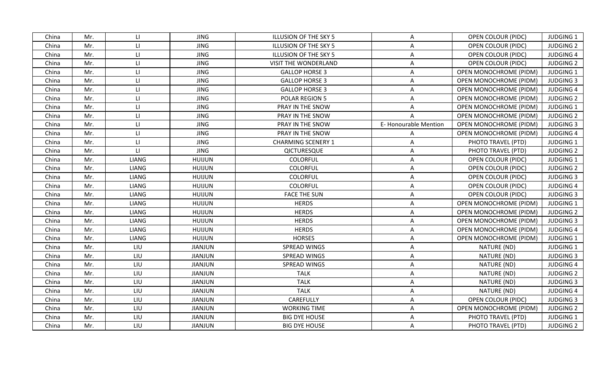| China | Mr. | LI.                    | <b>JING</b>    | ILLUSION OF THE SKY 5     | $\mathsf{A}$         | <b>OPEN COLOUR (PIDC)</b>     | <b>JUDGING 1</b> |
|-------|-----|------------------------|----------------|---------------------------|----------------------|-------------------------------|------------------|
| China | Mr. | $\mathsf{L}\mathsf{L}$ | <b>JING</b>    | ILLUSION OF THE SKY 5     | A                    | <b>OPEN COLOUR (PIDC)</b>     | <b>JUDGING 2</b> |
| China | Mr. | $\mathsf{L}\mathsf{L}$ | <b>JING</b>    | ILLUSION OF THE SKY 5     | Α                    | <b>OPEN COLOUR (PIDC)</b>     | <b>JUDGING 4</b> |
| China | Mr. | $\mathsf{L}\mathsf{L}$ | <b>JING</b>    | VISIT THE WONDERLAND      | A                    | <b>OPEN COLOUR (PIDC)</b>     | <b>JUDGING 2</b> |
| China | Mr. | $\mathsf{L}\mathsf{L}$ | <b>JING</b>    | <b>GALLOP HORSE 3</b>     | A                    | OPEN MONOCHROME (PIDM)        | <b>JUDGING 1</b> |
| China | Mr. | $\mathsf{L}\mathsf{L}$ | <b>JING</b>    | <b>GALLOP HORSE 3</b>     | A                    | OPEN MONOCHROME (PIDM)        | <b>JUDGING 3</b> |
| China | Mr. | $\mathsf{L}\mathsf{L}$ | <b>JING</b>    | <b>GALLOP HORSE 3</b>     | A                    | OPEN MONOCHROME (PIDM)        | <b>JUDGING 4</b> |
| China | Mr. | $\mathsf{L}\mathsf{L}$ | <b>JING</b>    | POLAR REGION 5            | A                    | <b>OPEN MONOCHROME (PIDM)</b> | <b>JUDGING 2</b> |
| China | Mr. | $\mathsf{L}\mathsf{L}$ | <b>JING</b>    | PRAY IN THE SNOW          | A                    | OPEN MONOCHROME (PIDM)        | <b>JUDGING 1</b> |
| China | Mr. | $\mathsf{L}\mathsf{L}$ | <b>JING</b>    | PRAY IN THE SNOW          | A                    | OPEN MONOCHROME (PIDM)        | <b>JUDGING 2</b> |
| China | Mr. | $\mathsf{L}\mathsf{L}$ | <b>JING</b>    | PRAY IN THE SNOW          | E-Honourable Mention | OPEN MONOCHROME (PIDM)        | <b>JUDGING 3</b> |
| China | Mr. | $\mathsf{L}\mathsf{L}$ | <b>JING</b>    | PRAY IN THE SNOW          | A                    | OPEN MONOCHROME (PIDM)        | <b>JUDGING 4</b> |
| China | Mr. | $\mathsf{H}$           | <b>JING</b>    | <b>CHARMING SCENERY 1</b> | A                    | PHOTO TRAVEL (PTD)            | <b>JUDGING 1</b> |
| China | Mr. | $\mathsf{H}$           | <b>JING</b>    | QICTURESQUE               | A                    | PHOTO TRAVEL (PTD)            | <b>JUDGING 2</b> |
| China | Mr. | LIANG                  | <b>HUIJUN</b>  | COLORFUL                  | A                    | OPEN COLOUR (PIDC)            | <b>JUDGING 1</b> |
| China | Mr. | LIANG                  | <b>HUIJUN</b>  | COLORFUL                  | Α                    | <b>OPEN COLOUR (PIDC)</b>     | <b>JUDGING 2</b> |
| China | Mr. | LIANG                  | <b>HUIJUN</b>  | <b>COLORFUL</b>           | Α                    | <b>OPEN COLOUR (PIDC)</b>     | <b>JUDGING 3</b> |
| China | Mr. | LIANG                  | <b>HUIJUN</b>  | COLORFUL                  | A                    | OPEN COLOUR (PIDC)            | <b>JUDGING 4</b> |
| China | Mr. | LIANG                  | <b>HUIJUN</b>  | <b>FACE THE SUN</b>       | A                    | <b>OPEN COLOUR (PIDC)</b>     | <b>JUDGING 3</b> |
| China | Mr. | LIANG                  | <b>HUIJUN</b>  | <b>HERDS</b>              | A                    | OPEN MONOCHROME (PIDM)        | <b>JUDGING 1</b> |
| China | Mr. | LIANG                  | <b>HUIJUN</b>  | <b>HERDS</b>              | A                    | <b>OPEN MONOCHROME (PIDM)</b> | <b>JUDGING 2</b> |
| China | Mr. | LIANG                  | <b>HUIJUN</b>  | <b>HERDS</b>              | A                    | OPEN MONOCHROME (PIDM)        | <b>JUDGING 3</b> |
| China | Mr. | LIANG                  | <b>HUIJUN</b>  | <b>HERDS</b>              | A                    | OPEN MONOCHROME (PIDM)        | <b>JUDGING 4</b> |
| China | Mr. | LIANG                  | <b>HUIJUN</b>  | <b>HORSES</b>             | $\mathsf{A}$         | OPEN MONOCHROME (PIDM)        | <b>JUDGING 1</b> |
| China | Mr. | LIU                    | <b>JIANJUN</b> | SPREAD WINGS              | A                    | NATURE (ND)                   | <b>JUDGING 1</b> |
| China | Mr. | LIU                    | <b>JIANJUN</b> | SPREAD WINGS              | A                    | NATURE (ND)                   | <b>JUDGING 3</b> |
| China | Mr. | LIU                    | <b>JIANJUN</b> | SPREAD WINGS              | A                    | NATURE (ND)                   | <b>JUDGING 4</b> |
| China | Mr. | LIU                    | <b>JIANJUN</b> | <b>TALK</b>               | A                    | NATURE (ND)                   | <b>JUDGING 2</b> |
| China | Mr. | LIU                    | JIANJUN        | <b>TALK</b>               | A                    | NATURE (ND)                   | <b>JUDGING 3</b> |
| China | Mr. | LIU                    | <b>JIANJUN</b> | <b>TALK</b>               | Α                    | NATURE (ND)                   | <b>JUDGING 4</b> |
| China | Mr. | LIU                    | <b>JIANJUN</b> | CAREFULLY                 | A                    | OPEN COLOUR (PIDC)            | <b>JUDGING 3</b> |
| China | Mr. | LIU                    | JIANJUN        | <b>WORKING TIME</b>       | A                    | OPEN MONOCHROME (PIDM)        | <b>JUDGING 2</b> |
| China | Mr. | LIU                    | <b>JIANJUN</b> | <b>BIG DYE HOUSE</b>      | A                    | PHOTO TRAVEL (PTD)            | <b>JUDGING 1</b> |
| China | Mr. | LIU                    | <b>JIANJUN</b> | <b>BIG DYE HOUSE</b>      | Α                    | PHOTO TRAVEL (PTD)            | <b>JUDGING 2</b> |
|       |     |                        |                |                           |                      |                               |                  |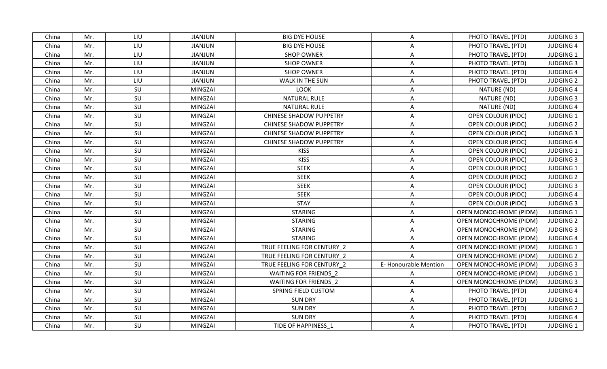| China | Mr. | LIU | <b>JIANJUN</b> | <b>BIG DYE HOUSE</b>           | A                    | PHOTO TRAVEL (PTD)            | <b>JUDGING 3</b> |
|-------|-----|-----|----------------|--------------------------------|----------------------|-------------------------------|------------------|
| China | Mr. | LIU | <b>JIANJUN</b> | <b>BIG DYE HOUSE</b>           | A                    | PHOTO TRAVEL (PTD)            | <b>JUDGING 4</b> |
| China | Mr. | LIU | <b>JIANJUN</b> | <b>SHOP OWNER</b>              | A                    | PHOTO TRAVEL (PTD)            | <b>JUDGING 1</b> |
| China | Mr. | LIU | <b>JIANJUN</b> | <b>SHOP OWNER</b>              | A                    | PHOTO TRAVEL (PTD)            | <b>JUDGING 3</b> |
| China | Mr. | LIU | <b>JIANJUN</b> | <b>SHOP OWNER</b>              | A                    | PHOTO TRAVEL (PTD)            | <b>JUDGING 4</b> |
| China | Mr. | LIU | <b>JIANJUN</b> | WALK IN THE SUN                | A                    | PHOTO TRAVEL (PTD)            | <b>JUDGING 2</b> |
| China | Mr. | SU  | MINGZAI        | <b>LOOK</b>                    | A                    | NATURE (ND)                   | <b>JUDGING 4</b> |
| China | Mr. | SU  | MINGZAI        | NATURAL RULE                   | A                    | NATURE (ND)                   | <b>JUDGING 3</b> |
| China | Mr. | SU  | MINGZAI        | <b>NATURAL RULE</b>            | A                    | NATURE (ND)                   | <b>JUDGING 4</b> |
| China | Mr. | SU  | MINGZAI        | <b>CHINESE SHADOW PUPPETRY</b> | A                    | OPEN COLOUR (PIDC)            | <b>JUDGING 1</b> |
| China | Mr. | SU  | MINGZAI        | <b>CHINESE SHADOW PUPPETRY</b> | A                    | <b>OPEN COLOUR (PIDC)</b>     | <b>JUDGING 2</b> |
| China | Mr. | SU  | MINGZAI        | <b>CHINESE SHADOW PUPPETRY</b> | A                    | OPEN COLOUR (PIDC)            | <b>JUDGING 3</b> |
| China | Mr. | SU  | MINGZAI        | <b>CHINESE SHADOW PUPPETRY</b> | A                    | OPEN COLOUR (PIDC)            | <b>JUDGING 4</b> |
| China | Mr. | SU  | MINGZAI        | <b>KISS</b>                    | A                    | <b>OPEN COLOUR (PIDC)</b>     | <b>JUDGING 1</b> |
| China | Mr. | SU  | MINGZAI        | <b>KISS</b>                    | A                    | OPEN COLOUR (PIDC)            | <b>JUDGING 3</b> |
| China | Mr. | SU  | MINGZAI        | <b>SEEK</b>                    | A                    | <b>OPEN COLOUR (PIDC)</b>     | <b>JUDGING 1</b> |
| China | Mr. | SU  | MINGZAI        | <b>SEEK</b>                    | A                    | <b>OPEN COLOUR (PIDC)</b>     | <b>JUDGING 2</b> |
| China | Mr. | SU  | MINGZAI        | <b>SEEK</b>                    | A                    | <b>OPEN COLOUR (PIDC)</b>     | <b>JUDGING 3</b> |
| China | Mr. | SU  | MINGZAI        | <b>SEEK</b>                    | A                    | <b>OPEN COLOUR (PIDC)</b>     | <b>JUDGING 4</b> |
| China | Mr. | SU  | MINGZAI        | <b>STAY</b>                    | A                    | <b>OPEN COLOUR (PIDC)</b>     | <b>JUDGING 3</b> |
| China | Mr. | SU  | MINGZAI        | <b>STARING</b>                 | A                    | <b>OPEN MONOCHROME (PIDM)</b> | JUDGING 1        |
| China | Mr. | SU  | MINGZAI        | <b>STARING</b>                 | A                    | OPEN MONOCHROME (PIDM)        | <b>JUDGING 2</b> |
| China | Mr. | SU  | MINGZAI        | <b>STARING</b>                 | A                    | OPEN MONOCHROME (PIDM)        | <b>JUDGING 3</b> |
| China | Mr. | SU  | MINGZAI        | <b>STARING</b>                 | A                    | <b>OPEN MONOCHROME (PIDM)</b> | <b>JUDGING 4</b> |
| China | Mr. | SU  | MINGZAI        | TRUE FEELING FOR CENTURY 2     | Α                    | <b>OPEN MONOCHROME (PIDM)</b> | <b>JUDGING 1</b> |
| China | Mr. | SU  | MINGZAI        | TRUE FEELING FOR CENTURY 2     |                      | <b>OPEN MONOCHROME (PIDM)</b> | <b>JUDGING 2</b> |
| China | Mr. | SU  | MINGZAI        | TRUE FEELING FOR CENTURY 2     | E-Honourable Mention | <b>OPEN MONOCHROME (PIDM)</b> | <b>JUDGING 3</b> |
| China | Mr. | SU  | MINGZAI        | <b>WAITING FOR FRIENDS 2</b>   | A                    | <b>OPEN MONOCHROME (PIDM)</b> | <b>JUDGING 1</b> |
| China | Mr. | SU  | <b>MINGZAI</b> | <b>WAITING FOR FRIENDS 2</b>   | A                    | <b>OPEN MONOCHROME (PIDM)</b> | <b>JUDGING 3</b> |
| China | Mr. | SU  | MINGZAI        | SPRING FIELD CUSTOM            | A                    | PHOTO TRAVEL (PTD)            | <b>JUDGING 4</b> |
| China | Mr. | SU  | MINGZAI        | <b>SUN DRY</b>                 | A                    | PHOTO TRAVEL (PTD)            | <b>JUDGING 1</b> |
| China | Mr. | SU  | MINGZAI        | <b>SUN DRY</b>                 | A                    | PHOTO TRAVEL (PTD)            | <b>JUDGING 2</b> |
| China | Mr. | SU  | MINGZAI        | <b>SUN DRY</b>                 | $\mathsf{A}$         | PHOTO TRAVEL (PTD)            | <b>JUDGING 4</b> |
| China | Mr. | SU  | <b>MINGZAI</b> | TIDE OF HAPPINESS 1            | A                    | PHOTO TRAVEL (PTD)            | <b>JUDGING 1</b> |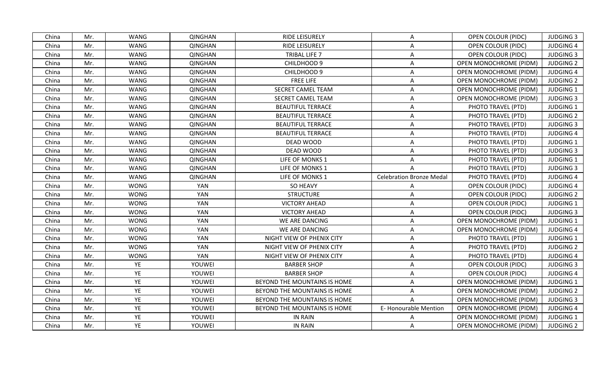| China | Mr. | <b>WANG</b> | <b>QINGHAN</b> | RIDE LEISURELY               | A                               | <b>OPEN COLOUR (PIDC)</b>     | <b>JUDGING 3</b> |
|-------|-----|-------------|----------------|------------------------------|---------------------------------|-------------------------------|------------------|
| China | Mr. | <b>WANG</b> | <b>QINGHAN</b> | <b>RIDE LEISURELY</b>        | A                               | <b>OPEN COLOUR (PIDC)</b>     | <b>JUDGING 4</b> |
| China | Mr. | <b>WANG</b> | <b>QINGHAN</b> | TRIBAL LIFE 7                | A                               | <b>OPEN COLOUR (PIDC)</b>     | <b>JUDGING 3</b> |
| China | Mr. | <b>WANG</b> | <b>QINGHAN</b> | CHILDHOOD 9                  | A                               | <b>OPEN MONOCHROME (PIDM)</b> | <b>JUDGING 2</b> |
| China | Mr. | <b>WANG</b> | <b>QINGHAN</b> | CHILDHOOD 9                  | $\mathsf{A}$                    | OPEN MONOCHROME (PIDM)        | <b>JUDGING 4</b> |
| China | Mr. | <b>WANG</b> | QINGHAN        | <b>FREE LIFE</b>             | A                               | <b>OPEN MONOCHROME (PIDM)</b> | <b>JUDGING 2</b> |
| China | Mr. | <b>WANG</b> | <b>QINGHAN</b> | <b>SECRET CAMEL TEAM</b>     | $\mathsf{A}$                    | <b>OPEN MONOCHROME (PIDM)</b> | JUDGING 1        |
| China | Mr. | <b>WANG</b> | <b>QINGHAN</b> | SECRET CAMEL TEAM            | A                               | <b>OPEN MONOCHROME (PIDM)</b> | <b>JUDGING 3</b> |
| China | Mr. | <b>WANG</b> | <b>QINGHAN</b> | <b>BEAUTIFUL TERRACE</b>     | A                               | PHOTO TRAVEL (PTD)            | JUDGING 1        |
| China | Mr. | <b>WANG</b> | <b>QINGHAN</b> | <b>BEAUTIFUL TERRACE</b>     | A                               | PHOTO TRAVEL (PTD)            | <b>JUDGING 2</b> |
| China | Mr. | <b>WANG</b> | QINGHAN        | <b>BEAUTIFUL TERRACE</b>     | A                               | PHOTO TRAVEL (PTD)            | <b>JUDGING 3</b> |
| China | Mr. | <b>WANG</b> | <b>QINGHAN</b> | <b>BEAUTIFUL TERRACE</b>     | A                               | PHOTO TRAVEL (PTD)            | <b>JUDGING 4</b> |
| China | Mr. | <b>WANG</b> | <b>QINGHAN</b> | DEAD WOOD                    | A                               | PHOTO TRAVEL (PTD)            | <b>JUDGING 1</b> |
| China | Mr. | <b>WANG</b> | QINGHAN        | DEAD WOOD                    | A                               | PHOTO TRAVEL (PTD)            | <b>JUDGING 3</b> |
| China | Mr. | <b>WANG</b> | <b>QINGHAN</b> | LIFE OF MONKS 1              | A                               | PHOTO TRAVEL (PTD)            | <b>JUDGING 1</b> |
| China | Mr. | <b>WANG</b> | <b>QINGHAN</b> | LIFE OF MONKS 1              |                                 | PHOTO TRAVEL (PTD)            | <b>JUDGING 3</b> |
| China | Mr. | <b>WANG</b> | <b>QINGHAN</b> | LIFE OF MONKS 1              | <b>Celebration Bronze Medal</b> | PHOTO TRAVEL (PTD)            | <b>JUDGING 4</b> |
| China | Mr. | <b>WONG</b> | <b>YAN</b>     | SO HEAVY                     | A                               | <b>OPEN COLOUR (PIDC)</b>     | <b>JUDGING 4</b> |
| China | Mr. | <b>WONG</b> | <b>YAN</b>     | <b>STRUCTURE</b>             | A                               | <b>OPEN COLOUR (PIDC)</b>     | <b>JUDGING 2</b> |
| China | Mr. | <b>WONG</b> | <b>YAN</b>     | <b>VICTORY AHEAD</b>         | Α                               | <b>OPEN COLOUR (PIDC)</b>     | <b>JUDGING 1</b> |
| China | Mr. | <b>WONG</b> | YAN            | <b>VICTORY AHEAD</b>         | $\mathsf{A}$                    | <b>OPEN COLOUR (PIDC)</b>     | <b>JUDGING 3</b> |
| China | Mr. | <b>WONG</b> | YAN            | WE ARE DANCING               | A                               | OPEN MONOCHROME (PIDM)        | JUDGING 1        |
| China | Mr. | <b>WONG</b> | <b>YAN</b>     | WE ARE DANCING               | A                               | OPEN MONOCHROME (PIDM)        | <b>JUDGING 4</b> |
| China | Mr. | <b>WONG</b> | YAN            | NIGHT VIEW OF PHENIX CITY    | A                               | PHOTO TRAVEL (PTD)            | <b>JUDGING 1</b> |
| China | Mr. | <b>WONG</b> | YAN            | NIGHT VIEW OF PHENIX CITY    | Α                               | PHOTO TRAVEL (PTD)            | <b>JUDGING 2</b> |
| China | Mr. | <b>WONG</b> | YAN            | NIGHT VIEW OF PHENIX CITY    | Α                               | PHOTO TRAVEL (PTD)            | <b>JUDGING 4</b> |
| China | Mr. | YE          | YOUWEI         | <b>BARBER SHOP</b>           | A                               | <b>OPEN COLOUR (PIDC)</b>     | <b>JUDGING 3</b> |
| China | Mr. | YE          | YOUWEI         | <b>BARBER SHOP</b>           | A                               | <b>OPEN COLOUR (PIDC)</b>     | <b>JUDGING 4</b> |
| China | Mr. | YE          | YOUWEI         | BEYOND THE MOUNTAINS IS HOME | A                               | OPEN MONOCHROME (PIDM)        | <b>JUDGING 1</b> |
| China | Mr. | YE          | YOUWEI         | BEYOND THE MOUNTAINS IS HOME | A                               | <b>OPEN MONOCHROME (PIDM)</b> | <b>JUDGING 2</b> |
| China | Mr. | YE          | YOUWEI         | BEYOND THE MOUNTAINS IS HOME | A                               | OPEN MONOCHROME (PIDM)        | <b>JUDGING 3</b> |
| China | Mr. | YE          | YOUWEI         | BEYOND THE MOUNTAINS IS HOME | <b>E-Honourable Mention</b>     | OPEN MONOCHROME (PIDM)        | <b>JUDGING 4</b> |
| China | Mr. | YE          | YOUWEI         | <b>IN RAIN</b>               | A                               | <b>OPEN MONOCHROME (PIDM)</b> | JUDGING 1        |
| China | Mr. | YE          | YOUWEI         | IN RAIN                      | A                               | <b>OPEN MONOCHROME (PIDM)</b> | <b>JUDGING 2</b> |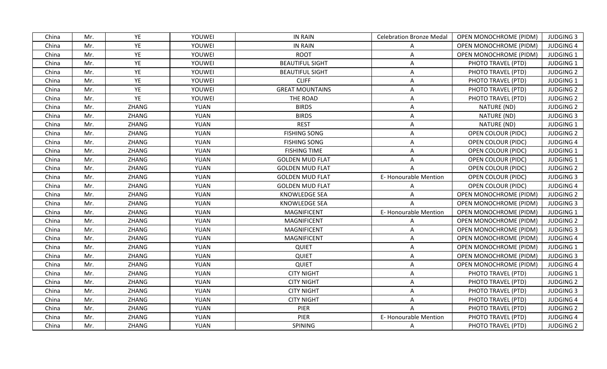| China | Mr. | YE           | YOUWEI      | <b>IN RAIN</b>         | <b>Celebration Bronze Medal</b> | OPEN MONOCHROME (PIDM)        | <b>JUDGING 3</b> |
|-------|-----|--------------|-------------|------------------------|---------------------------------|-------------------------------|------------------|
| China | Mr. | YE           | YOUWEI      | <b>IN RAIN</b>         | A                               | OPEN MONOCHROME (PIDM)        | <b>JUDGING 4</b> |
| China | Mr. | YE           | YOUWEI      | <b>ROOT</b>            | A                               | <b>OPEN MONOCHROME (PIDM)</b> | <b>JUDGING 1</b> |
| China | Mr. | YE           | YOUWEI      | <b>BEAUTIFUL SIGHT</b> | A                               | PHOTO TRAVEL (PTD)            | <b>JUDGING 1</b> |
| China | Mr. | YE           | YOUWEI      | <b>BEAUTIFUL SIGHT</b> | A                               | PHOTO TRAVEL (PTD)            | <b>JUDGING 2</b> |
| China | Mr. | YE           | YOUWEI      | <b>CLIFF</b>           | A                               | PHOTO TRAVEL (PTD)            | <b>JUDGING 1</b> |
| China | Mr. | YE           | YOUWEI      | <b>GREAT MOUNTAINS</b> | A                               | PHOTO TRAVEL (PTD)            | <b>JUDGING 2</b> |
| China | Mr. | YE           | YOUWEI      | THE ROAD               | A                               | PHOTO TRAVEL (PTD)            | <b>JUDGING 2</b> |
| China | Mr. | ZHANG        | YUAN        | <b>BIRDS</b>           | A                               | NATURE (ND)                   | <b>JUDGING 2</b> |
| China | Mr. | ZHANG        | YUAN        | <b>BIRDS</b>           | A                               | NATURE (ND)                   | <b>JUDGING 3</b> |
| China | Mr. | ZHANG        | YUAN        | <b>REST</b>            | A                               | NATURE (ND)                   | <b>JUDGING 1</b> |
| China | Mr. | ZHANG        | YUAN        | <b>FISHING SONG</b>    | A                               | <b>OPEN COLOUR (PIDC)</b>     | <b>JUDGING 2</b> |
| China | Mr. | ZHANG        | YUAN        | <b>FISHING SONG</b>    | A                               | OPEN COLOUR (PIDC)            | <b>JUDGING 4</b> |
| China | Mr. | ZHANG        | YUAN        | <b>FISHING TIME</b>    | A                               | OPEN COLOUR (PIDC)            | <b>JUDGING 1</b> |
| China | Mr. | ZHANG        | YUAN        | <b>GOLDEN MUD FLAT</b> | Α                               | OPEN COLOUR (PIDC)            | <b>JUDGING 1</b> |
| China | Mr. | ZHANG        | YUAN        | <b>GOLDEN MUD FLAT</b> |                                 | <b>OPEN COLOUR (PIDC)</b>     | <b>JUDGING 2</b> |
| China | Mr. | ZHANG        | YUAN        | <b>GOLDEN MUD FLAT</b> | <b>E-Honourable Mention</b>     | <b>OPEN COLOUR (PIDC)</b>     | <b>JUDGING 3</b> |
| China | Mr. | <b>ZHANG</b> | YUAN        | <b>GOLDEN MUD FLAT</b> | A                               | <b>OPEN COLOUR (PIDC)</b>     | <b>JUDGING 4</b> |
| China | Mr. | ZHANG        | YUAN        | <b>KNOWLEDGE SEA</b>   | A                               | <b>OPEN MONOCHROME (PIDM)</b> | <b>JUDGING 2</b> |
| China | Mr. | ZHANG        | YUAN        | <b>KNOWLEDGE SEA</b>   | $\mathsf{A}$                    | OPEN MONOCHROME (PIDM)        | <b>JUDGING 3</b> |
| China | Mr. | ZHANG        | <b>YUAN</b> | <b>MAGNIFICENT</b>     | E-Honourable Mention            | <b>OPEN MONOCHROME (PIDM)</b> | JUDGING 1        |
| China | Mr. | ZHANG        | YUAN        | MAGNIFICENT            | A                               | OPEN MONOCHROME (PIDM)        | <b>JUDGING 2</b> |
| China | Mr. | ZHANG        | YUAN        | <b>MAGNIFICENT</b>     | A                               | OPEN MONOCHROME (PIDM)        | <b>JUDGING 3</b> |
| China | Mr. | ZHANG        | YUAN        | <b>MAGNIFICENT</b>     | A                               | <b>OPEN MONOCHROME (PIDM)</b> | <b>JUDGING 4</b> |
| China | Mr. | ZHANG        | YUAN        | <b>QUIET</b>           | A                               | OPEN MONOCHROME (PIDM)        | JUDGING 1        |
| China | Mr. | ZHANG        | YUAN        | <b>QUIET</b>           | A                               | OPEN MONOCHROME (PIDM)        | <b>JUDGING 3</b> |
| China | Mr. | ZHANG        | YUAN        | QUIET                  | A                               | OPEN MONOCHROME (PIDM)        | <b>JUDGING 4</b> |
| China | Mr. | ZHANG        | YUAN        | <b>CITY NIGHT</b>      | A                               | PHOTO TRAVEL (PTD)            | JUDGING 1        |
| China | Mr. | ZHANG        | <b>YUAN</b> | <b>CITY NIGHT</b>      | A                               | PHOTO TRAVEL (PTD)            | <b>JUDGING 2</b> |
| China | Mr. | ZHANG        | YUAN        | <b>CITY NIGHT</b>      | A                               | PHOTO TRAVEL (PTD)            | <b>JUDGING 3</b> |
| China | Mr. | ZHANG        | YUAN        | <b>CITY NIGHT</b>      | A                               | PHOTO TRAVEL (PTD)            | <b>JUDGING 4</b> |
| China | Mr. | ZHANG        | YUAN        | PIER                   | A                               | PHOTO TRAVEL (PTD)            | <b>JUDGING 2</b> |
| China | Mr. | ZHANG        | YUAN        | PIER                   | E-Honourable Mention            | PHOTO TRAVEL (PTD)            | <b>JUDGING 4</b> |
| China | Mr. | ZHANG        | YUAN        | SPINING                | A                               | PHOTO TRAVEL (PTD)            | <b>JUDGING 2</b> |
|       |     |              |             |                        |                                 |                               |                  |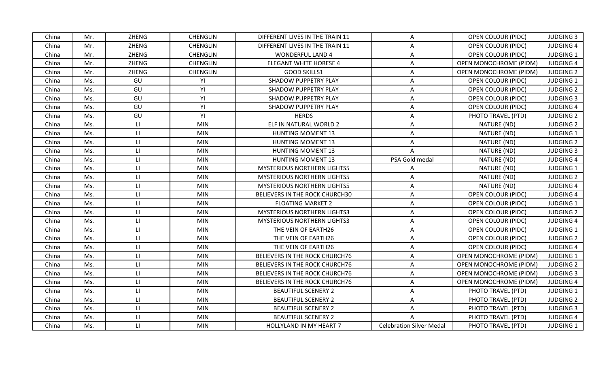| China | Mr. | ZHENG                   | <b>CHENGLIN</b> | DIFFERENT LIVES IN THE TRAIN 11    | A                               | OPEN COLOUR (PIDC)            | <b>JUDGING 3</b> |
|-------|-----|-------------------------|-----------------|------------------------------------|---------------------------------|-------------------------------|------------------|
| China | Mr. | <b>ZHENG</b>            | <b>CHENGLIN</b> | DIFFERENT LIVES IN THE TRAIN 11    | A                               | <b>OPEN COLOUR (PIDC)</b>     | <b>JUDGING 4</b> |
| China | Mr. | ZHENG                   | <b>CHENGLIN</b> | <b>WONDERFUL LAND 4</b>            | A                               | OPEN COLOUR (PIDC)            | <b>JUDGING 1</b> |
| China | Mr. | ZHENG                   | <b>CHENGLIN</b> | <b>ELEGANT WHITE HORESE 4</b>      | A                               | OPEN MONOCHROME (PIDM)        | <b>JUDGING 4</b> |
| China | Mr. | ZHENG                   | <b>CHENGLIN</b> | <b>GOOD SKILLS1</b>                | A                               | OPEN MONOCHROME (PIDM)        | <b>JUDGING 2</b> |
| China | Ms. | GU                      | YI              | SHADOW PUPPETRY PLAY               | A                               | <b>OPEN COLOUR (PIDC)</b>     | <b>JUDGING 1</b> |
| China | Ms. | GU                      | YI              | SHADOW PUPPETRY PLAY               | A                               | <b>OPEN COLOUR (PIDC)</b>     | <b>JUDGING 2</b> |
| China | Ms. | GU                      | YI              | SHADOW PUPPETRY PLAY               | Α                               | <b>OPEN COLOUR (PIDC)</b>     | <b>JUDGING 3</b> |
| China | Ms. | GU                      | YI              | SHADOW PUPPETRY PLAY               | A                               | <b>OPEN COLOUR (PIDC)</b>     | <b>JUDGING 4</b> |
| China | Ms. | GU                      | YI              | <b>HERDS</b>                       | A                               | PHOTO TRAVEL (PTD)            | <b>JUDGING 2</b> |
| China | Ms. | $\mathsf{L} \mathsf{L}$ | <b>MIN</b>      | ELF IN NATURAL WORLD 2             | A                               | NATURE (ND)                   | <b>JUDGING 2</b> |
| China | Ms. | $\Box$                  | <b>MIN</b>      | <b>HUNTING MOMENT 13</b>           | A                               | NATURE (ND)                   | <b>JUDGING 1</b> |
| China | Ms. | $\Box$                  | <b>MIN</b>      | <b>HUNTING MOMENT 13</b>           | A                               | NATURE (ND)                   | <b>JUDGING 2</b> |
| China | Ms. | $\mathsf{H}$            | <b>MIN</b>      | <b>HUNTING MOMENT 13</b>           | $\mathsf{A}$                    | NATURE (ND)                   | <b>JUDGING 3</b> |
| China | Ms. | $\mathsf{L}\mathsf{L}$  | <b>MIN</b>      | <b>HUNTING MOMENT 13</b>           | PSA Gold medal                  | NATURE (ND)                   | <b>JUDGING 4</b> |
| China | Ms. | $\Box$                  | <b>MIN</b>      | <b>MYSTERIOUS NORTHERN LIGHTS5</b> | A                               | NATURE (ND)                   | <b>JUDGING 1</b> |
| China | Ms. | $\Box$                  | <b>MIN</b>      | <b>MYSTERIOUS NORTHERN LIGHTS5</b> | A                               | NATURE (ND)                   | <b>JUDGING 2</b> |
| China | Ms. | $\mathsf{H}$            | <b>MIN</b>      | <b>MYSTERIOUS NORTHERN LIGHTS5</b> | Α                               | NATURE (ND)                   | <b>JUDGING 4</b> |
| China | Ms. | $\mathsf{L}\mathsf{L}$  | <b>MIN</b>      | BELIEVERS IN THE ROCK CHURCH30     | A                               | <b>OPEN COLOUR (PIDC)</b>     | <b>JUDGING 4</b> |
| China | Ms. | $\mathsf{L}\mathsf{L}$  | <b>MIN</b>      | <b>FLOATING MARKET 2</b>           | A                               | <b>OPEN COLOUR (PIDC)</b>     | <b>JUDGING 1</b> |
| China | Ms. | $\Box$                  | <b>MIN</b>      | <b>MYSTERIOUS NORTHERN LIGHTS3</b> | A                               | <b>OPEN COLOUR (PIDC)</b>     | <b>JUDGING 2</b> |
| China | Ms. | $\Box$                  | <b>MIN</b>      | <b>MYSTERIOUS NORTHERN LIGHTS3</b> | A                               | <b>OPEN COLOUR (PIDC)</b>     | <b>JUDGING 4</b> |
| China | Ms. | $\mathsf{L}$            | <b>MIN</b>      | THE VEIN OF EARTH26                | A                               | OPEN COLOUR (PIDC)            | <b>JUDGING 1</b> |
| China | Ms. | $\mathsf{L}\mathsf{L}$  | <b>MIN</b>      | THE VEIN OF EARTH26                | A                               | OPEN COLOUR (PIDC)            | <b>JUDGING 2</b> |
| China | Ms. | $\mathsf{L}\mathsf{L}$  | <b>MIN</b>      | THE VEIN OF EARTH26                | Α                               | OPEN COLOUR (PIDC)            | <b>JUDGING 4</b> |
| China | Ms. | $\mathsf{L}\mathsf{L}$  | <b>MIN</b>      | BELIEVERS IN THE ROCK CHURCH76     | A                               | OPEN MONOCHROME (PIDM)        | <b>JUDGING 1</b> |
| China | Ms. | $\mathsf{H}$            | <b>MIN</b>      | BELIEVERS IN THE ROCK CHURCH76     | A                               | OPEN MONOCHROME (PIDM)        | <b>JUDGING 2</b> |
| China | Ms. | $\mathsf{L}\mathsf{L}$  | <b>MIN</b>      | BELIEVERS IN THE ROCK CHURCH76     | A                               | <b>OPEN MONOCHROME (PIDM)</b> | <b>JUDGING 3</b> |
| China | Ms. | $\Box$                  | <b>MIN</b>      | BELIEVERS IN THE ROCK CHURCH76     | A                               | OPEN MONOCHROME (PIDM)        | <b>JUDGING 4</b> |
| China | Ms. | $\mathsf{L}\mathsf{L}$  | <b>MIN</b>      | <b>BEAUTIFUL SCENERY 2</b>         | A                               | PHOTO TRAVEL (PTD)            | <b>JUDGING 1</b> |
| China | Ms. | $\mathsf{L}\mathsf{L}$  | <b>MIN</b>      | <b>BEAUTIFUL SCENERY 2</b>         | A                               | PHOTO TRAVEL (PTD)            | <b>JUDGING 2</b> |
| China | Ms. | $\mathbf{H}$            | <b>MIN</b>      | <b>BEAUTIFUL SCENERY 2</b>         | A                               | PHOTO TRAVEL (PTD)            | <b>JUDGING 3</b> |
| China | Ms. | $\mathsf{L}\mathsf{L}$  | <b>MIN</b>      | <b>BEAUTIFUL SCENERY 2</b>         | A                               | PHOTO TRAVEL (PTD)            | <b>JUDGING 4</b> |
| China | Ms. | $\mathsf{H}$            | <b>MIN</b>      | <b>HOLLYLAND IN MY HEART 7</b>     | <b>Celebration Silver Medal</b> | PHOTO TRAVEL (PTD)            | <b>JUDGING 1</b> |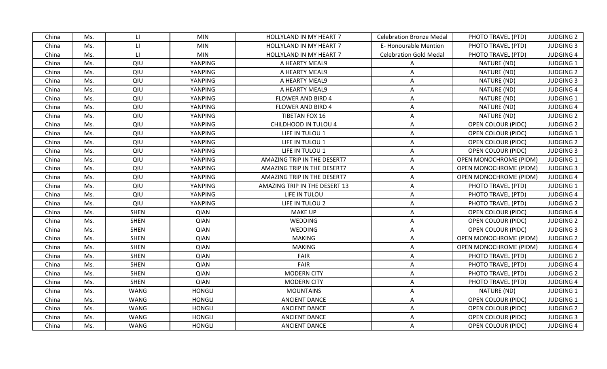| China | Ms. | LI.                    | <b>MIN</b>    | HOLLYLAND IN MY HEART 7       | <b>Celebration Bronze Medal</b> | PHOTO TRAVEL (PTD)            | <b>JUDGING 2</b> |
|-------|-----|------------------------|---------------|-------------------------------|---------------------------------|-------------------------------|------------------|
| China | Ms. | $\mathsf{L}\mathsf{L}$ | <b>MIN</b>    | HOLLYLAND IN MY HEART 7       | <b>E-Honourable Mention</b>     | PHOTO TRAVEL (PTD)            | <b>JUDGING 3</b> |
| China | Ms. | $\mathsf{H}$           | <b>MIN</b>    | HOLLYLAND IN MY HEART 7       | <b>Celebration Gold Medal</b>   | PHOTO TRAVEL (PTD)            | <b>JUDGING 4</b> |
| China | Ms. | QIU                    | YANPING       | A HEARTY MEAL9                | A                               | NATURE (ND)                   | <b>JUDGING 1</b> |
| China | Ms. | QIU                    | YANPING       | A HEARTY MEAL9                | A                               | NATURE (ND)                   | <b>JUDGING 2</b> |
| China | Ms. | QIU                    | YANPING       | A HEARTY MEAL9                | A                               | NATURE (ND)                   | <b>JUDGING 3</b> |
| China | Ms. | QIU                    | YANPING       | A HEARTY MEAL9                | A                               | NATURE (ND)                   | <b>JUDGING 4</b> |
| China | Ms. | QIU                    | YANPING       | <b>FLOWER AND BIRD 4</b>      | A                               | NATURE (ND)                   | <b>JUDGING 1</b> |
| China | Ms. | QIU                    | YANPING       | FLOWER AND BIRD 4             | A                               | NATURE (ND)                   | <b>JUDGING 4</b> |
| China | Ms. | QIU                    | YANPING       | TIBETAN FOX 16                | A                               | NATURE (ND)                   | <b>JUDGING 2</b> |
| China | Ms. | QIU                    | YANPING       | CHILDHOOD IN TULOU 4          | A                               | OPEN COLOUR (PIDC)            | <b>JUDGING 2</b> |
| China | Ms. | QIU                    | YANPING       | LIFE IN TULOU 1               | A                               | OPEN COLOUR (PIDC)            | <b>JUDGING 1</b> |
| China | Ms. | QIU                    | YANPING       | LIFE IN TULOU 1               | $\mathsf{A}$                    | <b>OPEN COLOUR (PIDC)</b>     | <b>JUDGING 2</b> |
| China | Ms. | QIU                    | YANPING       | LIFE IN TULOU 1               | A                               | OPEN COLOUR (PIDC)            | <b>JUDGING 3</b> |
| China | Ms. | QIU                    | YANPING       | AMAZING TRIP IN THE DESERT7   | A                               | <b>OPEN MONOCHROME (PIDM)</b> | <b>JUDGING 1</b> |
| China | Ms. | QIU                    | YANPING       | AMAZING TRIP IN THE DESERT7   | A                               | OPEN MONOCHROME (PIDM)        | <b>JUDGING 3</b> |
| China | Ms. | QIU                    | YANPING       | AMAZING TRIP IN THE DESERT7   | A                               | OPEN MONOCHROME (PIDM)        | <b>JUDGING 4</b> |
| China | Ms. | QIU                    | YANPING       | AMAZING TRIP IN THE DESERT 13 | A                               | PHOTO TRAVEL (PTD)            | <b>JUDGING 1</b> |
| China | Ms. | QIU                    | YANPING       | LIFE IN TULOU                 | A                               | PHOTO TRAVEL (PTD)            | <b>JUDGING 4</b> |
| China | Ms. | QIU                    | YANPING       | LIFE IN TULOU 2               | A                               | PHOTO TRAVEL (PTD)            | <b>JUDGING 2</b> |
| China | Ms. | <b>SHEN</b>            | <b>QIAN</b>   | <b>MAKE UP</b>                | A                               | <b>OPEN COLOUR (PIDC)</b>     | <b>JUDGING 4</b> |
| China | Ms. | <b>SHEN</b>            | <b>QIAN</b>   | WEDDING                       | A                               | <b>OPEN COLOUR (PIDC)</b>     | <b>JUDGING 2</b> |
| China | Ms. | <b>SHEN</b>            | <b>QIAN</b>   | WEDDING                       | A                               | <b>OPEN COLOUR (PIDC)</b>     | <b>JUDGING 3</b> |
| China | Ms. | <b>SHEN</b>            | <b>QIAN</b>   | <b>MAKING</b>                 | A                               | <b>OPEN MONOCHROME (PIDM)</b> | <b>JUDGING 2</b> |
| China | Ms. | <b>SHEN</b>            | <b>QIAN</b>   | <b>MAKING</b>                 | A                               | OPEN MONOCHROME (PIDM)        | <b>JUDGING 4</b> |
| China | Ms. | <b>SHEN</b>            | <b>QIAN</b>   | FAIR                          | A                               | PHOTO TRAVEL (PTD)            | <b>JUDGING 2</b> |
| China | Ms. | <b>SHEN</b>            | <b>QIAN</b>   | <b>FAIR</b>                   | $\mathsf{A}$                    | PHOTO TRAVEL (PTD)            | <b>JUDGING 4</b> |
| China | Ms. | <b>SHEN</b>            | <b>QIAN</b>   | <b>MODERN CITY</b>            | A                               | PHOTO TRAVEL (PTD)            | <b>JUDGING 2</b> |
| China | Ms. | <b>SHEN</b>            | <b>QIAN</b>   | <b>MODERN CITY</b>            | A                               | PHOTO TRAVEL (PTD)            | <b>JUDGING 4</b> |
| China | Ms. | <b>WANG</b>            | <b>HONGLI</b> | <b>MOUNTAINS</b>              | A                               | NATURE (ND)                   | <b>JUDGING 1</b> |
| China | Ms. | <b>WANG</b>            | <b>HONGLI</b> | <b>ANCIENT DANCE</b>          | A                               | OPEN COLOUR (PIDC)            | JUDGING 1        |
| China | Ms. | <b>WANG</b>            | <b>HONGLI</b> | <b>ANCIENT DANCE</b>          | A                               | OPEN COLOUR (PIDC)            | <b>JUDGING 2</b> |
| China | Ms. | <b>WANG</b>            | <b>HONGLI</b> | <b>ANCIENT DANCE</b>          | A                               | OPEN COLOUR (PIDC)            | <b>JUDGING 3</b> |
| China | Ms. | <b>WANG</b>            | <b>HONGLI</b> | <b>ANCIENT DANCE</b>          | A                               | OPEN COLOUR (PIDC)            | JUDGING 4        |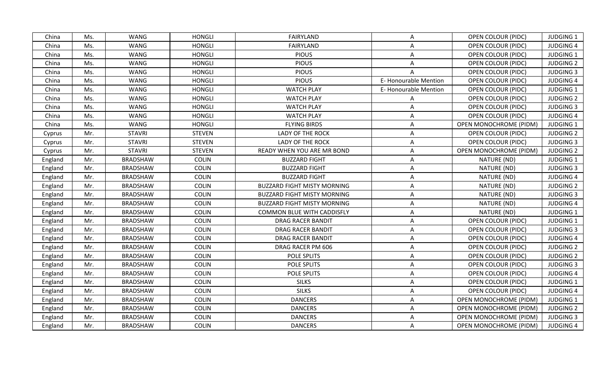| China   | Ms. | <b>WANG</b>     | <b>HONGLI</b> | FAIRYLAND                          | $\mathsf{A}$                | OPEN COLOUR (PIDC)            | JUDGING 1        |
|---------|-----|-----------------|---------------|------------------------------------|-----------------------------|-------------------------------|------------------|
| China   | Ms. | <b>WANG</b>     | <b>HONGLI</b> | FAIRYLAND                          | A                           | OPEN COLOUR (PIDC)            | <b>JUDGING 4</b> |
| China   | Ms. | <b>WANG</b>     | <b>HONGLI</b> | <b>PIOUS</b>                       | A                           | <b>OPEN COLOUR (PIDC)</b>     | <b>JUDGING 1</b> |
| China   | Ms. | <b>WANG</b>     | <b>HONGLI</b> | <b>PIOUS</b>                       | Α                           | OPEN COLOUR (PIDC)            | <b>JUDGING 2</b> |
| China   | Ms. | <b>WANG</b>     | <b>HONGLI</b> | <b>PIOUS</b>                       |                             | OPEN COLOUR (PIDC)            | <b>JUDGING 3</b> |
| China   | Ms. | <b>WANG</b>     | <b>HONGLI</b> | <b>PIOUS</b>                       | <b>E-Honourable Mention</b> | <b>OPEN COLOUR (PIDC)</b>     | <b>JUDGING 4</b> |
| China   | Ms. | <b>WANG</b>     | <b>HONGLI</b> | <b>WATCH PLAY</b>                  | <b>E-Honourable Mention</b> | OPEN COLOUR (PIDC)            | <b>JUDGING 1</b> |
| China   | Ms. | <b>WANG</b>     | <b>HONGLI</b> | <b>WATCH PLAY</b>                  | Α                           | OPEN COLOUR (PIDC)            | <b>JUDGING 2</b> |
| China   | Ms. | <b>WANG</b>     | <b>HONGLI</b> | <b>WATCH PLAY</b>                  | A                           | OPEN COLOUR (PIDC)            | <b>JUDGING 3</b> |
| China   | Ms. | <b>WANG</b>     | <b>HONGLI</b> | <b>WATCH PLAY</b>                  | A                           | OPEN COLOUR (PIDC)            | <b>JUDGING 4</b> |
| China   | Ms. | <b>WANG</b>     | <b>HONGLI</b> | <b>FLYING BIRDS</b>                | A                           | <b>OPEN MONOCHROME (PIDM)</b> | <b>JUDGING 1</b> |
| Cyprus  | Mr. | <b>STAVRI</b>   | <b>STEVEN</b> | <b>LADY OF THE ROCK</b>            | A                           | <b>OPEN COLOUR (PIDC)</b>     | <b>JUDGING 2</b> |
| Cyprus  | Mr. | <b>STAVRI</b>   | <b>STEVEN</b> | <b>LADY OF THE ROCK</b>            | A                           | OPEN COLOUR (PIDC)            | <b>JUDGING 3</b> |
| Cyprus  | Mr. | <b>STAVRI</b>   | <b>STEVEN</b> | READY WHEN YOU ARE MR BOND         | A                           | OPEN MONOCHROME (PIDM)        | <b>JUDGING 2</b> |
| England | Mr. | <b>BRADSHAW</b> | <b>COLIN</b>  | <b>BUZZARD FIGHT</b>               | A                           | NATURE (ND)                   | <b>JUDGING 1</b> |
| England | Mr. | <b>BRADSHAW</b> | <b>COLIN</b>  | <b>BUZZARD FIGHT</b>               | A                           | NATURE (ND)                   | <b>JUDGING 3</b> |
| England | Mr. | <b>BRADSHAW</b> | <b>COLIN</b>  | <b>BUZZARD FIGHT</b>               | A                           | NATURE (ND)                   | <b>JUDGING 4</b> |
| England | Mr. | <b>BRADSHAW</b> | <b>COLIN</b>  | <b>BUZZARD FIGHT MISTY MORNING</b> | A                           | NATURE (ND)                   | <b>JUDGING 2</b> |
| England | Mr. | <b>BRADSHAW</b> | <b>COLIN</b>  | <b>BUZZARD FIGHT MISTY MORNING</b> | A                           | NATURE (ND)                   | <b>JUDGING 3</b> |
| England | Mr. | <b>BRADSHAW</b> | <b>COLIN</b>  | <b>BUZZARD FIGHT MISTY MORNING</b> | A                           | NATURE (ND)                   | <b>JUDGING 4</b> |
| England | Mr. | <b>BRADSHAW</b> | <b>COLIN</b>  | <b>COMMON BLUE WITH CADDISFLY</b>  | A                           | NATURE (ND)                   | <b>JUDGING 1</b> |
| England | Mr. | <b>BRADSHAW</b> | <b>COLIN</b>  | <b>DRAG RACER BANDIT</b>           | A                           | OPEN COLOUR (PIDC)            | <b>JUDGING 1</b> |
| England | Mr. | <b>BRADSHAW</b> | <b>COLIN</b>  | <b>DRAG RACER BANDIT</b>           | A                           | OPEN COLOUR (PIDC)            | <b>JUDGING 3</b> |
| England | Mr. | <b>BRADSHAW</b> | <b>COLIN</b>  | <b>DRAG RACER BANDIT</b>           | A                           | OPEN COLOUR (PIDC)            | <b>JUDGING 4</b> |
| England | Mr. | <b>BRADSHAW</b> | <b>COLIN</b>  | DRAG RACER PM 606                  | A                           | OPEN COLOUR (PIDC)            | <b>JUDGING 2</b> |
| England | Mr. | <b>BRADSHAW</b> | <b>COLIN</b>  | POLE SPLITS                        | A                           | <b>OPEN COLOUR (PIDC)</b>     | <b>JUDGING 2</b> |
| England | Mr. | <b>BRADSHAW</b> | <b>COLIN</b>  | POLE SPLITS                        | A                           | OPEN COLOUR (PIDC)            | <b>JUDGING 3</b> |
| England | Mr. | <b>BRADSHAW</b> | <b>COLIN</b>  | POLE SPLITS                        | A                           | OPEN COLOUR (PIDC)            | <b>JUDGING 4</b> |
| England | Mr. | <b>BRADSHAW</b> | <b>COLIN</b>  | <b>SILKS</b>                       | A                           | <b>OPEN COLOUR (PIDC)</b>     | <b>JUDGING 1</b> |
| England | Mr. | <b>BRADSHAW</b> | <b>COLIN</b>  | <b>SILKS</b>                       | A                           | OPEN COLOUR (PIDC)            | <b>JUDGING 4</b> |
| England | Mr. | <b>BRADSHAW</b> | <b>COLIN</b>  | <b>DANCERS</b>                     | A                           | <b>OPEN MONOCHROME (PIDM)</b> | JUDGING 1        |
| England | Mr. | <b>BRADSHAW</b> | <b>COLIN</b>  | <b>DANCERS</b>                     | A                           | OPEN MONOCHROME (PIDM)        | <b>JUDGING 2</b> |
| England | Mr. | <b>BRADSHAW</b> | <b>COLIN</b>  | <b>DANCERS</b>                     | A                           | OPEN MONOCHROME (PIDM)        | <b>JUDGING 3</b> |
| England | Mr. | <b>BRADSHAW</b> | <b>COLIN</b>  | <b>DANCERS</b>                     | A                           | OPEN MONOCHROME (PIDM)        | <b>JUDGING 4</b> |
|         |     |                 |               |                                    |                             |                               |                  |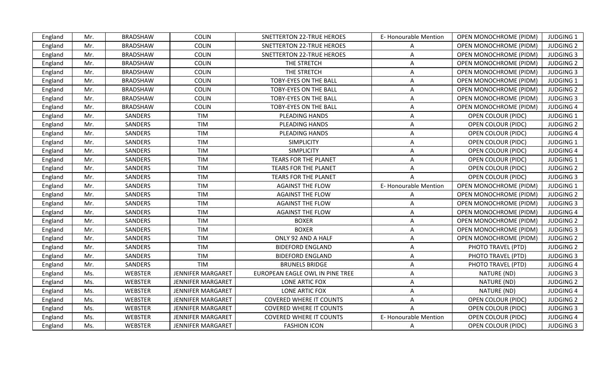| England | Mr. | <b>BRADSHAW</b> | <b>COLIN</b>             | <b>SNETTERTON 22-TRUE HEROES</b> | E-Honourable Mention | <b>OPEN MONOCHROME (PIDM)</b> | <b>JUDGING 1</b> |
|---------|-----|-----------------|--------------------------|----------------------------------|----------------------|-------------------------------|------------------|
| England | Mr. | <b>BRADSHAW</b> | <b>COLIN</b>             | <b>SNETTERTON 22-TRUE HEROES</b> | A                    | <b>OPEN MONOCHROME (PIDM)</b> | <b>JUDGING 2</b> |
| England | Mr. | <b>BRADSHAW</b> | <b>COLIN</b>             | <b>SNETTERTON 22-TRUE HEROES</b> | A                    | OPEN MONOCHROME (PIDM)        | <b>JUDGING 3</b> |
| England | Mr. | <b>BRADSHAW</b> | <b>COLIN</b>             | THE STRETCH                      | A                    | OPEN MONOCHROME (PIDM)        | <b>JUDGING 2</b> |
| England | Mr. | <b>BRADSHAW</b> | <b>COLIN</b>             | THE STRETCH                      | A                    | OPEN MONOCHROME (PIDM)        | <b>JUDGING 3</b> |
| England | Mr. | <b>BRADSHAW</b> | <b>COLIN</b>             | TOBY-EYES ON THE BALL            | A                    | <b>OPEN MONOCHROME (PIDM)</b> | <b>JUDGING 1</b> |
| England | Mr. | <b>BRADSHAW</b> | <b>COLIN</b>             | <b>TOBY-EYES ON THE BALL</b>     | A                    | <b>OPEN MONOCHROME (PIDM)</b> | <b>JUDGING 2</b> |
| England | Mr. | <b>BRADSHAW</b> | <b>COLIN</b>             | TOBY-EYES ON THE BALL            | A                    | OPEN MONOCHROME (PIDM)        | <b>JUDGING 3</b> |
| England | Mr. | <b>BRADSHAW</b> | <b>COLIN</b>             | TOBY-EYES ON THE BALL            | A                    | OPEN MONOCHROME (PIDM)        | <b>JUDGING 4</b> |
| England | Mr. | SANDERS         | <b>TIM</b>               | PLEADING HANDS                   | A                    | <b>OPEN COLOUR (PIDC)</b>     | <b>JUDGING 1</b> |
| England | Mr. | SANDERS         | <b>TIM</b>               | PLEADING HANDS                   | Α                    | <b>OPEN COLOUR (PIDC)</b>     | <b>JUDGING 2</b> |
| England | Mr. | SANDERS         | <b>TIM</b>               | PLEADING HANDS                   | Α                    | <b>OPEN COLOUR (PIDC)</b>     | <b>JUDGING 4</b> |
| England | Mr. | SANDERS         | <b>TIM</b>               | <b>SIMPLICITY</b>                | A                    | OPEN COLOUR (PIDC)            | <b>JUDGING 1</b> |
| England | Mr. | SANDERS         | <b>TIM</b>               | <b>SIMPLICITY</b>                | A                    | <b>OPEN COLOUR (PIDC)</b>     | <b>JUDGING 4</b> |
| England | Mr. | SANDERS         | TIM                      | <b>TEARS FOR THE PLANET</b>      | A                    | OPEN COLOUR (PIDC)            | <b>JUDGING 1</b> |
| England | Mr. | SANDERS         | <b>TIM</b>               | <b>TEARS FOR THE PLANET</b>      | A                    | OPEN COLOUR (PIDC)            | <b>JUDGING 2</b> |
| England | Mr. | SANDERS         | TIM                      | <b>TEARS FOR THE PLANET</b>      |                      | <b>OPEN COLOUR (PIDC)</b>     | <b>JUDGING 3</b> |
| England | Mr. | SANDERS         | <b>TIM</b>               | <b>AGAINST THE FLOW</b>          | E-Honourable Mention | OPEN MONOCHROME (PIDM)        | <b>JUDGING 1</b> |
| England | Mr. | SANDERS         | TIM                      | <b>AGAINST THE FLOW</b>          | A                    | <b>OPEN MONOCHROME (PIDM)</b> | <b>JUDGING 2</b> |
| England | Mr. | SANDERS         | TIM                      | <b>AGAINST THE FLOW</b>          | A                    | OPEN MONOCHROME (PIDM)        | <b>JUDGING 3</b> |
| England | Mr. | SANDERS         | <b>TIM</b>               | <b>AGAINST THE FLOW</b>          | A                    | <b>OPEN MONOCHROME (PIDM)</b> | <b>JUDGING 4</b> |
| England | Mr. | SANDERS         | <b>TIM</b>               | <b>BOXER</b>                     | Α                    | OPEN MONOCHROME (PIDM)        | <b>JUDGING 2</b> |
| England | Mr. | SANDERS         | <b>TIM</b>               | <b>BOXER</b>                     | A                    | OPEN MONOCHROME (PIDM)        | <b>JUDGING 3</b> |
| England | Mr. | SANDERS         | <b>TIM</b>               | ONLY 92 AND A HALF               | A                    | <b>OPEN MONOCHROME (PIDM)</b> | <b>JUDGING 2</b> |
| England | Mr. | SANDERS         | <b>TIM</b>               | <b>BIDEFORD ENGLAND</b>          | Α                    | PHOTO TRAVEL (PTD)            | <b>JUDGING 2</b> |
| England | Mr. | SANDERS         | <b>TIM</b>               | <b>BIDEFORD ENGLAND</b>          | Α                    | PHOTO TRAVEL (PTD)            | <b>JUDGING 3</b> |
| England | Mr. | SANDERS         | <b>TIM</b>               | <b>BRUNELS BRIDGE</b>            | Α                    | PHOTO TRAVEL (PTD)            | <b>JUDGING 4</b> |
| England | Ms. | <b>WEBSTER</b>  | <b>JENNIFER MARGARET</b> | EUROPEAN EAGLE OWL IN PINE TREE  | A                    | NATURE (ND)                   | <b>JUDGING 3</b> |
| England | Ms. | <b>WEBSTER</b>  | <b>JENNIFER MARGARET</b> | LONE ARTIC FOX                   | A                    | NATURE (ND)                   | <b>JUDGING 2</b> |
| England | Ms. | <b>WEBSTER</b>  | <b>JENNIFER MARGARET</b> | <b>LONE ARTIC FOX</b>            | A                    | NATURE (ND)                   | <b>JUDGING 4</b> |
| England | Ms. | <b>WEBSTER</b>  | JENNIFER MARGARET        | <b>COVERED WHERE IT COUNTS</b>   | Α                    | <b>OPEN COLOUR (PIDC)</b>     | <b>JUDGING 2</b> |
| England | Ms. | WEBSTER         | JENNIFER MARGARET        | <b>COVERED WHERE IT COUNTS</b>   | A                    | <b>OPEN COLOUR (PIDC)</b>     | <b>JUDGING 3</b> |
| England | Ms. | <b>WEBSTER</b>  | <b>JENNIFER MARGARET</b> | <b>COVERED WHERE IT COUNTS</b>   | E-Honourable Mention | OPEN COLOUR (PIDC)            | <b>JUDGING 4</b> |
| England | Ms. | <b>WEBSTER</b>  | <b>JENNIFER MARGARET</b> | <b>FASHION ICON</b>              | A                    | <b>OPEN COLOUR (PIDC)</b>     | <b>JUDGING 3</b> |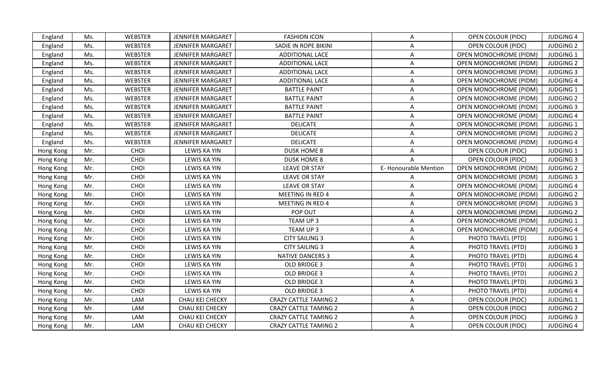| England   | Ms. | <b>WEBSTER</b> | <b>JENNIFER MARGARET</b> | <b>FASHION ICON</b>          | A                    | <b>OPEN COLOUR (PIDC)</b>     | <b>JUDGING 4</b> |
|-----------|-----|----------------|--------------------------|------------------------------|----------------------|-------------------------------|------------------|
| England   | Ms. | WEBSTER        | <b>JENNIFER MARGARET</b> | SADIE IN ROPE BIKINI         | Α                    | <b>OPEN COLOUR (PIDC)</b>     | <b>JUDGING 2</b> |
| England   | Ms. | <b>WEBSTER</b> | <b>JENNIFER MARGARET</b> | ADDITIONAL LACE              | A                    | <b>OPEN MONOCHROME (PIDM)</b> | <b>JUDGING 1</b> |
| England   | Ms. | <b>WEBSTER</b> | <b>JENNIFER MARGARET</b> | ADDITIONAL LACE              | A                    | OPEN MONOCHROME (PIDM)        | <b>JUDGING 2</b> |
| England   | Ms. | <b>WEBSTER</b> | <b>JENNIFER MARGARET</b> | ADDITIONAL LACE              | A                    | <b>OPEN MONOCHROME (PIDM)</b> | <b>JUDGING 3</b> |
| England   | Ms. | <b>WEBSTER</b> | JENNIFER MARGARET        | <b>ADDITIONAL LACE</b>       | A                    | <b>OPEN MONOCHROME (PIDM)</b> | <b>JUDGING 4</b> |
| England   | Ms. | <b>WEBSTER</b> | JENNIFER MARGARET        | <b>BATTLE PAINT</b>          | A                    | OPEN MONOCHROME (PIDM)        | <b>JUDGING 1</b> |
| England   | Ms. | <b>WEBSTER</b> | <b>JENNIFER MARGARET</b> | <b>BATTLE PAINT</b>          | A                    | OPEN MONOCHROME (PIDM)        | <b>JUDGING 2</b> |
| England   | Ms. | <b>WEBSTER</b> | <b>JENNIFER MARGARET</b> | <b>BATTLE PAINT</b>          | A                    | OPEN MONOCHROME (PIDM)        | <b>JUDGING 3</b> |
| England   | Ms. | <b>WEBSTER</b> | <b>JENNIFER MARGARET</b> | <b>BATTLE PAINT</b>          | A                    | OPEN MONOCHROME (PIDM)        | <b>JUDGING 4</b> |
| England   | Ms. | <b>WEBSTER</b> | JENNIFER MARGARET        | <b>DELICATE</b>              | Α                    | <b>OPEN MONOCHROME (PIDM)</b> | <b>JUDGING 1</b> |
| England   | Ms. | <b>WEBSTER</b> | JENNIFER MARGARET        | <b>DELICATE</b>              | Α                    | OPEN MONOCHROME (PIDM)        | <b>JUDGING 2</b> |
| England   | Ms. | <b>WEBSTER</b> | <b>JENNIFER MARGARET</b> | <b>DELICATE</b>              | A                    | OPEN MONOCHROME (PIDM)        | <b>JUDGING 4</b> |
| Hong Kong | Mr. | CHOI           | <b>LEWIS KA YIN</b>      | <b>DUSK HOME 8</b>           | A                    | <b>OPEN COLOUR (PIDC)</b>     | <b>JUDGING 1</b> |
| Hong Kong | Mr. | CHOI           | <b>LEWIS KA YIN</b>      | <b>DUSK HOME 8</b>           |                      | OPEN COLOUR (PIDC)            | <b>JUDGING 3</b> |
| Hong Kong | Mr. | CHOI           | <b>LEWIS KA YIN</b>      | <b>LEAVE OR STAY</b>         | E-Honourable Mention | <b>OPEN MONOCHROME (PIDM)</b> | <b>JUDGING 2</b> |
| Hong Kong | Mr. | CHOI           | LEWIS KA YIN             | <b>LEAVE OR STAY</b>         | Α                    | OPEN MONOCHROME (PIDM)        | <b>JUDGING 3</b> |
| Hong Kong | Mr. | CHOI           | <b>LEWIS KA YIN</b>      | <b>LEAVE OR STAY</b>         | A                    | OPEN MONOCHROME (PIDM)        | <b>JUDGING 4</b> |
| Hong Kong | Mr. | CHOI           | <b>LEWIS KA YIN</b>      | <b>MEETING IN RED 4</b>      | A                    | <b>OPEN MONOCHROME (PIDM)</b> | <b>JUDGING 2</b> |
| Hong Kong | Mr. | CHOI           | <b>LEWIS KA YIN</b>      | <b>MEETING IN RED 4</b>      | Α                    | <b>OPEN MONOCHROME (PIDM)</b> | <b>JUDGING 3</b> |
| Hong Kong | Mr. | CHOI           | <b>LEWIS KA YIN</b>      | POP OUT                      | A                    | OPEN MONOCHROME (PIDM)        | <b>JUDGING 2</b> |
| Hong Kong | Mr. | CHOI           | LEWIS KA YIN             | TEAM UP 3                    | A                    | <b>OPEN MONOCHROME (PIDM)</b> | JUDGING 1        |
| Hong Kong | Mr. | CHOI           | <b>LEWIS KA YIN</b>      | TEAM UP 3                    | Α                    | OPEN MONOCHROME (PIDM)        | <b>JUDGING 4</b> |
| Hong Kong | Mr. | CHOI           | <b>LEWIS KA YIN</b>      | <b>CITY SAILING 3</b>        | A                    | PHOTO TRAVEL (PTD)            | <b>JUDGING 1</b> |
| Hong Kong | Mr. | CHOI           | <b>LEWIS KA YIN</b>      | <b>CITY SAILING 3</b>        | Α                    | PHOTO TRAVEL (PTD)            | <b>JUDGING 3</b> |
| Hong Kong | Mr. | CHOI           | <b>LEWIS KA YIN</b>      | <b>NATIVE DANCERS 3</b>      | Α                    | PHOTO TRAVEL (PTD)            | <b>JUDGING 4</b> |
| Hong Kong | Mr. | CHOI           | LEWIS KA YIN             | OLD BRIDGE 3                 | $\mathsf{A}$         | PHOTO TRAVEL (PTD)            | <b>JUDGING 1</b> |
| Hong Kong | Mr. | CHOI           | <b>LEWIS KA YIN</b>      | OLD BRIDGE 3                 | Α                    | PHOTO TRAVEL (PTD)            | <b>JUDGING 2</b> |
| Hong Kong | Mr. | CHOI           | <b>LEWIS KA YIN</b>      | OLD BRIDGE 3                 | Α                    | PHOTO TRAVEL (PTD)            | <b>JUDGING 3</b> |
| Hong Kong | Mr. | CHOI           | LEWIS KA YIN             | OLD BRIDGE 3                 | Α                    | PHOTO TRAVEL (PTD)            | <b>JUDGING 4</b> |
| Hong Kong | Mr. | LAM            | CHAU KEI CHECKY          | <b>CRAZY CATTLE TAMING 2</b> | A                    | OPEN COLOUR (PIDC)            | <b>JUDGING 1</b> |
| Hong Kong | Mr. | LAM            | CHAU KEI CHECKY          | <b>CRAZY CATTLE TAMING 2</b> | A                    | <b>OPEN COLOUR (PIDC)</b>     | <b>JUDGING 2</b> |
| Hong Kong | Mr. | LAM            | CHAU KEI CHECKY          | <b>CRAZY CATTLE TAMING 2</b> | Α                    | <b>OPEN COLOUR (PIDC)</b>     | <b>JUDGING 3</b> |
| Hong Kong | Mr. | LAM            | CHAU KEI CHECKY          | <b>CRAZY CATTLE TAMING 2</b> | Α                    | <b>OPEN COLOUR (PIDC)</b>     | <b>JUDGING 4</b> |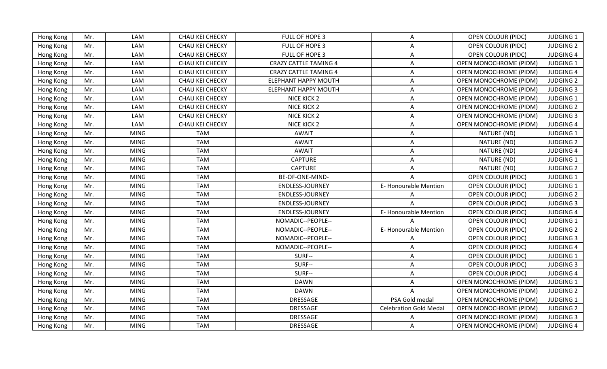| Hong Kong | Mr. | LAM         | CHAU KEI CHECKY | FULL OF HOPE 3               | A                             | OPEN COLOUR (PIDC)            | <b>JUDGING 1</b> |
|-----------|-----|-------------|-----------------|------------------------------|-------------------------------|-------------------------------|------------------|
| Hong Kong | Mr. | LAM         | CHAU KEI CHECKY | FULL OF HOPE 3               | Α                             | <b>OPEN COLOUR (PIDC)</b>     | <b>JUDGING 2</b> |
| Hong Kong | Mr. | LAM         | CHAU KEI CHECKY | FULL OF HOPE 3               | A                             | <b>OPEN COLOUR (PIDC)</b>     | <b>JUDGING 4</b> |
| Hong Kong | Mr. | LAM         | CHAU KEI CHECKY | <b>CRAZY CATTLE TAMING 4</b> | A                             | OPEN MONOCHROME (PIDM)        | <b>JUDGING 1</b> |
| Hong Kong | Mr. | LAM         | CHAU KEI CHECKY | <b>CRAZY CATTLE TAMING 4</b> | A                             | <b>OPEN MONOCHROME (PIDM)</b> | <b>JUDGING 4</b> |
| Hong Kong | Mr. | LAM         | CHAU KEI CHECKY | <b>ELEPHANT HAPPY MOUTH</b>  | $\mathsf{A}$                  | <b>OPEN MONOCHROME (PIDM)</b> | <b>JUDGING 2</b> |
| Hong Kong | Mr. | LAM         | CHAU KEI CHECKY | <b>ELEPHANT HAPPY MOUTH</b>  | A                             | OPEN MONOCHROME (PIDM)        | <b>JUDGING 3</b> |
| Hong Kong | Mr. | LAM         | CHAU KEI CHECKY | NICE KICK 2                  | A                             | OPEN MONOCHROME (PIDM)        | <b>JUDGING 1</b> |
| Hong Kong | Mr. | LAM         | CHAU KEI CHECKY | NICE KICK 2                  | A                             | <b>OPEN MONOCHROME (PIDM)</b> | <b>JUDGING 2</b> |
| Hong Kong | Mr. | LAM         | CHAU KEI CHECKY | NICE KICK 2                  | A                             | OPEN MONOCHROME (PIDM)        | <b>JUDGING 3</b> |
| Hong Kong | Mr. | LAM         | CHAU KEI CHECKY | NICE KICK 2                  | Α                             | <b>OPEN MONOCHROME (PIDM)</b> | <b>JUDGING 4</b> |
| Hong Kong | Mr. | <b>MING</b> | <b>TAM</b>      | <b>AWAIT</b>                 | A                             | NATURE (ND)                   | <b>JUDGING 1</b> |
| Hong Kong | Mr. | <b>MING</b> | <b>TAM</b>      | <b>AWAIT</b>                 | $\overline{A}$                | NATURE (ND)                   | <b>JUDGING 2</b> |
| Hong Kong | Mr. | <b>MING</b> | <b>TAM</b>      | <b>AWAIT</b>                 | A                             | NATURE (ND)                   | <b>JUDGING 4</b> |
| Hong Kong | Mr. | <b>MING</b> | <b>TAM</b>      | <b>CAPTURE</b>               | Α                             | NATURE (ND)                   | <b>JUDGING 1</b> |
| Hong Kong | Mr. | <b>MING</b> | <b>TAM</b>      | <b>CAPTURE</b>               |                               | NATURE (ND)                   | <b>JUDGING 2</b> |
| Hong Kong | Mr. | <b>MING</b> | <b>TAM</b>      | BE-OF-ONE-MIND-              |                               | <b>OPEN COLOUR (PIDC)</b>     | <b>JUDGING 1</b> |
| Hong Kong | Mr. | <b>MING</b> | <b>TAM</b>      | ENDLESS-JOURNEY              | E-Honourable Mention          | OPEN COLOUR (PIDC)            | <b>JUDGING 1</b> |
| Hong Kong | Mr. | <b>MING</b> | <b>TAM</b>      | <b>ENDLESS-JOURNEY</b>       |                               | <b>OPEN COLOUR (PIDC)</b>     | <b>JUDGING 2</b> |
| Hong Kong | Mr. | <b>MING</b> | <b>TAM</b>      | ENDLESS-JOURNEY              |                               | <b>OPEN COLOUR (PIDC)</b>     | <b>JUDGING 3</b> |
| Hong Kong | Mr. | <b>MING</b> | <b>TAM</b>      | ENDLESS-JOURNEY              | E-Honourable Mention          | <b>OPEN COLOUR (PIDC)</b>     | <b>JUDGING 4</b> |
| Hong Kong | Mr. | <b>MING</b> | <b>TAM</b>      | NOMADIC--PEOPLE--            |                               | <b>OPEN COLOUR (PIDC)</b>     | <b>JUDGING 1</b> |
| Hong Kong | Mr. | <b>MING</b> | <b>TAM</b>      | NOMADIC--PEOPLE--            | E-Honourable Mention          | <b>OPEN COLOUR (PIDC)</b>     | <b>JUDGING 2</b> |
| Hong Kong | Mr. | <b>MING</b> | <b>TAM</b>      | NOMADIC--PEOPLE--            | A                             | <b>OPEN COLOUR (PIDC)</b>     | <b>JUDGING 3</b> |
| Hong Kong | Mr. | <b>MING</b> | <b>TAM</b>      | NOMADIC--PEOPLE--            | A                             | <b>OPEN COLOUR (PIDC)</b>     | <b>JUDGING 4</b> |
| Hong Kong | Mr. | <b>MING</b> | <b>TAM</b>      | SURF--                       | A                             | <b>OPEN COLOUR (PIDC)</b>     | <b>JUDGING 1</b> |
| Hong Kong | Mr. | <b>MING</b> | <b>TAM</b>      | SURF--                       | $\mathsf{A}$                  | <b>OPEN COLOUR (PIDC)</b>     | <b>JUDGING 3</b> |
| Hong Kong | Mr. | <b>MING</b> | <b>TAM</b>      | SURF--                       | Α                             | <b>OPEN COLOUR (PIDC)</b>     | <b>JUDGING 4</b> |
| Hong Kong | Mr. | <b>MING</b> | <b>TAM</b>      | <b>DAWN</b>                  | A                             | <b>OPEN MONOCHROME (PIDM)</b> | <b>JUDGING 1</b> |
| Hong Kong | Mr. | <b>MING</b> | <b>TAM</b>      | <b>DAWN</b>                  |                               | OPEN MONOCHROME (PIDM)        | <b>JUDGING 2</b> |
| Hong Kong | Mr. | <b>MING</b> | <b>TAM</b>      | DRESSAGE                     | PSA Gold medal                | <b>OPEN MONOCHROME (PIDM)</b> | <b>JUDGING 1</b> |
| Hong Kong | Mr. | <b>MING</b> | <b>TAM</b>      | DRESSAGE                     | <b>Celebration Gold Medal</b> | <b>OPEN MONOCHROME (PIDM)</b> | <b>JUDGING 2</b> |
| Hong Kong | Mr. | <b>MING</b> | <b>TAM</b>      | <b>DRESSAGE</b>              | A                             | <b>OPEN MONOCHROME (PIDM)</b> | <b>JUDGING 3</b> |
| Hong Kong | Mr. | <b>MING</b> | <b>TAM</b>      | <b>DRESSAGE</b>              | A                             | <b>OPEN MONOCHROME (PIDM)</b> | <b>JUDGING 4</b> |
|           |     |             |                 |                              |                               |                               |                  |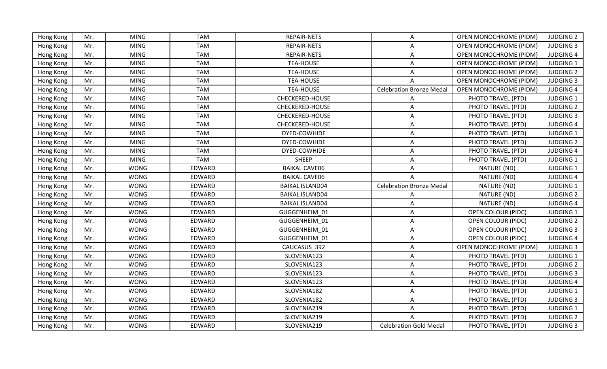| <b>MING</b><br><b>TAM</b><br><b>REPAIR-NETS</b><br><b>OPEN MONOCHROME (PIDM)</b><br><b>JUDGING 2</b><br>Hong Kong<br>Mr.<br>A<br>REPAIR-NETS<br>Mr.<br><b>MING</b><br><b>TAM</b><br>OPEN MONOCHROME (PIDM)<br><b>JUDGING 3</b><br>Hong Kong<br>Α<br>REPAIR-NETS<br>Mr.<br><b>MING</b><br><b>TAM</b><br><b>OPEN MONOCHROME (PIDM)</b><br><b>JUDGING 4</b><br>Hong Kong<br>A<br><b>MING</b><br><b>TAM</b><br><b>TEA-HOUSE</b><br><b>OPEN MONOCHROME (PIDM)</b><br><b>JUDGING 1</b><br>Hong Kong<br>Mr.<br>Α<br>Mr.<br><b>MING</b><br><b>TAM</b><br><b>TEA-HOUSE</b><br>OPEN MONOCHROME (PIDM)<br><b>JUDGING 2</b><br>Hong Kong<br>A<br>Mr.<br><b>MING</b><br><b>TAM</b><br><b>TEA-HOUSE</b><br><b>OPEN MONOCHROME (PIDM)</b><br><b>JUDGING 3</b><br>Hong Kong<br><b>TEA-HOUSE</b><br><b>OPEN MONOCHROME (PIDM)</b><br>Hong Kong<br>Mr.<br><b>MING</b><br><b>TAM</b><br><b>Celebration Bronze Meda</b><br><b>JUDGING 4</b><br><b>MING</b><br><b>TAM</b><br>CHECKERED-HOUSE<br>PHOTO TRAVEL (PTD)<br>Mr.<br><b>JUDGING 1</b><br>Hong Kong<br><b>MING</b><br>Mr.<br><b>TAM</b><br><b>CHECKERED-HOUSE</b><br>A<br>PHOTO TRAVEL (PTD)<br><b>JUDGING 2</b><br>Hong Kong<br><b>TAM</b><br>Mr.<br><b>MING</b><br>CHECKERED-HOUSE<br>PHOTO TRAVEL (PTD)<br><b>JUDGING 3</b><br>Hong Kong<br>A<br>Mr.<br><b>MING</b><br><b>TAM</b><br>CHECKERED-HOUSE<br>PHOTO TRAVEL (PTD)<br><b>JUDGING 4</b><br>Hong Kong<br>A<br>PHOTO TRAVEL (PTD)<br><b>JUDGING 1</b><br>Hong Kong<br>Mr.<br><b>MING</b><br><b>TAM</b><br>DYED-COWHIDE<br>Α<br><b>MING</b><br><b>TAM</b><br>DYED-COWHIDE<br>PHOTO TRAVEL (PTD)<br><b>JUDGING 2</b><br>Mr.<br>Hong Kong<br>A<br><b>MING</b><br><b>JUDGING 4</b><br>Mr.<br><b>TAM</b><br>DYED-COWHIDE<br>PHOTO TRAVEL (PTD)<br>Hong Kong<br>A<br><b>TAM</b><br><b>MING</b><br><b>SHEEP</b><br>PHOTO TRAVEL (PTD)<br><b>JUDGING 1</b><br>Mr.<br>A<br>Hong Kong<br><b>WONG</b><br>Mr.<br>EDWARD<br><b>BAIKAL CAVE06</b><br>NATURE (ND)<br><b>JUDGING 1</b><br>Hong Kong<br>A<br><b>WONG</b><br>NATURE (ND)<br><b>JUDGING 4</b><br>Hong Kong<br>EDWARD<br><b>BAIKAL CAVE06</b><br>Mr.<br>A<br><b>WONG</b><br>NATURE (ND)<br>EDWARD<br><b>BAIKAL ISLAND04</b><br><b>Celebration Bronze Medal</b><br><b>JUDGING 1</b><br>Mr.<br>Hong Kong<br><b>WONG</b><br>EDWARD<br>NATURE (ND)<br><b>JUDGING 2</b><br>Mr.<br><b>BAIKAL ISLAND04</b><br>Hong Kong<br>A<br><b>WONG</b><br>EDWARD<br>Mr.<br><b>BAIKAL ISLAND04</b><br>NATURE (ND)<br><b>JUDGING 4</b><br>Hong Kong<br>A<br>Mr.<br><b>WONG</b><br>EDWARD<br>GUGGENHEIM_01<br>OPEN COLOUR (PIDC)<br><b>JUDGING 1</b><br>Hong Kong<br>A<br><b>WONG</b><br>GUGGENHEIM_01<br><b>JUDGING 2</b><br>Hong Kong<br>Mr.<br>EDWARD<br>Α<br><b>OPEN COLOUR (PIDC)</b><br>Mr.<br><b>WONG</b><br>EDWARD<br>GUGGENHEIM 01<br>A<br>OPEN COLOUR (PIDC)<br><b>JUDGING 3</b><br>Hong Kong<br>GUGGENHEIM 01<br><b>JUDGING 4</b><br><b>WONG</b><br>EDWARD<br>OPEN COLOUR (PIDC)<br>Hong Kong<br>Mr.<br>A<br>CAUCASUS 392<br>Hong Kong<br>Mr.<br><b>WONG</b><br>EDWARD<br>A<br><b>OPEN MONOCHROME (PIDM)</b><br><b>JUDGING 3</b><br>Mr.<br><b>WONG</b><br>EDWARD<br>SLOVENIA123<br>PHOTO TRAVEL (PTD)<br><b>JUDGING 1</b><br>Hong Kong<br>A<br>Mr.<br><b>WONG</b><br>EDWARD<br>SLOVENIA123<br>PHOTO TRAVEL (PTD)<br><b>JUDGING 2</b><br>Hong Kong<br>A<br><b>WONG</b><br>SLOVENIA123<br>Mr.<br>EDWARD<br>Α<br>PHOTO TRAVEL (PTD)<br><b>JUDGING 3</b><br>Hong Kong<br>Mr.<br><b>WONG</b><br>EDWARD<br>SLOVENIA123<br>PHOTO TRAVEL (PTD)<br><b>JUDGING 4</b><br>Hong Kong<br>A<br><b>WONG</b><br>EDWARD<br>SLOVENIA182<br><b>JUDGING 1</b><br>Hong Kong<br>Mr.<br>A<br>PHOTO TRAVEL (PTD)<br><b>WONG</b><br>Mr.<br>EDWARD<br>SLOVENIA182<br>PHOTO TRAVEL (PTD)<br><b>JUDGING 3</b><br>Α<br>Hong Kong<br><b>WONG</b><br>EDWARD<br>SLOVENIA219<br>PHOTO TRAVEL (PTD)<br><b>JUDGING 1</b><br>Hong Kong<br>Mr.<br>A<br>SLOVENIA219<br>PHOTO TRAVEL (PTD)<br><b>JUDGING 2</b><br>Mr.<br><b>WONG</b><br>EDWARD<br>Hong Kong<br>SLOVENIA219<br>PHOTO TRAVEL (PTD)<br><b>JUDGING 3</b><br>Mr.<br><b>WONG</b><br>EDWARD<br><b>Celebration Gold Medal</b><br>Hong Kong |  |  |  |  |  |
|----------------------------------------------------------------------------------------------------------------------------------------------------------------------------------------------------------------------------------------------------------------------------------------------------------------------------------------------------------------------------------------------------------------------------------------------------------------------------------------------------------------------------------------------------------------------------------------------------------------------------------------------------------------------------------------------------------------------------------------------------------------------------------------------------------------------------------------------------------------------------------------------------------------------------------------------------------------------------------------------------------------------------------------------------------------------------------------------------------------------------------------------------------------------------------------------------------------------------------------------------------------------------------------------------------------------------------------------------------------------------------------------------------------------------------------------------------------------------------------------------------------------------------------------------------------------------------------------------------------------------------------------------------------------------------------------------------------------------------------------------------------------------------------------------------------------------------------------------------------------------------------------------------------------------------------------------------------------------------------------------------------------------------------------------------------------------------------------------------------------------------------------------------------------------------------------------------------------------------------------------------------------------------------------------------------------------------------------------------------------------------------------------------------------------------------------------------------------------------------------------------------------------------------------------------------------------------------------------------------------------------------------------------------------------------------------------------------------------------------------------------------------------------------------------------------------------------------------------------------------------------------------------------------------------------------------------------------------------------------------------------------------------------------------------------------------------------------------------------------------------------------------------------------------------------------------------------------------------------------------------------------------------------------------------------------------------------------------------------------------------------------------------------------------------------------------------------------------------------------------------------------------------------------------------------------------------------------------------------------------------------------------------------------------------------------------------------------------------------------------------------------------------------------------------------------------------------------------------------------------------------------------------------------------------------------------------------------------------------------------------------------------------------------------------------------------------------------|--|--|--|--|--|
|                                                                                                                                                                                                                                                                                                                                                                                                                                                                                                                                                                                                                                                                                                                                                                                                                                                                                                                                                                                                                                                                                                                                                                                                                                                                                                                                                                                                                                                                                                                                                                                                                                                                                                                                                                                                                                                                                                                                                                                                                                                                                                                                                                                                                                                                                                                                                                                                                                                                                                                                                                                                                                                                                                                                                                                                                                                                                                                                                                                                                                                                                                                                                                                                                                                                                                                                                                                                                                                                                                                                                                                                                                                                                                                                                                                                                                                                                                                                                                                                                                                                                        |  |  |  |  |  |
|                                                                                                                                                                                                                                                                                                                                                                                                                                                                                                                                                                                                                                                                                                                                                                                                                                                                                                                                                                                                                                                                                                                                                                                                                                                                                                                                                                                                                                                                                                                                                                                                                                                                                                                                                                                                                                                                                                                                                                                                                                                                                                                                                                                                                                                                                                                                                                                                                                                                                                                                                                                                                                                                                                                                                                                                                                                                                                                                                                                                                                                                                                                                                                                                                                                                                                                                                                                                                                                                                                                                                                                                                                                                                                                                                                                                                                                                                                                                                                                                                                                                                        |  |  |  |  |  |
|                                                                                                                                                                                                                                                                                                                                                                                                                                                                                                                                                                                                                                                                                                                                                                                                                                                                                                                                                                                                                                                                                                                                                                                                                                                                                                                                                                                                                                                                                                                                                                                                                                                                                                                                                                                                                                                                                                                                                                                                                                                                                                                                                                                                                                                                                                                                                                                                                                                                                                                                                                                                                                                                                                                                                                                                                                                                                                                                                                                                                                                                                                                                                                                                                                                                                                                                                                                                                                                                                                                                                                                                                                                                                                                                                                                                                                                                                                                                                                                                                                                                                        |  |  |  |  |  |
|                                                                                                                                                                                                                                                                                                                                                                                                                                                                                                                                                                                                                                                                                                                                                                                                                                                                                                                                                                                                                                                                                                                                                                                                                                                                                                                                                                                                                                                                                                                                                                                                                                                                                                                                                                                                                                                                                                                                                                                                                                                                                                                                                                                                                                                                                                                                                                                                                                                                                                                                                                                                                                                                                                                                                                                                                                                                                                                                                                                                                                                                                                                                                                                                                                                                                                                                                                                                                                                                                                                                                                                                                                                                                                                                                                                                                                                                                                                                                                                                                                                                                        |  |  |  |  |  |
|                                                                                                                                                                                                                                                                                                                                                                                                                                                                                                                                                                                                                                                                                                                                                                                                                                                                                                                                                                                                                                                                                                                                                                                                                                                                                                                                                                                                                                                                                                                                                                                                                                                                                                                                                                                                                                                                                                                                                                                                                                                                                                                                                                                                                                                                                                                                                                                                                                                                                                                                                                                                                                                                                                                                                                                                                                                                                                                                                                                                                                                                                                                                                                                                                                                                                                                                                                                                                                                                                                                                                                                                                                                                                                                                                                                                                                                                                                                                                                                                                                                                                        |  |  |  |  |  |
|                                                                                                                                                                                                                                                                                                                                                                                                                                                                                                                                                                                                                                                                                                                                                                                                                                                                                                                                                                                                                                                                                                                                                                                                                                                                                                                                                                                                                                                                                                                                                                                                                                                                                                                                                                                                                                                                                                                                                                                                                                                                                                                                                                                                                                                                                                                                                                                                                                                                                                                                                                                                                                                                                                                                                                                                                                                                                                                                                                                                                                                                                                                                                                                                                                                                                                                                                                                                                                                                                                                                                                                                                                                                                                                                                                                                                                                                                                                                                                                                                                                                                        |  |  |  |  |  |
|                                                                                                                                                                                                                                                                                                                                                                                                                                                                                                                                                                                                                                                                                                                                                                                                                                                                                                                                                                                                                                                                                                                                                                                                                                                                                                                                                                                                                                                                                                                                                                                                                                                                                                                                                                                                                                                                                                                                                                                                                                                                                                                                                                                                                                                                                                                                                                                                                                                                                                                                                                                                                                                                                                                                                                                                                                                                                                                                                                                                                                                                                                                                                                                                                                                                                                                                                                                                                                                                                                                                                                                                                                                                                                                                                                                                                                                                                                                                                                                                                                                                                        |  |  |  |  |  |
|                                                                                                                                                                                                                                                                                                                                                                                                                                                                                                                                                                                                                                                                                                                                                                                                                                                                                                                                                                                                                                                                                                                                                                                                                                                                                                                                                                                                                                                                                                                                                                                                                                                                                                                                                                                                                                                                                                                                                                                                                                                                                                                                                                                                                                                                                                                                                                                                                                                                                                                                                                                                                                                                                                                                                                                                                                                                                                                                                                                                                                                                                                                                                                                                                                                                                                                                                                                                                                                                                                                                                                                                                                                                                                                                                                                                                                                                                                                                                                                                                                                                                        |  |  |  |  |  |
|                                                                                                                                                                                                                                                                                                                                                                                                                                                                                                                                                                                                                                                                                                                                                                                                                                                                                                                                                                                                                                                                                                                                                                                                                                                                                                                                                                                                                                                                                                                                                                                                                                                                                                                                                                                                                                                                                                                                                                                                                                                                                                                                                                                                                                                                                                                                                                                                                                                                                                                                                                                                                                                                                                                                                                                                                                                                                                                                                                                                                                                                                                                                                                                                                                                                                                                                                                                                                                                                                                                                                                                                                                                                                                                                                                                                                                                                                                                                                                                                                                                                                        |  |  |  |  |  |
|                                                                                                                                                                                                                                                                                                                                                                                                                                                                                                                                                                                                                                                                                                                                                                                                                                                                                                                                                                                                                                                                                                                                                                                                                                                                                                                                                                                                                                                                                                                                                                                                                                                                                                                                                                                                                                                                                                                                                                                                                                                                                                                                                                                                                                                                                                                                                                                                                                                                                                                                                                                                                                                                                                                                                                                                                                                                                                                                                                                                                                                                                                                                                                                                                                                                                                                                                                                                                                                                                                                                                                                                                                                                                                                                                                                                                                                                                                                                                                                                                                                                                        |  |  |  |  |  |
|                                                                                                                                                                                                                                                                                                                                                                                                                                                                                                                                                                                                                                                                                                                                                                                                                                                                                                                                                                                                                                                                                                                                                                                                                                                                                                                                                                                                                                                                                                                                                                                                                                                                                                                                                                                                                                                                                                                                                                                                                                                                                                                                                                                                                                                                                                                                                                                                                                                                                                                                                                                                                                                                                                                                                                                                                                                                                                                                                                                                                                                                                                                                                                                                                                                                                                                                                                                                                                                                                                                                                                                                                                                                                                                                                                                                                                                                                                                                                                                                                                                                                        |  |  |  |  |  |
|                                                                                                                                                                                                                                                                                                                                                                                                                                                                                                                                                                                                                                                                                                                                                                                                                                                                                                                                                                                                                                                                                                                                                                                                                                                                                                                                                                                                                                                                                                                                                                                                                                                                                                                                                                                                                                                                                                                                                                                                                                                                                                                                                                                                                                                                                                                                                                                                                                                                                                                                                                                                                                                                                                                                                                                                                                                                                                                                                                                                                                                                                                                                                                                                                                                                                                                                                                                                                                                                                                                                                                                                                                                                                                                                                                                                                                                                                                                                                                                                                                                                                        |  |  |  |  |  |
|                                                                                                                                                                                                                                                                                                                                                                                                                                                                                                                                                                                                                                                                                                                                                                                                                                                                                                                                                                                                                                                                                                                                                                                                                                                                                                                                                                                                                                                                                                                                                                                                                                                                                                                                                                                                                                                                                                                                                                                                                                                                                                                                                                                                                                                                                                                                                                                                                                                                                                                                                                                                                                                                                                                                                                                                                                                                                                                                                                                                                                                                                                                                                                                                                                                                                                                                                                                                                                                                                                                                                                                                                                                                                                                                                                                                                                                                                                                                                                                                                                                                                        |  |  |  |  |  |
|                                                                                                                                                                                                                                                                                                                                                                                                                                                                                                                                                                                                                                                                                                                                                                                                                                                                                                                                                                                                                                                                                                                                                                                                                                                                                                                                                                                                                                                                                                                                                                                                                                                                                                                                                                                                                                                                                                                                                                                                                                                                                                                                                                                                                                                                                                                                                                                                                                                                                                                                                                                                                                                                                                                                                                                                                                                                                                                                                                                                                                                                                                                                                                                                                                                                                                                                                                                                                                                                                                                                                                                                                                                                                                                                                                                                                                                                                                                                                                                                                                                                                        |  |  |  |  |  |
|                                                                                                                                                                                                                                                                                                                                                                                                                                                                                                                                                                                                                                                                                                                                                                                                                                                                                                                                                                                                                                                                                                                                                                                                                                                                                                                                                                                                                                                                                                                                                                                                                                                                                                                                                                                                                                                                                                                                                                                                                                                                                                                                                                                                                                                                                                                                                                                                                                                                                                                                                                                                                                                                                                                                                                                                                                                                                                                                                                                                                                                                                                                                                                                                                                                                                                                                                                                                                                                                                                                                                                                                                                                                                                                                                                                                                                                                                                                                                                                                                                                                                        |  |  |  |  |  |
|                                                                                                                                                                                                                                                                                                                                                                                                                                                                                                                                                                                                                                                                                                                                                                                                                                                                                                                                                                                                                                                                                                                                                                                                                                                                                                                                                                                                                                                                                                                                                                                                                                                                                                                                                                                                                                                                                                                                                                                                                                                                                                                                                                                                                                                                                                                                                                                                                                                                                                                                                                                                                                                                                                                                                                                                                                                                                                                                                                                                                                                                                                                                                                                                                                                                                                                                                                                                                                                                                                                                                                                                                                                                                                                                                                                                                                                                                                                                                                                                                                                                                        |  |  |  |  |  |
|                                                                                                                                                                                                                                                                                                                                                                                                                                                                                                                                                                                                                                                                                                                                                                                                                                                                                                                                                                                                                                                                                                                                                                                                                                                                                                                                                                                                                                                                                                                                                                                                                                                                                                                                                                                                                                                                                                                                                                                                                                                                                                                                                                                                                                                                                                                                                                                                                                                                                                                                                                                                                                                                                                                                                                                                                                                                                                                                                                                                                                                                                                                                                                                                                                                                                                                                                                                                                                                                                                                                                                                                                                                                                                                                                                                                                                                                                                                                                                                                                                                                                        |  |  |  |  |  |
|                                                                                                                                                                                                                                                                                                                                                                                                                                                                                                                                                                                                                                                                                                                                                                                                                                                                                                                                                                                                                                                                                                                                                                                                                                                                                                                                                                                                                                                                                                                                                                                                                                                                                                                                                                                                                                                                                                                                                                                                                                                                                                                                                                                                                                                                                                                                                                                                                                                                                                                                                                                                                                                                                                                                                                                                                                                                                                                                                                                                                                                                                                                                                                                                                                                                                                                                                                                                                                                                                                                                                                                                                                                                                                                                                                                                                                                                                                                                                                                                                                                                                        |  |  |  |  |  |
|                                                                                                                                                                                                                                                                                                                                                                                                                                                                                                                                                                                                                                                                                                                                                                                                                                                                                                                                                                                                                                                                                                                                                                                                                                                                                                                                                                                                                                                                                                                                                                                                                                                                                                                                                                                                                                                                                                                                                                                                                                                                                                                                                                                                                                                                                                                                                                                                                                                                                                                                                                                                                                                                                                                                                                                                                                                                                                                                                                                                                                                                                                                                                                                                                                                                                                                                                                                                                                                                                                                                                                                                                                                                                                                                                                                                                                                                                                                                                                                                                                                                                        |  |  |  |  |  |
|                                                                                                                                                                                                                                                                                                                                                                                                                                                                                                                                                                                                                                                                                                                                                                                                                                                                                                                                                                                                                                                                                                                                                                                                                                                                                                                                                                                                                                                                                                                                                                                                                                                                                                                                                                                                                                                                                                                                                                                                                                                                                                                                                                                                                                                                                                                                                                                                                                                                                                                                                                                                                                                                                                                                                                                                                                                                                                                                                                                                                                                                                                                                                                                                                                                                                                                                                                                                                                                                                                                                                                                                                                                                                                                                                                                                                                                                                                                                                                                                                                                                                        |  |  |  |  |  |
|                                                                                                                                                                                                                                                                                                                                                                                                                                                                                                                                                                                                                                                                                                                                                                                                                                                                                                                                                                                                                                                                                                                                                                                                                                                                                                                                                                                                                                                                                                                                                                                                                                                                                                                                                                                                                                                                                                                                                                                                                                                                                                                                                                                                                                                                                                                                                                                                                                                                                                                                                                                                                                                                                                                                                                                                                                                                                                                                                                                                                                                                                                                                                                                                                                                                                                                                                                                                                                                                                                                                                                                                                                                                                                                                                                                                                                                                                                                                                                                                                                                                                        |  |  |  |  |  |
|                                                                                                                                                                                                                                                                                                                                                                                                                                                                                                                                                                                                                                                                                                                                                                                                                                                                                                                                                                                                                                                                                                                                                                                                                                                                                                                                                                                                                                                                                                                                                                                                                                                                                                                                                                                                                                                                                                                                                                                                                                                                                                                                                                                                                                                                                                                                                                                                                                                                                                                                                                                                                                                                                                                                                                                                                                                                                                                                                                                                                                                                                                                                                                                                                                                                                                                                                                                                                                                                                                                                                                                                                                                                                                                                                                                                                                                                                                                                                                                                                                                                                        |  |  |  |  |  |
|                                                                                                                                                                                                                                                                                                                                                                                                                                                                                                                                                                                                                                                                                                                                                                                                                                                                                                                                                                                                                                                                                                                                                                                                                                                                                                                                                                                                                                                                                                                                                                                                                                                                                                                                                                                                                                                                                                                                                                                                                                                                                                                                                                                                                                                                                                                                                                                                                                                                                                                                                                                                                                                                                                                                                                                                                                                                                                                                                                                                                                                                                                                                                                                                                                                                                                                                                                                                                                                                                                                                                                                                                                                                                                                                                                                                                                                                                                                                                                                                                                                                                        |  |  |  |  |  |
|                                                                                                                                                                                                                                                                                                                                                                                                                                                                                                                                                                                                                                                                                                                                                                                                                                                                                                                                                                                                                                                                                                                                                                                                                                                                                                                                                                                                                                                                                                                                                                                                                                                                                                                                                                                                                                                                                                                                                                                                                                                                                                                                                                                                                                                                                                                                                                                                                                                                                                                                                                                                                                                                                                                                                                                                                                                                                                                                                                                                                                                                                                                                                                                                                                                                                                                                                                                                                                                                                                                                                                                                                                                                                                                                                                                                                                                                                                                                                                                                                                                                                        |  |  |  |  |  |
|                                                                                                                                                                                                                                                                                                                                                                                                                                                                                                                                                                                                                                                                                                                                                                                                                                                                                                                                                                                                                                                                                                                                                                                                                                                                                                                                                                                                                                                                                                                                                                                                                                                                                                                                                                                                                                                                                                                                                                                                                                                                                                                                                                                                                                                                                                                                                                                                                                                                                                                                                                                                                                                                                                                                                                                                                                                                                                                                                                                                                                                                                                                                                                                                                                                                                                                                                                                                                                                                                                                                                                                                                                                                                                                                                                                                                                                                                                                                                                                                                                                                                        |  |  |  |  |  |
|                                                                                                                                                                                                                                                                                                                                                                                                                                                                                                                                                                                                                                                                                                                                                                                                                                                                                                                                                                                                                                                                                                                                                                                                                                                                                                                                                                                                                                                                                                                                                                                                                                                                                                                                                                                                                                                                                                                                                                                                                                                                                                                                                                                                                                                                                                                                                                                                                                                                                                                                                                                                                                                                                                                                                                                                                                                                                                                                                                                                                                                                                                                                                                                                                                                                                                                                                                                                                                                                                                                                                                                                                                                                                                                                                                                                                                                                                                                                                                                                                                                                                        |  |  |  |  |  |
|                                                                                                                                                                                                                                                                                                                                                                                                                                                                                                                                                                                                                                                                                                                                                                                                                                                                                                                                                                                                                                                                                                                                                                                                                                                                                                                                                                                                                                                                                                                                                                                                                                                                                                                                                                                                                                                                                                                                                                                                                                                                                                                                                                                                                                                                                                                                                                                                                                                                                                                                                                                                                                                                                                                                                                                                                                                                                                                                                                                                                                                                                                                                                                                                                                                                                                                                                                                                                                                                                                                                                                                                                                                                                                                                                                                                                                                                                                                                                                                                                                                                                        |  |  |  |  |  |
|                                                                                                                                                                                                                                                                                                                                                                                                                                                                                                                                                                                                                                                                                                                                                                                                                                                                                                                                                                                                                                                                                                                                                                                                                                                                                                                                                                                                                                                                                                                                                                                                                                                                                                                                                                                                                                                                                                                                                                                                                                                                                                                                                                                                                                                                                                                                                                                                                                                                                                                                                                                                                                                                                                                                                                                                                                                                                                                                                                                                                                                                                                                                                                                                                                                                                                                                                                                                                                                                                                                                                                                                                                                                                                                                                                                                                                                                                                                                                                                                                                                                                        |  |  |  |  |  |
|                                                                                                                                                                                                                                                                                                                                                                                                                                                                                                                                                                                                                                                                                                                                                                                                                                                                                                                                                                                                                                                                                                                                                                                                                                                                                                                                                                                                                                                                                                                                                                                                                                                                                                                                                                                                                                                                                                                                                                                                                                                                                                                                                                                                                                                                                                                                                                                                                                                                                                                                                                                                                                                                                                                                                                                                                                                                                                                                                                                                                                                                                                                                                                                                                                                                                                                                                                                                                                                                                                                                                                                                                                                                                                                                                                                                                                                                                                                                                                                                                                                                                        |  |  |  |  |  |
|                                                                                                                                                                                                                                                                                                                                                                                                                                                                                                                                                                                                                                                                                                                                                                                                                                                                                                                                                                                                                                                                                                                                                                                                                                                                                                                                                                                                                                                                                                                                                                                                                                                                                                                                                                                                                                                                                                                                                                                                                                                                                                                                                                                                                                                                                                                                                                                                                                                                                                                                                                                                                                                                                                                                                                                                                                                                                                                                                                                                                                                                                                                                                                                                                                                                                                                                                                                                                                                                                                                                                                                                                                                                                                                                                                                                                                                                                                                                                                                                                                                                                        |  |  |  |  |  |
|                                                                                                                                                                                                                                                                                                                                                                                                                                                                                                                                                                                                                                                                                                                                                                                                                                                                                                                                                                                                                                                                                                                                                                                                                                                                                                                                                                                                                                                                                                                                                                                                                                                                                                                                                                                                                                                                                                                                                                                                                                                                                                                                                                                                                                                                                                                                                                                                                                                                                                                                                                                                                                                                                                                                                                                                                                                                                                                                                                                                                                                                                                                                                                                                                                                                                                                                                                                                                                                                                                                                                                                                                                                                                                                                                                                                                                                                                                                                                                                                                                                                                        |  |  |  |  |  |
|                                                                                                                                                                                                                                                                                                                                                                                                                                                                                                                                                                                                                                                                                                                                                                                                                                                                                                                                                                                                                                                                                                                                                                                                                                                                                                                                                                                                                                                                                                                                                                                                                                                                                                                                                                                                                                                                                                                                                                                                                                                                                                                                                                                                                                                                                                                                                                                                                                                                                                                                                                                                                                                                                                                                                                                                                                                                                                                                                                                                                                                                                                                                                                                                                                                                                                                                                                                                                                                                                                                                                                                                                                                                                                                                                                                                                                                                                                                                                                                                                                                                                        |  |  |  |  |  |
|                                                                                                                                                                                                                                                                                                                                                                                                                                                                                                                                                                                                                                                                                                                                                                                                                                                                                                                                                                                                                                                                                                                                                                                                                                                                                                                                                                                                                                                                                                                                                                                                                                                                                                                                                                                                                                                                                                                                                                                                                                                                                                                                                                                                                                                                                                                                                                                                                                                                                                                                                                                                                                                                                                                                                                                                                                                                                                                                                                                                                                                                                                                                                                                                                                                                                                                                                                                                                                                                                                                                                                                                                                                                                                                                                                                                                                                                                                                                                                                                                                                                                        |  |  |  |  |  |
|                                                                                                                                                                                                                                                                                                                                                                                                                                                                                                                                                                                                                                                                                                                                                                                                                                                                                                                                                                                                                                                                                                                                                                                                                                                                                                                                                                                                                                                                                                                                                                                                                                                                                                                                                                                                                                                                                                                                                                                                                                                                                                                                                                                                                                                                                                                                                                                                                                                                                                                                                                                                                                                                                                                                                                                                                                                                                                                                                                                                                                                                                                                                                                                                                                                                                                                                                                                                                                                                                                                                                                                                                                                                                                                                                                                                                                                                                                                                                                                                                                                                                        |  |  |  |  |  |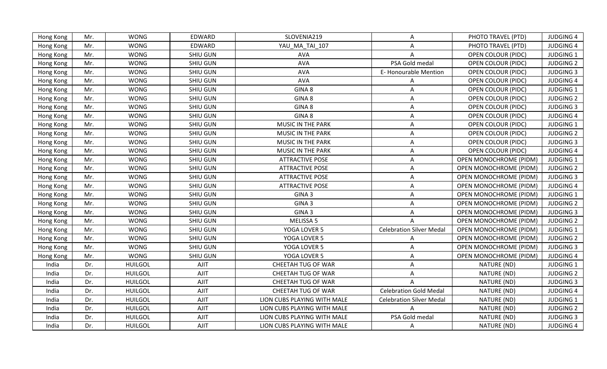| Hong Kong | Mr. | <b>WONG</b>    | EDWARD          | SLOVENIA219                 | $\mathsf{A}$                    | PHOTO TRAVEL (PTD)            | <b>JUDGING 4</b> |
|-----------|-----|----------------|-----------------|-----------------------------|---------------------------------|-------------------------------|------------------|
| Hong Kong | Mr. | <b>WONG</b>    | EDWARD          | YAU MA TAI 107              | A                               | PHOTO TRAVEL (PTD)            | <b>JUDGING 4</b> |
| Hong Kong | Mr. | <b>WONG</b>    | <b>SHIU GUN</b> | <b>AVA</b>                  |                                 | <b>OPEN COLOUR (PIDC)</b>     | <b>JUDGING 1</b> |
| Hong Kong | Mr. | <b>WONG</b>    | SHIU GUN        | <b>AVA</b>                  | PSA Gold medal                  | <b>OPEN COLOUR (PIDC)</b>     | <b>JUDGING 2</b> |
| Hong Kong | Mr. | <b>WONG</b>    | SHIU GUN        | AVA                         | E-Honourable Mention            | OPEN COLOUR (PIDC)            | <b>JUDGING 3</b> |
| Hong Kong | Mr. | <b>WONG</b>    | <b>SHIU GUN</b> | <b>AVA</b>                  | A                               | <b>OPEN COLOUR (PIDC)</b>     | <b>JUDGING 4</b> |
| Hong Kong | Mr. | <b>WONG</b>    | <b>SHIU GUN</b> | GINA 8                      | Α                               | <b>OPEN COLOUR (PIDC)</b>     | <b>JUDGING 1</b> |
| Hong Kong | Mr. | <b>WONG</b>    | SHIU GUN        | GINA 8                      | Α                               | <b>OPEN COLOUR (PIDC)</b>     | <b>JUDGING 2</b> |
| Hong Kong | Mr. | <b>WONG</b>    | <b>SHIU GUN</b> | GINA 8                      | A                               | <b>OPEN COLOUR (PIDC)</b>     | <b>JUDGING 3</b> |
| Hong Kong | Mr. | <b>WONG</b>    | SHIU GUN        | GINA 8                      | Α                               | OPEN COLOUR (PIDC)            | <b>JUDGING 4</b> |
| Hong Kong | Mr. | <b>WONG</b>    | SHIU GUN        | MUSIC IN THE PARK           | Α                               | <b>OPEN COLOUR (PIDC)</b>     | <b>JUDGING 1</b> |
| Hong Kong | Mr. | <b>WONG</b>    | <b>SHIU GUN</b> | MUSIC IN THE PARK           | Α                               | <b>OPEN COLOUR (PIDC)</b>     | <b>JUDGING 2</b> |
| Hong Kong | Mr. | <b>WONG</b>    | SHIU GUN        | MUSIC IN THE PARK           | A                               | OPEN COLOUR (PIDC)            | <b>JUDGING 3</b> |
| Hong Kong | Mr. | <b>WONG</b>    | SHIU GUN        | MUSIC IN THE PARK           | A                               | <b>OPEN COLOUR (PIDC)</b>     | <b>JUDGING 4</b> |
| Hong Kong | Mr. | <b>WONG</b>    | SHIU GUN        | <b>ATTRACTIVE POSE</b>      | A                               | OPEN MONOCHROME (PIDM)        | <b>JUDGING 1</b> |
| Hong Kong | Mr. | <b>WONG</b>    | <b>SHIU GUN</b> | <b>ATTRACTIVE POSE</b>      | A                               | <b>OPEN MONOCHROME (PIDM)</b> | <b>JUDGING 2</b> |
| Hong Kong | Mr. | <b>WONG</b>    | <b>SHIU GUN</b> | <b>ATTRACTIVE POSE</b>      | A                               | OPEN MONOCHROME (PIDM)        | <b>JUDGING 3</b> |
| Hong Kong | Mr. | <b>WONG</b>    | SHIU GUN        | <b>ATTRACTIVE POSE</b>      | A                               | <b>OPEN MONOCHROME (PIDM)</b> | <b>JUDGING 4</b> |
| Hong Kong | Mr. | <b>WONG</b>    | <b>SHIU GUN</b> | GINA <sub>3</sub>           | $\mathsf{A}$                    | <b>OPEN MONOCHROME (PIDM)</b> | <b>JUDGING 1</b> |
| Hong Kong | Mr. | <b>WONG</b>    | <b>SHIU GUN</b> | GINA <sub>3</sub>           | A                               | <b>OPEN MONOCHROME (PIDM)</b> | <b>JUDGING 2</b> |
| Hong Kong | Mr. | <b>WONG</b>    | SHIU GUN        | GINA <sub>3</sub>           | Α                               | <b>OPEN MONOCHROME (PIDM)</b> | <b>JUDGING 3</b> |
| Hong Kong | Mr. | <b>WONG</b>    | SHIU GUN        | MELISSA 5                   |                                 | <b>OPEN MONOCHROME (PIDM)</b> | <b>JUDGING 2</b> |
| Hong Kong | Mr. | <b>WONG</b>    | SHIU GUN        | YOGA LOVER 5                | <b>Celebration Silver Medal</b> | OPEN MONOCHROME (PIDM)        | JUDGING 1        |
| Hong Kong | Mr. | <b>WONG</b>    | <b>SHIU GUN</b> | YOGA LOVER 5                | A                               | <b>OPEN MONOCHROME (PIDM)</b> | <b>JUDGING 2</b> |
| Hong Kong | Mr. | <b>WONG</b>    | SHIU GUN        | YOGA LOVER 5                | A                               | OPEN MONOCHROME (PIDM)        | <b>JUDGING 3</b> |
| Hong Kong | Mr. | <b>WONG</b>    | SHIU GUN        | YOGA LOVER 5                | A                               | <b>OPEN MONOCHROME (PIDM)</b> | <b>JUDGING 4</b> |
| India     | Dr. | <b>HUILGOL</b> | <b>AJIT</b>     | CHEETAH TUG OF WAR          | A                               | NATURE (ND)                   | <b>JUDGING 1</b> |
| India     | Dr. | <b>HUILGOL</b> | <b>AJIT</b>     | CHEETAH TUG OF WAR          | A                               | NATURE (ND)                   | <b>JUDGING 2</b> |
| India     | Dr. | <b>HUILGOL</b> | <b>AJIT</b>     | CHEETAH TUG OF WAR          |                                 | NATURE (ND)                   | <b>JUDGING 3</b> |
| India     | Dr. | <b>HUILGOL</b> | <b>AJIT</b>     | CHEETAH TUG OF WAR          | <b>Celebration Gold Medal</b>   | NATURE (ND)                   | <b>JUDGING 4</b> |
| India     | Dr. | <b>HUILGOL</b> | <b>AJIT</b>     | LION CUBS PLAYING WITH MALE | <b>Celebration Silver Medal</b> | NATURE (ND)                   | <b>JUDGING 1</b> |
| India     | Dr. | <b>HUILGOL</b> | <b>AJIT</b>     | LION CUBS PLAYING WITH MALE |                                 | NATURE (ND)                   | <b>JUDGING 2</b> |
| India     | Dr. | <b>HUILGOL</b> | <b>AJIT</b>     | LION CUBS PLAYING WITH MALE | PSA Gold medal                  | NATURE (ND)                   | <b>JUDGING 3</b> |
| India     | Dr. | <b>HUILGOL</b> | <b>AJIT</b>     | LION CUBS PLAYING WITH MALE | A                               | NATURE (ND)                   | <b>JUDGING 4</b> |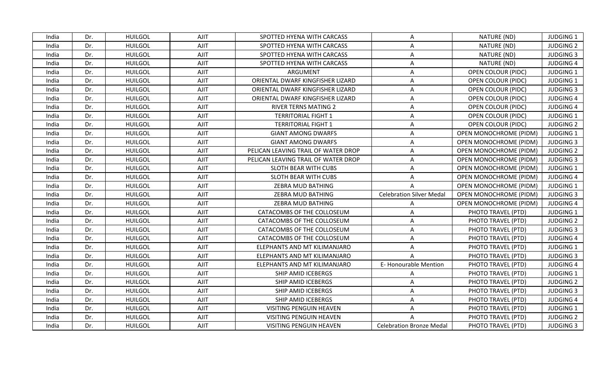| India | Dr. | <b>HUILGOL</b> | AJIT        | SPOTTED HYENA WITH CARCASS          | A                               | NATURE (ND)                   | <b>JUDGING 1</b> |
|-------|-----|----------------|-------------|-------------------------------------|---------------------------------|-------------------------------|------------------|
| India | Dr. | <b>HUILGOL</b> | <b>AJIT</b> | SPOTTED HYENA WITH CARCASS          | A                               | NATURE (ND)                   | <b>JUDGING 2</b> |
| India | Dr. | <b>HUILGOL</b> | <b>AJIT</b> | SPOTTED HYENA WITH CARCASS          | Α                               | NATURE (ND)                   | <b>JUDGING 3</b> |
| India | Dr. | <b>HUILGOL</b> | <b>AJIT</b> | SPOTTED HYENA WITH CARCASS          | A                               | NATURE (ND)                   | <b>JUDGING 4</b> |
| India | Dr. | <b>HUILGOL</b> | AJIT        | ARGUMENT                            | A                               | OPEN COLOUR (PIDC)            | <b>JUDGING 1</b> |
| India | Dr. | <b>HUILGOL</b> | <b>AJIT</b> | ORIENTAL DWARF KINGFISHER LIZARD    | A                               | <b>OPEN COLOUR (PIDC)</b>     | <b>JUDGING 1</b> |
| India | Dr. | <b>HUILGOL</b> | <b>AJIT</b> | ORIENTAL DWARF KINGFISHER LIZARD    | A                               | <b>OPEN COLOUR (PIDC)</b>     | <b>JUDGING 3</b> |
| India | Dr. | <b>HUILGOL</b> | <b>AJIT</b> | ORIENTAL DWARF KINGFISHER LIZARD    | Α                               | <b>OPEN COLOUR (PIDC)</b>     | <b>JUDGING 4</b> |
| India | Dr. | <b>HUILGOL</b> | AJIT        | <b>RIVER TERNS MATING 2</b>         | A                               | <b>OPEN COLOUR (PIDC)</b>     | <b>JUDGING 4</b> |
| India | Dr. | <b>HUILGOL</b> | AJIT        | <b>TERRITORIAL FIGHT 1</b>          | A                               | <b>OPEN COLOUR (PIDC)</b>     | <b>JUDGING 1</b> |
| India | Dr. | <b>HUILGOL</b> | AJIT        | <b>TERRITORIAL FIGHT 1</b>          | A                               | <b>OPEN COLOUR (PIDC)</b>     | <b>JUDGING 2</b> |
| India | Dr. | <b>HUILGOL</b> | <b>AJIT</b> | <b>GIANT AMONG DWARFS</b>           | A                               | OPEN MONOCHROME (PIDM)        | JUDGING 1        |
| India | Dr. | <b>HUILGOL</b> | <b>AJIT</b> | <b>GIANT AMONG DWARFS</b>           | A                               | OPEN MONOCHROME (PIDM)        | <b>JUDGING 3</b> |
| India | Dr. | <b>HUILGOL</b> | <b>AJIT</b> | PELICAN LEAVING TRAIL OF WATER DROP | A                               | <b>OPEN MONOCHROME (PIDM)</b> | <b>JUDGING 2</b> |
| India | Dr. | <b>HUILGOL</b> | <b>AJIT</b> | PELICAN LEAVING TRAIL OF WATER DROP | A                               | OPEN MONOCHROME (PIDM)        | <b>JUDGING 3</b> |
| India | Dr. | <b>HUILGOL</b> | <b>AJIT</b> | SLOTH BEAR WITH CUBS                | A                               | <b>OPEN MONOCHROME (PIDM)</b> | <b>JUDGING 1</b> |
| India | Dr. | <b>HUILGOL</b> | <b>AJIT</b> | SLOTH BEAR WITH CUBS                | A                               | OPEN MONOCHROME (PIDM)        | <b>JUDGING 4</b> |
| India | Dr. | <b>HUILGOL</b> | <b>AJIT</b> | ZEBRA MUD BATHING                   |                                 | OPEN MONOCHROME (PIDM)        | <b>JUDGING 1</b> |
| India | Dr. | <b>HUILGOL</b> | <b>AJIT</b> | ZEBRA MUD BATHING                   | <b>Celebration Silver Medal</b> | <b>OPEN MONOCHROME (PIDM)</b> | <b>JUDGING 3</b> |
| India | Dr. | <b>HUILGOL</b> | AJIT        | ZEBRA MUD BATHING                   | A                               | <b>OPEN MONOCHROME (PIDM)</b> | <b>JUDGING 4</b> |
| India | Dr. | <b>HUILGOL</b> | <b>AJIT</b> | CATACOMBS OF THE COLLOSEUM          | A                               | PHOTO TRAVEL (PTD)            | <b>JUDGING 1</b> |
| India | Dr. | <b>HUILGOL</b> | <b>AJIT</b> | CATACOMBS OF THE COLLOSEUM          | Α                               | PHOTO TRAVEL (PTD)            | <b>JUDGING 2</b> |
| India | Dr. | <b>HUILGOL</b> | <b>AJIT</b> | CATACOMBS OF THE COLLOSEUM          | A                               | PHOTO TRAVEL (PTD)            | <b>JUDGING 3</b> |
| India | Dr. | <b>HUILGOL</b> | <b>AJIT</b> | CATACOMBS OF THE COLLOSEUM          | A                               | PHOTO TRAVEL (PTD)            | <b>JUDGING 4</b> |
| India | Dr. | <b>HUILGOL</b> | <b>AJIT</b> | ELEPHANTS AND MT KILIMANJARO        | Α                               | PHOTO TRAVEL (PTD)            | <b>JUDGING 1</b> |
| India | Dr. | <b>HUILGOL</b> | <b>AJIT</b> | ELEPHANTS AND MT KILIMANJARO        |                                 | PHOTO TRAVEL (PTD)            | <b>JUDGING 3</b> |
| India | Dr. | <b>HUILGOL</b> | <b>AJIT</b> | ELEPHANTS AND MT KILIMANJARO        | E-Honourable Mention            | PHOTO TRAVEL (PTD)            | <b>JUDGING 4</b> |
| India | Dr. | <b>HUILGOL</b> | <b>AJIT</b> | SHIP AMID ICEBERGS                  | A                               | PHOTO TRAVEL (PTD)            | <b>JUDGING 1</b> |
| India | Dr. | <b>HUILGOL</b> | AJIT        | SHIP AMID ICEBERGS                  | A                               | PHOTO TRAVEL (PTD)            | <b>JUDGING 2</b> |
| India | Dr. | <b>HUILGOL</b> | <b>AJIT</b> | SHIP AMID ICEBERGS                  | $\overline{A}$                  | PHOTO TRAVEL (PTD)            | <b>JUDGING 3</b> |
| India | Dr. | <b>HUILGOL</b> | <b>AJIT</b> | SHIP AMID ICEBERGS                  | A                               | PHOTO TRAVEL (PTD)            | <b>JUDGING 4</b> |
| India | Dr. | <b>HUILGOL</b> | AJIT        | VISITING PENGUIN HEAVEN             | A                               | PHOTO TRAVEL (PTD)            | <b>JUDGING 1</b> |
| India | Dr. | <b>HUILGOL</b> | <b>AJIT</b> | VISITING PENGUIN HEAVEN             | A                               | PHOTO TRAVEL (PTD)            | <b>JUDGING 2</b> |
| India | Dr. | <b>HUILGOL</b> | AJIT        | <b>VISITING PENGUIN HEAVEN</b>      | <b>Celebration Bronze Medal</b> | PHOTO TRAVEL (PTD)            | <b>JUDGING 3</b> |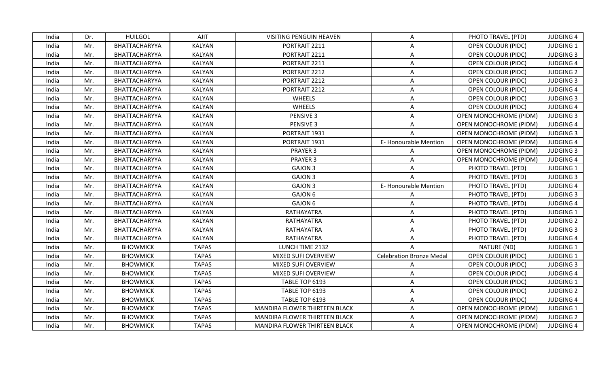| India | Dr. | <b>HUILGOL</b>  | AJIT          | <b>VISITING PENGUIN HEAVEN</b> | A                               | PHOTO TRAVEL (PTD)            | <b>JUDGING 4</b> |
|-------|-----|-----------------|---------------|--------------------------------|---------------------------------|-------------------------------|------------------|
| India | Mr. | BHATTACHARYYA   | <b>KALYAN</b> | PORTRAIT 2211                  | A                               | <b>OPEN COLOUR (PIDC)</b>     | JUDGING 1        |
| India | Mr. | BHATTACHARYYA   | KALYAN        | PORTRAIT 2211                  | Α                               | <b>OPEN COLOUR (PIDC)</b>     | <b>JUDGING 3</b> |
| India | Mr. | BHATTACHARYYA   | KALYAN        | PORTRAIT 2211                  | A                               | OPEN COLOUR (PIDC)            | <b>JUDGING 4</b> |
| India | Mr. | BHATTACHARYYA   | <b>KALYAN</b> | PORTRAIT 2212                  | A                               | <b>OPEN COLOUR (PIDC)</b>     | <b>JUDGING 2</b> |
| India | Mr. | BHATTACHARYYA   | <b>KALYAN</b> | PORTRAIT 2212                  | A                               | <b>OPEN COLOUR (PIDC)</b>     | <b>JUDGING 3</b> |
| India | Mr. | BHATTACHARYYA   | <b>KALYAN</b> | PORTRAIT 2212                  | A                               | <b>OPEN COLOUR (PIDC)</b>     | <b>JUDGING 4</b> |
| India | Mr. | BHATTACHARYYA   | <b>KALYAN</b> | <b>WHEELS</b>                  | A                               | <b>OPEN COLOUR (PIDC)</b>     | <b>JUDGING 3</b> |
| India | Mr. | BHATTACHARYYA   | KALYAN        | <b>WHEELS</b>                  | A                               | <b>OPEN COLOUR (PIDC)</b>     | <b>JUDGING 4</b> |
| India | Mr. | BHATTACHARYYA   | KALYAN        | PENSIVE 3                      | A                               | OPEN MONOCHROME (PIDM)        | <b>JUDGING 3</b> |
| India | Mr. | BHATTACHARYYA   | <b>KALYAN</b> | PENSIVE 3                      | A                               | <b>OPEN MONOCHROME (PIDM)</b> | <b>JUDGING 4</b> |
| India | Mr. | BHATTACHARYYA   | <b>KALYAN</b> | PORTRAIT 1931                  | A                               | OPEN MONOCHROME (PIDM)        | <b>JUDGING 3</b> |
| India | Mr. | BHATTACHARYYA   | <b>KALYAN</b> | PORTRAIT 1931                  | E-Honourable Mention            | OPEN MONOCHROME (PIDM)        | <b>JUDGING 4</b> |
| India | Mr. | BHATTACHARYYA   | KALYAN        | PRAYER 3                       | A                               | OPEN MONOCHROME (PIDM)        | <b>JUDGING 3</b> |
| India | Mr. | BHATTACHARYYA   | <b>KALYAN</b> | PRAYER 3                       | A                               | OPEN MONOCHROME (PIDM)        | <b>JUDGING 4</b> |
| India | Mr. | BHATTACHARYYA   | <b>KALYAN</b> | <b>GAJON 3</b>                 | A                               | PHOTO TRAVEL (PTD)            | <b>JUDGING 1</b> |
| India | Mr. | BHATTACHARYYA   | <b>KALYAN</b> | GAJON 3                        | A                               | PHOTO TRAVEL (PTD)            | <b>JUDGING 3</b> |
| India | Mr. | BHATTACHARYYA   | <b>KALYAN</b> | <b>GAJON 3</b>                 | E-Honourable Mention            | PHOTO TRAVEL (PTD)            | <b>JUDGING 4</b> |
| India | Mr. | BHATTACHARYYA   | KALYAN        | GAJON 6                        | A                               | PHOTO TRAVEL (PTD)            | <b>JUDGING 3</b> |
| India | Mr. | BHATTACHARYYA   | <b>KALYAN</b> | GAJON 6                        | Α                               | PHOTO TRAVEL (PTD)            | <b>JUDGING 4</b> |
| India | Mr. | BHATTACHARYYA   | <b>KALYAN</b> | RATHAYATRA                     | A                               | PHOTO TRAVEL (PTD)            | <b>JUDGING 1</b> |
| India | Mr. | BHATTACHARYYA   | <b>KALYAN</b> | RATHAYATRA                     | Α                               | PHOTO TRAVEL (PTD)            | <b>JUDGING 2</b> |
| India | Mr. | BHATTACHARYYA   | <b>KALYAN</b> | RATHAYATRA                     | A                               | PHOTO TRAVEL (PTD)            | <b>JUDGING 3</b> |
| India | Mr. | BHATTACHARYYA   | KALYAN        | RATHAYATRA                     | A                               | PHOTO TRAVEL (PTD)            | <b>JUDGING 4</b> |
| India | Mr. | <b>BHOWMICK</b> | <b>TAPAS</b>  | LUNCH TIME 2132                |                                 | NATURE (ND)                   | <b>JUDGING 1</b> |
| India | Mr. | <b>BHOWMICK</b> | <b>TAPAS</b>  | MIXED SUFI OVERVIEW            | <b>Celebration Bronze Medal</b> | <b>OPEN COLOUR (PIDC)</b>     | <b>JUDGING 1</b> |
| India | Mr. | <b>BHOWMICK</b> | <b>TAPAS</b>  | MIXED SUFI OVERVIEW            | A                               | OPEN COLOUR (PIDC)            | <b>JUDGING 3</b> |
| India | Mr. | <b>BHOWMICK</b> | <b>TAPAS</b>  | MIXED SUFI OVERVIEW            | A                               | <b>OPEN COLOUR (PIDC)</b>     | <b>JUDGING 4</b> |
| India | Mr. | <b>BHOWMICK</b> | <b>TAPAS</b>  | TABLE TOP 6193                 | A                               | <b>OPEN COLOUR (PIDC)</b>     | <b>JUDGING 1</b> |
| India | Mr. | <b>BHOWMICK</b> | <b>TAPAS</b>  | TABLE TOP 6193                 | A                               | OPEN COLOUR (PIDC)            | <b>JUDGING 2</b> |
| India | Mr. | <b>BHOWMICK</b> | <b>TAPAS</b>  | TABLE TOP 6193                 | A                               | <b>OPEN COLOUR (PIDC)</b>     | <b>JUDGING 4</b> |
| India | Mr. | <b>BHOWMICK</b> | <b>TAPAS</b>  | MANDIRA FLOWER THIRTEEN BLACK  | A                               | OPEN MONOCHROME (PIDM)        | JUDGING 1        |
| India | Mr. | <b>BHOWMICK</b> | <b>TAPAS</b>  | MANDIRA FLOWER THIRTEEN BLACK  | $\mathsf{A}$                    | <b>OPEN MONOCHROME (PIDM)</b> | <b>JUDGING 2</b> |
| India | Mr. | <b>BHOWMICK</b> | <b>TAPAS</b>  | MANDIRA FLOWER THIRTEEN BLACK  | A                               | OPEN MONOCHROME (PIDM)        | <b>JUDGING 4</b> |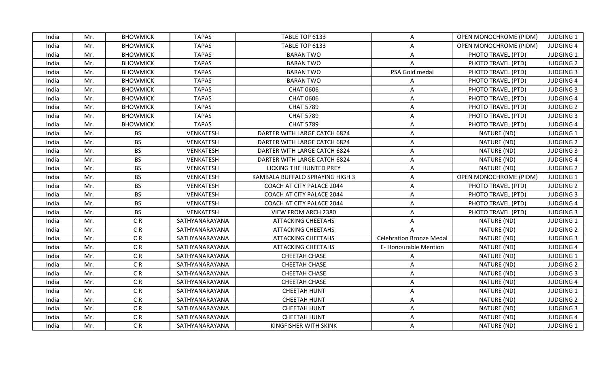| India | Mr. | <b>BHOWMICK</b> | <b>TAPAS</b>     | TABLE TOP 6133                  | $\mathsf{A}$                    | OPEN MONOCHROME (PIDM) | <b>JUDGING 1</b> |
|-------|-----|-----------------|------------------|---------------------------------|---------------------------------|------------------------|------------------|
| India | Mr. | <b>BHOWMICK</b> | <b>TAPAS</b>     | TABLE TOP 6133                  | A                               | OPEN MONOCHROME (PIDM) | <b>JUDGING 4</b> |
| India | Mr. | <b>BHOWMICK</b> | <b>TAPAS</b>     | <b>BARAN TWO</b>                | A                               | PHOTO TRAVEL (PTD)     | <b>JUDGING 1</b> |
| India | Mr. | <b>BHOWMICK</b> | <b>TAPAS</b>     | <b>BARAN TWO</b>                | $\mathsf{A}$                    | PHOTO TRAVEL (PTD)     | <b>JUDGING 2</b> |
| India | Mr. | <b>BHOWMICK</b> | <b>TAPAS</b>     | <b>BARAN TWO</b>                | PSA Gold medal                  | PHOTO TRAVEL (PTD)     | <b>JUDGING 3</b> |
| India | Mr. | <b>BHOWMICK</b> | <b>TAPAS</b>     | <b>BARAN TWO</b>                | A                               | PHOTO TRAVEL (PTD)     | <b>JUDGING 4</b> |
| India | Mr. | <b>BHOWMICK</b> | <b>TAPAS</b>     | <b>CHAT 0606</b>                | A                               | PHOTO TRAVEL (PTD)     | <b>JUDGING 3</b> |
| India | Mr. | <b>BHOWMICK</b> | <b>TAPAS</b>     | <b>CHAT 0606</b>                | A                               | PHOTO TRAVEL (PTD)     | <b>JUDGING 4</b> |
| India | Mr. | <b>BHOWMICK</b> | <b>TAPAS</b>     | <b>CHAT 5789</b>                | A                               | PHOTO TRAVEL (PTD)     | <b>JUDGING 2</b> |
| India | Mr. | <b>BHOWMICK</b> | <b>TAPAS</b>     | <b>CHAT 5789</b>                | A                               | PHOTO TRAVEL (PTD)     | <b>JUDGING 3</b> |
| India | Mr. | <b>BHOWMICK</b> | <b>TAPAS</b>     | <b>CHAT 5789</b>                | A                               | PHOTO TRAVEL (PTD)     | <b>JUDGING 4</b> |
| India | Mr. | <b>BS</b>       | <b>VENKATESH</b> | DARTER WITH LARGE CATCH 6824    | A                               | NATURE (ND)            | <b>JUDGING 1</b> |
| India | Mr. | <b>BS</b>       | <b>VENKATESH</b> | DARTER WITH LARGE CATCH 6824    | A                               | NATURE (ND)            | <b>JUDGING 2</b> |
| India | Mr. | <b>BS</b>       | VENKATESH        | DARTER WITH LARGE CATCH 6824    | A                               | NATURE (ND)            | <b>JUDGING 3</b> |
| India | Mr. | <b>BS</b>       | <b>VENKATESH</b> | DARTER WITH LARGE CATCH 6824    | A                               | NATURE (ND)            | <b>JUDGING 4</b> |
| India | Mr. | <b>BS</b>       | <b>VENKATESH</b> | LICKING THE HUNTED PREY         | A                               | NATURE (ND)            | <b>JUDGING 2</b> |
| India | Mr. | <b>BS</b>       | <b>VENKATESH</b> | KAMBALA BUFFALO SPRAYING HIGH 3 | A                               | OPEN MONOCHROME (PIDM) | JUDGING 1        |
| India | Mr. | <b>BS</b>       | <b>VENKATESH</b> | COACH AT CITY PALACE 2044       | A                               | PHOTO TRAVEL (PTD)     | <b>JUDGING 2</b> |
| India | Mr. | <b>BS</b>       | VENKATESH        | COACH AT CITY PALACE 2044       | A                               | PHOTO TRAVEL (PTD)     | <b>JUDGING 3</b> |
| India | Mr. | <b>BS</b>       | <b>VENKATESH</b> | COACH AT CITY PALACE 2044       | A                               | PHOTO TRAVEL (PTD)     | <b>JUDGING 4</b> |
| India | Mr. | <b>BS</b>       | <b>VENKATESH</b> | VIEW FROM ARCH 2380             | A                               | PHOTO TRAVEL (PTD)     | <b>JUDGING 3</b> |
| India | Mr. | CR              | SATHYANARAYANA   | <b>ATTACKING CHEETAHS</b>       | A                               | NATURE (ND)            | <b>JUDGING 1</b> |
| India | Mr. | CR              | SATHYANARAYANA   | <b>ATTACKING CHEETAHS</b>       | $\mathsf{A}$                    | NATURE (ND)            | <b>JUDGING 2</b> |
| India | Mr. | CR              | SATHYANARAYANA   | <b>ATTACKING CHEETAHS</b>       | <b>Celebration Bronze Medal</b> | NATURE (ND)            | <b>JUDGING 3</b> |
| India | Mr. | CR              | SATHYANARAYANA   | <b>ATTACKING CHEETAHS</b>       | <b>E-Honourable Mention</b>     | NATURE (ND)            | <b>JUDGING 4</b> |
| India | Mr. | CR              | SATHYANARAYANA   | CHEETAH CHASE                   | A                               | NATURE (ND)            | <b>JUDGING 1</b> |
| India | Mr. | CR              | SATHYANARAYANA   | <b>CHEETAH CHASE</b>            | A                               | NATURE (ND)            | <b>JUDGING 2</b> |
| India | Mr. | CR              | SATHYANARAYANA   | <b>CHEETAH CHASE</b>            | A                               | NATURE (ND)            | <b>JUDGING 3</b> |
| India | Mr. | CR              | SATHYANARAYANA   | <b>CHEETAH CHASE</b>            | A                               | NATURE (ND)            | <b>JUDGING 4</b> |
| India | Mr. | CR              | SATHYANARAYANA   | <b>CHEETAH HUNT</b>             | A                               | NATURE (ND)            | <b>JUDGING 1</b> |
| India | Mr. | CR              | SATHYANARAYANA   | <b>CHEETAH HUNT</b>             | A                               | NATURE (ND)            | <b>JUDGING 2</b> |
| India | Mr. | C <sub>R</sub>  | SATHYANARAYANA   | <b>CHEETAH HUNT</b>             | A                               | NATURE (ND)            | <b>JUDGING 3</b> |
| India | Mr. | CR              | SATHYANARAYANA   | <b>CHEETAH HUNT</b>             | A                               | NATURE (ND)            | <b>JUDGING 4</b> |
| India | Mr. | C <sub>R</sub>  | SATHYANARAYANA   | <b>KINGFISHER WITH SKINK</b>    | A                               | NATURE (ND)            | <b>JUDGING 1</b> |
|       |     |                 |                  |                                 |                                 |                        |                  |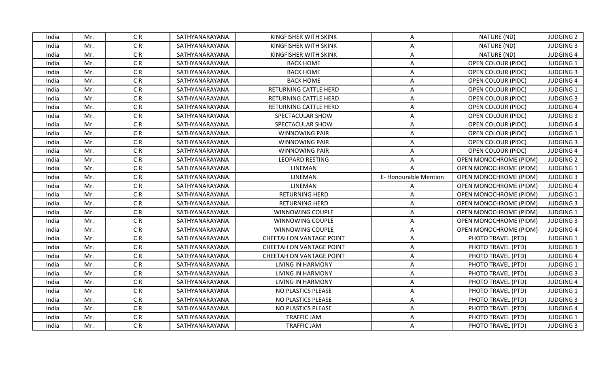| CR<br>SATHYANARAYANA<br>KINGFISHER WITH SKINK<br>NATURE (ND)<br><b>JUDGING 2</b><br>India<br>Mr.<br>A<br>C <sub>R</sub><br>SATHYANARAYANA<br><b>KINGFISHER WITH SKINK</b><br>NATURE (ND)<br><b>JUDGING 3</b><br>India<br>Mr.<br>A<br>CR<br>NATURE (ND)<br><b>JUDGING 4</b><br>Mr.<br>SATHYANARAYANA<br>KINGFISHER WITH SKINK<br>India<br>Α<br>CR<br><b>BACK HOME</b><br>OPEN COLOUR (PIDC)<br><b>JUDGING 1</b><br>India<br>Mr.<br>SATHYANARAYANA<br>A<br>CR<br>SATHYANARAYANA<br><b>BACK HOME</b><br><b>JUDGING 3</b><br>India<br>Mr.<br>A<br>OPEN COLOUR (PIDC)<br>CR<br><b>BACK HOME</b><br>Mr.<br>SATHYANARAYANA<br>A<br>OPEN COLOUR (PIDC)<br><b>JUDGING 4</b><br>India<br>C <sub>R</sub><br>SATHYANARAYANA<br>RETURNING CATTLE HERD<br>A<br><b>JUDGING 1</b><br>India<br>Mr.<br>OPEN COLOUR (PIDC)<br>CR<br>Mr.<br>SATHYANARAYANA<br>RETURNING CATTLE HERD<br><b>JUDGING 3</b><br>India<br>Α<br>OPEN COLOUR (PIDC)<br>CR<br><b>JUDGING 4</b><br>India<br>Mr.<br>SATHYANARAYANA<br>RETURNING CATTLE HERD<br>A<br><b>OPEN COLOUR (PIDC)</b><br>CR<br>Mr.<br><b>JUDGING 3</b><br>India<br>SATHYANARAYANA<br>SPECTACULAR SHOW<br>A<br>OPEN COLOUR (PIDC)<br>CR<br>India<br>Mr.<br>SATHYANARAYANA<br>SPECTACULAR SHOW<br><b>OPEN COLOUR (PIDC)</b><br><b>JUDGING 4</b><br>A<br>CR<br>SATHYANARAYANA<br><b>JUDGING 1</b><br>India<br>Mr.<br><b>WINNOWING PAIR</b><br>A<br><b>OPEN COLOUR (PIDC)</b><br>CR<br><b>JUDGING 3</b><br>India<br>Mr.<br>SATHYANARAYANA<br><b>WINNOWING PAIR</b><br>A<br>OPEN COLOUR (PIDC)<br>CR<br>SATHYANARAYANA<br><b>WINNOWING PAIR</b><br>OPEN COLOUR (PIDC)<br><b>JUDGING 4</b><br>India<br>Mr.<br>A<br>CR<br><b>LEOPARD RESTING</b><br><b>JUDGING 2</b><br>India<br>Mr.<br>SATHYANARAYANA<br>OPEN MONOCHROME (PIDM)<br>Α<br>CR<br>LINEMAN<br>India<br>Mr.<br>SATHYANARAYANA<br><b>OPEN MONOCHROME (PIDM)</b><br><b>JUDGING 1</b><br>CR<br>LINEMAN<br>E-Honourable Mention<br>India<br>Mr.<br>SATHYANARAYANA<br>OPEN MONOCHROME (PIDM)<br><b>JUDGING 3</b><br>C <sub>R</sub><br>SATHYANARAYANA<br>LINEMAN<br>India<br>Mr.<br>A<br>OPEN MONOCHROME (PIDM)<br><b>JUDGING 4</b><br>CR<br><b>JUDGING 1</b><br>India<br>Mr.<br>SATHYANARAYANA<br><b>RETURNING HERD</b><br>A<br><b>OPEN MONOCHROME (PIDM)</b><br>CR<br><b>JUDGING 3</b><br>India<br>Mr.<br>SATHYANARAYANA<br><b>RETURNING HERD</b><br>A<br>OPEN MONOCHROME (PIDM)<br>C <sub>R</sub><br>Mr.<br>SATHYANARAYANA<br>WINNOWING COUPLE<br><b>JUDGING 1</b><br>India<br><b>OPEN MONOCHROME (PIDM)</b><br>A<br>C <sub>R</sub><br>SATHYANARAYANA<br>WINNOWING COUPLE<br>OPEN MONOCHROME (PIDM)<br><b>JUDGING 3</b><br>India<br>Mr.<br>A<br>CR<br>SATHYANARAYANA<br>India<br>Mr.<br>WINNOWING COUPLE<br>A<br>OPEN MONOCHROME (PIDM)<br><b>JUDGING 4</b><br>CR<br>Mr.<br>SATHYANARAYANA<br>CHEETAH ON VANTAGE POINT<br>A<br>PHOTO TRAVEL (PTD)<br><b>JUDGING 1</b><br>India<br>CR<br>Mr.<br>SATHYANARAYANA<br>CHEETAH ON VANTAGE POINT<br>A<br>PHOTO TRAVEL (PTD)<br><b>JUDGING 3</b><br>India<br>CR<br>Mr.<br>PHOTO TRAVEL (PTD)<br><b>JUDGING 4</b><br>India<br>SATHYANARAYANA<br>CHEETAH ON VANTAGE POINT<br>A<br>CR<br>Mr.<br>SATHYANARAYANA<br><b>LIVING IN HARMONY</b><br>PHOTO TRAVEL (PTD)<br><b>JUDGING 1</b><br>India<br>A<br>CR<br>Mr.<br>SATHYANARAYANA<br>PHOTO TRAVEL (PTD)<br>India<br><b>LIVING IN HARMONY</b><br>A<br><b>JUDGING 3</b><br>C <sub>R</sub><br>India<br>Mr.<br>SATHYANARAYANA<br>LIVING IN HARMONY<br>Α<br>PHOTO TRAVEL (PTD)<br><b>JUDGING 4</b><br>CR<br><b>JUDGING 1</b><br>Mr.<br>SATHYANARAYANA<br>NO PLASTICS PLEASE<br>Α<br>PHOTO TRAVEL (PTD)<br>India<br>CR<br>Mr.<br>SATHYANARAYANA<br>NO PLASTICS PLEASE<br>PHOTO TRAVEL (PTD)<br><b>JUDGING 3</b><br>India<br>A<br>C <sub>R</sub><br>SATHYANARAYANA<br>NO PLASTICS PLEASE<br>India<br>Mr.<br>A<br>PHOTO TRAVEL (PTD)<br><b>JUDGING 4</b><br>CR<br>SATHYANARAYANA<br><b>TRAFFIC JAM</b><br>PHOTO TRAVEL (PTD)<br><b>JUDGING 1</b><br>India<br>Mr.<br>Α<br>CR<br>SATHYANARAYANA<br><b>TRAFFIC JAM</b><br><b>JUDGING 3</b><br>India<br>Mr.<br>A<br>PHOTO TRAVEL (PTD) |  |  |  |  |  |
|-------------------------------------------------------------------------------------------------------------------------------------------------------------------------------------------------------------------------------------------------------------------------------------------------------------------------------------------------------------------------------------------------------------------------------------------------------------------------------------------------------------------------------------------------------------------------------------------------------------------------------------------------------------------------------------------------------------------------------------------------------------------------------------------------------------------------------------------------------------------------------------------------------------------------------------------------------------------------------------------------------------------------------------------------------------------------------------------------------------------------------------------------------------------------------------------------------------------------------------------------------------------------------------------------------------------------------------------------------------------------------------------------------------------------------------------------------------------------------------------------------------------------------------------------------------------------------------------------------------------------------------------------------------------------------------------------------------------------------------------------------------------------------------------------------------------------------------------------------------------------------------------------------------------------------------------------------------------------------------------------------------------------------------------------------------------------------------------------------------------------------------------------------------------------------------------------------------------------------------------------------------------------------------------------------------------------------------------------------------------------------------------------------------------------------------------------------------------------------------------------------------------------------------------------------------------------------------------------------------------------------------------------------------------------------------------------------------------------------------------------------------------------------------------------------------------------------------------------------------------------------------------------------------------------------------------------------------------------------------------------------------------------------------------------------------------------------------------------------------------------------------------------------------------------------------------------------------------------------------------------------------------------------------------------------------------------------------------------------------------------------------------------------------------------------------------------------------------------------------------------------------------------------------------------------------------------------------------------------------------------------------------------------------------------------------------------------------------------------------------------------------------------------------------------------------------------------------------------------------------------------------------------------------------------------------------------------------------------------------------------------------------------------------------|--|--|--|--|--|
|                                                                                                                                                                                                                                                                                                                                                                                                                                                                                                                                                                                                                                                                                                                                                                                                                                                                                                                                                                                                                                                                                                                                                                                                                                                                                                                                                                                                                                                                                                                                                                                                                                                                                                                                                                                                                                                                                                                                                                                                                                                                                                                                                                                                                                                                                                                                                                                                                                                                                                                                                                                                                                                                                                                                                                                                                                                                                                                                                                                                                                                                                                                                                                                                                                                                                                                                                                                                                                                                                                                                                                                                                                                                                                                                                                                                                                                                                                                                                                                                                                           |  |  |  |  |  |
|                                                                                                                                                                                                                                                                                                                                                                                                                                                                                                                                                                                                                                                                                                                                                                                                                                                                                                                                                                                                                                                                                                                                                                                                                                                                                                                                                                                                                                                                                                                                                                                                                                                                                                                                                                                                                                                                                                                                                                                                                                                                                                                                                                                                                                                                                                                                                                                                                                                                                                                                                                                                                                                                                                                                                                                                                                                                                                                                                                                                                                                                                                                                                                                                                                                                                                                                                                                                                                                                                                                                                                                                                                                                                                                                                                                                                                                                                                                                                                                                                                           |  |  |  |  |  |
|                                                                                                                                                                                                                                                                                                                                                                                                                                                                                                                                                                                                                                                                                                                                                                                                                                                                                                                                                                                                                                                                                                                                                                                                                                                                                                                                                                                                                                                                                                                                                                                                                                                                                                                                                                                                                                                                                                                                                                                                                                                                                                                                                                                                                                                                                                                                                                                                                                                                                                                                                                                                                                                                                                                                                                                                                                                                                                                                                                                                                                                                                                                                                                                                                                                                                                                                                                                                                                                                                                                                                                                                                                                                                                                                                                                                                                                                                                                                                                                                                                           |  |  |  |  |  |
|                                                                                                                                                                                                                                                                                                                                                                                                                                                                                                                                                                                                                                                                                                                                                                                                                                                                                                                                                                                                                                                                                                                                                                                                                                                                                                                                                                                                                                                                                                                                                                                                                                                                                                                                                                                                                                                                                                                                                                                                                                                                                                                                                                                                                                                                                                                                                                                                                                                                                                                                                                                                                                                                                                                                                                                                                                                                                                                                                                                                                                                                                                                                                                                                                                                                                                                                                                                                                                                                                                                                                                                                                                                                                                                                                                                                                                                                                                                                                                                                                                           |  |  |  |  |  |
|                                                                                                                                                                                                                                                                                                                                                                                                                                                                                                                                                                                                                                                                                                                                                                                                                                                                                                                                                                                                                                                                                                                                                                                                                                                                                                                                                                                                                                                                                                                                                                                                                                                                                                                                                                                                                                                                                                                                                                                                                                                                                                                                                                                                                                                                                                                                                                                                                                                                                                                                                                                                                                                                                                                                                                                                                                                                                                                                                                                                                                                                                                                                                                                                                                                                                                                                                                                                                                                                                                                                                                                                                                                                                                                                                                                                                                                                                                                                                                                                                                           |  |  |  |  |  |
|                                                                                                                                                                                                                                                                                                                                                                                                                                                                                                                                                                                                                                                                                                                                                                                                                                                                                                                                                                                                                                                                                                                                                                                                                                                                                                                                                                                                                                                                                                                                                                                                                                                                                                                                                                                                                                                                                                                                                                                                                                                                                                                                                                                                                                                                                                                                                                                                                                                                                                                                                                                                                                                                                                                                                                                                                                                                                                                                                                                                                                                                                                                                                                                                                                                                                                                                                                                                                                                                                                                                                                                                                                                                                                                                                                                                                                                                                                                                                                                                                                           |  |  |  |  |  |
|                                                                                                                                                                                                                                                                                                                                                                                                                                                                                                                                                                                                                                                                                                                                                                                                                                                                                                                                                                                                                                                                                                                                                                                                                                                                                                                                                                                                                                                                                                                                                                                                                                                                                                                                                                                                                                                                                                                                                                                                                                                                                                                                                                                                                                                                                                                                                                                                                                                                                                                                                                                                                                                                                                                                                                                                                                                                                                                                                                                                                                                                                                                                                                                                                                                                                                                                                                                                                                                                                                                                                                                                                                                                                                                                                                                                                                                                                                                                                                                                                                           |  |  |  |  |  |
|                                                                                                                                                                                                                                                                                                                                                                                                                                                                                                                                                                                                                                                                                                                                                                                                                                                                                                                                                                                                                                                                                                                                                                                                                                                                                                                                                                                                                                                                                                                                                                                                                                                                                                                                                                                                                                                                                                                                                                                                                                                                                                                                                                                                                                                                                                                                                                                                                                                                                                                                                                                                                                                                                                                                                                                                                                                                                                                                                                                                                                                                                                                                                                                                                                                                                                                                                                                                                                                                                                                                                                                                                                                                                                                                                                                                                                                                                                                                                                                                                                           |  |  |  |  |  |
|                                                                                                                                                                                                                                                                                                                                                                                                                                                                                                                                                                                                                                                                                                                                                                                                                                                                                                                                                                                                                                                                                                                                                                                                                                                                                                                                                                                                                                                                                                                                                                                                                                                                                                                                                                                                                                                                                                                                                                                                                                                                                                                                                                                                                                                                                                                                                                                                                                                                                                                                                                                                                                                                                                                                                                                                                                                                                                                                                                                                                                                                                                                                                                                                                                                                                                                                                                                                                                                                                                                                                                                                                                                                                                                                                                                                                                                                                                                                                                                                                                           |  |  |  |  |  |
|                                                                                                                                                                                                                                                                                                                                                                                                                                                                                                                                                                                                                                                                                                                                                                                                                                                                                                                                                                                                                                                                                                                                                                                                                                                                                                                                                                                                                                                                                                                                                                                                                                                                                                                                                                                                                                                                                                                                                                                                                                                                                                                                                                                                                                                                                                                                                                                                                                                                                                                                                                                                                                                                                                                                                                                                                                                                                                                                                                                                                                                                                                                                                                                                                                                                                                                                                                                                                                                                                                                                                                                                                                                                                                                                                                                                                                                                                                                                                                                                                                           |  |  |  |  |  |
|                                                                                                                                                                                                                                                                                                                                                                                                                                                                                                                                                                                                                                                                                                                                                                                                                                                                                                                                                                                                                                                                                                                                                                                                                                                                                                                                                                                                                                                                                                                                                                                                                                                                                                                                                                                                                                                                                                                                                                                                                                                                                                                                                                                                                                                                                                                                                                                                                                                                                                                                                                                                                                                                                                                                                                                                                                                                                                                                                                                                                                                                                                                                                                                                                                                                                                                                                                                                                                                                                                                                                                                                                                                                                                                                                                                                                                                                                                                                                                                                                                           |  |  |  |  |  |
|                                                                                                                                                                                                                                                                                                                                                                                                                                                                                                                                                                                                                                                                                                                                                                                                                                                                                                                                                                                                                                                                                                                                                                                                                                                                                                                                                                                                                                                                                                                                                                                                                                                                                                                                                                                                                                                                                                                                                                                                                                                                                                                                                                                                                                                                                                                                                                                                                                                                                                                                                                                                                                                                                                                                                                                                                                                                                                                                                                                                                                                                                                                                                                                                                                                                                                                                                                                                                                                                                                                                                                                                                                                                                                                                                                                                                                                                                                                                                                                                                                           |  |  |  |  |  |
|                                                                                                                                                                                                                                                                                                                                                                                                                                                                                                                                                                                                                                                                                                                                                                                                                                                                                                                                                                                                                                                                                                                                                                                                                                                                                                                                                                                                                                                                                                                                                                                                                                                                                                                                                                                                                                                                                                                                                                                                                                                                                                                                                                                                                                                                                                                                                                                                                                                                                                                                                                                                                                                                                                                                                                                                                                                                                                                                                                                                                                                                                                                                                                                                                                                                                                                                                                                                                                                                                                                                                                                                                                                                                                                                                                                                                                                                                                                                                                                                                                           |  |  |  |  |  |
|                                                                                                                                                                                                                                                                                                                                                                                                                                                                                                                                                                                                                                                                                                                                                                                                                                                                                                                                                                                                                                                                                                                                                                                                                                                                                                                                                                                                                                                                                                                                                                                                                                                                                                                                                                                                                                                                                                                                                                                                                                                                                                                                                                                                                                                                                                                                                                                                                                                                                                                                                                                                                                                                                                                                                                                                                                                                                                                                                                                                                                                                                                                                                                                                                                                                                                                                                                                                                                                                                                                                                                                                                                                                                                                                                                                                                                                                                                                                                                                                                                           |  |  |  |  |  |
|                                                                                                                                                                                                                                                                                                                                                                                                                                                                                                                                                                                                                                                                                                                                                                                                                                                                                                                                                                                                                                                                                                                                                                                                                                                                                                                                                                                                                                                                                                                                                                                                                                                                                                                                                                                                                                                                                                                                                                                                                                                                                                                                                                                                                                                                                                                                                                                                                                                                                                                                                                                                                                                                                                                                                                                                                                                                                                                                                                                                                                                                                                                                                                                                                                                                                                                                                                                                                                                                                                                                                                                                                                                                                                                                                                                                                                                                                                                                                                                                                                           |  |  |  |  |  |
|                                                                                                                                                                                                                                                                                                                                                                                                                                                                                                                                                                                                                                                                                                                                                                                                                                                                                                                                                                                                                                                                                                                                                                                                                                                                                                                                                                                                                                                                                                                                                                                                                                                                                                                                                                                                                                                                                                                                                                                                                                                                                                                                                                                                                                                                                                                                                                                                                                                                                                                                                                                                                                                                                                                                                                                                                                                                                                                                                                                                                                                                                                                                                                                                                                                                                                                                                                                                                                                                                                                                                                                                                                                                                                                                                                                                                                                                                                                                                                                                                                           |  |  |  |  |  |
|                                                                                                                                                                                                                                                                                                                                                                                                                                                                                                                                                                                                                                                                                                                                                                                                                                                                                                                                                                                                                                                                                                                                                                                                                                                                                                                                                                                                                                                                                                                                                                                                                                                                                                                                                                                                                                                                                                                                                                                                                                                                                                                                                                                                                                                                                                                                                                                                                                                                                                                                                                                                                                                                                                                                                                                                                                                                                                                                                                                                                                                                                                                                                                                                                                                                                                                                                                                                                                                                                                                                                                                                                                                                                                                                                                                                                                                                                                                                                                                                                                           |  |  |  |  |  |
|                                                                                                                                                                                                                                                                                                                                                                                                                                                                                                                                                                                                                                                                                                                                                                                                                                                                                                                                                                                                                                                                                                                                                                                                                                                                                                                                                                                                                                                                                                                                                                                                                                                                                                                                                                                                                                                                                                                                                                                                                                                                                                                                                                                                                                                                                                                                                                                                                                                                                                                                                                                                                                                                                                                                                                                                                                                                                                                                                                                                                                                                                                                                                                                                                                                                                                                                                                                                                                                                                                                                                                                                                                                                                                                                                                                                                                                                                                                                                                                                                                           |  |  |  |  |  |
|                                                                                                                                                                                                                                                                                                                                                                                                                                                                                                                                                                                                                                                                                                                                                                                                                                                                                                                                                                                                                                                                                                                                                                                                                                                                                                                                                                                                                                                                                                                                                                                                                                                                                                                                                                                                                                                                                                                                                                                                                                                                                                                                                                                                                                                                                                                                                                                                                                                                                                                                                                                                                                                                                                                                                                                                                                                                                                                                                                                                                                                                                                                                                                                                                                                                                                                                                                                                                                                                                                                                                                                                                                                                                                                                                                                                                                                                                                                                                                                                                                           |  |  |  |  |  |
|                                                                                                                                                                                                                                                                                                                                                                                                                                                                                                                                                                                                                                                                                                                                                                                                                                                                                                                                                                                                                                                                                                                                                                                                                                                                                                                                                                                                                                                                                                                                                                                                                                                                                                                                                                                                                                                                                                                                                                                                                                                                                                                                                                                                                                                                                                                                                                                                                                                                                                                                                                                                                                                                                                                                                                                                                                                                                                                                                                                                                                                                                                                                                                                                                                                                                                                                                                                                                                                                                                                                                                                                                                                                                                                                                                                                                                                                                                                                                                                                                                           |  |  |  |  |  |
|                                                                                                                                                                                                                                                                                                                                                                                                                                                                                                                                                                                                                                                                                                                                                                                                                                                                                                                                                                                                                                                                                                                                                                                                                                                                                                                                                                                                                                                                                                                                                                                                                                                                                                                                                                                                                                                                                                                                                                                                                                                                                                                                                                                                                                                                                                                                                                                                                                                                                                                                                                                                                                                                                                                                                                                                                                                                                                                                                                                                                                                                                                                                                                                                                                                                                                                                                                                                                                                                                                                                                                                                                                                                                                                                                                                                                                                                                                                                                                                                                                           |  |  |  |  |  |
|                                                                                                                                                                                                                                                                                                                                                                                                                                                                                                                                                                                                                                                                                                                                                                                                                                                                                                                                                                                                                                                                                                                                                                                                                                                                                                                                                                                                                                                                                                                                                                                                                                                                                                                                                                                                                                                                                                                                                                                                                                                                                                                                                                                                                                                                                                                                                                                                                                                                                                                                                                                                                                                                                                                                                                                                                                                                                                                                                                                                                                                                                                                                                                                                                                                                                                                                                                                                                                                                                                                                                                                                                                                                                                                                                                                                                                                                                                                                                                                                                                           |  |  |  |  |  |
|                                                                                                                                                                                                                                                                                                                                                                                                                                                                                                                                                                                                                                                                                                                                                                                                                                                                                                                                                                                                                                                                                                                                                                                                                                                                                                                                                                                                                                                                                                                                                                                                                                                                                                                                                                                                                                                                                                                                                                                                                                                                                                                                                                                                                                                                                                                                                                                                                                                                                                                                                                                                                                                                                                                                                                                                                                                                                                                                                                                                                                                                                                                                                                                                                                                                                                                                                                                                                                                                                                                                                                                                                                                                                                                                                                                                                                                                                                                                                                                                                                           |  |  |  |  |  |
|                                                                                                                                                                                                                                                                                                                                                                                                                                                                                                                                                                                                                                                                                                                                                                                                                                                                                                                                                                                                                                                                                                                                                                                                                                                                                                                                                                                                                                                                                                                                                                                                                                                                                                                                                                                                                                                                                                                                                                                                                                                                                                                                                                                                                                                                                                                                                                                                                                                                                                                                                                                                                                                                                                                                                                                                                                                                                                                                                                                                                                                                                                                                                                                                                                                                                                                                                                                                                                                                                                                                                                                                                                                                                                                                                                                                                                                                                                                                                                                                                                           |  |  |  |  |  |
|                                                                                                                                                                                                                                                                                                                                                                                                                                                                                                                                                                                                                                                                                                                                                                                                                                                                                                                                                                                                                                                                                                                                                                                                                                                                                                                                                                                                                                                                                                                                                                                                                                                                                                                                                                                                                                                                                                                                                                                                                                                                                                                                                                                                                                                                                                                                                                                                                                                                                                                                                                                                                                                                                                                                                                                                                                                                                                                                                                                                                                                                                                                                                                                                                                                                                                                                                                                                                                                                                                                                                                                                                                                                                                                                                                                                                                                                                                                                                                                                                                           |  |  |  |  |  |
|                                                                                                                                                                                                                                                                                                                                                                                                                                                                                                                                                                                                                                                                                                                                                                                                                                                                                                                                                                                                                                                                                                                                                                                                                                                                                                                                                                                                                                                                                                                                                                                                                                                                                                                                                                                                                                                                                                                                                                                                                                                                                                                                                                                                                                                                                                                                                                                                                                                                                                                                                                                                                                                                                                                                                                                                                                                                                                                                                                                                                                                                                                                                                                                                                                                                                                                                                                                                                                                                                                                                                                                                                                                                                                                                                                                                                                                                                                                                                                                                                                           |  |  |  |  |  |
|                                                                                                                                                                                                                                                                                                                                                                                                                                                                                                                                                                                                                                                                                                                                                                                                                                                                                                                                                                                                                                                                                                                                                                                                                                                                                                                                                                                                                                                                                                                                                                                                                                                                                                                                                                                                                                                                                                                                                                                                                                                                                                                                                                                                                                                                                                                                                                                                                                                                                                                                                                                                                                                                                                                                                                                                                                                                                                                                                                                                                                                                                                                                                                                                                                                                                                                                                                                                                                                                                                                                                                                                                                                                                                                                                                                                                                                                                                                                                                                                                                           |  |  |  |  |  |
|                                                                                                                                                                                                                                                                                                                                                                                                                                                                                                                                                                                                                                                                                                                                                                                                                                                                                                                                                                                                                                                                                                                                                                                                                                                                                                                                                                                                                                                                                                                                                                                                                                                                                                                                                                                                                                                                                                                                                                                                                                                                                                                                                                                                                                                                                                                                                                                                                                                                                                                                                                                                                                                                                                                                                                                                                                                                                                                                                                                                                                                                                                                                                                                                                                                                                                                                                                                                                                                                                                                                                                                                                                                                                                                                                                                                                                                                                                                                                                                                                                           |  |  |  |  |  |
|                                                                                                                                                                                                                                                                                                                                                                                                                                                                                                                                                                                                                                                                                                                                                                                                                                                                                                                                                                                                                                                                                                                                                                                                                                                                                                                                                                                                                                                                                                                                                                                                                                                                                                                                                                                                                                                                                                                                                                                                                                                                                                                                                                                                                                                                                                                                                                                                                                                                                                                                                                                                                                                                                                                                                                                                                                                                                                                                                                                                                                                                                                                                                                                                                                                                                                                                                                                                                                                                                                                                                                                                                                                                                                                                                                                                                                                                                                                                                                                                                                           |  |  |  |  |  |
|                                                                                                                                                                                                                                                                                                                                                                                                                                                                                                                                                                                                                                                                                                                                                                                                                                                                                                                                                                                                                                                                                                                                                                                                                                                                                                                                                                                                                                                                                                                                                                                                                                                                                                                                                                                                                                                                                                                                                                                                                                                                                                                                                                                                                                                                                                                                                                                                                                                                                                                                                                                                                                                                                                                                                                                                                                                                                                                                                                                                                                                                                                                                                                                                                                                                                                                                                                                                                                                                                                                                                                                                                                                                                                                                                                                                                                                                                                                                                                                                                                           |  |  |  |  |  |
|                                                                                                                                                                                                                                                                                                                                                                                                                                                                                                                                                                                                                                                                                                                                                                                                                                                                                                                                                                                                                                                                                                                                                                                                                                                                                                                                                                                                                                                                                                                                                                                                                                                                                                                                                                                                                                                                                                                                                                                                                                                                                                                                                                                                                                                                                                                                                                                                                                                                                                                                                                                                                                                                                                                                                                                                                                                                                                                                                                                                                                                                                                                                                                                                                                                                                                                                                                                                                                                                                                                                                                                                                                                                                                                                                                                                                                                                                                                                                                                                                                           |  |  |  |  |  |
|                                                                                                                                                                                                                                                                                                                                                                                                                                                                                                                                                                                                                                                                                                                                                                                                                                                                                                                                                                                                                                                                                                                                                                                                                                                                                                                                                                                                                                                                                                                                                                                                                                                                                                                                                                                                                                                                                                                                                                                                                                                                                                                                                                                                                                                                                                                                                                                                                                                                                                                                                                                                                                                                                                                                                                                                                                                                                                                                                                                                                                                                                                                                                                                                                                                                                                                                                                                                                                                                                                                                                                                                                                                                                                                                                                                                                                                                                                                                                                                                                                           |  |  |  |  |  |
|                                                                                                                                                                                                                                                                                                                                                                                                                                                                                                                                                                                                                                                                                                                                                                                                                                                                                                                                                                                                                                                                                                                                                                                                                                                                                                                                                                                                                                                                                                                                                                                                                                                                                                                                                                                                                                                                                                                                                                                                                                                                                                                                                                                                                                                                                                                                                                                                                                                                                                                                                                                                                                                                                                                                                                                                                                                                                                                                                                                                                                                                                                                                                                                                                                                                                                                                                                                                                                                                                                                                                                                                                                                                                                                                                                                                                                                                                                                                                                                                                                           |  |  |  |  |  |
|                                                                                                                                                                                                                                                                                                                                                                                                                                                                                                                                                                                                                                                                                                                                                                                                                                                                                                                                                                                                                                                                                                                                                                                                                                                                                                                                                                                                                                                                                                                                                                                                                                                                                                                                                                                                                                                                                                                                                                                                                                                                                                                                                                                                                                                                                                                                                                                                                                                                                                                                                                                                                                                                                                                                                                                                                                                                                                                                                                                                                                                                                                                                                                                                                                                                                                                                                                                                                                                                                                                                                                                                                                                                                                                                                                                                                                                                                                                                                                                                                                           |  |  |  |  |  |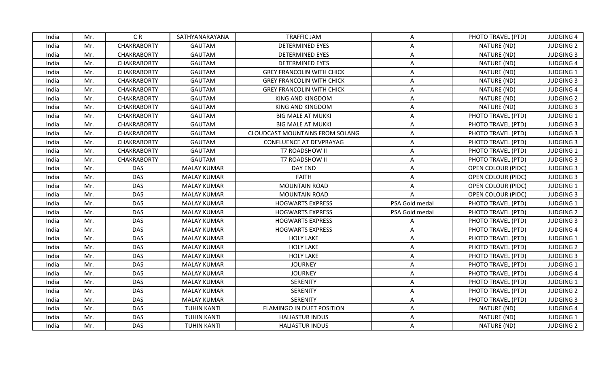| India | Mr. | C <sub>R</sub>     | SATHYANARAYANA     | <b>TRAFFIC JAM</b>                     | A              | PHOTO TRAVEL (PTD)        | <b>JUDGING 4</b> |
|-------|-----|--------------------|--------------------|----------------------------------------|----------------|---------------------------|------------------|
| India | Mr. | <b>CHAKRABORTY</b> | <b>GAUTAM</b>      | <b>DETERMINED EYES</b>                 | A              | NATURE (ND)               | <b>JUDGING 2</b> |
| India | Mr. | <b>CHAKRABORTY</b> | <b>GAUTAM</b>      | <b>DETERMINED EYES</b>                 | A              | NATURE (ND)               | <b>JUDGING 3</b> |
| India | Mr. | <b>CHAKRABORTY</b> | GAUTAM             | <b>DETERMINED EYES</b>                 | A              | NATURE (ND)               | <b>JUDGING 4</b> |
| India | Mr. | <b>CHAKRABORTY</b> | <b>GAUTAM</b>      | <b>GREY FRANCOLIN WITH CHICK</b>       | A              | NATURE (ND)               | JUDGING 1        |
| India | Mr. | <b>CHAKRABORTY</b> | <b>GAUTAM</b>      | <b>GREY FRANCOLIN WITH CHICK</b>       | A              | NATURE (ND)               | <b>JUDGING 3</b> |
| India | Mr. | <b>CHAKRABORTY</b> | <b>GAUTAM</b>      | <b>GREY FRANCOLIN WITH CHICK</b>       | A              | NATURE (ND)               | <b>JUDGING 4</b> |
| India | Mr. | <b>CHAKRABORTY</b> | <b>GAUTAM</b>      | KING AND KINGDOM                       | A              | NATURE (ND)               | <b>JUDGING 2</b> |
| India | Mr. | <b>CHAKRABORTY</b> | <b>GAUTAM</b>      | KING AND KINGDOM                       | A              | NATURE (ND)               | <b>JUDGING 3</b> |
| India | Mr. | <b>CHAKRABORTY</b> | <b>GAUTAM</b>      | <b>BIG MALE AT MUKKI</b>               | A              | PHOTO TRAVEL (PTD)        | JUDGING 1        |
| India | Mr. | <b>CHAKRABORTY</b> | <b>GAUTAM</b>      | <b>BIG MALE AT MUKKI</b>               | A              | PHOTO TRAVEL (PTD)        | <b>JUDGING 3</b> |
| India | Mr. | <b>CHAKRABORTY</b> | <b>GAUTAM</b>      | <b>CLOUDCAST MOUNTAINS FROM SOLANG</b> | A              | PHOTO TRAVEL (PTD)        | <b>JUDGING 3</b> |
| India | Mr. | <b>CHAKRABORTY</b> | <b>GAUTAM</b>      | CONFLUENCE AT DEVPRAYAG                | A              | PHOTO TRAVEL (PTD)        | <b>JUDGING 3</b> |
| India | Mr. | <b>CHAKRABORTY</b> | <b>GAUTAM</b>      | T7 ROADSHOW II                         | A              | PHOTO TRAVEL (PTD)        | <b>JUDGING 1</b> |
| India | Mr. | <b>CHAKRABORTY</b> | GAUTAM             | T7 ROADSHOW II                         | Α              | PHOTO TRAVEL (PTD)        | <b>JUDGING 3</b> |
| India | Mr. | <b>DAS</b>         | <b>MALAY KUMAR</b> | DAY END                                | A              | OPEN COLOUR (PIDC)        | <b>JUDGING 3</b> |
| India | Mr. | <b>DAS</b>         | <b>MALAY KUMAR</b> | <b>FAITH</b>                           | A              | <b>OPEN COLOUR (PIDC)</b> | <b>JUDGING 3</b> |
| India | Mr. | <b>DAS</b>         | <b>MALAY KUMAR</b> | <b>MOUNTAIN ROAD</b>                   | A              | OPEN COLOUR (PIDC)        | JUDGING 1        |
| India | Mr. | <b>DAS</b>         | <b>MALAY KUMAR</b> | <b>MOUNTAIN ROAD</b>                   | $\mathsf{A}$   | <b>OPEN COLOUR (PIDC)</b> | <b>JUDGING 3</b> |
| India | Mr. | <b>DAS</b>         | <b>MALAY KUMAR</b> | <b>HOGWARTS EXPRESS</b>                | PSA Gold medal | PHOTO TRAVEL (PTD)        | <b>JUDGING 1</b> |
| India | Mr. | <b>DAS</b>         | <b>MALAY KUMAR</b> | <b>HOGWARTS EXPRESS</b>                | PSA Gold medal | PHOTO TRAVEL (PTD)        | <b>JUDGING 2</b> |
| India | Mr. | <b>DAS</b>         | <b>MALAY KUMAR</b> | <b>HOGWARTS EXPRESS</b>                | $\mathsf{A}$   | PHOTO TRAVEL (PTD)        | <b>JUDGING 3</b> |
| India | Mr. | <b>DAS</b>         | <b>MALAY KUMAR</b> | <b>HOGWARTS EXPRESS</b>                | A              | PHOTO TRAVEL (PTD)        | <b>JUDGING 4</b> |
| India | Mr. | <b>DAS</b>         | <b>MALAY KUMAR</b> | <b>HOLY LAKE</b>                       | A              | PHOTO TRAVEL (PTD)        | <b>JUDGING 1</b> |
| India | Mr. | <b>DAS</b>         | <b>MALAY KUMAR</b> | <b>HOLY LAKE</b>                       | A              | PHOTO TRAVEL (PTD)        | <b>JUDGING 2</b> |
| India | Mr. | <b>DAS</b>         | <b>MALAY KUMAR</b> | <b>HOLY LAKE</b>                       | A              | PHOTO TRAVEL (PTD)        | <b>JUDGING 3</b> |
| India | Mr. | <b>DAS</b>         | <b>MALAY KUMAR</b> | <b>JOURNEY</b>                         | A              | PHOTO TRAVEL (PTD)        | <b>JUDGING 1</b> |
| India | Mr. | <b>DAS</b>         | <b>MALAY KUMAR</b> | <b>JOURNEY</b>                         | A              | PHOTO TRAVEL (PTD)        | <b>JUDGING 4</b> |
| India | Mr. | <b>DAS</b>         | <b>MALAY KUMAR</b> | <b>SERENITY</b>                        | A              | PHOTO TRAVEL (PTD)        | <b>JUDGING 1</b> |
| India | Mr. | <b>DAS</b>         | <b>MALAY KUMAR</b> | <b>SERENITY</b>                        | A              | PHOTO TRAVEL (PTD)        | <b>JUDGING 2</b> |
| India | Mr. | DAS                | <b>MALAY KUMAR</b> | SERENITY                               | A              | PHOTO TRAVEL (PTD)        | <b>JUDGING 3</b> |
| India | Mr. | <b>DAS</b>         | <b>TUHIN KANTI</b> | FLAMINGO IN DUET POSITION              | A              | NATURE (ND)               | <b>JUDGING 4</b> |
| India | Mr. | <b>DAS</b>         | <b>TUHIN KANTI</b> | <b>HALIASTUR INDUS</b>                 | A              | NATURE (ND)               | JUDGING 1        |
| India | Mr. | <b>DAS</b>         | <b>TUHIN KANTI</b> | <b>HALIASTUR INDUS</b>                 | A              | NATURE (ND)               | <b>JUDGING 2</b> |
|       |     |                    |                    |                                        |                |                           |                  |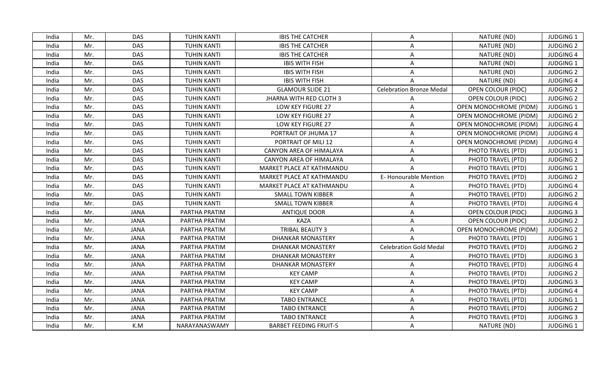| India | Mr. | <b>DAS</b>  | <b>TUHIN KANTI</b> | <b>IBIS THE CATCHER</b>        | A                               | NATURE (ND)                   | JUDGING 1        |
|-------|-----|-------------|--------------------|--------------------------------|---------------------------------|-------------------------------|------------------|
| India | Mr. | <b>DAS</b>  | <b>TUHIN KANTI</b> | <b>IBIS THE CATCHER</b>        | A                               | NATURE (ND)                   | <b>JUDGING 2</b> |
| India | Mr. | <b>DAS</b>  | <b>TUHIN KANTI</b> | <b>IBIS THE CATCHER</b>        | A                               | NATURE (ND)                   | <b>JUDGING 4</b> |
| India | Mr. | <b>DAS</b>  | <b>TUHIN KANTI</b> | <b>IBIS WITH FISH</b>          | A                               | NATURE (ND)                   | <b>JUDGING 1</b> |
| India | Mr. | <b>DAS</b>  | <b>TUHIN KANTI</b> | <b>IBIS WITH FISH</b>          | A                               | NATURE (ND)                   | <b>JUDGING 2</b> |
| India | Mr. | <b>DAS</b>  | <b>TUHIN KANTI</b> | <b>IBIS WITH FISH</b>          |                                 | NATURE (ND)                   | <b>JUDGING 4</b> |
| India | Mr. | <b>DAS</b>  | <b>TUHIN KANTI</b> | <b>GLAMOUR SLIDE 21</b>        | <b>Celebration Bronze Medal</b> | <b>OPEN COLOUR (PIDC)</b>     | <b>JUDGING 2</b> |
| India | Mr. | <b>DAS</b>  | <b>TUHIN KANTI</b> | <b>JHARNA WITH RED CLOTH 3</b> |                                 | OPEN COLOUR (PIDC)            | <b>JUDGING 2</b> |
| India | Mr. | <b>DAS</b>  | <b>TUHIN KANTI</b> | LOW KEY FIGURE 27              | A                               | OPEN MONOCHROME (PIDM)        | <b>JUDGING 1</b> |
| India | Mr. | <b>DAS</b>  | <b>TUHIN KANTI</b> | LOW KEY FIGURE 27              | A                               | OPEN MONOCHROME (PIDM)        | <b>JUDGING 2</b> |
| India | Mr. | <b>DAS</b>  | <b>TUHIN KANTI</b> | LOW KEY FIGURE 27              | A                               | <b>OPEN MONOCHROME (PIDM)</b> | <b>JUDGING 4</b> |
| India | Mr. | <b>DAS</b>  | <b>TUHIN KANTI</b> | PORTRAIT OF JHUMA 17           | A                               | OPEN MONOCHROME (PIDM)        | <b>JUDGING 4</b> |
| India | Mr. | <b>DAS</b>  | <b>TUHIN KANTI</b> | PORTRAIT OF MILI 12            | A                               | OPEN MONOCHROME (PIDM)        | <b>JUDGING 4</b> |
| India | Mr. | <b>DAS</b>  | <b>TUHIN KANTI</b> | CANYON AREA OF HIMALAYA        | A                               | PHOTO TRAVEL (PTD)            | <b>JUDGING 1</b> |
| India | Mr. | <b>DAS</b>  | <b>TUHIN KANTI</b> | CANYON AREA OF HIMALAYA        | Α                               | PHOTO TRAVEL (PTD)            | <b>JUDGING 2</b> |
| India | Mr. | <b>DAS</b>  | <b>TUHIN KANTI</b> | MARKET PLACE AT KATHMANDU      | A                               | PHOTO TRAVEL (PTD)            | <b>JUDGING 1</b> |
| India | Mr. | <b>DAS</b>  | <b>TUHIN KANTI</b> | MARKET PLACE AT KATHMANDU      | E-Honourable Mention            | PHOTO TRAVEL (PTD)            | <b>JUDGING 2</b> |
| India | Mr. | <b>DAS</b>  | <b>TUHIN KANTI</b> | MARKET PLACE AT KATHMANDU      | A                               | PHOTO TRAVEL (PTD)            | <b>JUDGING 4</b> |
| India | Mr. | <b>DAS</b>  | <b>TUHIN KANTI</b> | <b>SMALL TOWN KIBBER</b>       | A                               | PHOTO TRAVEL (PTD)            | <b>JUDGING 2</b> |
| India | Mr. | <b>DAS</b>  | <b>TUHIN KANTI</b> | <b>SMALL TOWN KIBBER</b>       | $\mathsf{A}$                    | PHOTO TRAVEL (PTD)            | <b>JUDGING 4</b> |
| India | Mr. | <b>JANA</b> | PARTHA PRATIM      | <b>ANTIQUE DOOR</b>            | A                               | <b>OPEN COLOUR (PIDC)</b>     | <b>JUDGING 3</b> |
| India | Mr. | <b>JANA</b> | PARTHA PRATIM      | <b>KAZA</b>                    | A                               | <b>OPEN COLOUR (PIDC)</b>     | <b>JUDGING 2</b> |
| India | Mr. | <b>JANA</b> | PARTHA PRATIM      | TRIBAL BEAUTY 3                | A                               | OPEN MONOCHROME (PIDM)        | <b>JUDGING 2</b> |
| India | Mr. | <b>JANA</b> | PARTHA PRATIM      | DHANKAR MONASTERY              | A                               | PHOTO TRAVEL (PTD)            | <b>JUDGING 1</b> |
| India | Mr. | <b>JANA</b> | PARTHA PRATIM      | <b>DHANKAR MONASTERY</b>       | <b>Celebration Gold Medal</b>   | PHOTO TRAVEL (PTD)            | <b>JUDGING 2</b> |
| India | Mr. | <b>JANA</b> | PARTHA PRATIM      | <b>DHANKAR MONASTERY</b>       | A                               | PHOTO TRAVEL (PTD)            | <b>JUDGING 3</b> |
| India | Mr. | <b>JANA</b> | PARTHA PRATIM      | DHANKAR MONASTERY              | A                               | PHOTO TRAVEL (PTD)            | <b>JUDGING 4</b> |
| India | Mr. | <b>JANA</b> | PARTHA PRATIM      | <b>KEY CAMP</b>                | A                               | PHOTO TRAVEL (PTD)            | <b>JUDGING 2</b> |
| India | Mr. | <b>JANA</b> | PARTHA PRATIM      | <b>KEY CAMP</b>                | A                               | PHOTO TRAVEL (PTD)            | <b>JUDGING 3</b> |
| India | Mr. | <b>JANA</b> | PARTHA PRATIM      | <b>KEY CAMP</b>                | A                               | PHOTO TRAVEL (PTD)            | <b>JUDGING 4</b> |
| India | Mr. | <b>JANA</b> | PARTHA PRATIM      | <b>TABO ENTRANCE</b>           | A                               | PHOTO TRAVEL (PTD)            | <b>JUDGING 1</b> |
| India | Mr. | <b>JANA</b> | PARTHA PRATIM      | <b>TABO ENTRANCE</b>           | A                               | PHOTO TRAVEL (PTD)            | <b>JUDGING 2</b> |
| India | Mr. | <b>JANA</b> | PARTHA PRATIM      | <b>TABO ENTRANCE</b>           | A                               | PHOTO TRAVEL (PTD)            | <b>JUDGING 3</b> |
| India | Mr. | K.M         | NARAYANASWAMY      | <b>BARBET FEEDING FRUIT-5</b>  | A                               | NATURE (ND)                   | JUDGING 1        |
|       |     |             |                    |                                |                                 |                               |                  |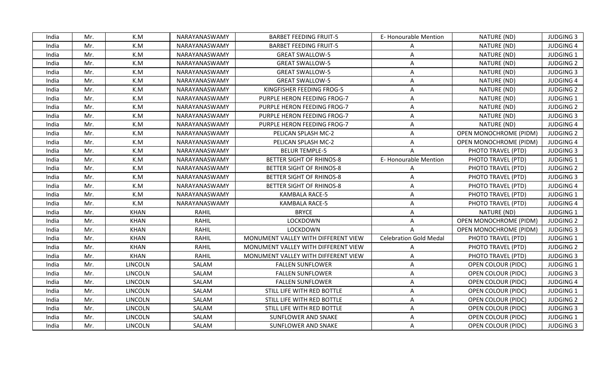| India | Mr. | K.M            | NARAYANASWAMY | <b>BARBET FEEDING FRUIT-5</b>       | E-Honourable Mention          | NATURE (ND)                   | <b>JUDGING 3</b> |
|-------|-----|----------------|---------------|-------------------------------------|-------------------------------|-------------------------------|------------------|
| India | Mr. | K.M            | NARAYANASWAMY | <b>BARBET FEEDING FRUIT-5</b>       | A                             | NATURE (ND)                   | <b>JUDGING 4</b> |
| India | Mr. | K.M            | NARAYANASWAMY | <b>GREAT SWALLOW-5</b>              | A                             | NATURE (ND)                   | <b>JUDGING 1</b> |
| India | Mr. | K.M            | NARAYANASWAMY | <b>GREAT SWALLOW-5</b>              | A                             | NATURE (ND)                   | <b>JUDGING 2</b> |
| India | Mr. | K.M            | NARAYANASWAMY | <b>GREAT SWALLOW-5</b>              | A                             | NATURE (ND)                   | <b>JUDGING 3</b> |
| India | Mr. | K.M            | NARAYANASWAMY | <b>GREAT SWALLOW-5</b>              | A                             | NATURE (ND)                   | <b>JUDGING 4</b> |
| India | Mr. | K.M            | NARAYANASWAMY | KINGFISHER FEEDING FROG-5           | A                             | NATURE (ND)                   | <b>JUDGING 2</b> |
| India | Mr. | K.M            | NARAYANASWAMY | PURPLE HERON FEEDING FROG-7         | A                             | NATURE (ND)                   | <b>JUDGING 1</b> |
| India | Mr. | K.M            | NARAYANASWAMY | PURPLE HERON FEEDING FROG-7         | A                             | NATURE (ND)                   | <b>JUDGING 2</b> |
| India | Mr. | K.M            | NARAYANASWAMY | PURPLE HERON FEEDING FROG-7         | Α                             | NATURE (ND)                   | <b>JUDGING 3</b> |
| India | Mr. | K.M            | NARAYANASWAMY | PURPLE HERON FEEDING FROG-7         | A                             | NATURE (ND)                   | <b>JUDGING 4</b> |
| India | Mr. | K.M            | NARAYANASWAMY | PELICAN SPLASH MC-2                 | A                             | OPEN MONOCHROME (PIDM)        | <b>JUDGING 2</b> |
| India | Mr. | K.M            | NARAYANASWAMY | PELICAN SPLASH MC-2                 | $\mathsf{A}$                  | OPEN MONOCHROME (PIDM)        | <b>JUDGING 4</b> |
| India | Mr. | K.M            | NARAYANASWAMY | <b>BELUR TEMPLE-5</b>               |                               | PHOTO TRAVEL (PTD)            | <b>JUDGING 3</b> |
| India | Mr. | K.M            | NARAYANASWAMY | BETTER SIGHT OF RHINOS-8            | E-Honourable Mention          | PHOTO TRAVEL (PTD)            | <b>JUDGING 1</b> |
| India | Mr. | K.M            | NARAYANASWAMY | BETTER SIGHT OF RHINOS-8            | Α                             | PHOTO TRAVEL (PTD)            | <b>JUDGING 2</b> |
| India | Mr. | K.M            | NARAYANASWAMY | BETTER SIGHT OF RHINOS-8            | A                             | PHOTO TRAVEL (PTD)            | <b>JUDGING 3</b> |
| India | Mr. | K.M            | NARAYANASWAMY | BETTER SIGHT OF RHINOS-8            | Α                             | PHOTO TRAVEL (PTD)            | <b>JUDGING 4</b> |
| India | Mr. | K.M            | NARAYANASWAMY | <b>KAMBALA RACE-5</b>               | A                             | PHOTO TRAVEL (PTD)            | <b>JUDGING 1</b> |
| India | Mr. | K.M            | NARAYANASWAMY | <b>KAMBALA RACE-5</b>               | Α                             | PHOTO TRAVEL (PTD)            | <b>JUDGING 4</b> |
| India | Mr. | <b>KHAN</b>    | RAHIL         | <b>BRYCE</b>                        | A                             | NATURE (ND)                   | <b>JUDGING 1</b> |
| India | Mr. | <b>KHAN</b>    | <b>RAHIL</b>  | LOCKDOWN                            | A                             | <b>OPEN MONOCHROME (PIDM)</b> | <b>JUDGING 2</b> |
| India | Mr. | <b>KHAN</b>    | <b>RAHIL</b>  | LOCKDOWN                            | $\mathsf{A}$                  | OPEN MONOCHROME (PIDM)        | <b>JUDGING 3</b> |
| India | Mr. | <b>KHAN</b>    | <b>RAHIL</b>  | MONUMENT VALLEY WITH DIFFERENT VIEW | <b>Celebration Gold Medal</b> | PHOTO TRAVEL (PTD)            | <b>JUDGING 1</b> |
| India | Mr. | <b>KHAN</b>    | <b>RAHIL</b>  | MONUMENT VALLEY WITH DIFFERENT VIEW | A                             | PHOTO TRAVEL (PTD)            | <b>JUDGING 2</b> |
| India | Mr. | <b>KHAN</b>    | <b>RAHIL</b>  | MONUMENT VALLEY WITH DIFFERENT VIEW | A                             | PHOTO TRAVEL (PTD)            | <b>JUDGING 3</b> |
| India | Mr. | <b>LINCOLN</b> | SALAM         | <b>FALLEN SUNFLOWER</b>             | A                             | <b>OPEN COLOUR (PIDC)</b>     | <b>JUDGING 1</b> |
| India | Mr. | <b>LINCOLN</b> | SALAM         | <b>FALLEN SUNFLOWER</b>             | Α                             | <b>OPEN COLOUR (PIDC)</b>     | <b>JUDGING 3</b> |
| India | Mr. | LINCOLN        | SALAM         | <b>FALLEN SUNFLOWER</b>             | A                             | <b>OPEN COLOUR (PIDC)</b>     | <b>JUDGING 4</b> |
| India | Mr. | <b>LINCOLN</b> | SALAM         | STILL LIFE WITH RED BOTTLE          | A                             | <b>OPEN COLOUR (PIDC)</b>     | <b>JUDGING 1</b> |
| India | Mr. | <b>LINCOLN</b> | SALAM         | STILL LIFE WITH RED BOTTLE          | A                             | <b>OPEN COLOUR (PIDC)</b>     | <b>JUDGING 2</b> |
| India | Mr. | <b>LINCOLN</b> | SALAM         | STILL LIFE WITH RED BOTTLE          | A                             | <b>OPEN COLOUR (PIDC)</b>     | <b>JUDGING 3</b> |
| India | Mr. | <b>LINCOLN</b> | SALAM         | SUNFLOWER AND SNAKE                 | A                             | <b>OPEN COLOUR (PIDC)</b>     | <b>JUDGING 1</b> |
| India | Mr. | <b>LINCOLN</b> | SALAM         | <b>SUNFLOWER AND SNAKE</b>          | A                             | OPEN COLOUR (PIDC)            | <b>JUDGING 3</b> |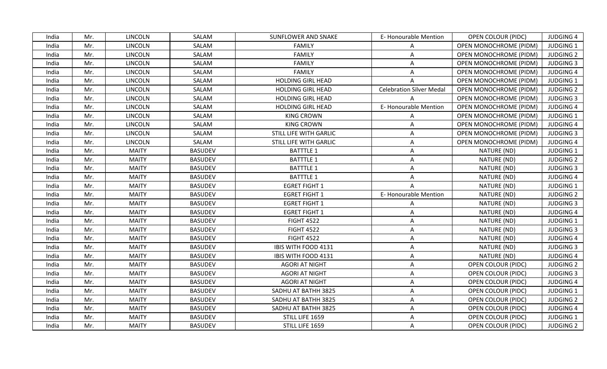| <b>E-Honourable Mention</b><br><b>JUDGING 4</b><br>LINCOLN<br>SALAM<br><b>SUNFLOWER AND SNAKE</b><br><b>OPEN COLOUR (PIDC)</b><br>India<br>Mr.<br><b>LINCOLN</b><br>SALAM<br><b>OPEN MONOCHROME (PIDM)</b><br><b>JUDGING 1</b><br>India<br>Mr.<br><b>FAMILY</b><br>A<br>Mr.<br><b>LINCOLN</b><br>SALAM<br><b>FAMILY</b><br>OPEN MONOCHROME (PIDM)<br><b>JUDGING 2</b><br>India<br>A<br><b>LINCOLN</b><br>SALAM<br><b>FAMILY</b><br><b>JUDGING 3</b><br>India<br>Mr.<br>A<br>OPEN MONOCHROME (PIDM)<br>SALAM<br><b>FAMILY</b><br>India<br>Mr.<br><b>LINCOLN</b><br>A<br>OPEN MONOCHROME (PIDM)<br><b>JUDGING 4</b><br>Mr.<br><b>LINCOLN</b><br>SALAM<br><b>HOLDING GIRL HEAD</b><br><b>JUDGING 1</b><br>India<br><b>OPEN MONOCHROME (PIDM)</b><br><b>LINCOLN</b><br>SALAM<br><b>Celebration Silver Medal</b><br>OPEN MONOCHROME (PIDM)<br><b>JUDGING 2</b><br>India<br>Mr.<br><b>HOLDING GIRL HEAD</b><br><b>LINCOLN</b><br>SALAM<br>India<br>Mr.<br><b>HOLDING GIRL HEAD</b><br>OPEN MONOCHROME (PIDM)<br><b>JUDGING 3</b><br>E-Honourable Mention<br>Mr.<br>LINCOLN<br>SALAM<br><b>HOLDING GIRL HEAD</b><br><b>OPEN MONOCHROME (PIDM)</b><br><b>JUDGING 4</b><br>India<br>SALAM<br>India<br>Mr.<br>LINCOLN<br><b>KING CROWN</b><br><b>JUDGING 1</b><br>A<br><b>OPEN MONOCHROME (PIDM)</b><br>Mr.<br><b>LINCOLN</b><br>SALAM<br><b>KING CROWN</b><br><b>JUDGING 4</b><br>India<br><b>OPEN MONOCHROME (PIDM)</b><br>A<br>STILL LIFE WITH GARLIC<br><b>JUDGING 3</b><br>Mr.<br><b>LINCOLN</b><br>SALAM<br>OPEN MONOCHROME (PIDM)<br>India<br>A<br>Mr.<br><b>LINCOLN</b><br>SALAM<br>STILL LIFE WITH GARLIC<br>OPEN MONOCHROME (PIDM)<br><b>JUDGING 4</b><br>India<br>A<br><b>BASUDEV</b><br><b>BATTTLE 1</b><br>India<br>Mr.<br><b>MAITY</b><br>NATURE (ND)<br><b>JUDGING 1</b><br>A<br><b>MAITY</b><br><b>BASUDEV</b><br><b>BATTTLE 1</b><br>NATURE (ND)<br>Mr.<br>Α<br><b>JUDGING 2</b><br>India<br>Mr.<br><b>MAITY</b><br><b>BASUDEV</b><br><b>BATTTLE 1</b><br>NATURE (ND)<br><b>JUDGING 3</b><br>A<br>India<br>Mr.<br><b>MAITY</b><br><b>BASUDEV</b><br><b>BATTTLE 1</b><br>NATURE (ND)<br><b>JUDGING 4</b><br>India<br>A<br>Mr.<br><b>MAITY</b><br><b>EGRET FIGHT 1</b><br>NATURE (ND)<br>India<br><b>BASUDEV</b><br>JUDGING 1<br>$\mathsf{A}$<br>E-Honourable Mention<br>Mr.<br><b>MAITY</b><br><b>BASUDEV</b><br><b>EGRET FIGHT 1</b><br>NATURE (ND)<br><b>JUDGING 2</b><br>India<br><b>MAITY</b><br><b>BASUDEV</b><br><b>EGRET FIGHT 1</b><br>NATURE (ND)<br><b>JUDGING 3</b><br>Mr.<br>India<br>A<br>Mr.<br><b>MAITY</b><br><b>BASUDEV</b><br><b>EGRET FIGHT 1</b><br>NATURE (ND)<br><b>JUDGING 4</b><br>India<br>A<br><b>FIGHT 4522</b><br>NATURE (ND)<br>JUDGING 1<br>Mr.<br><b>MAITY</b><br><b>BASUDEV</b><br>A<br>India<br><b>FIGHT 4522</b><br>NATURE (ND)<br><b>JUDGING 3</b><br>India<br>Mr.<br><b>MAITY</b><br><b>BASUDEV</b><br>$\mathsf{A}$<br><b>FIGHT 4522</b><br>India<br><b>MAITY</b><br><b>BASUDEV</b><br>NATURE (ND)<br><b>JUDGING 4</b><br>Mr.<br>A<br><b>MAITY</b><br>NATURE (ND)<br>Mr.<br><b>BASUDEV</b><br>IBIS WITH FOOD 4131<br>A<br><b>JUDGING 3</b><br>India<br>Mr.<br><b>MAITY</b><br><b>BASUDEV</b><br>NATURE (ND)<br><b>JUDGING 4</b><br>India<br>IBIS WITH FOOD 4131<br>Α<br>Mr.<br><b>MAITY</b><br><b>BASUDEV</b><br><b>JUDGING 2</b><br>India<br><b>AGORI AT NIGHT</b><br>A<br><b>OPEN COLOUR (PIDC)</b><br><b>MAITY</b><br>Mr.<br><b>BASUDEV</b><br><b>AGORI AT NIGHT</b><br>A<br><b>JUDGING 3</b><br>India<br><b>OPEN COLOUR (PIDC)</b><br><b>MAITY</b><br>Mr.<br><b>BASUDEV</b><br>India<br><b>AGORI AT NIGHT</b><br>A<br><b>OPEN COLOUR (PIDC)</b><br><b>JUDGING 4</b><br>Mr.<br><b>MAITY</b><br><b>BASUDEV</b><br>SADHU AT BATHH 3825<br>A<br><b>JUDGING 1</b><br>India<br><b>OPEN COLOUR (PIDC)</b><br>Mr.<br><b>MAITY</b><br><b>BASUDEV</b><br>India<br>SADHU AT BATHH 3825<br>A<br><b>OPEN COLOUR (PIDC)</b><br><b>JUDGING 2</b><br><b>MAITY</b><br><b>BASUDEV</b><br>SADHU AT BATHH 3825<br>OPEN COLOUR (PIDC)<br><b>JUDGING 4</b><br>India<br>Mr.<br>A<br>Mr.<br><b>MAITY</b><br><b>BASUDEV</b><br>STILL LIFE 1659<br>OPEN COLOUR (PIDC)<br>JUDGING 1<br>India<br>A<br><b>MAITY</b><br><b>BASUDEV</b><br>STILL LIFE 1659<br><b>JUDGING 2</b><br>India<br>Mr.<br>A<br><b>OPEN COLOUR (PIDC)</b> |  |  |  |  |  |
|-------------------------------------------------------------------------------------------------------------------------------------------------------------------------------------------------------------------------------------------------------------------------------------------------------------------------------------------------------------------------------------------------------------------------------------------------------------------------------------------------------------------------------------------------------------------------------------------------------------------------------------------------------------------------------------------------------------------------------------------------------------------------------------------------------------------------------------------------------------------------------------------------------------------------------------------------------------------------------------------------------------------------------------------------------------------------------------------------------------------------------------------------------------------------------------------------------------------------------------------------------------------------------------------------------------------------------------------------------------------------------------------------------------------------------------------------------------------------------------------------------------------------------------------------------------------------------------------------------------------------------------------------------------------------------------------------------------------------------------------------------------------------------------------------------------------------------------------------------------------------------------------------------------------------------------------------------------------------------------------------------------------------------------------------------------------------------------------------------------------------------------------------------------------------------------------------------------------------------------------------------------------------------------------------------------------------------------------------------------------------------------------------------------------------------------------------------------------------------------------------------------------------------------------------------------------------------------------------------------------------------------------------------------------------------------------------------------------------------------------------------------------------------------------------------------------------------------------------------------------------------------------------------------------------------------------------------------------------------------------------------------------------------------------------------------------------------------------------------------------------------------------------------------------------------------------------------------------------------------------------------------------------------------------------------------------------------------------------------------------------------------------------------------------------------------------------------------------------------------------------------------------------------------------------------------------------------------------------------------------------------------------------------------------------------------------------------------------------------------------------------------------------------------------------------------------------------------------------------------------------------------------------------------------------------------------------------------------------------------------------------------------------------------------------------------------------------------------------------------------------------------------------------------------------------------------------------------------------------------------------|--|--|--|--|--|
|                                                                                                                                                                                                                                                                                                                                                                                                                                                                                                                                                                                                                                                                                                                                                                                                                                                                                                                                                                                                                                                                                                                                                                                                                                                                                                                                                                                                                                                                                                                                                                                                                                                                                                                                                                                                                                                                                                                                                                                                                                                                                                                                                                                                                                                                                                                                                                                                                                                                                                                                                                                                                                                                                                                                                                                                                                                                                                                                                                                                                                                                                                                                                                                                                                                                                                                                                                                                                                                                                                                                                                                                                                                                                                                                                                                                                                                                                                                                                                                                                                                                                                                                                                                                                                                 |  |  |  |  |  |
|                                                                                                                                                                                                                                                                                                                                                                                                                                                                                                                                                                                                                                                                                                                                                                                                                                                                                                                                                                                                                                                                                                                                                                                                                                                                                                                                                                                                                                                                                                                                                                                                                                                                                                                                                                                                                                                                                                                                                                                                                                                                                                                                                                                                                                                                                                                                                                                                                                                                                                                                                                                                                                                                                                                                                                                                                                                                                                                                                                                                                                                                                                                                                                                                                                                                                                                                                                                                                                                                                                                                                                                                                                                                                                                                                                                                                                                                                                                                                                                                                                                                                                                                                                                                                                                 |  |  |  |  |  |
|                                                                                                                                                                                                                                                                                                                                                                                                                                                                                                                                                                                                                                                                                                                                                                                                                                                                                                                                                                                                                                                                                                                                                                                                                                                                                                                                                                                                                                                                                                                                                                                                                                                                                                                                                                                                                                                                                                                                                                                                                                                                                                                                                                                                                                                                                                                                                                                                                                                                                                                                                                                                                                                                                                                                                                                                                                                                                                                                                                                                                                                                                                                                                                                                                                                                                                                                                                                                                                                                                                                                                                                                                                                                                                                                                                                                                                                                                                                                                                                                                                                                                                                                                                                                                                                 |  |  |  |  |  |
|                                                                                                                                                                                                                                                                                                                                                                                                                                                                                                                                                                                                                                                                                                                                                                                                                                                                                                                                                                                                                                                                                                                                                                                                                                                                                                                                                                                                                                                                                                                                                                                                                                                                                                                                                                                                                                                                                                                                                                                                                                                                                                                                                                                                                                                                                                                                                                                                                                                                                                                                                                                                                                                                                                                                                                                                                                                                                                                                                                                                                                                                                                                                                                                                                                                                                                                                                                                                                                                                                                                                                                                                                                                                                                                                                                                                                                                                                                                                                                                                                                                                                                                                                                                                                                                 |  |  |  |  |  |
|                                                                                                                                                                                                                                                                                                                                                                                                                                                                                                                                                                                                                                                                                                                                                                                                                                                                                                                                                                                                                                                                                                                                                                                                                                                                                                                                                                                                                                                                                                                                                                                                                                                                                                                                                                                                                                                                                                                                                                                                                                                                                                                                                                                                                                                                                                                                                                                                                                                                                                                                                                                                                                                                                                                                                                                                                                                                                                                                                                                                                                                                                                                                                                                                                                                                                                                                                                                                                                                                                                                                                                                                                                                                                                                                                                                                                                                                                                                                                                                                                                                                                                                                                                                                                                                 |  |  |  |  |  |
|                                                                                                                                                                                                                                                                                                                                                                                                                                                                                                                                                                                                                                                                                                                                                                                                                                                                                                                                                                                                                                                                                                                                                                                                                                                                                                                                                                                                                                                                                                                                                                                                                                                                                                                                                                                                                                                                                                                                                                                                                                                                                                                                                                                                                                                                                                                                                                                                                                                                                                                                                                                                                                                                                                                                                                                                                                                                                                                                                                                                                                                                                                                                                                                                                                                                                                                                                                                                                                                                                                                                                                                                                                                                                                                                                                                                                                                                                                                                                                                                                                                                                                                                                                                                                                                 |  |  |  |  |  |
|                                                                                                                                                                                                                                                                                                                                                                                                                                                                                                                                                                                                                                                                                                                                                                                                                                                                                                                                                                                                                                                                                                                                                                                                                                                                                                                                                                                                                                                                                                                                                                                                                                                                                                                                                                                                                                                                                                                                                                                                                                                                                                                                                                                                                                                                                                                                                                                                                                                                                                                                                                                                                                                                                                                                                                                                                                                                                                                                                                                                                                                                                                                                                                                                                                                                                                                                                                                                                                                                                                                                                                                                                                                                                                                                                                                                                                                                                                                                                                                                                                                                                                                                                                                                                                                 |  |  |  |  |  |
|                                                                                                                                                                                                                                                                                                                                                                                                                                                                                                                                                                                                                                                                                                                                                                                                                                                                                                                                                                                                                                                                                                                                                                                                                                                                                                                                                                                                                                                                                                                                                                                                                                                                                                                                                                                                                                                                                                                                                                                                                                                                                                                                                                                                                                                                                                                                                                                                                                                                                                                                                                                                                                                                                                                                                                                                                                                                                                                                                                                                                                                                                                                                                                                                                                                                                                                                                                                                                                                                                                                                                                                                                                                                                                                                                                                                                                                                                                                                                                                                                                                                                                                                                                                                                                                 |  |  |  |  |  |
|                                                                                                                                                                                                                                                                                                                                                                                                                                                                                                                                                                                                                                                                                                                                                                                                                                                                                                                                                                                                                                                                                                                                                                                                                                                                                                                                                                                                                                                                                                                                                                                                                                                                                                                                                                                                                                                                                                                                                                                                                                                                                                                                                                                                                                                                                                                                                                                                                                                                                                                                                                                                                                                                                                                                                                                                                                                                                                                                                                                                                                                                                                                                                                                                                                                                                                                                                                                                                                                                                                                                                                                                                                                                                                                                                                                                                                                                                                                                                                                                                                                                                                                                                                                                                                                 |  |  |  |  |  |
|                                                                                                                                                                                                                                                                                                                                                                                                                                                                                                                                                                                                                                                                                                                                                                                                                                                                                                                                                                                                                                                                                                                                                                                                                                                                                                                                                                                                                                                                                                                                                                                                                                                                                                                                                                                                                                                                                                                                                                                                                                                                                                                                                                                                                                                                                                                                                                                                                                                                                                                                                                                                                                                                                                                                                                                                                                                                                                                                                                                                                                                                                                                                                                                                                                                                                                                                                                                                                                                                                                                                                                                                                                                                                                                                                                                                                                                                                                                                                                                                                                                                                                                                                                                                                                                 |  |  |  |  |  |
|                                                                                                                                                                                                                                                                                                                                                                                                                                                                                                                                                                                                                                                                                                                                                                                                                                                                                                                                                                                                                                                                                                                                                                                                                                                                                                                                                                                                                                                                                                                                                                                                                                                                                                                                                                                                                                                                                                                                                                                                                                                                                                                                                                                                                                                                                                                                                                                                                                                                                                                                                                                                                                                                                                                                                                                                                                                                                                                                                                                                                                                                                                                                                                                                                                                                                                                                                                                                                                                                                                                                                                                                                                                                                                                                                                                                                                                                                                                                                                                                                                                                                                                                                                                                                                                 |  |  |  |  |  |
|                                                                                                                                                                                                                                                                                                                                                                                                                                                                                                                                                                                                                                                                                                                                                                                                                                                                                                                                                                                                                                                                                                                                                                                                                                                                                                                                                                                                                                                                                                                                                                                                                                                                                                                                                                                                                                                                                                                                                                                                                                                                                                                                                                                                                                                                                                                                                                                                                                                                                                                                                                                                                                                                                                                                                                                                                                                                                                                                                                                                                                                                                                                                                                                                                                                                                                                                                                                                                                                                                                                                                                                                                                                                                                                                                                                                                                                                                                                                                                                                                                                                                                                                                                                                                                                 |  |  |  |  |  |
|                                                                                                                                                                                                                                                                                                                                                                                                                                                                                                                                                                                                                                                                                                                                                                                                                                                                                                                                                                                                                                                                                                                                                                                                                                                                                                                                                                                                                                                                                                                                                                                                                                                                                                                                                                                                                                                                                                                                                                                                                                                                                                                                                                                                                                                                                                                                                                                                                                                                                                                                                                                                                                                                                                                                                                                                                                                                                                                                                                                                                                                                                                                                                                                                                                                                                                                                                                                                                                                                                                                                                                                                                                                                                                                                                                                                                                                                                                                                                                                                                                                                                                                                                                                                                                                 |  |  |  |  |  |
|                                                                                                                                                                                                                                                                                                                                                                                                                                                                                                                                                                                                                                                                                                                                                                                                                                                                                                                                                                                                                                                                                                                                                                                                                                                                                                                                                                                                                                                                                                                                                                                                                                                                                                                                                                                                                                                                                                                                                                                                                                                                                                                                                                                                                                                                                                                                                                                                                                                                                                                                                                                                                                                                                                                                                                                                                                                                                                                                                                                                                                                                                                                                                                                                                                                                                                                                                                                                                                                                                                                                                                                                                                                                                                                                                                                                                                                                                                                                                                                                                                                                                                                                                                                                                                                 |  |  |  |  |  |
|                                                                                                                                                                                                                                                                                                                                                                                                                                                                                                                                                                                                                                                                                                                                                                                                                                                                                                                                                                                                                                                                                                                                                                                                                                                                                                                                                                                                                                                                                                                                                                                                                                                                                                                                                                                                                                                                                                                                                                                                                                                                                                                                                                                                                                                                                                                                                                                                                                                                                                                                                                                                                                                                                                                                                                                                                                                                                                                                                                                                                                                                                                                                                                                                                                                                                                                                                                                                                                                                                                                                                                                                                                                                                                                                                                                                                                                                                                                                                                                                                                                                                                                                                                                                                                                 |  |  |  |  |  |
|                                                                                                                                                                                                                                                                                                                                                                                                                                                                                                                                                                                                                                                                                                                                                                                                                                                                                                                                                                                                                                                                                                                                                                                                                                                                                                                                                                                                                                                                                                                                                                                                                                                                                                                                                                                                                                                                                                                                                                                                                                                                                                                                                                                                                                                                                                                                                                                                                                                                                                                                                                                                                                                                                                                                                                                                                                                                                                                                                                                                                                                                                                                                                                                                                                                                                                                                                                                                                                                                                                                                                                                                                                                                                                                                                                                                                                                                                                                                                                                                                                                                                                                                                                                                                                                 |  |  |  |  |  |
|                                                                                                                                                                                                                                                                                                                                                                                                                                                                                                                                                                                                                                                                                                                                                                                                                                                                                                                                                                                                                                                                                                                                                                                                                                                                                                                                                                                                                                                                                                                                                                                                                                                                                                                                                                                                                                                                                                                                                                                                                                                                                                                                                                                                                                                                                                                                                                                                                                                                                                                                                                                                                                                                                                                                                                                                                                                                                                                                                                                                                                                                                                                                                                                                                                                                                                                                                                                                                                                                                                                                                                                                                                                                                                                                                                                                                                                                                                                                                                                                                                                                                                                                                                                                                                                 |  |  |  |  |  |
|                                                                                                                                                                                                                                                                                                                                                                                                                                                                                                                                                                                                                                                                                                                                                                                                                                                                                                                                                                                                                                                                                                                                                                                                                                                                                                                                                                                                                                                                                                                                                                                                                                                                                                                                                                                                                                                                                                                                                                                                                                                                                                                                                                                                                                                                                                                                                                                                                                                                                                                                                                                                                                                                                                                                                                                                                                                                                                                                                                                                                                                                                                                                                                                                                                                                                                                                                                                                                                                                                                                                                                                                                                                                                                                                                                                                                                                                                                                                                                                                                                                                                                                                                                                                                                                 |  |  |  |  |  |
|                                                                                                                                                                                                                                                                                                                                                                                                                                                                                                                                                                                                                                                                                                                                                                                                                                                                                                                                                                                                                                                                                                                                                                                                                                                                                                                                                                                                                                                                                                                                                                                                                                                                                                                                                                                                                                                                                                                                                                                                                                                                                                                                                                                                                                                                                                                                                                                                                                                                                                                                                                                                                                                                                                                                                                                                                                                                                                                                                                                                                                                                                                                                                                                                                                                                                                                                                                                                                                                                                                                                                                                                                                                                                                                                                                                                                                                                                                                                                                                                                                                                                                                                                                                                                                                 |  |  |  |  |  |
|                                                                                                                                                                                                                                                                                                                                                                                                                                                                                                                                                                                                                                                                                                                                                                                                                                                                                                                                                                                                                                                                                                                                                                                                                                                                                                                                                                                                                                                                                                                                                                                                                                                                                                                                                                                                                                                                                                                                                                                                                                                                                                                                                                                                                                                                                                                                                                                                                                                                                                                                                                                                                                                                                                                                                                                                                                                                                                                                                                                                                                                                                                                                                                                                                                                                                                                                                                                                                                                                                                                                                                                                                                                                                                                                                                                                                                                                                                                                                                                                                                                                                                                                                                                                                                                 |  |  |  |  |  |
|                                                                                                                                                                                                                                                                                                                                                                                                                                                                                                                                                                                                                                                                                                                                                                                                                                                                                                                                                                                                                                                                                                                                                                                                                                                                                                                                                                                                                                                                                                                                                                                                                                                                                                                                                                                                                                                                                                                                                                                                                                                                                                                                                                                                                                                                                                                                                                                                                                                                                                                                                                                                                                                                                                                                                                                                                                                                                                                                                                                                                                                                                                                                                                                                                                                                                                                                                                                                                                                                                                                                                                                                                                                                                                                                                                                                                                                                                                                                                                                                                                                                                                                                                                                                                                                 |  |  |  |  |  |
|                                                                                                                                                                                                                                                                                                                                                                                                                                                                                                                                                                                                                                                                                                                                                                                                                                                                                                                                                                                                                                                                                                                                                                                                                                                                                                                                                                                                                                                                                                                                                                                                                                                                                                                                                                                                                                                                                                                                                                                                                                                                                                                                                                                                                                                                                                                                                                                                                                                                                                                                                                                                                                                                                                                                                                                                                                                                                                                                                                                                                                                                                                                                                                                                                                                                                                                                                                                                                                                                                                                                                                                                                                                                                                                                                                                                                                                                                                                                                                                                                                                                                                                                                                                                                                                 |  |  |  |  |  |
|                                                                                                                                                                                                                                                                                                                                                                                                                                                                                                                                                                                                                                                                                                                                                                                                                                                                                                                                                                                                                                                                                                                                                                                                                                                                                                                                                                                                                                                                                                                                                                                                                                                                                                                                                                                                                                                                                                                                                                                                                                                                                                                                                                                                                                                                                                                                                                                                                                                                                                                                                                                                                                                                                                                                                                                                                                                                                                                                                                                                                                                                                                                                                                                                                                                                                                                                                                                                                                                                                                                                                                                                                                                                                                                                                                                                                                                                                                                                                                                                                                                                                                                                                                                                                                                 |  |  |  |  |  |
|                                                                                                                                                                                                                                                                                                                                                                                                                                                                                                                                                                                                                                                                                                                                                                                                                                                                                                                                                                                                                                                                                                                                                                                                                                                                                                                                                                                                                                                                                                                                                                                                                                                                                                                                                                                                                                                                                                                                                                                                                                                                                                                                                                                                                                                                                                                                                                                                                                                                                                                                                                                                                                                                                                                                                                                                                                                                                                                                                                                                                                                                                                                                                                                                                                                                                                                                                                                                                                                                                                                                                                                                                                                                                                                                                                                                                                                                                                                                                                                                                                                                                                                                                                                                                                                 |  |  |  |  |  |
|                                                                                                                                                                                                                                                                                                                                                                                                                                                                                                                                                                                                                                                                                                                                                                                                                                                                                                                                                                                                                                                                                                                                                                                                                                                                                                                                                                                                                                                                                                                                                                                                                                                                                                                                                                                                                                                                                                                                                                                                                                                                                                                                                                                                                                                                                                                                                                                                                                                                                                                                                                                                                                                                                                                                                                                                                                                                                                                                                                                                                                                                                                                                                                                                                                                                                                                                                                                                                                                                                                                                                                                                                                                                                                                                                                                                                                                                                                                                                                                                                                                                                                                                                                                                                                                 |  |  |  |  |  |
|                                                                                                                                                                                                                                                                                                                                                                                                                                                                                                                                                                                                                                                                                                                                                                                                                                                                                                                                                                                                                                                                                                                                                                                                                                                                                                                                                                                                                                                                                                                                                                                                                                                                                                                                                                                                                                                                                                                                                                                                                                                                                                                                                                                                                                                                                                                                                                                                                                                                                                                                                                                                                                                                                                                                                                                                                                                                                                                                                                                                                                                                                                                                                                                                                                                                                                                                                                                                                                                                                                                                                                                                                                                                                                                                                                                                                                                                                                                                                                                                                                                                                                                                                                                                                                                 |  |  |  |  |  |
|                                                                                                                                                                                                                                                                                                                                                                                                                                                                                                                                                                                                                                                                                                                                                                                                                                                                                                                                                                                                                                                                                                                                                                                                                                                                                                                                                                                                                                                                                                                                                                                                                                                                                                                                                                                                                                                                                                                                                                                                                                                                                                                                                                                                                                                                                                                                                                                                                                                                                                                                                                                                                                                                                                                                                                                                                                                                                                                                                                                                                                                                                                                                                                                                                                                                                                                                                                                                                                                                                                                                                                                                                                                                                                                                                                                                                                                                                                                                                                                                                                                                                                                                                                                                                                                 |  |  |  |  |  |
|                                                                                                                                                                                                                                                                                                                                                                                                                                                                                                                                                                                                                                                                                                                                                                                                                                                                                                                                                                                                                                                                                                                                                                                                                                                                                                                                                                                                                                                                                                                                                                                                                                                                                                                                                                                                                                                                                                                                                                                                                                                                                                                                                                                                                                                                                                                                                                                                                                                                                                                                                                                                                                                                                                                                                                                                                                                                                                                                                                                                                                                                                                                                                                                                                                                                                                                                                                                                                                                                                                                                                                                                                                                                                                                                                                                                                                                                                                                                                                                                                                                                                                                                                                                                                                                 |  |  |  |  |  |
|                                                                                                                                                                                                                                                                                                                                                                                                                                                                                                                                                                                                                                                                                                                                                                                                                                                                                                                                                                                                                                                                                                                                                                                                                                                                                                                                                                                                                                                                                                                                                                                                                                                                                                                                                                                                                                                                                                                                                                                                                                                                                                                                                                                                                                                                                                                                                                                                                                                                                                                                                                                                                                                                                                                                                                                                                                                                                                                                                                                                                                                                                                                                                                                                                                                                                                                                                                                                                                                                                                                                                                                                                                                                                                                                                                                                                                                                                                                                                                                                                                                                                                                                                                                                                                                 |  |  |  |  |  |
|                                                                                                                                                                                                                                                                                                                                                                                                                                                                                                                                                                                                                                                                                                                                                                                                                                                                                                                                                                                                                                                                                                                                                                                                                                                                                                                                                                                                                                                                                                                                                                                                                                                                                                                                                                                                                                                                                                                                                                                                                                                                                                                                                                                                                                                                                                                                                                                                                                                                                                                                                                                                                                                                                                                                                                                                                                                                                                                                                                                                                                                                                                                                                                                                                                                                                                                                                                                                                                                                                                                                                                                                                                                                                                                                                                                                                                                                                                                                                                                                                                                                                                                                                                                                                                                 |  |  |  |  |  |
|                                                                                                                                                                                                                                                                                                                                                                                                                                                                                                                                                                                                                                                                                                                                                                                                                                                                                                                                                                                                                                                                                                                                                                                                                                                                                                                                                                                                                                                                                                                                                                                                                                                                                                                                                                                                                                                                                                                                                                                                                                                                                                                                                                                                                                                                                                                                                                                                                                                                                                                                                                                                                                                                                                                                                                                                                                                                                                                                                                                                                                                                                                                                                                                                                                                                                                                                                                                                                                                                                                                                                                                                                                                                                                                                                                                                                                                                                                                                                                                                                                                                                                                                                                                                                                                 |  |  |  |  |  |
|                                                                                                                                                                                                                                                                                                                                                                                                                                                                                                                                                                                                                                                                                                                                                                                                                                                                                                                                                                                                                                                                                                                                                                                                                                                                                                                                                                                                                                                                                                                                                                                                                                                                                                                                                                                                                                                                                                                                                                                                                                                                                                                                                                                                                                                                                                                                                                                                                                                                                                                                                                                                                                                                                                                                                                                                                                                                                                                                                                                                                                                                                                                                                                                                                                                                                                                                                                                                                                                                                                                                                                                                                                                                                                                                                                                                                                                                                                                                                                                                                                                                                                                                                                                                                                                 |  |  |  |  |  |
|                                                                                                                                                                                                                                                                                                                                                                                                                                                                                                                                                                                                                                                                                                                                                                                                                                                                                                                                                                                                                                                                                                                                                                                                                                                                                                                                                                                                                                                                                                                                                                                                                                                                                                                                                                                                                                                                                                                                                                                                                                                                                                                                                                                                                                                                                                                                                                                                                                                                                                                                                                                                                                                                                                                                                                                                                                                                                                                                                                                                                                                                                                                                                                                                                                                                                                                                                                                                                                                                                                                                                                                                                                                                                                                                                                                                                                                                                                                                                                                                                                                                                                                                                                                                                                                 |  |  |  |  |  |
|                                                                                                                                                                                                                                                                                                                                                                                                                                                                                                                                                                                                                                                                                                                                                                                                                                                                                                                                                                                                                                                                                                                                                                                                                                                                                                                                                                                                                                                                                                                                                                                                                                                                                                                                                                                                                                                                                                                                                                                                                                                                                                                                                                                                                                                                                                                                                                                                                                                                                                                                                                                                                                                                                                                                                                                                                                                                                                                                                                                                                                                                                                                                                                                                                                                                                                                                                                                                                                                                                                                                                                                                                                                                                                                                                                                                                                                                                                                                                                                                                                                                                                                                                                                                                                                 |  |  |  |  |  |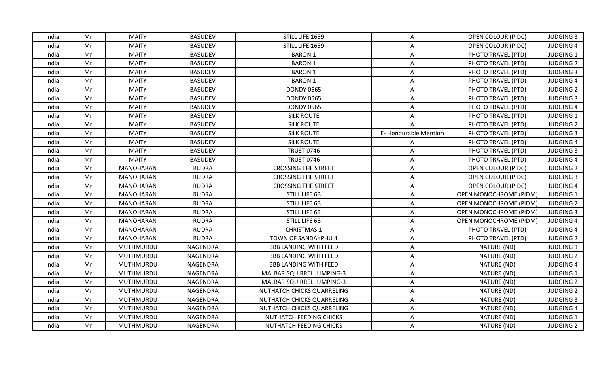| <b>MAITY</b><br><b>BASUDEV</b><br>STILL LIFE 1659<br><b>OPEN COLOUR (PIDC)</b><br><b>JUDGING 3</b><br>India<br>Mr.<br>$\mathsf{A}$<br>Mr.<br><b>MAITY</b><br><b>BASUDEV</b><br>STILL LIFE 1659<br>A<br>OPEN COLOUR (PIDC)<br><b>JUDGING 4</b><br>India<br><b>MAITY</b><br>Mr.<br><b>BASUDEV</b><br><b>BARON 1</b><br>A<br>PHOTO TRAVEL (PTD)<br><b>JUDGING 1</b><br>India<br><b>MAITY</b><br><b>BARON 1</b><br>Mr.<br><b>BASUDEV</b><br>PHOTO TRAVEL (PTD)<br><b>JUDGING 2</b><br>India<br>Α<br>Mr.<br><b>MAITY</b><br><b>BASUDEV</b><br><b>BARON 1</b><br>PHOTO TRAVEL (PTD)<br><b>JUDGING 3</b><br>India<br>A<br><b>MAITY</b><br>Mr.<br><b>BASUDEV</b><br><b>BARON 1</b><br>PHOTO TRAVEL (PTD)<br><b>JUDGING 4</b><br>India<br>A<br><b>MAITY</b><br>Mr.<br><b>BASUDEV</b><br><b>DONDY 0565</b><br>PHOTO TRAVEL (PTD)<br><b>JUDGING 2</b><br>India<br>A<br><b>MAITY</b><br><b>BASUDEV</b><br><b>DONDY 0565</b><br>Mr.<br>PHOTO TRAVEL (PTD)<br><b>JUDGING 3</b><br>India<br>A<br><b>BASUDEV</b><br>Mr.<br><b>MAITY</b><br><b>DONDY 0565</b><br>A<br>PHOTO TRAVEL (PTD)<br><b>JUDGING 4</b><br>India<br>Mr.<br><b>MAITY</b><br><b>BASUDEV</b><br><b>SILK ROUTE</b><br>PHOTO TRAVEL (PTD)<br><b>JUDGING 1</b><br>India<br>A<br>Mr.<br><b>MAITY</b><br><b>BASUDEV</b><br><b>SILK ROUTE</b><br>PHOTO TRAVEL (PTD)<br><b>JUDGING 2</b><br>India<br>A<br><b>MAITY</b><br><b>BASUDEV</b><br><b>SILK ROUTE</b><br>E-Honourable Mention<br>India<br>Mr.<br>PHOTO TRAVEL (PTD)<br><b>JUDGING 3</b><br><b>MAITY</b><br><b>BASUDEV</b><br><b>SILK ROUTE</b><br>PHOTO TRAVEL (PTD)<br><b>JUDGING 4</b><br>India<br>Mr.<br>A<br>Mr.<br><b>MAITY</b><br><b>BASUDEV</b><br><b>TRUST 0746</b><br>A<br>PHOTO TRAVEL (PTD)<br><b>JUDGING 3</b><br>India<br>Mr.<br><b>MAITY</b><br><b>BASUDEV</b><br><b>TRUST 0746</b><br>PHOTO TRAVEL (PTD)<br><b>JUDGING 4</b><br>India<br>A<br><b>CROSSING THE STREET</b><br><b>JUDGING 2</b><br>India<br>Mr.<br>MANOHARAN<br><b>RUDRA</b><br><b>OPEN COLOUR (PIDC)</b><br>A<br>India<br>Mr.<br><b>MANOHARAN</b><br><b>RUDRA</b><br><b>CROSSING THE STREET</b><br>A<br>OPEN COLOUR (PIDC)<br><b>JUDGING 3</b><br><b>RUDRA</b><br><b>CROSSING THE STREET</b><br>India<br>Mr.<br>MANOHARAN<br>A<br><b>OPEN COLOUR (PIDC)</b><br><b>JUDGING 4</b><br>Mr.<br>MANOHARAN<br><b>RUDRA</b><br><b>STILL LIFE 6B</b><br>A<br>OPEN MONOCHROME (PIDM)<br><b>JUDGING 1</b><br>India<br>Mr.<br><b>MANOHARAN</b><br><b>RUDRA</b><br>STILL LIFE 6B<br><b>JUDGING 2</b><br>India<br>A<br>OPEN MONOCHROME (PIDM)<br>Mr.<br>MANOHARAN<br><b>RUDRA</b><br><b>STILL LIFE 6B</b><br><b>JUDGING 3</b><br>India<br>A<br><b>OPEN MONOCHROME (PIDM)</b><br>Mr.<br><b>MANOHARAN</b><br><b>RUDRA</b><br><b>STILL LIFE 6B</b><br>$\mathsf{A}$<br><b>OPEN MONOCHROME (PIDM)</b><br><b>JUDGING 4</b><br>India<br>Mr.<br><b>MANOHARAN</b><br><b>RUDRA</b><br><b>CHRISTMAS 1</b><br>PHOTO TRAVEL (PTD)<br><b>JUDGING 4</b><br>India<br>A<br>Mr.<br>MANOHARAN<br><b>RUDRA</b><br>TOWN OF SANDAKPHU 4<br>PHOTO TRAVEL (PTD)<br><b>JUDGING 2</b><br>India<br>A<br>Mr.<br>MUTHMURDU<br><b>NAGENDRA</b><br>NATURE (ND)<br><b>JUDGING 1</b><br>India<br><b>BBB LANDING WITH FEED</b><br>A<br>Mr.<br>MUTHMURDU<br>NAGENDRA<br>NATURE (ND)<br><b>JUDGING 2</b><br>India<br><b>BBB LANDING WITH FEED</b><br>A<br>NAGENDRA<br>A<br>NATURE (ND)<br><b>JUDGING 4</b><br>India<br>Mr.<br>MUTHMURDU<br><b>BBB LANDING WITH FEED</b><br>Mr.<br>MUTHMURDU<br><b>NAGENDRA</b><br>NATURE (ND)<br><b>JUDGING 1</b><br>India<br>MALBAR SQUIRREL JUMPING-3<br>A<br>Mr.<br>MUTHMURDU<br>NAGENDRA<br><b>MALBAR SQUIRREL JUMPING-3</b><br>NATURE (ND)<br><b>JUDGING 2</b><br>India<br>A<br>Mr.<br>MUTHMURDU<br>NAGENDRA<br>A<br>NATURE (ND)<br><b>JUDGING 2</b><br>India<br>NUTHATCH CHICKS QUARRELING<br>NATURE (ND)<br>Mr.<br>MUTHMURDU<br>NAGENDRA<br>NUTHATCH CHICKS QUARRELING<br><b>JUDGING 3</b><br>India<br>A<br>Mr.<br>MUTHMURDU<br>NAGENDRA<br>A<br>NATURE (ND)<br><b>JUDGING 4</b><br>India<br>NUTHATCH CHICKS QUARRELING<br>NATURE (ND)<br>MUTHMURDU<br><b>NAGENDRA</b><br>NUTHATCH FEEDING CHICKS<br>$\mathsf{A}$<br><b>JUDGING 1</b><br>India<br>Mr.<br><b>JUDGING 2</b><br>India<br>Mr.<br>MUTHMURDU<br>NAGENDRA<br>NUTHATCH FEEDING CHICKS<br>NATURE (ND)<br>A |  |  |  |  |  |
|---------------------------------------------------------------------------------------------------------------------------------------------------------------------------------------------------------------------------------------------------------------------------------------------------------------------------------------------------------------------------------------------------------------------------------------------------------------------------------------------------------------------------------------------------------------------------------------------------------------------------------------------------------------------------------------------------------------------------------------------------------------------------------------------------------------------------------------------------------------------------------------------------------------------------------------------------------------------------------------------------------------------------------------------------------------------------------------------------------------------------------------------------------------------------------------------------------------------------------------------------------------------------------------------------------------------------------------------------------------------------------------------------------------------------------------------------------------------------------------------------------------------------------------------------------------------------------------------------------------------------------------------------------------------------------------------------------------------------------------------------------------------------------------------------------------------------------------------------------------------------------------------------------------------------------------------------------------------------------------------------------------------------------------------------------------------------------------------------------------------------------------------------------------------------------------------------------------------------------------------------------------------------------------------------------------------------------------------------------------------------------------------------------------------------------------------------------------------------------------------------------------------------------------------------------------------------------------------------------------------------------------------------------------------------------------------------------------------------------------------------------------------------------------------------------------------------------------------------------------------------------------------------------------------------------------------------------------------------------------------------------------------------------------------------------------------------------------------------------------------------------------------------------------------------------------------------------------------------------------------------------------------------------------------------------------------------------------------------------------------------------------------------------------------------------------------------------------------------------------------------------------------------------------------------------------------------------------------------------------------------------------------------------------------------------------------------------------------------------------------------------------------------------------------------------------------------------------------------------------------------------------------------------------------------------------------------------------------------------------------------------------------------------------------------------------------------------------------------------------------------------------------------------------------------------------------------------------------------------------|--|--|--|--|--|
|                                                                                                                                                                                                                                                                                                                                                                                                                                                                                                                                                                                                                                                                                                                                                                                                                                                                                                                                                                                                                                                                                                                                                                                                                                                                                                                                                                                                                                                                                                                                                                                                                                                                                                                                                                                                                                                                                                                                                                                                                                                                                                                                                                                                                                                                                                                                                                                                                                                                                                                                                                                                                                                                                                                                                                                                                                                                                                                                                                                                                                                                                                                                                                                                                                                                                                                                                                                                                                                                                                                                                                                                                                                                                                                                                                                                                                                                                                                                                                                                                                                                                                                                                                                                                                       |  |  |  |  |  |
|                                                                                                                                                                                                                                                                                                                                                                                                                                                                                                                                                                                                                                                                                                                                                                                                                                                                                                                                                                                                                                                                                                                                                                                                                                                                                                                                                                                                                                                                                                                                                                                                                                                                                                                                                                                                                                                                                                                                                                                                                                                                                                                                                                                                                                                                                                                                                                                                                                                                                                                                                                                                                                                                                                                                                                                                                                                                                                                                                                                                                                                                                                                                                                                                                                                                                                                                                                                                                                                                                                                                                                                                                                                                                                                                                                                                                                                                                                                                                                                                                                                                                                                                                                                                                                       |  |  |  |  |  |
|                                                                                                                                                                                                                                                                                                                                                                                                                                                                                                                                                                                                                                                                                                                                                                                                                                                                                                                                                                                                                                                                                                                                                                                                                                                                                                                                                                                                                                                                                                                                                                                                                                                                                                                                                                                                                                                                                                                                                                                                                                                                                                                                                                                                                                                                                                                                                                                                                                                                                                                                                                                                                                                                                                                                                                                                                                                                                                                                                                                                                                                                                                                                                                                                                                                                                                                                                                                                                                                                                                                                                                                                                                                                                                                                                                                                                                                                                                                                                                                                                                                                                                                                                                                                                                       |  |  |  |  |  |
|                                                                                                                                                                                                                                                                                                                                                                                                                                                                                                                                                                                                                                                                                                                                                                                                                                                                                                                                                                                                                                                                                                                                                                                                                                                                                                                                                                                                                                                                                                                                                                                                                                                                                                                                                                                                                                                                                                                                                                                                                                                                                                                                                                                                                                                                                                                                                                                                                                                                                                                                                                                                                                                                                                                                                                                                                                                                                                                                                                                                                                                                                                                                                                                                                                                                                                                                                                                                                                                                                                                                                                                                                                                                                                                                                                                                                                                                                                                                                                                                                                                                                                                                                                                                                                       |  |  |  |  |  |
|                                                                                                                                                                                                                                                                                                                                                                                                                                                                                                                                                                                                                                                                                                                                                                                                                                                                                                                                                                                                                                                                                                                                                                                                                                                                                                                                                                                                                                                                                                                                                                                                                                                                                                                                                                                                                                                                                                                                                                                                                                                                                                                                                                                                                                                                                                                                                                                                                                                                                                                                                                                                                                                                                                                                                                                                                                                                                                                                                                                                                                                                                                                                                                                                                                                                                                                                                                                                                                                                                                                                                                                                                                                                                                                                                                                                                                                                                                                                                                                                                                                                                                                                                                                                                                       |  |  |  |  |  |
|                                                                                                                                                                                                                                                                                                                                                                                                                                                                                                                                                                                                                                                                                                                                                                                                                                                                                                                                                                                                                                                                                                                                                                                                                                                                                                                                                                                                                                                                                                                                                                                                                                                                                                                                                                                                                                                                                                                                                                                                                                                                                                                                                                                                                                                                                                                                                                                                                                                                                                                                                                                                                                                                                                                                                                                                                                                                                                                                                                                                                                                                                                                                                                                                                                                                                                                                                                                                                                                                                                                                                                                                                                                                                                                                                                                                                                                                                                                                                                                                                                                                                                                                                                                                                                       |  |  |  |  |  |
|                                                                                                                                                                                                                                                                                                                                                                                                                                                                                                                                                                                                                                                                                                                                                                                                                                                                                                                                                                                                                                                                                                                                                                                                                                                                                                                                                                                                                                                                                                                                                                                                                                                                                                                                                                                                                                                                                                                                                                                                                                                                                                                                                                                                                                                                                                                                                                                                                                                                                                                                                                                                                                                                                                                                                                                                                                                                                                                                                                                                                                                                                                                                                                                                                                                                                                                                                                                                                                                                                                                                                                                                                                                                                                                                                                                                                                                                                                                                                                                                                                                                                                                                                                                                                                       |  |  |  |  |  |
|                                                                                                                                                                                                                                                                                                                                                                                                                                                                                                                                                                                                                                                                                                                                                                                                                                                                                                                                                                                                                                                                                                                                                                                                                                                                                                                                                                                                                                                                                                                                                                                                                                                                                                                                                                                                                                                                                                                                                                                                                                                                                                                                                                                                                                                                                                                                                                                                                                                                                                                                                                                                                                                                                                                                                                                                                                                                                                                                                                                                                                                                                                                                                                                                                                                                                                                                                                                                                                                                                                                                                                                                                                                                                                                                                                                                                                                                                                                                                                                                                                                                                                                                                                                                                                       |  |  |  |  |  |
|                                                                                                                                                                                                                                                                                                                                                                                                                                                                                                                                                                                                                                                                                                                                                                                                                                                                                                                                                                                                                                                                                                                                                                                                                                                                                                                                                                                                                                                                                                                                                                                                                                                                                                                                                                                                                                                                                                                                                                                                                                                                                                                                                                                                                                                                                                                                                                                                                                                                                                                                                                                                                                                                                                                                                                                                                                                                                                                                                                                                                                                                                                                                                                                                                                                                                                                                                                                                                                                                                                                                                                                                                                                                                                                                                                                                                                                                                                                                                                                                                                                                                                                                                                                                                                       |  |  |  |  |  |
|                                                                                                                                                                                                                                                                                                                                                                                                                                                                                                                                                                                                                                                                                                                                                                                                                                                                                                                                                                                                                                                                                                                                                                                                                                                                                                                                                                                                                                                                                                                                                                                                                                                                                                                                                                                                                                                                                                                                                                                                                                                                                                                                                                                                                                                                                                                                                                                                                                                                                                                                                                                                                                                                                                                                                                                                                                                                                                                                                                                                                                                                                                                                                                                                                                                                                                                                                                                                                                                                                                                                                                                                                                                                                                                                                                                                                                                                                                                                                                                                                                                                                                                                                                                                                                       |  |  |  |  |  |
|                                                                                                                                                                                                                                                                                                                                                                                                                                                                                                                                                                                                                                                                                                                                                                                                                                                                                                                                                                                                                                                                                                                                                                                                                                                                                                                                                                                                                                                                                                                                                                                                                                                                                                                                                                                                                                                                                                                                                                                                                                                                                                                                                                                                                                                                                                                                                                                                                                                                                                                                                                                                                                                                                                                                                                                                                                                                                                                                                                                                                                                                                                                                                                                                                                                                                                                                                                                                                                                                                                                                                                                                                                                                                                                                                                                                                                                                                                                                                                                                                                                                                                                                                                                                                                       |  |  |  |  |  |
|                                                                                                                                                                                                                                                                                                                                                                                                                                                                                                                                                                                                                                                                                                                                                                                                                                                                                                                                                                                                                                                                                                                                                                                                                                                                                                                                                                                                                                                                                                                                                                                                                                                                                                                                                                                                                                                                                                                                                                                                                                                                                                                                                                                                                                                                                                                                                                                                                                                                                                                                                                                                                                                                                                                                                                                                                                                                                                                                                                                                                                                                                                                                                                                                                                                                                                                                                                                                                                                                                                                                                                                                                                                                                                                                                                                                                                                                                                                                                                                                                                                                                                                                                                                                                                       |  |  |  |  |  |
|                                                                                                                                                                                                                                                                                                                                                                                                                                                                                                                                                                                                                                                                                                                                                                                                                                                                                                                                                                                                                                                                                                                                                                                                                                                                                                                                                                                                                                                                                                                                                                                                                                                                                                                                                                                                                                                                                                                                                                                                                                                                                                                                                                                                                                                                                                                                                                                                                                                                                                                                                                                                                                                                                                                                                                                                                                                                                                                                                                                                                                                                                                                                                                                                                                                                                                                                                                                                                                                                                                                                                                                                                                                                                                                                                                                                                                                                                                                                                                                                                                                                                                                                                                                                                                       |  |  |  |  |  |
|                                                                                                                                                                                                                                                                                                                                                                                                                                                                                                                                                                                                                                                                                                                                                                                                                                                                                                                                                                                                                                                                                                                                                                                                                                                                                                                                                                                                                                                                                                                                                                                                                                                                                                                                                                                                                                                                                                                                                                                                                                                                                                                                                                                                                                                                                                                                                                                                                                                                                                                                                                                                                                                                                                                                                                                                                                                                                                                                                                                                                                                                                                                                                                                                                                                                                                                                                                                                                                                                                                                                                                                                                                                                                                                                                                                                                                                                                                                                                                                                                                                                                                                                                                                                                                       |  |  |  |  |  |
|                                                                                                                                                                                                                                                                                                                                                                                                                                                                                                                                                                                                                                                                                                                                                                                                                                                                                                                                                                                                                                                                                                                                                                                                                                                                                                                                                                                                                                                                                                                                                                                                                                                                                                                                                                                                                                                                                                                                                                                                                                                                                                                                                                                                                                                                                                                                                                                                                                                                                                                                                                                                                                                                                                                                                                                                                                                                                                                                                                                                                                                                                                                                                                                                                                                                                                                                                                                                                                                                                                                                                                                                                                                                                                                                                                                                                                                                                                                                                                                                                                                                                                                                                                                                                                       |  |  |  |  |  |
|                                                                                                                                                                                                                                                                                                                                                                                                                                                                                                                                                                                                                                                                                                                                                                                                                                                                                                                                                                                                                                                                                                                                                                                                                                                                                                                                                                                                                                                                                                                                                                                                                                                                                                                                                                                                                                                                                                                                                                                                                                                                                                                                                                                                                                                                                                                                                                                                                                                                                                                                                                                                                                                                                                                                                                                                                                                                                                                                                                                                                                                                                                                                                                                                                                                                                                                                                                                                                                                                                                                                                                                                                                                                                                                                                                                                                                                                                                                                                                                                                                                                                                                                                                                                                                       |  |  |  |  |  |
|                                                                                                                                                                                                                                                                                                                                                                                                                                                                                                                                                                                                                                                                                                                                                                                                                                                                                                                                                                                                                                                                                                                                                                                                                                                                                                                                                                                                                                                                                                                                                                                                                                                                                                                                                                                                                                                                                                                                                                                                                                                                                                                                                                                                                                                                                                                                                                                                                                                                                                                                                                                                                                                                                                                                                                                                                                                                                                                                                                                                                                                                                                                                                                                                                                                                                                                                                                                                                                                                                                                                                                                                                                                                                                                                                                                                                                                                                                                                                                                                                                                                                                                                                                                                                                       |  |  |  |  |  |
|                                                                                                                                                                                                                                                                                                                                                                                                                                                                                                                                                                                                                                                                                                                                                                                                                                                                                                                                                                                                                                                                                                                                                                                                                                                                                                                                                                                                                                                                                                                                                                                                                                                                                                                                                                                                                                                                                                                                                                                                                                                                                                                                                                                                                                                                                                                                                                                                                                                                                                                                                                                                                                                                                                                                                                                                                                                                                                                                                                                                                                                                                                                                                                                                                                                                                                                                                                                                                                                                                                                                                                                                                                                                                                                                                                                                                                                                                                                                                                                                                                                                                                                                                                                                                                       |  |  |  |  |  |
|                                                                                                                                                                                                                                                                                                                                                                                                                                                                                                                                                                                                                                                                                                                                                                                                                                                                                                                                                                                                                                                                                                                                                                                                                                                                                                                                                                                                                                                                                                                                                                                                                                                                                                                                                                                                                                                                                                                                                                                                                                                                                                                                                                                                                                                                                                                                                                                                                                                                                                                                                                                                                                                                                                                                                                                                                                                                                                                                                                                                                                                                                                                                                                                                                                                                                                                                                                                                                                                                                                                                                                                                                                                                                                                                                                                                                                                                                                                                                                                                                                                                                                                                                                                                                                       |  |  |  |  |  |
|                                                                                                                                                                                                                                                                                                                                                                                                                                                                                                                                                                                                                                                                                                                                                                                                                                                                                                                                                                                                                                                                                                                                                                                                                                                                                                                                                                                                                                                                                                                                                                                                                                                                                                                                                                                                                                                                                                                                                                                                                                                                                                                                                                                                                                                                                                                                                                                                                                                                                                                                                                                                                                                                                                                                                                                                                                                                                                                                                                                                                                                                                                                                                                                                                                                                                                                                                                                                                                                                                                                                                                                                                                                                                                                                                                                                                                                                                                                                                                                                                                                                                                                                                                                                                                       |  |  |  |  |  |
|                                                                                                                                                                                                                                                                                                                                                                                                                                                                                                                                                                                                                                                                                                                                                                                                                                                                                                                                                                                                                                                                                                                                                                                                                                                                                                                                                                                                                                                                                                                                                                                                                                                                                                                                                                                                                                                                                                                                                                                                                                                                                                                                                                                                                                                                                                                                                                                                                                                                                                                                                                                                                                                                                                                                                                                                                                                                                                                                                                                                                                                                                                                                                                                                                                                                                                                                                                                                                                                                                                                                                                                                                                                                                                                                                                                                                                                                                                                                                                                                                                                                                                                                                                                                                                       |  |  |  |  |  |
|                                                                                                                                                                                                                                                                                                                                                                                                                                                                                                                                                                                                                                                                                                                                                                                                                                                                                                                                                                                                                                                                                                                                                                                                                                                                                                                                                                                                                                                                                                                                                                                                                                                                                                                                                                                                                                                                                                                                                                                                                                                                                                                                                                                                                                                                                                                                                                                                                                                                                                                                                                                                                                                                                                                                                                                                                                                                                                                                                                                                                                                                                                                                                                                                                                                                                                                                                                                                                                                                                                                                                                                                                                                                                                                                                                                                                                                                                                                                                                                                                                                                                                                                                                                                                                       |  |  |  |  |  |
|                                                                                                                                                                                                                                                                                                                                                                                                                                                                                                                                                                                                                                                                                                                                                                                                                                                                                                                                                                                                                                                                                                                                                                                                                                                                                                                                                                                                                                                                                                                                                                                                                                                                                                                                                                                                                                                                                                                                                                                                                                                                                                                                                                                                                                                                                                                                                                                                                                                                                                                                                                                                                                                                                                                                                                                                                                                                                                                                                                                                                                                                                                                                                                                                                                                                                                                                                                                                                                                                                                                                                                                                                                                                                                                                                                                                                                                                                                                                                                                                                                                                                                                                                                                                                                       |  |  |  |  |  |
|                                                                                                                                                                                                                                                                                                                                                                                                                                                                                                                                                                                                                                                                                                                                                                                                                                                                                                                                                                                                                                                                                                                                                                                                                                                                                                                                                                                                                                                                                                                                                                                                                                                                                                                                                                                                                                                                                                                                                                                                                                                                                                                                                                                                                                                                                                                                                                                                                                                                                                                                                                                                                                                                                                                                                                                                                                                                                                                                                                                                                                                                                                                                                                                                                                                                                                                                                                                                                                                                                                                                                                                                                                                                                                                                                                                                                                                                                                                                                                                                                                                                                                                                                                                                                                       |  |  |  |  |  |
|                                                                                                                                                                                                                                                                                                                                                                                                                                                                                                                                                                                                                                                                                                                                                                                                                                                                                                                                                                                                                                                                                                                                                                                                                                                                                                                                                                                                                                                                                                                                                                                                                                                                                                                                                                                                                                                                                                                                                                                                                                                                                                                                                                                                                                                                                                                                                                                                                                                                                                                                                                                                                                                                                                                                                                                                                                                                                                                                                                                                                                                                                                                                                                                                                                                                                                                                                                                                                                                                                                                                                                                                                                                                                                                                                                                                                                                                                                                                                                                                                                                                                                                                                                                                                                       |  |  |  |  |  |
|                                                                                                                                                                                                                                                                                                                                                                                                                                                                                                                                                                                                                                                                                                                                                                                                                                                                                                                                                                                                                                                                                                                                                                                                                                                                                                                                                                                                                                                                                                                                                                                                                                                                                                                                                                                                                                                                                                                                                                                                                                                                                                                                                                                                                                                                                                                                                                                                                                                                                                                                                                                                                                                                                                                                                                                                                                                                                                                                                                                                                                                                                                                                                                                                                                                                                                                                                                                                                                                                                                                                                                                                                                                                                                                                                                                                                                                                                                                                                                                                                                                                                                                                                                                                                                       |  |  |  |  |  |
|                                                                                                                                                                                                                                                                                                                                                                                                                                                                                                                                                                                                                                                                                                                                                                                                                                                                                                                                                                                                                                                                                                                                                                                                                                                                                                                                                                                                                                                                                                                                                                                                                                                                                                                                                                                                                                                                                                                                                                                                                                                                                                                                                                                                                                                                                                                                                                                                                                                                                                                                                                                                                                                                                                                                                                                                                                                                                                                                                                                                                                                                                                                                                                                                                                                                                                                                                                                                                                                                                                                                                                                                                                                                                                                                                                                                                                                                                                                                                                                                                                                                                                                                                                                                                                       |  |  |  |  |  |
|                                                                                                                                                                                                                                                                                                                                                                                                                                                                                                                                                                                                                                                                                                                                                                                                                                                                                                                                                                                                                                                                                                                                                                                                                                                                                                                                                                                                                                                                                                                                                                                                                                                                                                                                                                                                                                                                                                                                                                                                                                                                                                                                                                                                                                                                                                                                                                                                                                                                                                                                                                                                                                                                                                                                                                                                                                                                                                                                                                                                                                                                                                                                                                                                                                                                                                                                                                                                                                                                                                                                                                                                                                                                                                                                                                                                                                                                                                                                                                                                                                                                                                                                                                                                                                       |  |  |  |  |  |
|                                                                                                                                                                                                                                                                                                                                                                                                                                                                                                                                                                                                                                                                                                                                                                                                                                                                                                                                                                                                                                                                                                                                                                                                                                                                                                                                                                                                                                                                                                                                                                                                                                                                                                                                                                                                                                                                                                                                                                                                                                                                                                                                                                                                                                                                                                                                                                                                                                                                                                                                                                                                                                                                                                                                                                                                                                                                                                                                                                                                                                                                                                                                                                                                                                                                                                                                                                                                                                                                                                                                                                                                                                                                                                                                                                                                                                                                                                                                                                                                                                                                                                                                                                                                                                       |  |  |  |  |  |
|                                                                                                                                                                                                                                                                                                                                                                                                                                                                                                                                                                                                                                                                                                                                                                                                                                                                                                                                                                                                                                                                                                                                                                                                                                                                                                                                                                                                                                                                                                                                                                                                                                                                                                                                                                                                                                                                                                                                                                                                                                                                                                                                                                                                                                                                                                                                                                                                                                                                                                                                                                                                                                                                                                                                                                                                                                                                                                                                                                                                                                                                                                                                                                                                                                                                                                                                                                                                                                                                                                                                                                                                                                                                                                                                                                                                                                                                                                                                                                                                                                                                                                                                                                                                                                       |  |  |  |  |  |
|                                                                                                                                                                                                                                                                                                                                                                                                                                                                                                                                                                                                                                                                                                                                                                                                                                                                                                                                                                                                                                                                                                                                                                                                                                                                                                                                                                                                                                                                                                                                                                                                                                                                                                                                                                                                                                                                                                                                                                                                                                                                                                                                                                                                                                                                                                                                                                                                                                                                                                                                                                                                                                                                                                                                                                                                                                                                                                                                                                                                                                                                                                                                                                                                                                                                                                                                                                                                                                                                                                                                                                                                                                                                                                                                                                                                                                                                                                                                                                                                                                                                                                                                                                                                                                       |  |  |  |  |  |
|                                                                                                                                                                                                                                                                                                                                                                                                                                                                                                                                                                                                                                                                                                                                                                                                                                                                                                                                                                                                                                                                                                                                                                                                                                                                                                                                                                                                                                                                                                                                                                                                                                                                                                                                                                                                                                                                                                                                                                                                                                                                                                                                                                                                                                                                                                                                                                                                                                                                                                                                                                                                                                                                                                                                                                                                                                                                                                                                                                                                                                                                                                                                                                                                                                                                                                                                                                                                                                                                                                                                                                                                                                                                                                                                                                                                                                                                                                                                                                                                                                                                                                                                                                                                                                       |  |  |  |  |  |
|                                                                                                                                                                                                                                                                                                                                                                                                                                                                                                                                                                                                                                                                                                                                                                                                                                                                                                                                                                                                                                                                                                                                                                                                                                                                                                                                                                                                                                                                                                                                                                                                                                                                                                                                                                                                                                                                                                                                                                                                                                                                                                                                                                                                                                                                                                                                                                                                                                                                                                                                                                                                                                                                                                                                                                                                                                                                                                                                                                                                                                                                                                                                                                                                                                                                                                                                                                                                                                                                                                                                                                                                                                                                                                                                                                                                                                                                                                                                                                                                                                                                                                                                                                                                                                       |  |  |  |  |  |
|                                                                                                                                                                                                                                                                                                                                                                                                                                                                                                                                                                                                                                                                                                                                                                                                                                                                                                                                                                                                                                                                                                                                                                                                                                                                                                                                                                                                                                                                                                                                                                                                                                                                                                                                                                                                                                                                                                                                                                                                                                                                                                                                                                                                                                                                                                                                                                                                                                                                                                                                                                                                                                                                                                                                                                                                                                                                                                                                                                                                                                                                                                                                                                                                                                                                                                                                                                                                                                                                                                                                                                                                                                                                                                                                                                                                                                                                                                                                                                                                                                                                                                                                                                                                                                       |  |  |  |  |  |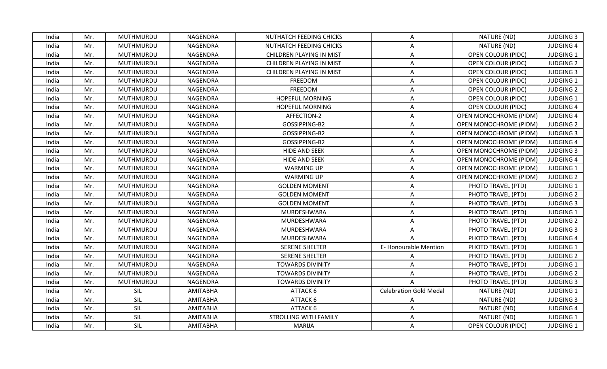| India | Mr. | MUTHMURDU | NAGENDRA        | NUTHATCH FEEDING CHICKS         | A                             | NATURE (ND)                   | <b>JUDGING 3</b> |
|-------|-----|-----------|-----------------|---------------------------------|-------------------------------|-------------------------------|------------------|
| India | Mr. | MUTHMURDU | <b>NAGENDRA</b> | NUTHATCH FEEDING CHICKS         | A                             | NATURE (ND)                   | <b>JUDGING 4</b> |
| India | Mr. | MUTHMURDU | <b>NAGENDRA</b> | CHILDREN PLAYING IN MIST        | Α                             | OPEN COLOUR (PIDC)            | <b>JUDGING 1</b> |
| India | Mr. | MUTHMURDU | NAGENDRA        | CHILDREN PLAYING IN MIST        | A                             | <b>OPEN COLOUR (PIDC)</b>     | <b>JUDGING 2</b> |
| India | Mr. | MUTHMURDU | <b>NAGENDRA</b> | <b>CHILDREN PLAYING IN MIST</b> | A                             | <b>OPEN COLOUR (PIDC)</b>     | <b>JUDGING 3</b> |
| India | Mr. | MUTHMURDU | NAGENDRA        | FREEDOM                         | A                             | <b>OPEN COLOUR (PIDC)</b>     | <b>JUDGING 1</b> |
| India | Mr. | MUTHMURDU | <b>NAGENDRA</b> | FREEDOM                         | A                             | <b>OPEN COLOUR (PIDC)</b>     | <b>JUDGING 2</b> |
| India | Mr. | MUTHMURDU | <b>NAGENDRA</b> | <b>HOPEFUL MORNING</b>          | A                             | <b>OPEN COLOUR (PIDC)</b>     | <b>JUDGING 1</b> |
| India | Mr. | MUTHMURDU | NAGENDRA        | HOPEFUL MORNING                 | A                             | <b>OPEN COLOUR (PIDC)</b>     | <b>JUDGING 4</b> |
| India | Mr. | MUTHMURDU | NAGENDRA        | AFFECTION-2                     | A                             | OPEN MONOCHROME (PIDM)        | <b>JUDGING 4</b> |
| India | Mr. | MUTHMURDU | NAGENDRA        | GOSSIPPING-B2                   | A                             | <b>OPEN MONOCHROME (PIDM)</b> | <b>JUDGING 2</b> |
| India | Mr. | MUTHMURDU | NAGENDRA        | GOSSIPPING-B2                   | A                             | OPEN MONOCHROME (PIDM)        | <b>JUDGING 3</b> |
| India | Mr. | MUTHMURDU | <b>NAGENDRA</b> | GOSSIPPING-B2                   | $\overline{A}$                | OPEN MONOCHROME (PIDM)        | <b>JUDGING 4</b> |
| India | Mr. | MUTHMURDU | NAGENDRA        | <b>HIDE AND SEEK</b>            | A                             | OPEN MONOCHROME (PIDM)        | <b>JUDGING 3</b> |
| India | Mr. | MUTHMURDU | <b>NAGENDRA</b> | <b>HIDE AND SEEK</b>            | Α                             | <b>OPEN MONOCHROME (PIDM)</b> | <b>JUDGING 4</b> |
| India | Mr. | MUTHMURDU | NAGENDRA        | <b>WARMING UP</b>               | A                             | OPEN MONOCHROME (PIDM)        | <b>JUDGING 1</b> |
| India | Mr. | MUTHMURDU | NAGENDRA        | <b>WARMING UP</b>               | A                             | OPEN MONOCHROME (PIDM)        | <b>JUDGING 2</b> |
| India | Mr. | MUTHMURDU | NAGENDRA        | <b>GOLDEN MOMENT</b>            | A                             | PHOTO TRAVEL (PTD)            | <b>JUDGING 1</b> |
| India | Mr. | MUTHMURDU | <b>NAGENDRA</b> | <b>GOLDEN MOMENT</b>            | A                             | PHOTO TRAVEL (PTD)            | <b>JUDGING 2</b> |
| India | Mr. | MUTHMURDU | <b>NAGENDRA</b> | <b>GOLDEN MOMENT</b>            | Α                             | PHOTO TRAVEL (PTD)            | <b>JUDGING 3</b> |
| India | Mr. | MUTHMURDU | NAGENDRA        | MURDESHWARA                     | A                             | PHOTO TRAVEL (PTD)            | <b>JUDGING 1</b> |
| India | Mr. | MUTHMURDU | NAGENDRA        | MURDESHWARA                     | A                             | PHOTO TRAVEL (PTD)            | <b>JUDGING 2</b> |
| India | Mr. | MUTHMURDU | <b>NAGENDRA</b> | MURDESHWARA                     | Α                             | PHOTO TRAVEL (PTD)            | <b>JUDGING 3</b> |
| India | Mr. | MUTHMURDU | NAGENDRA        | MURDESHWARA                     |                               | PHOTO TRAVEL (PTD)            | <b>JUDGING 4</b> |
| India | Mr. | MUTHMURDU | <b>NAGENDRA</b> | <b>SERENE SHELTER</b>           | E-Honourable Mention          | PHOTO TRAVEL (PTD)            | <b>JUDGING 1</b> |
| India | Mr. | MUTHMURDU | NAGENDRA        | <b>SERENE SHELTER</b>           | A                             | PHOTO TRAVEL (PTD)            | <b>JUDGING 2</b> |
| India | Mr. | MUTHMURDU | NAGENDRA        | <b>TOWARDS DIVINITY</b>         | A                             | PHOTO TRAVEL (PTD)            | <b>JUDGING 1</b> |
| India | Mr. | MUTHMURDU | <b>NAGENDRA</b> | <b>TOWARDS DIVINITY</b>         | A                             | PHOTO TRAVEL (PTD)            | <b>JUDGING 2</b> |
| India | Mr. | MUTHMURDU | <b>NAGENDRA</b> | <b>TOWARDS DIVINITY</b>         |                               | PHOTO TRAVEL (PTD)            | <b>JUDGING 3</b> |
| India | Mr. | SIL       | <b>AMITABHA</b> | ATTACK 6                        | <b>Celebration Gold Medal</b> | NATURE (ND)                   | <b>JUDGING 1</b> |
| India | Mr. | SIL       | AMITABHA        | ATTACK 6                        | A                             | NATURE (ND)                   | <b>JUDGING 3</b> |
| India | Mr. | SIL       | <b>AMITABHA</b> | ATTACK 6                        | A                             | NATURE (ND)                   | <b>JUDGING 4</b> |
| India | Mr. | SIL       | <b>AMITABHA</b> | <b>STROLLING WITH FAMILY</b>    | A                             | NATURE (ND)                   | <b>JUDGING 1</b> |
| India | Mr. | SIL       | <b>AMITABHA</b> | MARIJA                          | A                             | OPEN COLOUR (PIDC)            | JUDGING 1        |
|       |     |           |                 |                                 |                               |                               |                  |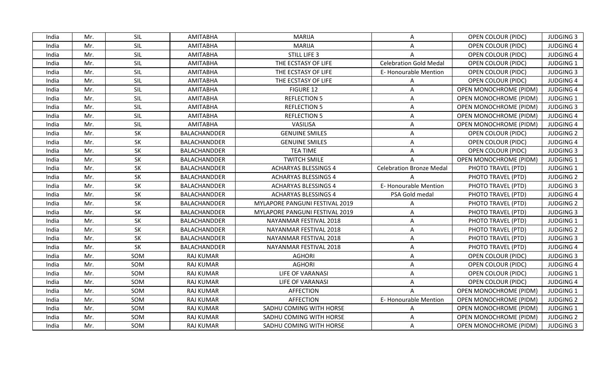| India | Mr. | SIL | <b>AMITABHA</b>     | <b>MARIJA</b>                  | A                               | OPEN COLOUR (PIDC)            | <b>JUDGING 3</b> |
|-------|-----|-----|---------------------|--------------------------------|---------------------------------|-------------------------------|------------------|
| India | Mr. | SIL | <b>AMITABHA</b>     | <b>MARIJA</b>                  | A                               | OPEN COLOUR (PIDC)            | <b>JUDGING 4</b> |
| India | Mr. | SIL | <b>AMITABHA</b>     | <b>STILL LIFE 3</b>            | A                               | <b>OPEN COLOUR (PIDC)</b>     | <b>JUDGING 4</b> |
| India | Mr. | SIL | <b>AMITABHA</b>     | THE ECSTASY OF LIFE            | <b>Celebration Gold Medal</b>   | OPEN COLOUR (PIDC)            | <b>JUDGING 1</b> |
| India | Mr. | SIL | AMITABHA            | THE ECSTASY OF LIFE            | E-Honourable Mention            | OPEN COLOUR (PIDC)            | <b>JUDGING 3</b> |
| India | Mr. | SIL | <b>AMITABHA</b>     | THE ECSTASY OF LIFE            | A                               | OPEN COLOUR (PIDC)            | <b>JUDGING 4</b> |
| India | Mr. | SIL | <b>AMITABHA</b>     | <b>FIGURE 12</b>               | A                               | OPEN MONOCHROME (PIDM)        | <b>JUDGING 4</b> |
| India | Mr. | SIL | <b>AMITABHA</b>     | <b>REFLECTION 5</b>            | A                               | <b>OPEN MONOCHROME (PIDM)</b> | <b>JUDGING 1</b> |
| India | Mr. | SIL | <b>AMITABHA</b>     | <b>REFLECTION 5</b>            | A                               | OPEN MONOCHROME (PIDM)        | <b>JUDGING 3</b> |
| India | Mr. | SIL | <b>AMITABHA</b>     | <b>REFLECTION 5</b>            | A                               | OPEN MONOCHROME (PIDM)        | <b>JUDGING 4</b> |
| India | Mr. | SIL | <b>AMITABHA</b>     | VASILISA                       | A                               | <b>OPEN MONOCHROME (PIDM)</b> | <b>JUDGING 4</b> |
| India | Mr. | SK  | BALACHANDDER        | <b>GENUINE SMILES</b>          | A                               | <b>OPEN COLOUR (PIDC)</b>     | <b>JUDGING 2</b> |
| India | Mr. | SK  | BALACHANDDER        | <b>GENUINE SMILES</b>          | A                               | OPEN COLOUR (PIDC)            | <b>JUDGING 4</b> |
| India | Mr. | SK  | BALACHANDDER        | <b>TEA TIME</b>                | A                               | OPEN COLOUR (PIDC)            | <b>JUDGING 3</b> |
| India | Mr. | SK  | <b>BALACHANDDER</b> | <b>TWITCH SMILE</b>            |                                 | OPEN MONOCHROME (PIDM)        | <b>JUDGING 1</b> |
| India | Mr. | SK  | <b>BALACHANDDER</b> | <b>ACHARYAS BLESSINGS 4</b>    | <b>Celebration Bronze Medal</b> | PHOTO TRAVEL (PTD)            | <b>JUDGING 1</b> |
| India | Mr. | SK  | BALACHANDDER        | <b>ACHARYAS BLESSINGS 4</b>    |                                 | PHOTO TRAVEL (PTD)            | <b>JUDGING 2</b> |
| India | Mr. | SK  | BALACHANDDER        | <b>ACHARYAS BLESSINGS 4</b>    | E-Honourable Mention            | PHOTO TRAVEL (PTD)            | <b>JUDGING 3</b> |
| India | Mr. | SK  | BALACHANDDER        | <b>ACHARYAS BLESSINGS 4</b>    | PSA Gold medal                  | PHOTO TRAVEL (PTD)            | <b>JUDGING 4</b> |
| India | Mr. | SK  | <b>BALACHANDDER</b> | MYLAPORE PANGUNI FESTIVAL 2019 | $\mathsf{A}$                    | PHOTO TRAVEL (PTD)            | <b>JUDGING 2</b> |
| India | Mr. | SK  | <b>BALACHANDDER</b> | MYLAPORE PANGUNI FESTIVAL 2019 | A                               | PHOTO TRAVEL (PTD)            | <b>JUDGING 3</b> |
| India | Mr. | SK  | <b>BALACHANDDER</b> | NAYANMAR FESTIVAL 2018         | A                               | PHOTO TRAVEL (PTD)            | <b>JUDGING 1</b> |
| India | Mr. | SK  | <b>BALACHANDDER</b> | NAYANMAR FESTIVAL 2018         | A                               | PHOTO TRAVEL (PTD)            | <b>JUDGING 2</b> |
| India | Mr. | SK  | <b>BALACHANDDER</b> | NAYANMAR FESTIVAL 2018         | A                               | PHOTO TRAVEL (PTD)            | <b>JUDGING 3</b> |
| India | Mr. | SK  | BALACHANDDER        | NAYANMAR FESTIVAL 2018         | A                               | PHOTO TRAVEL (PTD)            | <b>JUDGING 4</b> |
| India | Mr. | SOM | <b>RAJ KUMAR</b>    | <b>AGHORI</b>                  | A                               | <b>OPEN COLOUR (PIDC)</b>     | <b>JUDGING 3</b> |
| India | Mr. | SOM | <b>RAJ KUMAR</b>    | <b>AGHORI</b>                  | A                               | OPEN COLOUR (PIDC)            | <b>JUDGING 4</b> |
| India | Mr. | SOM | <b>RAJ KUMAR</b>    | <b>LIFE OF VARANASI</b>        | A                               | OPEN COLOUR (PIDC)            | <b>JUDGING 1</b> |
| India | Mr. | SOM | <b>RAJ KUMAR</b>    | <b>LIFE OF VARANASI</b>        | A                               | <b>OPEN COLOUR (PIDC)</b>     | <b>JUDGING 4</b> |
| India | Mr. | SOM | <b>RAJ KUMAR</b>    | <b>AFFECTION</b>               | A                               | OPEN MONOCHROME (PIDM)        | <b>JUDGING 1</b> |
| India | Mr. | SOM | <b>RAJ KUMAR</b>    | <b>AFFECTION</b>               | E-Honourable Mention            | <b>OPEN MONOCHROME (PIDM)</b> | <b>JUDGING 2</b> |
| India | Mr. | SOM | <b>RAJ KUMAR</b>    | SADHU COMING WITH HORSE        | A                               | OPEN MONOCHROME (PIDM)        | <b>JUDGING 1</b> |
| India | Mr. | SOM | <b>RAJ KUMAR</b>    | SADHU COMING WITH HORSE        | A                               | OPEN MONOCHROME (PIDM)        | <b>JUDGING 2</b> |
| India | Mr. | SOM | <b>RAJ KUMAR</b>    | SADHU COMING WITH HORSE        | A                               | <b>OPEN MONOCHROME (PIDM)</b> | <b>JUDGING 3</b> |
|       |     |     |                     |                                |                                 |                               |                  |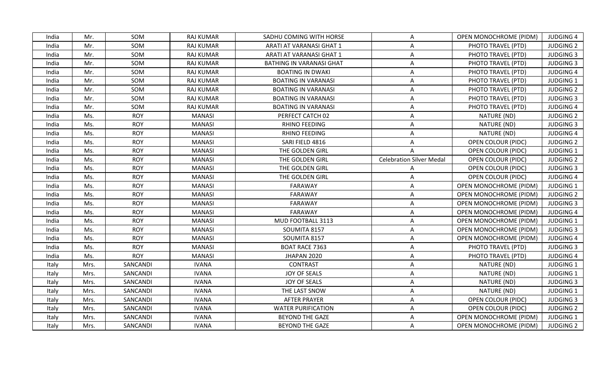| India | Mr.  | <b>SOM</b> | <b>RAJ KUMAR</b> | SADHU COMING WITH HORSE         | A                               | <b>OPEN MONOCHROME (PIDM)</b> | <b>JUDGING 4</b> |
|-------|------|------------|------------------|---------------------------------|---------------------------------|-------------------------------|------------------|
| India | Mr.  | SOM        | <b>RAJ KUMAR</b> | ARATI AT VARANASI GHAT 1        | A                               | PHOTO TRAVEL (PTD)            | <b>JUDGING 2</b> |
| India | Mr.  | SOM        | <b>RAJ KUMAR</b> | ARATI AT VARANASI GHAT 1        | Α                               | PHOTO TRAVEL (PTD)            | <b>JUDGING 3</b> |
| India | Mr.  | SOM        | <b>RAJ KUMAR</b> | <b>BATHING IN VARANASI GHAT</b> | A                               | PHOTO TRAVEL (PTD)            | <b>JUDGING 3</b> |
| India | Mr.  | SOM        | <b>RAJ KUMAR</b> | <b>BOATING IN DWAKI</b>         | A                               | PHOTO TRAVEL (PTD)            | <b>JUDGING 4</b> |
| India | Mr.  | SOM        | RAJ KUMAR        | <b>BOATING IN VARANASI</b>      | A                               | PHOTO TRAVEL (PTD)            | <b>JUDGING 1</b> |
| India | Mr.  | SOM        | <b>RAJ KUMAR</b> | <b>BOATING IN VARANASI</b>      | A                               | PHOTO TRAVEL (PTD)            | <b>JUDGING 2</b> |
| India | Mr.  | SOM        | <b>RAJ KUMAR</b> | <b>BOATING IN VARANASI</b>      | Α                               | PHOTO TRAVEL (PTD)            | <b>JUDGING 3</b> |
| India | Mr.  | SOM        | <b>RAJ KUMAR</b> | <b>BOATING IN VARANASI</b>      | A                               | PHOTO TRAVEL (PTD)            | <b>JUDGING 4</b> |
| India | Ms.  | <b>ROY</b> | <b>MANASI</b>    | PERFECT CATCH 02                | A                               | NATURE (ND)                   | <b>JUDGING 2</b> |
| India | Ms.  | <b>ROY</b> | <b>MANASI</b>    | RHINO FEEDING                   | A                               | NATURE (ND)                   | <b>JUDGING 3</b> |
| India | Ms.  | <b>ROY</b> | <b>MANASI</b>    | RHINO FEEDING                   | A                               | NATURE (ND)                   | <b>JUDGING 4</b> |
| India | Ms.  | <b>ROY</b> | <b>MANASI</b>    | SARI FIELD 4816                 | A                               | <b>OPEN COLOUR (PIDC)</b>     | <b>JUDGING 2</b> |
| India | Ms.  | <b>ROY</b> | <b>MANASI</b>    | THE GOLDEN GIRL                 | $\mathsf{A}$                    | <b>OPEN COLOUR (PIDC)</b>     | <b>JUDGING 1</b> |
| India | Ms.  | <b>ROY</b> | <b>MANASI</b>    | THE GOLDEN GIRL                 | <b>Celebration Silver Medal</b> | OPEN COLOUR (PIDC)            | <b>JUDGING 2</b> |
| India | Ms.  | <b>ROY</b> | <b>MANASI</b>    | THE GOLDEN GIRL                 | A                               | OPEN COLOUR (PIDC)            | <b>JUDGING 3</b> |
| India | Ms.  | <b>ROY</b> | <b>MANASI</b>    | THE GOLDEN GIRL                 | Α                               | <b>OPEN COLOUR (PIDC)</b>     | <b>JUDGING 4</b> |
| India | Ms.  | <b>ROY</b> | <b>MANASI</b>    | <b>FARAWAY</b>                  | A                               | OPEN MONOCHROME (PIDM)        | <b>JUDGING 1</b> |
| India | Ms.  | <b>ROY</b> | <b>MANASI</b>    | FARAWAY                         | A                               | <b>OPEN MONOCHROME (PIDM)</b> | <b>JUDGING 2</b> |
| India | Ms.  | <b>ROY</b> | <b>MANASI</b>    | <b>FARAWAY</b>                  | A                               | <b>OPEN MONOCHROME (PIDM)</b> | <b>JUDGING 3</b> |
| India | Ms.  | <b>ROY</b> | <b>MANASI</b>    | <b>FARAWAY</b>                  | $\mathsf{A}$                    | <b>OPEN MONOCHROME (PIDM)</b> | <b>JUDGING 4</b> |
| India | Ms.  | <b>ROY</b> | <b>MANASI</b>    | MUD FOOTBALL 3113               | A                               | OPEN MONOCHROME (PIDM)        | JUDGING 1        |
| India | Ms.  | <b>ROY</b> | <b>MANASI</b>    | SOUMITA 8157                    | A                               | OPEN MONOCHROME (PIDM)        | <b>JUDGING 3</b> |
| India | Ms.  | <b>ROY</b> | <b>MANASI</b>    | SOUMITA 8157                    | A                               | OPEN MONOCHROME (PIDM)        | <b>JUDGING 4</b> |
| India | Ms.  | <b>ROY</b> | <b>MANASI</b>    | <b>BOAT RACE 7363</b>           | Α                               | PHOTO TRAVEL (PTD)            | <b>JUDGING 3</b> |
| India | Ms.  | <b>ROY</b> | <b>MANASI</b>    | JHAPAN 2020                     | Α                               | PHOTO TRAVEL (PTD)            | <b>JUDGING 4</b> |
| Italy | Mrs. | SANCANDI   | <b>IVANA</b>     | <b>CONTRAST</b>                 | A                               | NATURE (ND)                   | <b>JUDGING 1</b> |
| Italy | Mrs. | SANCANDI   | <b>IVANA</b>     | JOY OF SEALS                    | A                               | NATURE (ND)                   | <b>JUDGING 1</b> |
| Italy | Mrs. | SANCANDI   | <b>IVANA</b>     | JOY OF SEALS                    | A                               | NATURE (ND)                   | <b>JUDGING 3</b> |
| Italy | Mrs. | SANCANDI   | <b>IVANA</b>     | THE LAST SNOW                   | A                               | NATURE (ND)                   | <b>JUDGING 1</b> |
| Italy | Mrs. | SANCANDI   | <b>IVANA</b>     | <b>AFTER PRAYER</b>             | A                               | <b>OPEN COLOUR (PIDC)</b>     | <b>JUDGING 3</b> |
| Italy | Mrs. | SANCANDI   | <b>IVANA</b>     | <b>WATER PURIFICATION</b>       | A                               | <b>OPEN COLOUR (PIDC)</b>     | <b>JUDGING 2</b> |
| Italy | Mrs. | SANCANDI   | <b>IVANA</b>     | <b>BEYOND THE GAZE</b>          | $\mathsf{A}$                    | <b>OPEN MONOCHROME (PIDM)</b> | <b>JUDGING 1</b> |
| Italy | Mrs. | SANCANDI   | <b>IVANA</b>     | <b>BEYOND THE GAZE</b>          | A                               | OPEN MONOCHROME (PIDM)        | <b>JUDGING 2</b> |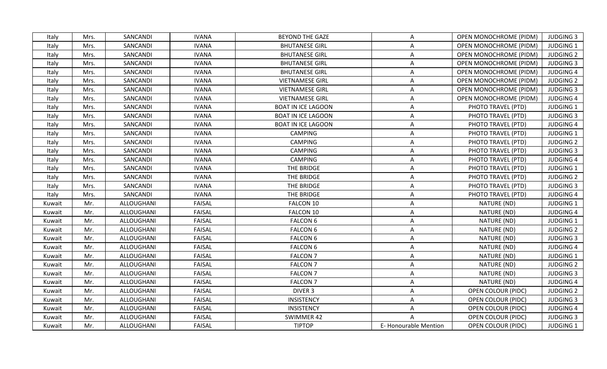| Italy  | Mrs. | SANCANDI   | <b>IVANA</b>  | <b>BEYOND THE GAZE</b>    | A                           | <b>OPEN MONOCHROME (PIDM)</b> | <b>JUDGING 3</b> |
|--------|------|------------|---------------|---------------------------|-----------------------------|-------------------------------|------------------|
| Italy  | Mrs. | SANCANDI   | <b>IVANA</b>  | <b>BHUTANESE GIRL</b>     | A                           | <b>OPEN MONOCHROME (PIDM)</b> | JUDGING 1        |
| Italy  | Mrs. | SANCANDI   | <b>IVANA</b>  | <b>BHUTANESE GIRL</b>     | A                           | <b>OPEN MONOCHROME (PIDM)</b> | <b>JUDGING 2</b> |
| Italy  | Mrs. | SANCANDI   | <b>IVANA</b>  | <b>BHUTANESE GIRL</b>     | Α                           | OPEN MONOCHROME (PIDM)        | <b>JUDGING 3</b> |
| Italy  | Mrs. | SANCANDI   | <b>IVANA</b>  | <b>BHUTANESE GIRL</b>     | A                           | <b>OPEN MONOCHROME (PIDM)</b> | <b>JUDGING 4</b> |
| Italy  | Mrs. | SANCANDI   | <b>IVANA</b>  | <b>VIETNAMESE GIRL</b>    | A                           | <b>OPEN MONOCHROME (PIDM)</b> | <b>JUDGING 2</b> |
| Italy  | Mrs. | SANCANDI   | <b>IVANA</b>  | <b>VIETNAMESE GIRL</b>    | A                           | <b>OPEN MONOCHROME (PIDM)</b> | <b>JUDGING 3</b> |
| Italy  | Mrs. | SANCANDI   | <b>IVANA</b>  | <b>VIETNAMESE GIRL</b>    | A                           | OPEN MONOCHROME (PIDM)        | <b>JUDGING 4</b> |
| Italy  | Mrs. | SANCANDI   | <b>IVANA</b>  | <b>BOAT IN ICE LAGOON</b> | A                           | PHOTO TRAVEL (PTD)            | <b>JUDGING 1</b> |
| Italy  | Mrs. | SANCANDI   | <b>IVANA</b>  | <b>BOAT IN ICE LAGOON</b> | A                           | PHOTO TRAVEL (PTD)            | <b>JUDGING 3</b> |
| Italy  | Mrs. | SANCANDI   | <b>IVANA</b>  | <b>BOAT IN ICE LAGOON</b> | A                           | PHOTO TRAVEL (PTD)            | <b>JUDGING 4</b> |
| Italy  | Mrs. | SANCANDI   | <b>IVANA</b>  | <b>CAMPING</b>            | A                           | PHOTO TRAVEL (PTD)            | <b>JUDGING 1</b> |
| Italy  | Mrs. | SANCANDI   | <b>IVANA</b>  | <b>CAMPING</b>            | A                           | PHOTO TRAVEL (PTD)            | <b>JUDGING 2</b> |
| Italy  | Mrs. | SANCANDI   | <b>IVANA</b>  | <b>CAMPING</b>            | A                           | PHOTO TRAVEL (PTD)            | <b>JUDGING 3</b> |
| Italy  | Mrs. | SANCANDI   | <b>IVANA</b>  | <b>CAMPING</b>            | A                           | PHOTO TRAVEL (PTD)            | <b>JUDGING 4</b> |
| Italy  | Mrs. | SANCANDI   | <b>IVANA</b>  | THE BRIDGE                | A                           | PHOTO TRAVEL (PTD)            | <b>JUDGING 1</b> |
| Italy  | Mrs. | SANCANDI   | <b>IVANA</b>  | THE BRIDGE                | Α                           | PHOTO TRAVEL (PTD)            | <b>JUDGING 2</b> |
| Italy  | Mrs. | SANCANDI   | <b>IVANA</b>  | THE BRIDGE                | Α                           | PHOTO TRAVEL (PTD)            | <b>JUDGING 3</b> |
| Italy  | Mrs. | SANCANDI   | <b>IVANA</b>  | THE BRIDGE                | A                           | PHOTO TRAVEL (PTD)            | <b>JUDGING 4</b> |
| Kuwait | Mr.  | ALLOUGHANI | <b>FAISAL</b> | FALCON 10                 | Α                           | NATURE (ND)                   | <b>JUDGING 1</b> |
| Kuwait | Mr.  | ALLOUGHANI | <b>FAISAL</b> | FALCON 10                 | A                           | NATURE (ND)                   | <b>JUDGING 4</b> |
| Kuwait | Mr.  | ALLOUGHANI | <b>FAISAL</b> | <b>FALCON 6</b>           | Α                           | NATURE (ND)                   | <b>JUDGING 1</b> |
| Kuwait | Mr.  | ALLOUGHANI | <b>FAISAL</b> | <b>FALCON 6</b>           | A                           | NATURE (ND)                   | <b>JUDGING 2</b> |
| Kuwait | Mr.  | ALLOUGHANI | <b>FAISAL</b> | <b>FALCON 6</b>           | A                           | NATURE (ND)                   | <b>JUDGING 3</b> |
| Kuwait | Mr.  | ALLOUGHANI | <b>FAISAL</b> | <b>FALCON 6</b>           | Α                           | NATURE (ND)                   | <b>JUDGING 4</b> |
| Kuwait | Mr.  | ALLOUGHANI | <b>FAISAL</b> | <b>FALCON 7</b>           | A                           | NATURE (ND)                   | <b>JUDGING 1</b> |
| Kuwait | Mr.  | ALLOUGHANI | <b>FAISAL</b> | <b>FALCON 7</b>           | Α                           | NATURE (ND)                   | <b>JUDGING 2</b> |
| Kuwait | Mr.  | ALLOUGHANI | <b>FAISAL</b> | <b>FALCON 7</b>           | A                           | NATURE (ND)                   | <b>JUDGING 3</b> |
| Kuwait | Mr.  | ALLOUGHANI | <b>FAISAL</b> | <b>FALCON 7</b>           | A                           | NATURE (ND)                   | <b>JUDGING 4</b> |
| Kuwait | Mr.  | ALLOUGHANI | <b>FAISAL</b> | <b>DIVER 3</b>            | A                           | <b>OPEN COLOUR (PIDC)</b>     | <b>JUDGING 2</b> |
| Kuwait | Mr.  | ALLOUGHANI | <b>FAISAL</b> | <b>INSISTENCY</b>         | A                           | <b>OPEN COLOUR (PIDC)</b>     | <b>JUDGING 3</b> |
| Kuwait | Mr.  | ALLOUGHANI | <b>FAISAL</b> | <b>INSISTENCY</b>         | Α                           | <b>OPEN COLOUR (PIDC)</b>     | <b>JUDGING 4</b> |
| Kuwait | Mr.  | ALLOUGHANI | <b>FAISAL</b> | SWIMMER 42                | A                           | OPEN COLOUR (PIDC)            | <b>JUDGING 3</b> |
| Kuwait | Mr.  | ALLOUGHANI | <b>FAISAL</b> | <b>TIPTOP</b>             | <b>E-Honourable Mention</b> | <b>OPEN COLOUR (PIDC)</b>     | JUDGING 1        |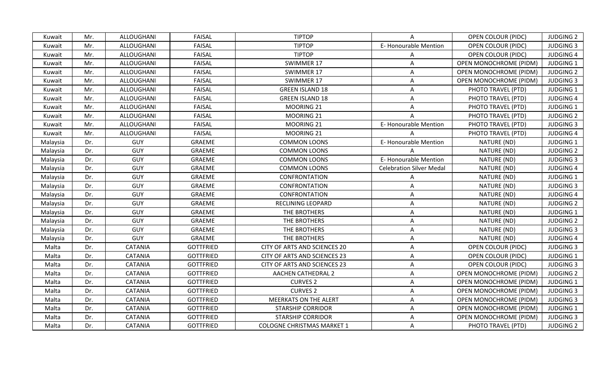| Kuwait   | Mr. | ALLOUGHANI        | <b>FAISAL</b>    | <b>TIPTOP</b>                     | A                               | OPEN COLOUR (PIDC)            | <b>JUDGING 2</b> |
|----------|-----|-------------------|------------------|-----------------------------------|---------------------------------|-------------------------------|------------------|
| Kuwait   | Mr. | <b>ALLOUGHANI</b> | <b>FAISAL</b>    | <b>TIPTOP</b>                     | E-Honourable Mention            | OPEN COLOUR (PIDC)            | <b>JUDGING 3</b> |
| Kuwait   | Mr. | ALLOUGHANI        | <b>FAISAL</b>    | <b>TIPTOP</b>                     | A                               | <b>OPEN COLOUR (PIDC)</b>     | <b>JUDGING 4</b> |
| Kuwait   | Mr. | ALLOUGHANI        | <b>FAISAL</b>    | SWIMMER 17                        | A                               | OPEN MONOCHROME (PIDM)        | <b>JUDGING 1</b> |
| Kuwait   | Mr. | ALLOUGHANI        | <b>FAISAL</b>    | SWIMMER 17                        | A                               | OPEN MONOCHROME (PIDM)        | <b>JUDGING 2</b> |
| Kuwait   | Mr. | ALLOUGHANI        | <b>FAISAL</b>    | SWIMMER 17                        | A                               | OPEN MONOCHROME (PIDM)        | <b>JUDGING 3</b> |
| Kuwait   | Mr. | ALLOUGHANI        | <b>FAISAL</b>    | <b>GREEN ISLAND 18</b>            | A                               | PHOTO TRAVEL (PTD)            | <b>JUDGING 1</b> |
| Kuwait   | Mr. | ALLOUGHANI        | <b>FAISAL</b>    | <b>GREEN ISLAND 18</b>            | A                               | PHOTO TRAVEL (PTD)            | <b>JUDGING 4</b> |
| Kuwait   | Mr. | ALLOUGHANI        | <b>FAISAL</b>    | MOORING 21                        | A                               | PHOTO TRAVEL (PTD)            | <b>JUDGING 1</b> |
| Kuwait   | Mr. | ALLOUGHANI        | <b>FAISAL</b>    | MOORING 21                        | A                               | PHOTO TRAVEL (PTD)            | <b>JUDGING 2</b> |
| Kuwait   | Mr. | ALLOUGHANI        | <b>FAISAL</b>    | MOORING 21                        | E-Honourable Mention            | PHOTO TRAVEL (PTD)            | <b>JUDGING 3</b> |
| Kuwait   | Mr. | ALLOUGHANI        | <b>FAISAL</b>    | MOORING 21                        |                                 | PHOTO TRAVEL (PTD)            | <b>JUDGING 4</b> |
| Malaysia | Dr. | <b>GUY</b>        | GRAEME           | <b>COMMON LOONS</b>               | E-Honourable Mention            | NATURE (ND)                   | <b>JUDGING 1</b> |
| Malaysia | Dr. | <b>GUY</b>        | GRAEME           | <b>COMMON LOONS</b>               |                                 | NATURE (ND)                   | <b>JUDGING 2</b> |
| Malaysia | Dr. | GUY               | GRAEME           | <b>COMMON LOONS</b>               | E-Honourable Mention            | NATURE (ND)                   | <b>JUDGING 3</b> |
| Malaysia | Dr. | <b>GUY</b>        | GRAEME           | <b>COMMON LOONS</b>               | <b>Celebration Silver Medal</b> | NATURE (ND)                   | <b>JUDGING 4</b> |
| Malaysia | Dr. | <b>GUY</b>        | <b>GRAEME</b>    | <b>CONFRONTATION</b>              | A                               | NATURE (ND)                   | <b>JUDGING 1</b> |
| Malaysia | Dr. | <b>GUY</b>        | GRAEME           | CONFRONTATION                     | Α                               | NATURE (ND)                   | <b>JUDGING 3</b> |
| Malaysia | Dr. | GUY               | GRAEME           | CONFRONTATION                     | A                               | NATURE (ND)                   | <b>JUDGING 4</b> |
| Malaysia | Dr. | GUY               | <b>GRAEME</b>    | RECLINING LEOPARD                 | A                               | NATURE (ND)                   | <b>JUDGING 2</b> |
| Malaysia | Dr. | <b>GUY</b>        | GRAEME           | THE BROTHERS                      | A                               | NATURE (ND)                   | <b>JUDGING 1</b> |
| Malaysia | Dr. | GUY               | GRAEME           | THE BROTHERS                      | A                               | NATURE (ND)                   | <b>JUDGING 2</b> |
| Malaysia | Dr. | <b>GUY</b>        | GRAEME           | THE BROTHERS                      | A                               | NATURE (ND)                   | <b>JUDGING 3</b> |
| Malaysia | Dr. | <b>GUY</b>        | GRAEME           | THE BROTHERS                      | A                               | NATURE (ND)                   | <b>JUDGING 4</b> |
| Malta    | Dr. | <b>CATANIA</b>    | <b>GOTTFRIED</b> | CITY OF ARTS AND SCIENCES 20      | A                               | OPEN COLOUR (PIDC)            | <b>JUDGING 3</b> |
| Malta    | Dr. | <b>CATANIA</b>    | <b>GOTTFRIED</b> | CITY OF ARTS AND SCIENCES 23      | A                               | OPEN COLOUR (PIDC)            | <b>JUDGING 1</b> |
| Malta    | Dr. | <b>CATANIA</b>    | <b>GOTTFRIED</b> | CITY OF ARTS AND SCIENCES 23      | A                               | <b>OPEN COLOUR (PIDC)</b>     | <b>JUDGING 3</b> |
| Malta    | Dr. | <b>CATANIA</b>    | <b>GOTTFRIED</b> | <b>AACHEN CATHEDRAL 2</b>         | A                               | <b>OPEN MONOCHROME (PIDM)</b> | <b>JUDGING 2</b> |
| Malta    | Dr. | CATANIA           | <b>GOTTFRIED</b> | <b>CURVES 2</b>                   | A                               | OPEN MONOCHROME (PIDM)        | <b>JUDGING 1</b> |
| Malta    | Dr. | <b>CATANIA</b>    | <b>GOTTFRIED</b> | <b>CURVES 2</b>                   | A                               | <b>OPEN MONOCHROME (PIDM)</b> | <b>JUDGING 3</b> |
| Malta    | Dr. | <b>CATANIA</b>    | <b>GOTTFRIED</b> | <b>MEERKATS ON THE ALERT</b>      | A                               | OPEN MONOCHROME (PIDM)        | <b>JUDGING 3</b> |
| Malta    | Dr. | <b>CATANIA</b>    | <b>GOTTFRIED</b> | <b>STARSHIP CORRIDOR</b>          | A                               | OPEN MONOCHROME (PIDM)        | JUDGING 1        |
| Malta    | Dr. | <b>CATANIA</b>    | <b>GOTTFRIED</b> | <b>STARSHIP CORRIDOR</b>          | A                               | <b>OPEN MONOCHROME (PIDM)</b> | <b>JUDGING 3</b> |
| Malta    | Dr. | <b>CATANIA</b>    | <b>GOTTFRIED</b> | <b>COLOGNE CHRISTMAS MARKET 1</b> | A                               | PHOTO TRAVEL (PTD)            | <b>JUDGING 2</b> |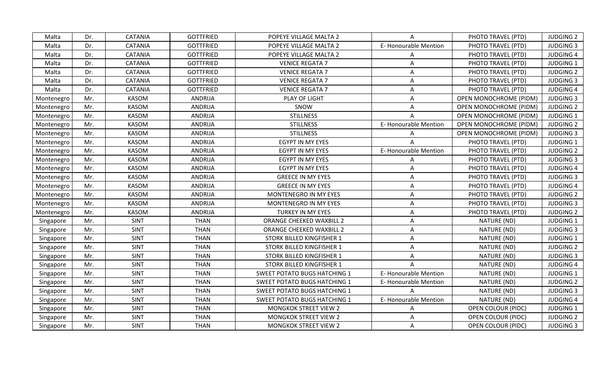| Malta      | Dr. | CATANIA        | <b>GOTTFRIED</b> | POPEYE VILLAGE MALTA 2              | A                    | PHOTO TRAVEL (PTD)            | <b>JUDGING 2</b> |
|------------|-----|----------------|------------------|-------------------------------------|----------------------|-------------------------------|------------------|
| Malta      | Dr. | <b>CATANIA</b> | <b>GOTTFRIED</b> | POPEYE VILLAGE MALTA 2              | E-Honourable Mention | PHOTO TRAVEL (PTD)            | <b>JUDGING 3</b> |
| Malta      | Dr. | <b>CATANIA</b> | <b>GOTTFRIED</b> | POPEYE VILLAGE MALTA 2              | Α                    | PHOTO TRAVEL (PTD)            | <b>JUDGING 4</b> |
| Malta      | Dr. | CATANIA        | <b>GOTTFRIED</b> | <b>VENICE REGATA 7</b>              | Α                    | PHOTO TRAVEL (PTD)            | <b>JUDGING 1</b> |
| Malta      | Dr. | <b>CATANIA</b> | <b>GOTTFRIED</b> | <b>VENICE REGATA 7</b>              | A                    | PHOTO TRAVEL (PTD)            | <b>JUDGING 2</b> |
| Malta      | Dr. | CATANIA        | <b>GOTTFRIED</b> | <b>VENICE REGATA 7</b>              | A                    | PHOTO TRAVEL (PTD)            | <b>JUDGING 3</b> |
| Malta      | Dr. | <b>CATANIA</b> | <b>GOTTFRIED</b> | <b>VENICE REGATA 7</b>              | Α                    | PHOTO TRAVEL (PTD)            | <b>JUDGING 4</b> |
| Montenegro | Mr. | <b>KASOM</b>   | <b>ANDRIJA</b>   | PLAY OF LIGHT                       | Α                    | <b>OPEN MONOCHROME (PIDM)</b> | <b>JUDGING 3</b> |
| Montenegro | Mr. | <b>KASOM</b>   | <b>ANDRIJA</b>   | SNOW                                | A                    | OPEN MONOCHROME (PIDM)        | <b>JUDGING 2</b> |
| Montenegro | Mr. | <b>KASOM</b>   | <b>ANDRIJA</b>   | <b>STILLNESS</b>                    |                      | <b>OPEN MONOCHROME (PIDM)</b> | <b>JUDGING 1</b> |
| Montenegro | Mr. | <b>KASOM</b>   | <b>ANDRIJA</b>   | <b>STILLNESS</b>                    | E-Honourable Mention | <b>OPEN MONOCHROME (PIDM)</b> | <b>JUDGING 2</b> |
| Montenegro | Mr. | <b>KASOM</b>   | <b>ANDRIJA</b>   | <b>STILLNESS</b>                    | A                    | OPEN MONOCHROME (PIDM)        | <b>JUDGING 3</b> |
| Montenegro | Mr. | <b>KASOM</b>   | <b>ANDRIJA</b>   | EGYPT IN MY EYES                    |                      | PHOTO TRAVEL (PTD)            | <b>JUDGING 1</b> |
| Montenegro | Mr. | <b>KASOM</b>   | <b>ANDRIJA</b>   | EGYPT IN MY EYES                    | E-Honourable Mention | PHOTO TRAVEL (PTD)            | <b>JUDGING 2</b> |
| Montenegro | Mr. | <b>KASOM</b>   | <b>ANDRIJA</b>   | EGYPT IN MY EYES                    | A                    | PHOTO TRAVEL (PTD)            | <b>JUDGING 3</b> |
| Montenegro | Mr. | <b>KASOM</b>   | <b>ANDRIJA</b>   | EGYPT IN MY EYES                    | A                    | PHOTO TRAVEL (PTD)            | <b>JUDGING 4</b> |
| Montenegro | Mr. | <b>KASOM</b>   | <b>ANDRIJA</b>   | <b>GREECE IN MY EYES</b>            | Α                    | PHOTO TRAVEL (PTD)            | <b>JUDGING 3</b> |
| Montenegro | Mr. | <b>KASOM</b>   | <b>ANDRIJA</b>   | <b>GREECE IN MY EYES</b>            | A                    | PHOTO TRAVEL (PTD)            | <b>JUDGING 4</b> |
| Montenegro | Mr. | KASOM          | <b>ANDRIJA</b>   | MONTENEGRO IN MY EYES               | A                    | PHOTO TRAVEL (PTD)            | <b>JUDGING 2</b> |
| Montenegro | Mr. | <b>KASOM</b>   | <b>ANDRIJA</b>   | MONTENEGRO IN MY EYES               | A                    | PHOTO TRAVEL (PTD)            | <b>JUDGING 3</b> |
| Montenegro | Mr. | <b>KASOM</b>   | <b>ANDRIJA</b>   | TURKEY IN MY EYES                   | Α                    | PHOTO TRAVEL (PTD)            | <b>JUDGING 2</b> |
| Singapore  | Mr. | <b>SINT</b>    | <b>THAN</b>      | ORANGE CHEEKED WAXBILL 2            | Α                    | NATURE (ND)                   | <b>JUDGING 1</b> |
| Singapore  | Mr. | <b>SINT</b>    | <b>THAN</b>      | <b>ORANGE CHEEKED WAXBILL 2</b>     | Α                    | NATURE (ND)                   | <b>JUDGING 3</b> |
| Singapore  | Mr. | <b>SINT</b>    | <b>THAN</b>      | STORK BILLED KINGFISHER 1           | A                    | NATURE (ND)                   | <b>JUDGING 1</b> |
| Singapore  | Mr. | <b>SINT</b>    | <b>THAN</b>      | STORK BILLED KINGFISHER 1           | Α                    | NATURE (ND)                   | <b>JUDGING 2</b> |
| Singapore  | Mr. | <b>SINT</b>    | <b>THAN</b>      | STORK BILLED KINGFISHER 1           | Α                    | NATURE (ND)                   | <b>JUDGING 3</b> |
| Singapore  | Mr. | <b>SINT</b>    | <b>THAN</b>      | STORK BILLED KINGFISHER 1           |                      | NATURE (ND)                   | <b>JUDGING 4</b> |
| Singapore  | Mr. | <b>SINT</b>    | <b>THAN</b>      | <b>SWEET POTATO BUGS HATCHING 1</b> | E-Honourable Mention | NATURE (ND)                   | <b>JUDGING 1</b> |
| Singapore  | Mr. | <b>SINT</b>    | <b>THAN</b>      | <b>SWEET POTATO BUGS HATCHING 1</b> | E-Honourable Mention | NATURE (ND)                   | <b>JUDGING 2</b> |
| Singapore  | Mr. | <b>SINT</b>    | <b>THAN</b>      | <b>SWEET POTATO BUGS HATCHING 1</b> |                      | NATURE (ND)                   | <b>JUDGING 3</b> |
| Singapore  | Mr. | <b>SINT</b>    | <b>THAN</b>      | <b>SWEET POTATO BUGS HATCHING 1</b> | E-Honourable Mention | NATURE (ND)                   | <b>JUDGING 4</b> |
| Singapore  | Mr. | <b>SINT</b>    | <b>THAN</b>      | <b>MONGKOK STREET VIEW 2</b>        | Α                    | <b>OPEN COLOUR (PIDC)</b>     | <b>JUDGING 1</b> |
| Singapore  | Mr. | <b>SINT</b>    | <b>THAN</b>      | MONGKOK STREET VIEW 2               | A                    | OPEN COLOUR (PIDC)            | <b>JUDGING 2</b> |
| Singapore  | Mr. | <b>SINT</b>    | <b>THAN</b>      | <b>MONGKOK STREET VIEW 2</b>        | A                    | <b>OPEN COLOUR (PIDC)</b>     | <b>JUDGING 3</b> |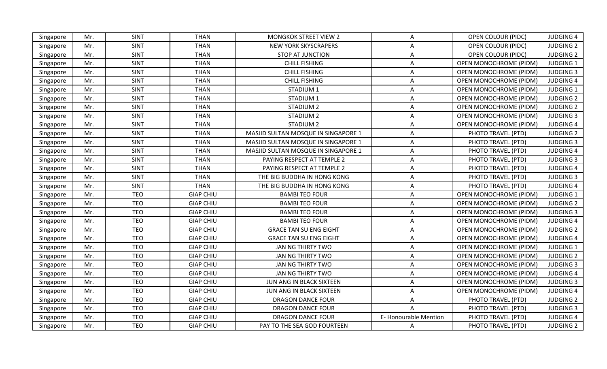| Singapore | Mr. | <b>SINT</b> | <b>THAN</b>      | <b>MONGKOK STREET VIEW 2</b>        | A                    | <b>OPEN COLOUR (PIDC)</b>     | <b>JUDGING 4</b> |
|-----------|-----|-------------|------------------|-------------------------------------|----------------------|-------------------------------|------------------|
| Singapore | Mr. | SINT        | <b>THAN</b>      | <b>NEW YORK SKYSCRAPERS</b>         | A                    | <b>OPEN COLOUR (PIDC)</b>     | <b>JUDGING 2</b> |
| Singapore | Mr. | <b>SINT</b> | <b>THAN</b>      | <b>STOP AT JUNCTION</b>             | Α                    | <b>OPEN COLOUR (PIDC)</b>     | <b>JUDGING 2</b> |
| Singapore | Mr. | <b>SINT</b> | <b>THAN</b>      | <b>CHILL FISHING</b>                | Α                    | OPEN MONOCHROME (PIDM)        | <b>JUDGING 1</b> |
| Singapore | Mr. | SINT        | <b>THAN</b>      | <b>CHILL FISHING</b>                | A                    | <b>OPEN MONOCHROME (PIDM)</b> | <b>JUDGING 3</b> |
| Singapore | Mr. | <b>SINT</b> | <b>THAN</b>      | <b>CHILL FISHING</b>                | A                    | <b>OPEN MONOCHROME (PIDM)</b> | <b>JUDGING 4</b> |
| Singapore | Mr. | SINT        | <b>THAN</b>      | STADIUM <sub>1</sub>                | A                    | <b>OPEN MONOCHROME (PIDM)</b> | <b>JUDGING 1</b> |
| Singapore | Mr. | <b>SINT</b> | <b>THAN</b>      | STADIUM <sub>1</sub>                | A                    | OPEN MONOCHROME (PIDM)        | <b>JUDGING 2</b> |
| Singapore | Mr. | <b>SINT</b> | <b>THAN</b>      | STADIUM <sub>2</sub>                | A                    | OPEN MONOCHROME (PIDM)        | <b>JUDGING 2</b> |
| Singapore | Mr. | SINT        | <b>THAN</b>      | STADIUM <sub>2</sub>                | A                    | OPEN MONOCHROME (PIDM)        | <b>JUDGING 3</b> |
| Singapore | Mr. | <b>SINT</b> | <b>THAN</b>      | STADIUM 2                           | A                    | <b>OPEN MONOCHROME (PIDM)</b> | <b>JUDGING 4</b> |
| Singapore | Mr. | <b>SINT</b> | <b>THAN</b>      | MASJID SULTAN MOSQUE IN SINGAPORE 1 | Α                    | PHOTO TRAVEL (PTD)            | <b>JUDGING 2</b> |
| Singapore | Mr. | <b>SINT</b> | <b>THAN</b>      | MASJID SULTAN MOSQUE IN SINGAPORE 1 | A                    | PHOTO TRAVEL (PTD)            | <b>JUDGING 3</b> |
| Singapore | Mr. | <b>SINT</b> | <b>THAN</b>      | MASJID SULTAN MOSQUE IN SINGAPORE 1 | A                    | PHOTO TRAVEL (PTD)            | <b>JUDGING 4</b> |
| Singapore | Mr. | <b>SINT</b> | <b>THAN</b>      | PAYING RESPECT AT TEMPLE 2          | A                    | PHOTO TRAVEL (PTD)            | <b>JUDGING 3</b> |
| Singapore | Mr. | <b>SINT</b> | <b>THAN</b>      | PAYING RESPECT AT TEMPLE 2          | A                    | PHOTO TRAVEL (PTD)            | <b>JUDGING 4</b> |
| Singapore | Mr. | <b>SINT</b> | <b>THAN</b>      | THE BIG BUDDHA IN HONG KONG         | A                    | PHOTO TRAVEL (PTD)            | <b>JUDGING 3</b> |
| Singapore | Mr. | SINT        | <b>THAN</b>      | THE BIG BUDDHA IN HONG KONG         | A                    | PHOTO TRAVEL (PTD)            | <b>JUDGING 4</b> |
| Singapore | Mr. | <b>TEO</b>  | <b>GIAP CHIU</b> | <b>BAMBI TEO FOUR</b>               | A                    | <b>OPEN MONOCHROME (PIDM)</b> | <b>JUDGING 1</b> |
| Singapore | Mr. | <b>TEO</b>  | <b>GIAP CHIU</b> | <b>BAMBI TEO FOUR</b>               | Α                    | <b>OPEN MONOCHROME (PIDM)</b> | <b>JUDGING 2</b> |
| Singapore | Mr. | <b>TEO</b>  | <b>GIAP CHIU</b> | <b>BAMBI TEO FOUR</b>               | A                    | <b>OPEN MONOCHROME (PIDM)</b> | <b>JUDGING 3</b> |
| Singapore | Mr. | <b>TEO</b>  | <b>GIAP CHIU</b> | <b>BAMBI TEO FOUR</b>               | Α                    | OPEN MONOCHROME (PIDM)        | <b>JUDGING 4</b> |
| Singapore | Mr. | <b>TEO</b>  | <b>GIAP CHIU</b> | <b>GRACE TAN SU ENG EIGHT</b>       | A                    | OPEN MONOCHROME (PIDM)        | <b>JUDGING 2</b> |
| Singapore | Mr. | <b>TEO</b>  | <b>GIAP CHIU</b> | <b>GRACE TAN SU ENG EIGHT</b>       | A                    | <b>OPEN MONOCHROME (PIDM)</b> | <b>JUDGING 4</b> |
| Singapore | Mr. | TEO         | <b>GIAP CHIU</b> | JAN NG THIRTY TWO                   | Α                    | <b>OPEN MONOCHROME (PIDM)</b> | <b>JUDGING 1</b> |
| Singapore | Mr. | <b>TEO</b>  | <b>GIAP CHIU</b> | JAN NG THIRTY TWO                   | Α                    | <b>OPEN MONOCHROME (PIDM)</b> | <b>JUDGING 2</b> |
| Singapore | Mr. | <b>TEO</b>  | <b>GIAP CHIU</b> | JAN NG THIRTY TWO                   | Α                    | OPEN MONOCHROME (PIDM)        | <b>JUDGING 3</b> |
| Singapore | Mr. | <b>TEO</b>  | <b>GIAP CHIU</b> | JAN NG THIRTY TWO                   | A                    | OPEN MONOCHROME (PIDM)        | <b>JUDGING 4</b> |
| Singapore | Mr. | <b>TEO</b>  | <b>GIAP CHIU</b> | JUN ANG IN BLACK SIXTEEN            | A                    | <b>OPEN MONOCHROME (PIDM)</b> | <b>JUDGING 3</b> |
| Singapore | Mr. | <b>TEO</b>  | <b>GIAP CHIU</b> | JUN ANG IN BLACK SIXTEEN            | A                    | <b>OPEN MONOCHROME (PIDM)</b> | <b>JUDGING 4</b> |
| Singapore | Mr. | <b>TEO</b>  | <b>GIAP CHIU</b> | <b>DRAGON DANCE FOUR</b>            | Α                    | PHOTO TRAVEL (PTD)            | <b>JUDGING 2</b> |
| Singapore | Mr. | <b>TEO</b>  | <b>GIAP CHIU</b> | <b>DRAGON DANCE FOUR</b>            |                      | PHOTO TRAVEL (PTD)            | <b>JUDGING 3</b> |
| Singapore | Mr. | <b>TEO</b>  | <b>GIAP CHIU</b> | <b>DRAGON DANCE FOUR</b>            | E-Honourable Mention | PHOTO TRAVEL (PTD)            | <b>JUDGING 4</b> |
| Singapore | Mr. | <b>TEO</b>  | <b>GIAP CHIU</b> | PAY TO THE SEA GOD FOURTEEN         | A                    | PHOTO TRAVEL (PTD)            | <b>JUDGING 2</b> |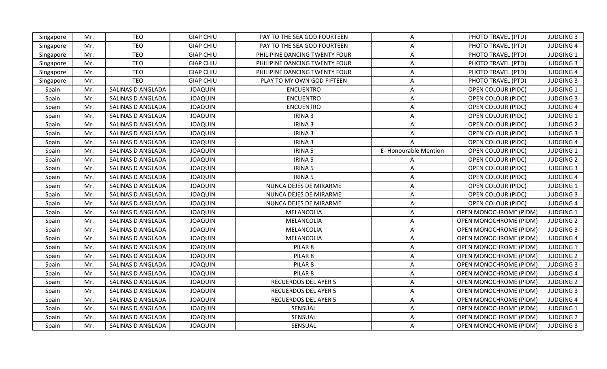| Singapore | Mr. | <b>TEO</b>        | <b>GIAP CHIU</b> | PAY TO THE SEA GOD FOURTEEN   | A                    | PHOTO TRAVEL (PTD)            | <b>JUDGING 3</b> |
|-----------|-----|-------------------|------------------|-------------------------------|----------------------|-------------------------------|------------------|
| Singapore | Mr. | <b>TEO</b>        | <b>GIAP CHIU</b> | PAY TO THE SEA GOD FOURTEEN   | Α                    | PHOTO TRAVEL (PTD)            | <b>JUDGING 4</b> |
| Singapore | Mr. | <b>TEO</b>        | <b>GIAP CHIU</b> | PHILIPINE DANCING TWENTY FOUR | A                    | PHOTO TRAVEL (PTD)            | <b>JUDGING 1</b> |
| Singapore | Mr. | <b>TEO</b>        | <b>GIAP CHIU</b> | PHILIPINE DANCING TWENTY FOUR | A                    | PHOTO TRAVEL (PTD)            | <b>JUDGING 3</b> |
| Singapore | Mr. | <b>TEO</b>        | <b>GIAP CHIU</b> | PHILIPINE DANCING TWENTY FOUR | Α                    | PHOTO TRAVEL (PTD)            | <b>JUDGING 4</b> |
| Singapore | Mr. | <b>TEO</b>        | <b>GIAP CHIU</b> | PLAY TO MY OWN GOD FIFTEEN    | A                    | PHOTO TRAVEL (PTD)            | <b>JUDGING 3</b> |
| Spain     | Mr. | SALINAS D ANGLADA | <b>JOAQUIN</b>   | <b>ENCUENTRO</b>              | A                    | <b>OPEN COLOUR (PIDC)</b>     | <b>JUDGING 1</b> |
| Spain     | Mr. | SALINAS D ANGLADA | <b>JOAQUIN</b>   | <b>ENCUENTRO</b>              | A                    | <b>OPEN COLOUR (PIDC)</b>     | <b>JUDGING 3</b> |
| Spain     | Mr. | SALINAS D ANGLADA | <b>JOAQUIN</b>   | <b>ENCUENTRO</b>              | A                    | <b>OPEN COLOUR (PIDC)</b>     | <b>JUDGING 4</b> |
| Spain     | Mr. | SALINAS D ANGLADA | <b>JOAQUIN</b>   | IRINA 3                       | A                    | <b>OPEN COLOUR (PIDC)</b>     | <b>JUDGING 1</b> |
| Spain     | Mr. | SALINAS D ANGLADA | <b>JOAQUIN</b>   | IRINA 3                       | Α                    | <b>OPEN COLOUR (PIDC)</b>     | <b>JUDGING 2</b> |
| Spain     | Mr. | SALINAS D ANGLADA | <b>JOAQUIN</b>   | IRINA 3                       | Α                    | <b>OPEN COLOUR (PIDC)</b>     | <b>JUDGING 3</b> |
| Spain     | Mr. | SALINAS D ANGLADA | <b>JOAQUIN</b>   | IRINA 3                       | A                    | <b>OPEN COLOUR (PIDC)</b>     | <b>JUDGING 4</b> |
| Spain     | Mr. | SALINAS D ANGLADA | <b>JOAQUIN</b>   | <b>IRINA 5</b>                | E-Honourable Mention | <b>OPEN COLOUR (PIDC)</b>     | <b>JUDGING 1</b> |
| Spain     | Mr. | SALINAS D ANGLADA | <b>JOAQUIN</b>   | <b>IRINA 5</b>                | A                    | OPEN COLOUR (PIDC)            | <b>JUDGING 2</b> |
| Spain     | Mr. | SALINAS D ANGLADA | <b>JOAQUIN</b>   | <b>IRINA 5</b>                | A                    | <b>OPEN COLOUR (PIDC)</b>     | <b>JUDGING 3</b> |
| Spain     | Mr. | SALINAS D ANGLADA | <b>JOAQUIN</b>   | <b>IRINA 5</b>                | Α                    | <b>OPEN COLOUR (PIDC)</b>     | <b>JUDGING 4</b> |
| Spain     | Mr. | SALINAS D ANGLADA | <b>JOAQUIN</b>   | NUNCA DEJES DE MIRARME        | A                    | <b>OPEN COLOUR (PIDC)</b>     | <b>JUDGING 1</b> |
| Spain     | Mr. | SALINAS D ANGLADA | <b>JOAQUIN</b>   | NUNCA DEJES DE MIRARME        | A                    | <b>OPEN COLOUR (PIDC)</b>     | <b>JUDGING 3</b> |
| Spain     | Mr. | SALINAS D ANGLADA | <b>JOAQUIN</b>   | NUNCA DEJES DE MIRARME        | Α                    | <b>OPEN COLOUR (PIDC)</b>     | <b>JUDGING 4</b> |
| Spain     | Mr. | SALINAS D ANGLADA | <b>JOAQUIN</b>   | MELANCOLIA                    | A                    | <b>OPEN MONOCHROME (PIDM)</b> | <b>JUDGING 1</b> |
| Spain     | Mr. | SALINAS D ANGLADA | <b>JOAQUIN</b>   | MELANCOLIA                    | Α                    | <b>OPEN MONOCHROME (PIDM)</b> | <b>JUDGING 2</b> |
| Spain     | Mr. | SALINAS D ANGLADA | <b>JOAQUIN</b>   | MELANCOLIA                    | A                    | OPEN MONOCHROME (PIDM)        | <b>JUDGING 3</b> |
| Spain     | Mr. | SALINAS D ANGLADA | <b>JOAQUIN</b>   | MELANCOLIA                    | A                    | OPEN MONOCHROME (PIDM)        | <b>JUDGING 4</b> |
| Spain     | Mr. | SALINAS D ANGLADA | <b>JOAQUIN</b>   | PILAR <sub>8</sub>            | A                    | <b>OPEN MONOCHROME (PIDM)</b> | <b>JUDGING 1</b> |
| Spain     | Mr. | SALINAS D ANGLADA | <b>JOAQUIN</b>   | PILAR <sub>8</sub>            | A                    | <b>OPEN MONOCHROME (PIDM)</b> | <b>JUDGING 2</b> |
| Spain     | Mr. | SALINAS D ANGLADA | <b>JOAQUIN</b>   | PILAR <sub>8</sub>            | A                    | OPEN MONOCHROME (PIDM)        | <b>JUDGING 3</b> |
| Spain     | Mr. | SALINAS D ANGLADA | <b>JOAQUIN</b>   | PILAR <sub>8</sub>            | A                    | <b>OPEN MONOCHROME (PIDM)</b> | <b>JUDGING 4</b> |
| Spain     | Mr. | SALINAS D ANGLADA | <b>JOAQUIN</b>   | <b>RECUERDOS DEL AYER 5</b>   | $\mathsf{A}$         | <b>OPEN MONOCHROME (PIDM)</b> | <b>JUDGING 2</b> |
| Spain     | Mr. | SALINAS D ANGLADA | <b>JOAQUIN</b>   | <b>RECUERDOS DEL AYER 5</b>   | A                    | <b>OPEN MONOCHROME (PIDM)</b> | <b>JUDGING 3</b> |
| Spain     | Mr. | SALINAS D ANGLADA | <b>JOAQUIN</b>   | <b>RECUERDOS DEL AYER 5</b>   | A                    | <b>OPEN MONOCHROME (PIDM)</b> | <b>JUDGING 4</b> |
| Spain     | Mr. | SALINAS D ANGLADA | <b>JOAQUIN</b>   | SENSUAL                       | A                    | OPEN MONOCHROME (PIDM)        | <b>JUDGING 1</b> |
| Spain     | Mr. | SALINAS D ANGLADA | <b>JOAQUIN</b>   | SENSUAL                       | A                    | <b>OPEN MONOCHROME (PIDM)</b> | <b>JUDGING 2</b> |
| Spain     | Mr. | SALINAS D ANGLADA | <b>JOAQUIN</b>   | SENSUAL                       | A                    | OPEN MONOCHROME (PIDM)        | <b>JUDGING 3</b> |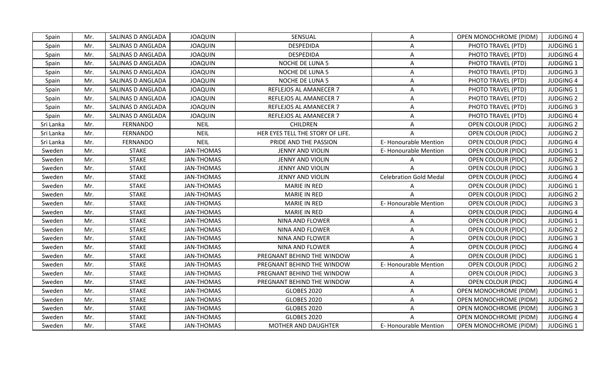| Spain     | Mr. | SALINAS D ANGLADA        | <b>JOAQUIN</b>    | SENSUAL                          | A                             | <b>OPEN MONOCHROME (PIDM)</b> | <b>JUDGING 4</b> |
|-----------|-----|--------------------------|-------------------|----------------------------------|-------------------------------|-------------------------------|------------------|
| Spain     | Mr. | <b>SALINAS D ANGLADA</b> | <b>JOAQUIN</b>    | <b>DESPEDIDA</b>                 | A                             | PHOTO TRAVEL (PTD)            | <b>JUDGING 1</b> |
| Spain     | Mr. | SALINAS D ANGLADA        | <b>JOAQUIN</b>    | <b>DESPEDIDA</b>                 | Α                             | PHOTO TRAVEL (PTD)            | <b>JUDGING 4</b> |
| Spain     | Mr. | SALINAS D ANGLADA        | <b>JOAQUIN</b>    | NOCHE DE LUNA 5                  | A                             | PHOTO TRAVEL (PTD)            | <b>JUDGING 1</b> |
| Spain     | Mr. | SALINAS D ANGLADA        | <b>JOAQUIN</b>    | NOCHE DE LUNA 5                  | A                             | PHOTO TRAVEL (PTD)            | <b>JUDGING 3</b> |
| Spain     | Mr. | SALINAS D ANGLADA        | <b>JOAQUIN</b>    | NOCHE DE LUNA 5                  | A                             | PHOTO TRAVEL (PTD)            | <b>JUDGING 4</b> |
| Spain     | Mr. | SALINAS D ANGLADA        | <b>JOAQUIN</b>    | REFLEJOS AL AMANECER 7           | Α                             | PHOTO TRAVEL (PTD)            | <b>JUDGING 1</b> |
| Spain     | Mr. | SALINAS D ANGLADA        | <b>JOAQUIN</b>    | REFLEJOS AL AMANECER 7           | Α                             | PHOTO TRAVEL (PTD)            | <b>JUDGING 2</b> |
| Spain     | Mr. | SALINAS D ANGLADA        | <b>JOAQUIN</b>    | REFLEJOS AL AMANECER 7           | A                             | PHOTO TRAVEL (PTD)            | <b>JUDGING 3</b> |
| Spain     | Mr. | SALINAS D ANGLADA        | <b>JOAQUIN</b>    | REFLEJOS AL AMANECER 7           | A                             | PHOTO TRAVEL (PTD)            | <b>JUDGING 4</b> |
| Sri Lanka | Mr. | <b>FERNANDO</b>          | <b>NEIL</b>       | CHILDREN                         | A                             | <b>OPEN COLOUR (PIDC)</b>     | <b>JUDGING 2</b> |
| Sri Lanka | Mr. | <b>FERNANDO</b>          | <b>NEIL</b>       | HER EYES TELL THE STORY OF LIFE. | A                             | <b>OPEN COLOUR (PIDC)</b>     | <b>JUDGING 2</b> |
| Sri Lanka | Mr. | <b>FERNANDO</b>          | <b>NEIL</b>       | PRIDE AND THE PASSION            | E-Honourable Mention          | <b>OPEN COLOUR (PIDC)</b>     | <b>JUDGING 4</b> |
| Sweden    | Mr. | <b>STAKE</b>             | <b>JAN-THOMAS</b> | JENNY AND VIOLIN                 | <b>E-Honourable Mention</b>   | <b>OPEN COLOUR (PIDC)</b>     | <b>JUDGING 1</b> |
| Sweden    | Mr. | <b>STAKE</b>             | <b>JAN-THOMAS</b> | JENNY AND VIOLIN                 | A                             | OPEN COLOUR (PIDC)            | <b>JUDGING 2</b> |
| Sweden    | Mr. | <b>STAKE</b>             | <b>JAN-THOMAS</b> | JENNY AND VIOLIN                 |                               | <b>OPEN COLOUR (PIDC)</b>     | <b>JUDGING 3</b> |
| Sweden    | Mr. | <b>STAKE</b>             | <b>JAN-THOMAS</b> | <b>JENNY AND VIOLIN</b>          | <b>Celebration Gold Medal</b> | <b>OPEN COLOUR (PIDC)</b>     | <b>JUDGING 4</b> |
| Sweden    | Mr. | <b>STAKE</b>             | <b>JAN-THOMAS</b> | <b>MARIE IN RED</b>              |                               | <b>OPEN COLOUR (PIDC)</b>     | <b>JUDGING 1</b> |
| Sweden    | Mr. | <b>STAKE</b>             | JAN-THOMAS        | MARIE IN RED                     |                               | <b>OPEN COLOUR (PIDC)</b>     | <b>JUDGING 2</b> |
| Sweden    | Mr. | <b>STAKE</b>             | <b>JAN-THOMAS</b> | <b>MARIE IN RED</b>              | E-Honourable Mention          | <b>OPEN COLOUR (PIDC)</b>     | <b>JUDGING 3</b> |
| Sweden    | Mr. | <b>STAKE</b>             | JAN-THOMAS        | <b>MARIE IN RED</b>              | A                             | <b>OPEN COLOUR (PIDC)</b>     | <b>JUDGING 4</b> |
| Sweden    | Mr. | <b>STAKE</b>             | <b>JAN-THOMAS</b> | <b>NINA AND FLOWER</b>           | A                             | <b>OPEN COLOUR (PIDC)</b>     | <b>JUDGING 1</b> |
| Sweden    | Mr. | <b>STAKE</b>             | <b>JAN-THOMAS</b> | NINA AND FLOWER                  | Α                             | OPEN COLOUR (PIDC)            | <b>JUDGING 2</b> |
| Sweden    | Mr. | <b>STAKE</b>             | <b>JAN-THOMAS</b> | <b>NINA AND FLOWER</b>           | A                             | OPEN COLOUR (PIDC)            | <b>JUDGING 3</b> |
| Sweden    | Mr. | <b>STAKE</b>             | <b>JAN-THOMAS</b> | NINA AND FLOWER                  | A                             | OPEN COLOUR (PIDC)            | <b>JUDGING 4</b> |
| Sweden    | Mr. | <b>STAKE</b>             | <b>JAN-THOMAS</b> | PREGNANT BEHIND THE WINDOW       |                               | <b>OPEN COLOUR (PIDC)</b>     | <b>JUDGING 1</b> |
| Sweden    | Mr. | <b>STAKE</b>             | <b>JAN-THOMAS</b> | PREGNANT BEHIND THE WINDOW       | <b>E-Honourable Mention</b>   | <b>OPEN COLOUR (PIDC)</b>     | <b>JUDGING 2</b> |
| Sweden    | Mr. | <b>STAKE</b>             | <b>JAN-THOMAS</b> | PREGNANT BEHIND THE WINDOW       | A                             | <b>OPEN COLOUR (PIDC)</b>     | <b>JUDGING 3</b> |
| Sweden    | Mr. | <b>STAKE</b>             | <b>JAN-THOMAS</b> | PREGNANT BEHIND THE WINDOW       | A                             | <b>OPEN COLOUR (PIDC)</b>     | <b>JUDGING 4</b> |
| Sweden    | Mr. | <b>STAKE</b>             | JAN-THOMAS        | <b>GLOBES 2020</b>               | Α                             | <b>OPEN MONOCHROME (PIDM)</b> | JUDGING 1        |
| Sweden    | Mr. | <b>STAKE</b>             | <b>JAN-THOMAS</b> | <b>GLOBES 2020</b>               | A                             | <b>OPEN MONOCHROME (PIDM)</b> | <b>JUDGING 2</b> |
| Sweden    | Mr. | <b>STAKE</b>             | JAN-THOMAS        | <b>GLOBES 2020</b>               | A                             | <b>OPEN MONOCHROME (PIDM)</b> | <b>JUDGING 3</b> |
| Sweden    | Mr. | <b>STAKE</b>             | <b>JAN-THOMAS</b> | <b>GLOBES 2020</b>               |                               | <b>OPEN MONOCHROME (PIDM)</b> | <b>JUDGING 4</b> |
| Sweden    | Mr. | <b>STAKE</b>             | <b>JAN-THOMAS</b> | <b>MOTHER AND DAUGHTER</b>       | <b>E-Honourable Mention</b>   | <b>OPEN MONOCHROME (PIDM)</b> | <b>JUDGING 1</b> |
|           |     |                          |                   |                                  |                               |                               |                  |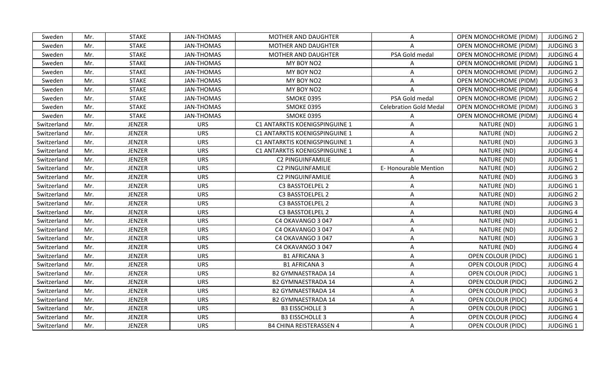| <b>JAN-THOMAS</b><br><b>OPEN MONOCHROME (PIDM)</b><br><b>JUDGING 2</b><br>Sweden<br>Mr.<br><b>STAKE</b><br><b>MOTHER AND DAUGHTER</b><br>A<br>Sweden<br><b>STAKE</b><br><b>JAN-THOMAS</b><br><b>MOTHER AND DAUGHTER</b><br><b>OPEN MONOCHROME (PIDM)</b><br><b>JUDGING 3</b><br>Mr.<br>A<br>PSA Gold medal<br><b>STAKE</b><br><b>JAN-THOMAS</b><br>MOTHER AND DAUGHTER<br><b>OPEN MONOCHROME (PIDM)</b><br><b>JUDGING 4</b><br>Sweden<br>Mr.<br><b>STAKE</b><br><b>JAN-THOMAS</b><br>MY BOY NO2<br>OPEN MONOCHROME (PIDM)<br><b>JUDGING 1</b><br>Sweden<br>Mr.<br><b>STAKE</b><br><b>JAN-THOMAS</b><br>MY BOY NO2<br><b>JUDGING 2</b><br>Sweden<br>Mr.<br>A<br><b>OPEN MONOCHROME (PIDM)</b><br><b>STAKE</b><br><b>JAN-THOMAS</b><br>MY BOY NO2<br>Sweden<br>Mr.<br><b>OPEN MONOCHROME (PIDM)</b><br><b>JUDGING 3</b><br>Α<br><b>STAKE</b><br><b>JAN-THOMAS</b><br>MY BOY NO2<br>OPEN MONOCHROME (PIDM)<br><b>JUDGING 4</b><br>Sweden<br>Mr.<br>A<br><b>STAKE</b><br><b>JAN-THOMAS</b><br>PSA Gold medal<br><b>SMOKE 0395</b><br>OPEN MONOCHROME (PIDM)<br><b>JUDGING 2</b><br>Sweden<br>Mr.<br><b>STAKE</b><br><b>JAN-THOMAS</b><br><b>SMOKE 0395</b><br><b>Celebration Gold Medal</b><br><b>OPEN MONOCHROME (PIDM)</b><br><b>JUDGING 3</b><br>Sweden<br>Mr.<br>Sweden<br><b>STAKE</b><br><b>JAN-THOMAS</b><br><b>SMOKE 0395</b><br><b>JUDGING 4</b><br>Mr.<br><b>OPEN MONOCHROME (PIDM)</b><br><b>JENZER</b><br>C1 ANTARKTIS KOENIGSPINGUINE 1<br><b>JUDGING 1</b><br>Switzerland<br>Mr.<br><b>URS</b><br>NATURE (ND)<br>Α<br><b>JENZER</b><br><b>URS</b><br>C1 ANTARKTIS KOENIGSPINGUINE 1<br>NATURE (ND)<br><b>JUDGING 2</b><br>Switzerland<br>Mr.<br>A<br><b>JENZER</b><br><b>URS</b><br>NATURE (ND)<br><b>JUDGING 3</b><br>Switzerland<br>Mr.<br>C1 ANTARKTIS KOENIGSPINGUINE 1<br>Α<br><b>JENZER</b><br><b>URS</b><br>C1 ANTARKTIS KOENIGSPINGUINE 1<br>NATURE (ND)<br><b>JUDGING 4</b><br>Switzerland<br>Mr.<br>A<br><b>JENZER</b><br><b>URS</b><br>NATURE (ND)<br><b>JUDGING 1</b><br>Switzerland<br>Mr.<br><b>C2 PINGUINFAMILIE</b><br>E-Honourable Mention<br><b>JENZER</b><br><b>URS</b><br><b>C2 PINGUINFAMILIE</b><br>NATURE (ND)<br><b>JUDGING 2</b><br>Switzerland<br>Mr.<br><b>JENZER</b><br><b>URS</b><br>C2 PINGUINFAMILIE<br>NATURE (ND)<br><b>JUDGING 3</b><br>Switzerland<br>Mr.<br>A<br><b>JENZER</b><br><b>URS</b><br>NATURE (ND)<br><b>JUDGING 1</b><br>Switzerland<br>Mr.<br>C3 BASSTOELPEL 2<br>A<br>JENZER<br><b>URS</b><br>C3 BASSTOELPEL 2<br>NATURE (ND)<br><b>JUDGING 2</b><br>Switzerland<br>Mr.<br>A<br><b>URS</b><br><b>JENZER</b><br>NATURE (ND)<br><b>JUDGING 3</b><br>Switzerland<br>Mr.<br>C3 BASSTOELPEL 2<br>A<br><b>JENZER</b><br><b>URS</b><br>NATURE (ND)<br><b>JUDGING 4</b><br>Switzerland<br>Mr.<br>C3 BASSTOELPEL 2<br>Α<br>Switzerland<br><b>JENZER</b><br><b>URS</b><br>NATURE (ND)<br><b>JUDGING 1</b><br>Mr.<br>C4 OKAVANGO 3047<br>Α<br><b>JENZER</b><br><b>URS</b><br>C4 OKAVANGO 3 047<br>NATURE (ND)<br><b>JUDGING 2</b><br>Switzerland<br>Mr.<br>A<br><b>JENZER</b><br>NATURE (ND)<br><b>JUDGING 3</b><br>Switzerland<br>Mr.<br><b>URS</b><br>C4 OKAVANGO 3047<br>Α<br><b>JENZER</b><br><b>URS</b><br>NATURE (ND)<br><b>JUDGING 4</b><br>Switzerland<br>Mr.<br>C4 OKAVANGO 3 047<br>A<br><b>JENZER</b><br>Switzerland<br><b>URS</b><br><b>B1 AFRICANA 3</b><br><b>OPEN COLOUR (PIDC)</b><br><b>JUDGING 1</b><br>Mr.<br>A<br><b>URS</b><br>Switzerland<br>Mr.<br><b>JENZER</b><br><b>B1 AFRICANA 3</b><br>A<br><b>OPEN COLOUR (PIDC)</b><br><b>JUDGING 4</b><br><b>JENZER</b><br><b>URS</b><br>Switzerland<br>Mr.<br><b>B2 GYMNAESTRADA 14</b><br>Α<br><b>OPEN COLOUR (PIDC)</b><br><b>JUDGING 1</b><br><b>JENZER</b><br>Switzerland<br>Mr.<br><b>URS</b><br><b>B2 GYMNAESTRADA 14</b><br>A<br><b>OPEN COLOUR (PIDC)</b><br><b>JUDGING 2</b><br><b>URS</b><br><b>JENZER</b><br><b>JUDGING 3</b><br>Switzerland<br>Mr.<br><b>B2 GYMNAESTRADA 14</b><br>Α<br><b>OPEN COLOUR (PIDC)</b><br><b>JENZER</b><br><b>URS</b><br>Switzerland<br>Mr.<br><b>B2 GYMNAESTRADA 14</b><br><b>OPEN COLOUR (PIDC)</b><br><b>JUDGING 4</b><br>A<br>JENZER<br><b>URS</b><br><b>B3 EISSCHOLLE 3</b><br><b>JUDGING 1</b><br>Switzerland<br>Mr.<br><b>OPEN COLOUR (PIDC)</b><br>A<br><b>JENZER</b><br><b>URS</b><br><b>B3 EISSCHOLLE 3</b><br>OPEN COLOUR (PIDC)<br><b>JUDGING 4</b><br>Switzerland<br>Mr.<br>A<br><b>JUDGING 1</b><br><b>JENZER</b><br><b>URS</b><br><b>B4 CHINA REISTERASSEN 4</b><br><b>OPEN COLOUR (PIDC)</b><br>Switzerland<br>Mr.<br>A |  |  |  |  |
|-----------------------------------------------------------------------------------------------------------------------------------------------------------------------------------------------------------------------------------------------------------------------------------------------------------------------------------------------------------------------------------------------------------------------------------------------------------------------------------------------------------------------------------------------------------------------------------------------------------------------------------------------------------------------------------------------------------------------------------------------------------------------------------------------------------------------------------------------------------------------------------------------------------------------------------------------------------------------------------------------------------------------------------------------------------------------------------------------------------------------------------------------------------------------------------------------------------------------------------------------------------------------------------------------------------------------------------------------------------------------------------------------------------------------------------------------------------------------------------------------------------------------------------------------------------------------------------------------------------------------------------------------------------------------------------------------------------------------------------------------------------------------------------------------------------------------------------------------------------------------------------------------------------------------------------------------------------------------------------------------------------------------------------------------------------------------------------------------------------------------------------------------------------------------------------------------------------------------------------------------------------------------------------------------------------------------------------------------------------------------------------------------------------------------------------------------------------------------------------------------------------------------------------------------------------------------------------------------------------------------------------------------------------------------------------------------------------------------------------------------------------------------------------------------------------------------------------------------------------------------------------------------------------------------------------------------------------------------------------------------------------------------------------------------------------------------------------------------------------------------------------------------------------------------------------------------------------------------------------------------------------------------------------------------------------------------------------------------------------------------------------------------------------------------------------------------------------------------------------------------------------------------------------------------------------------------------------------------------------------------------------------------------------------------------------------------------------------------------------------------------------------------------------------------------------------------------------------------------------------------------------------------------------------------------------------------------------------------------------------------------------------------------------------------------------------------------------------------------------------------------------------------------------------------------------------------------------------------------------------------------------------------------------------------------------------------------------------------------------------------------------------------------------------------------------------------------------------------------------------------|--|--|--|--|
|                                                                                                                                                                                                                                                                                                                                                                                                                                                                                                                                                                                                                                                                                                                                                                                                                                                                                                                                                                                                                                                                                                                                                                                                                                                                                                                                                                                                                                                                                                                                                                                                                                                                                                                                                                                                                                                                                                                                                                                                                                                                                                                                                                                                                                                                                                                                                                                                                                                                                                                                                                                                                                                                                                                                                                                                                                                                                                                                                                                                                                                                                                                                                                                                                                                                                                                                                                                                                                                                                                                                                                                                                                                                                                                                                                                                                                                                                                                                                                                                                                                                                                                                                                                                                                                                                                                                                                                                                                                                                               |  |  |  |  |
|                                                                                                                                                                                                                                                                                                                                                                                                                                                                                                                                                                                                                                                                                                                                                                                                                                                                                                                                                                                                                                                                                                                                                                                                                                                                                                                                                                                                                                                                                                                                                                                                                                                                                                                                                                                                                                                                                                                                                                                                                                                                                                                                                                                                                                                                                                                                                                                                                                                                                                                                                                                                                                                                                                                                                                                                                                                                                                                                                                                                                                                                                                                                                                                                                                                                                                                                                                                                                                                                                                                                                                                                                                                                                                                                                                                                                                                                                                                                                                                                                                                                                                                                                                                                                                                                                                                                                                                                                                                                                               |  |  |  |  |
|                                                                                                                                                                                                                                                                                                                                                                                                                                                                                                                                                                                                                                                                                                                                                                                                                                                                                                                                                                                                                                                                                                                                                                                                                                                                                                                                                                                                                                                                                                                                                                                                                                                                                                                                                                                                                                                                                                                                                                                                                                                                                                                                                                                                                                                                                                                                                                                                                                                                                                                                                                                                                                                                                                                                                                                                                                                                                                                                                                                                                                                                                                                                                                                                                                                                                                                                                                                                                                                                                                                                                                                                                                                                                                                                                                                                                                                                                                                                                                                                                                                                                                                                                                                                                                                                                                                                                                                                                                                                                               |  |  |  |  |
|                                                                                                                                                                                                                                                                                                                                                                                                                                                                                                                                                                                                                                                                                                                                                                                                                                                                                                                                                                                                                                                                                                                                                                                                                                                                                                                                                                                                                                                                                                                                                                                                                                                                                                                                                                                                                                                                                                                                                                                                                                                                                                                                                                                                                                                                                                                                                                                                                                                                                                                                                                                                                                                                                                                                                                                                                                                                                                                                                                                                                                                                                                                                                                                                                                                                                                                                                                                                                                                                                                                                                                                                                                                                                                                                                                                                                                                                                                                                                                                                                                                                                                                                                                                                                                                                                                                                                                                                                                                                                               |  |  |  |  |
|                                                                                                                                                                                                                                                                                                                                                                                                                                                                                                                                                                                                                                                                                                                                                                                                                                                                                                                                                                                                                                                                                                                                                                                                                                                                                                                                                                                                                                                                                                                                                                                                                                                                                                                                                                                                                                                                                                                                                                                                                                                                                                                                                                                                                                                                                                                                                                                                                                                                                                                                                                                                                                                                                                                                                                                                                                                                                                                                                                                                                                                                                                                                                                                                                                                                                                                                                                                                                                                                                                                                                                                                                                                                                                                                                                                                                                                                                                                                                                                                                                                                                                                                                                                                                                                                                                                                                                                                                                                                                               |  |  |  |  |
|                                                                                                                                                                                                                                                                                                                                                                                                                                                                                                                                                                                                                                                                                                                                                                                                                                                                                                                                                                                                                                                                                                                                                                                                                                                                                                                                                                                                                                                                                                                                                                                                                                                                                                                                                                                                                                                                                                                                                                                                                                                                                                                                                                                                                                                                                                                                                                                                                                                                                                                                                                                                                                                                                                                                                                                                                                                                                                                                                                                                                                                                                                                                                                                                                                                                                                                                                                                                                                                                                                                                                                                                                                                                                                                                                                                                                                                                                                                                                                                                                                                                                                                                                                                                                                                                                                                                                                                                                                                                                               |  |  |  |  |
|                                                                                                                                                                                                                                                                                                                                                                                                                                                                                                                                                                                                                                                                                                                                                                                                                                                                                                                                                                                                                                                                                                                                                                                                                                                                                                                                                                                                                                                                                                                                                                                                                                                                                                                                                                                                                                                                                                                                                                                                                                                                                                                                                                                                                                                                                                                                                                                                                                                                                                                                                                                                                                                                                                                                                                                                                                                                                                                                                                                                                                                                                                                                                                                                                                                                                                                                                                                                                                                                                                                                                                                                                                                                                                                                                                                                                                                                                                                                                                                                                                                                                                                                                                                                                                                                                                                                                                                                                                                                                               |  |  |  |  |
|                                                                                                                                                                                                                                                                                                                                                                                                                                                                                                                                                                                                                                                                                                                                                                                                                                                                                                                                                                                                                                                                                                                                                                                                                                                                                                                                                                                                                                                                                                                                                                                                                                                                                                                                                                                                                                                                                                                                                                                                                                                                                                                                                                                                                                                                                                                                                                                                                                                                                                                                                                                                                                                                                                                                                                                                                                                                                                                                                                                                                                                                                                                                                                                                                                                                                                                                                                                                                                                                                                                                                                                                                                                                                                                                                                                                                                                                                                                                                                                                                                                                                                                                                                                                                                                                                                                                                                                                                                                                                               |  |  |  |  |
|                                                                                                                                                                                                                                                                                                                                                                                                                                                                                                                                                                                                                                                                                                                                                                                                                                                                                                                                                                                                                                                                                                                                                                                                                                                                                                                                                                                                                                                                                                                                                                                                                                                                                                                                                                                                                                                                                                                                                                                                                                                                                                                                                                                                                                                                                                                                                                                                                                                                                                                                                                                                                                                                                                                                                                                                                                                                                                                                                                                                                                                                                                                                                                                                                                                                                                                                                                                                                                                                                                                                                                                                                                                                                                                                                                                                                                                                                                                                                                                                                                                                                                                                                                                                                                                                                                                                                                                                                                                                                               |  |  |  |  |
|                                                                                                                                                                                                                                                                                                                                                                                                                                                                                                                                                                                                                                                                                                                                                                                                                                                                                                                                                                                                                                                                                                                                                                                                                                                                                                                                                                                                                                                                                                                                                                                                                                                                                                                                                                                                                                                                                                                                                                                                                                                                                                                                                                                                                                                                                                                                                                                                                                                                                                                                                                                                                                                                                                                                                                                                                                                                                                                                                                                                                                                                                                                                                                                                                                                                                                                                                                                                                                                                                                                                                                                                                                                                                                                                                                                                                                                                                                                                                                                                                                                                                                                                                                                                                                                                                                                                                                                                                                                                                               |  |  |  |  |
|                                                                                                                                                                                                                                                                                                                                                                                                                                                                                                                                                                                                                                                                                                                                                                                                                                                                                                                                                                                                                                                                                                                                                                                                                                                                                                                                                                                                                                                                                                                                                                                                                                                                                                                                                                                                                                                                                                                                                                                                                                                                                                                                                                                                                                                                                                                                                                                                                                                                                                                                                                                                                                                                                                                                                                                                                                                                                                                                                                                                                                                                                                                                                                                                                                                                                                                                                                                                                                                                                                                                                                                                                                                                                                                                                                                                                                                                                                                                                                                                                                                                                                                                                                                                                                                                                                                                                                                                                                                                                               |  |  |  |  |
|                                                                                                                                                                                                                                                                                                                                                                                                                                                                                                                                                                                                                                                                                                                                                                                                                                                                                                                                                                                                                                                                                                                                                                                                                                                                                                                                                                                                                                                                                                                                                                                                                                                                                                                                                                                                                                                                                                                                                                                                                                                                                                                                                                                                                                                                                                                                                                                                                                                                                                                                                                                                                                                                                                                                                                                                                                                                                                                                                                                                                                                                                                                                                                                                                                                                                                                                                                                                                                                                                                                                                                                                                                                                                                                                                                                                                                                                                                                                                                                                                                                                                                                                                                                                                                                                                                                                                                                                                                                                                               |  |  |  |  |
|                                                                                                                                                                                                                                                                                                                                                                                                                                                                                                                                                                                                                                                                                                                                                                                                                                                                                                                                                                                                                                                                                                                                                                                                                                                                                                                                                                                                                                                                                                                                                                                                                                                                                                                                                                                                                                                                                                                                                                                                                                                                                                                                                                                                                                                                                                                                                                                                                                                                                                                                                                                                                                                                                                                                                                                                                                                                                                                                                                                                                                                                                                                                                                                                                                                                                                                                                                                                                                                                                                                                                                                                                                                                                                                                                                                                                                                                                                                                                                                                                                                                                                                                                                                                                                                                                                                                                                                                                                                                                               |  |  |  |  |
|                                                                                                                                                                                                                                                                                                                                                                                                                                                                                                                                                                                                                                                                                                                                                                                                                                                                                                                                                                                                                                                                                                                                                                                                                                                                                                                                                                                                                                                                                                                                                                                                                                                                                                                                                                                                                                                                                                                                                                                                                                                                                                                                                                                                                                                                                                                                                                                                                                                                                                                                                                                                                                                                                                                                                                                                                                                                                                                                                                                                                                                                                                                                                                                                                                                                                                                                                                                                                                                                                                                                                                                                                                                                                                                                                                                                                                                                                                                                                                                                                                                                                                                                                                                                                                                                                                                                                                                                                                                                                               |  |  |  |  |
|                                                                                                                                                                                                                                                                                                                                                                                                                                                                                                                                                                                                                                                                                                                                                                                                                                                                                                                                                                                                                                                                                                                                                                                                                                                                                                                                                                                                                                                                                                                                                                                                                                                                                                                                                                                                                                                                                                                                                                                                                                                                                                                                                                                                                                                                                                                                                                                                                                                                                                                                                                                                                                                                                                                                                                                                                                                                                                                                                                                                                                                                                                                                                                                                                                                                                                                                                                                                                                                                                                                                                                                                                                                                                                                                                                                                                                                                                                                                                                                                                                                                                                                                                                                                                                                                                                                                                                                                                                                                                               |  |  |  |  |
|                                                                                                                                                                                                                                                                                                                                                                                                                                                                                                                                                                                                                                                                                                                                                                                                                                                                                                                                                                                                                                                                                                                                                                                                                                                                                                                                                                                                                                                                                                                                                                                                                                                                                                                                                                                                                                                                                                                                                                                                                                                                                                                                                                                                                                                                                                                                                                                                                                                                                                                                                                                                                                                                                                                                                                                                                                                                                                                                                                                                                                                                                                                                                                                                                                                                                                                                                                                                                                                                                                                                                                                                                                                                                                                                                                                                                                                                                                                                                                                                                                                                                                                                                                                                                                                                                                                                                                                                                                                                                               |  |  |  |  |
|                                                                                                                                                                                                                                                                                                                                                                                                                                                                                                                                                                                                                                                                                                                                                                                                                                                                                                                                                                                                                                                                                                                                                                                                                                                                                                                                                                                                                                                                                                                                                                                                                                                                                                                                                                                                                                                                                                                                                                                                                                                                                                                                                                                                                                                                                                                                                                                                                                                                                                                                                                                                                                                                                                                                                                                                                                                                                                                                                                                                                                                                                                                                                                                                                                                                                                                                                                                                                                                                                                                                                                                                                                                                                                                                                                                                                                                                                                                                                                                                                                                                                                                                                                                                                                                                                                                                                                                                                                                                                               |  |  |  |  |
|                                                                                                                                                                                                                                                                                                                                                                                                                                                                                                                                                                                                                                                                                                                                                                                                                                                                                                                                                                                                                                                                                                                                                                                                                                                                                                                                                                                                                                                                                                                                                                                                                                                                                                                                                                                                                                                                                                                                                                                                                                                                                                                                                                                                                                                                                                                                                                                                                                                                                                                                                                                                                                                                                                                                                                                                                                                                                                                                                                                                                                                                                                                                                                                                                                                                                                                                                                                                                                                                                                                                                                                                                                                                                                                                                                                                                                                                                                                                                                                                                                                                                                                                                                                                                                                                                                                                                                                                                                                                                               |  |  |  |  |
|                                                                                                                                                                                                                                                                                                                                                                                                                                                                                                                                                                                                                                                                                                                                                                                                                                                                                                                                                                                                                                                                                                                                                                                                                                                                                                                                                                                                                                                                                                                                                                                                                                                                                                                                                                                                                                                                                                                                                                                                                                                                                                                                                                                                                                                                                                                                                                                                                                                                                                                                                                                                                                                                                                                                                                                                                                                                                                                                                                                                                                                                                                                                                                                                                                                                                                                                                                                                                                                                                                                                                                                                                                                                                                                                                                                                                                                                                                                                                                                                                                                                                                                                                                                                                                                                                                                                                                                                                                                                                               |  |  |  |  |
|                                                                                                                                                                                                                                                                                                                                                                                                                                                                                                                                                                                                                                                                                                                                                                                                                                                                                                                                                                                                                                                                                                                                                                                                                                                                                                                                                                                                                                                                                                                                                                                                                                                                                                                                                                                                                                                                                                                                                                                                                                                                                                                                                                                                                                                                                                                                                                                                                                                                                                                                                                                                                                                                                                                                                                                                                                                                                                                                                                                                                                                                                                                                                                                                                                                                                                                                                                                                                                                                                                                                                                                                                                                                                                                                                                                                                                                                                                                                                                                                                                                                                                                                                                                                                                                                                                                                                                                                                                                                                               |  |  |  |  |
|                                                                                                                                                                                                                                                                                                                                                                                                                                                                                                                                                                                                                                                                                                                                                                                                                                                                                                                                                                                                                                                                                                                                                                                                                                                                                                                                                                                                                                                                                                                                                                                                                                                                                                                                                                                                                                                                                                                                                                                                                                                                                                                                                                                                                                                                                                                                                                                                                                                                                                                                                                                                                                                                                                                                                                                                                                                                                                                                                                                                                                                                                                                                                                                                                                                                                                                                                                                                                                                                                                                                                                                                                                                                                                                                                                                                                                                                                                                                                                                                                                                                                                                                                                                                                                                                                                                                                                                                                                                                                               |  |  |  |  |
|                                                                                                                                                                                                                                                                                                                                                                                                                                                                                                                                                                                                                                                                                                                                                                                                                                                                                                                                                                                                                                                                                                                                                                                                                                                                                                                                                                                                                                                                                                                                                                                                                                                                                                                                                                                                                                                                                                                                                                                                                                                                                                                                                                                                                                                                                                                                                                                                                                                                                                                                                                                                                                                                                                                                                                                                                                                                                                                                                                                                                                                                                                                                                                                                                                                                                                                                                                                                                                                                                                                                                                                                                                                                                                                                                                                                                                                                                                                                                                                                                                                                                                                                                                                                                                                                                                                                                                                                                                                                                               |  |  |  |  |
|                                                                                                                                                                                                                                                                                                                                                                                                                                                                                                                                                                                                                                                                                                                                                                                                                                                                                                                                                                                                                                                                                                                                                                                                                                                                                                                                                                                                                                                                                                                                                                                                                                                                                                                                                                                                                                                                                                                                                                                                                                                                                                                                                                                                                                                                                                                                                                                                                                                                                                                                                                                                                                                                                                                                                                                                                                                                                                                                                                                                                                                                                                                                                                                                                                                                                                                                                                                                                                                                                                                                                                                                                                                                                                                                                                                                                                                                                                                                                                                                                                                                                                                                                                                                                                                                                                                                                                                                                                                                                               |  |  |  |  |
|                                                                                                                                                                                                                                                                                                                                                                                                                                                                                                                                                                                                                                                                                                                                                                                                                                                                                                                                                                                                                                                                                                                                                                                                                                                                                                                                                                                                                                                                                                                                                                                                                                                                                                                                                                                                                                                                                                                                                                                                                                                                                                                                                                                                                                                                                                                                                                                                                                                                                                                                                                                                                                                                                                                                                                                                                                                                                                                                                                                                                                                                                                                                                                                                                                                                                                                                                                                                                                                                                                                                                                                                                                                                                                                                                                                                                                                                                                                                                                                                                                                                                                                                                                                                                                                                                                                                                                                                                                                                                               |  |  |  |  |
|                                                                                                                                                                                                                                                                                                                                                                                                                                                                                                                                                                                                                                                                                                                                                                                                                                                                                                                                                                                                                                                                                                                                                                                                                                                                                                                                                                                                                                                                                                                                                                                                                                                                                                                                                                                                                                                                                                                                                                                                                                                                                                                                                                                                                                                                                                                                                                                                                                                                                                                                                                                                                                                                                                                                                                                                                                                                                                                                                                                                                                                                                                                                                                                                                                                                                                                                                                                                                                                                                                                                                                                                                                                                                                                                                                                                                                                                                                                                                                                                                                                                                                                                                                                                                                                                                                                                                                                                                                                                                               |  |  |  |  |
|                                                                                                                                                                                                                                                                                                                                                                                                                                                                                                                                                                                                                                                                                                                                                                                                                                                                                                                                                                                                                                                                                                                                                                                                                                                                                                                                                                                                                                                                                                                                                                                                                                                                                                                                                                                                                                                                                                                                                                                                                                                                                                                                                                                                                                                                                                                                                                                                                                                                                                                                                                                                                                                                                                                                                                                                                                                                                                                                                                                                                                                                                                                                                                                                                                                                                                                                                                                                                                                                                                                                                                                                                                                                                                                                                                                                                                                                                                                                                                                                                                                                                                                                                                                                                                                                                                                                                                                                                                                                                               |  |  |  |  |
|                                                                                                                                                                                                                                                                                                                                                                                                                                                                                                                                                                                                                                                                                                                                                                                                                                                                                                                                                                                                                                                                                                                                                                                                                                                                                                                                                                                                                                                                                                                                                                                                                                                                                                                                                                                                                                                                                                                                                                                                                                                                                                                                                                                                                                                                                                                                                                                                                                                                                                                                                                                                                                                                                                                                                                                                                                                                                                                                                                                                                                                                                                                                                                                                                                                                                                                                                                                                                                                                                                                                                                                                                                                                                                                                                                                                                                                                                                                                                                                                                                                                                                                                                                                                                                                                                                                                                                                                                                                                                               |  |  |  |  |
|                                                                                                                                                                                                                                                                                                                                                                                                                                                                                                                                                                                                                                                                                                                                                                                                                                                                                                                                                                                                                                                                                                                                                                                                                                                                                                                                                                                                                                                                                                                                                                                                                                                                                                                                                                                                                                                                                                                                                                                                                                                                                                                                                                                                                                                                                                                                                                                                                                                                                                                                                                                                                                                                                                                                                                                                                                                                                                                                                                                                                                                                                                                                                                                                                                                                                                                                                                                                                                                                                                                                                                                                                                                                                                                                                                                                                                                                                                                                                                                                                                                                                                                                                                                                                                                                                                                                                                                                                                                                                               |  |  |  |  |
|                                                                                                                                                                                                                                                                                                                                                                                                                                                                                                                                                                                                                                                                                                                                                                                                                                                                                                                                                                                                                                                                                                                                                                                                                                                                                                                                                                                                                                                                                                                                                                                                                                                                                                                                                                                                                                                                                                                                                                                                                                                                                                                                                                                                                                                                                                                                                                                                                                                                                                                                                                                                                                                                                                                                                                                                                                                                                                                                                                                                                                                                                                                                                                                                                                                                                                                                                                                                                                                                                                                                                                                                                                                                                                                                                                                                                                                                                                                                                                                                                                                                                                                                                                                                                                                                                                                                                                                                                                                                                               |  |  |  |  |
|                                                                                                                                                                                                                                                                                                                                                                                                                                                                                                                                                                                                                                                                                                                                                                                                                                                                                                                                                                                                                                                                                                                                                                                                                                                                                                                                                                                                                                                                                                                                                                                                                                                                                                                                                                                                                                                                                                                                                                                                                                                                                                                                                                                                                                                                                                                                                                                                                                                                                                                                                                                                                                                                                                                                                                                                                                                                                                                                                                                                                                                                                                                                                                                                                                                                                                                                                                                                                                                                                                                                                                                                                                                                                                                                                                                                                                                                                                                                                                                                                                                                                                                                                                                                                                                                                                                                                                                                                                                                                               |  |  |  |  |
|                                                                                                                                                                                                                                                                                                                                                                                                                                                                                                                                                                                                                                                                                                                                                                                                                                                                                                                                                                                                                                                                                                                                                                                                                                                                                                                                                                                                                                                                                                                                                                                                                                                                                                                                                                                                                                                                                                                                                                                                                                                                                                                                                                                                                                                                                                                                                                                                                                                                                                                                                                                                                                                                                                                                                                                                                                                                                                                                                                                                                                                                                                                                                                                                                                                                                                                                                                                                                                                                                                                                                                                                                                                                                                                                                                                                                                                                                                                                                                                                                                                                                                                                                                                                                                                                                                                                                                                                                                                                                               |  |  |  |  |
|                                                                                                                                                                                                                                                                                                                                                                                                                                                                                                                                                                                                                                                                                                                                                                                                                                                                                                                                                                                                                                                                                                                                                                                                                                                                                                                                                                                                                                                                                                                                                                                                                                                                                                                                                                                                                                                                                                                                                                                                                                                                                                                                                                                                                                                                                                                                                                                                                                                                                                                                                                                                                                                                                                                                                                                                                                                                                                                                                                                                                                                                                                                                                                                                                                                                                                                                                                                                                                                                                                                                                                                                                                                                                                                                                                                                                                                                                                                                                                                                                                                                                                                                                                                                                                                                                                                                                                                                                                                                                               |  |  |  |  |
|                                                                                                                                                                                                                                                                                                                                                                                                                                                                                                                                                                                                                                                                                                                                                                                                                                                                                                                                                                                                                                                                                                                                                                                                                                                                                                                                                                                                                                                                                                                                                                                                                                                                                                                                                                                                                                                                                                                                                                                                                                                                                                                                                                                                                                                                                                                                                                                                                                                                                                                                                                                                                                                                                                                                                                                                                                                                                                                                                                                                                                                                                                                                                                                                                                                                                                                                                                                                                                                                                                                                                                                                                                                                                                                                                                                                                                                                                                                                                                                                                                                                                                                                                                                                                                                                                                                                                                                                                                                                                               |  |  |  |  |
|                                                                                                                                                                                                                                                                                                                                                                                                                                                                                                                                                                                                                                                                                                                                                                                                                                                                                                                                                                                                                                                                                                                                                                                                                                                                                                                                                                                                                                                                                                                                                                                                                                                                                                                                                                                                                                                                                                                                                                                                                                                                                                                                                                                                                                                                                                                                                                                                                                                                                                                                                                                                                                                                                                                                                                                                                                                                                                                                                                                                                                                                                                                                                                                                                                                                                                                                                                                                                                                                                                                                                                                                                                                                                                                                                                                                                                                                                                                                                                                                                                                                                                                                                                                                                                                                                                                                                                                                                                                                                               |  |  |  |  |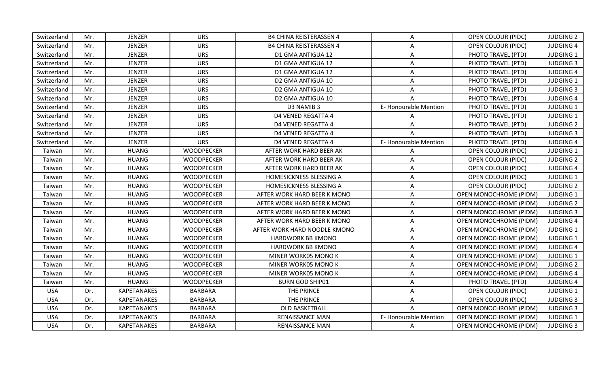| Switzerland | Mr. | <b>JENZER</b>      | <b>URS</b>        | <b>B4 CHINA REISTERASSEN 4</b> | Α                            | OPEN COLOUR (PIDC)            | <b>JUDGING 2</b> |
|-------------|-----|--------------------|-------------------|--------------------------------|------------------------------|-------------------------------|------------------|
| Switzerland | Mr. | <b>JENZER</b>      | <b>URS</b>        | <b>B4 CHINA REISTERASSEN 4</b> | Α                            | <b>OPEN COLOUR (PIDC)</b>     | <b>JUDGING 4</b> |
| Switzerland | Mr. | <b>JENZER</b>      | <b>URS</b>        | D1 GMA ANTIGUA 12              | Α                            | PHOTO TRAVEL (PTD)            | <b>JUDGING 1</b> |
| Switzerland | Mr. | <b>JENZER</b>      | <b>URS</b>        | D1 GMA ANTIGUA 12              | A                            | PHOTO TRAVEL (PTD)            | <b>JUDGING 3</b> |
| Switzerland | Mr. | <b>JENZER</b>      | <b>URS</b>        | D1 GMA ANTIGUA 12              | Α                            | PHOTO TRAVEL (PTD)            | <b>JUDGING 4</b> |
| Switzerland | Mr. | <b>JENZER</b>      | <b>URS</b>        | D2 GMA ANTIGUA 10              | Α                            | PHOTO TRAVEL (PTD)            | <b>JUDGING 1</b> |
| Switzerland | Mr. | <b>JENZER</b>      | <b>URS</b>        | D2 GMA ANTIGUA 10              | Α                            | PHOTO TRAVEL (PTD)            | <b>JUDGING 3</b> |
| Switzerland | Mr. | <b>JENZER</b>      | <b>URS</b>        | D2 GMA ANTIGUA 10              |                              | PHOTO TRAVEL (PTD)            | <b>JUDGING 4</b> |
| Switzerland | Mr. | <b>JENZER</b>      | <b>URS</b>        | D3 NAMIB 3                     | E-Honourable Mention         | PHOTO TRAVEL (PTD)            | <b>JUDGING 1</b> |
| Switzerland | Mr. | <b>JENZER</b>      | <b>URS</b>        | <b>D4 VENED REGATTA 4</b>      |                              | PHOTO TRAVEL (PTD)            | <b>JUDGING 1</b> |
| Switzerland | Mr. | <b>JENZER</b>      | <b>URS</b>        | D4 VENED REGATTA 4             | Α                            | PHOTO TRAVEL (PTD)            | <b>JUDGING 2</b> |
| Switzerland | Mr. | <b>JENZER</b>      | <b>URS</b>        | <b>D4 VENED REGATTA 4</b>      | A                            | PHOTO TRAVEL (PTD)            | <b>JUDGING 3</b> |
| Switzerland | Mr. | <b>JENZER</b>      | <b>URS</b>        | D4 VENED REGATTA 4             | <b>E- Honourable Mention</b> | PHOTO TRAVEL (PTD)            | <b>JUDGING 4</b> |
| Taiwan      | Mr. | <b>HUANG</b>       | <b>WOODPECKER</b> | AFTER WORK HARD BEER AK        | A                            | OPEN COLOUR (PIDC)            | <b>JUDGING 1</b> |
| Taiwan      | Mr. | <b>HUANG</b>       | <b>WOODPECKER</b> | AFTER WORK HARD BEER AK        | A                            | OPEN COLOUR (PIDC)            | <b>JUDGING 2</b> |
| Taiwan      | Mr. | <b>HUANG</b>       | <b>WOODPECKER</b> | AFTER WORK HARD BEER AK        | A                            | <b>OPEN COLOUR (PIDC)</b>     | <b>JUDGING 4</b> |
| Taiwan      | Mr. | <b>HUANG</b>       | <b>WOODPECKER</b> | HOMESICKNESS BLESSING A        | Α                            | OPEN COLOUR (PIDC)            | <b>JUDGING 1</b> |
| Taiwan      | Mr. | <b>HUANG</b>       | <b>WOODPECKER</b> | HOMESICKNESS BLESSING A        | A                            | <b>OPEN COLOUR (PIDC)</b>     | <b>JUDGING 2</b> |
| Taiwan      | Mr. | <b>HUANG</b>       | <b>WOODPECKER</b> | AFTER WORK HARD BEER K MONO    | A                            | <b>OPEN MONOCHROME (PIDM)</b> | <b>JUDGING 1</b> |
| Taiwan      | Mr. | <b>HUANG</b>       | <b>WOODPECKER</b> | AFTER WORK HARD BEER K MONO    | A                            | <b>OPEN MONOCHROME (PIDM)</b> | <b>JUDGING 2</b> |
| Taiwan      | Mr. | <b>HUANG</b>       | <b>WOODPECKER</b> | AFTER WORK HARD BEER K MONO    | A                            | <b>OPEN MONOCHROME (PIDM)</b> | <b>JUDGING 3</b> |
| Taiwan      | Mr. | <b>HUANG</b>       | WOODPECKER        | AFTER WORK HARD BEER K MONO    | A                            | <b>OPEN MONOCHROME (PIDM)</b> | <b>JUDGING 4</b> |
| Taiwan      | Mr. | <b>HUANG</b>       | <b>WOODPECKER</b> | AFTER WORK HARD NOODLE KMONO   | A                            | OPEN MONOCHROME (PIDM)        | <b>JUDGING 1</b> |
| Taiwan      | Mr. | <b>HUANG</b>       | <b>WOODPECKER</b> | HARDWORK BB KMONO              | A                            | <b>OPEN MONOCHROME (PIDM)</b> | <b>JUDGING 1</b> |
| Taiwan      | Mr. | <b>HUANG</b>       | <b>WOODPECKER</b> | HARDWORK BB KMONO              | A                            | <b>OPEN MONOCHROME (PIDM)</b> | <b>JUDGING 4</b> |
| Taiwan      | Mr. | <b>HUANG</b>       | <b>WOODPECKER</b> | MINER WORK05 MONO K            | A                            | <b>OPEN MONOCHROME (PIDM)</b> | <b>JUDGING 1</b> |
| Taiwan      | Mr. | <b>HUANG</b>       | <b>WOODPECKER</b> | MINER WORK05 MONO K            | Α                            | <b>OPEN MONOCHROME (PIDM)</b> | <b>JUDGING 2</b> |
| Taiwan      | Mr. | <b>HUANG</b>       | <b>WOODPECKER</b> | MINER WORK05 MONO K            | Α                            | <b>OPEN MONOCHROME (PIDM)</b> | <b>JUDGING 4</b> |
| Taiwan      | Mr. | <b>HUANG</b>       | <b>WOODPECKER</b> | <b>BURN GOD SHIP01</b>         | A                            | PHOTO TRAVEL (PTD)            | <b>JUDGING 4</b> |
| <b>USA</b>  | Dr. | <b>KAPETANAKES</b> | <b>BARBARA</b>    | THE PRINCE                     | A                            | <b>OPEN COLOUR (PIDC)</b>     | <b>JUDGING 1</b> |
| <b>USA</b>  | Dr. | <b>KAPETANAKES</b> | <b>BARBARA</b>    | THE PRINCE                     | A                            | <b>OPEN COLOUR (PIDC)</b>     | <b>JUDGING 3</b> |
| <b>USA</b>  | Dr. | KAPETANAKES        | <b>BARBARA</b>    | OLD BASKETBALL                 | A                            | OPEN MONOCHROME (PIDM)        | <b>JUDGING 3</b> |
| <b>USA</b>  | Dr. | <b>KAPETANAKES</b> | <b>BARBARA</b>    | RENAISSANCE MAN                | E-Honourable Mention         | <b>OPEN MONOCHROME (PIDM)</b> | <b>JUDGING 1</b> |
| <b>USA</b>  | Dr. | <b>KAPETANAKES</b> | <b>BARBARA</b>    | RENAISSANCE MAN                | A                            | OPEN MONOCHROME (PIDM)        | <b>JUDGING 3</b> |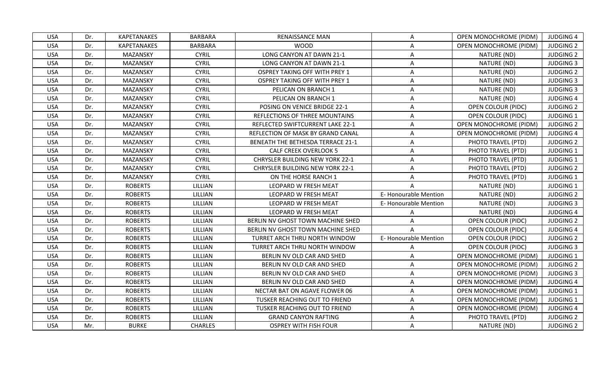| <b>USA</b> | Dr. | <b>KAPETANAKES</b> | <b>BARBARA</b> | <b>RENAISSANCE MAN</b>                 | A                    | <b>OPEN MONOCHROME (PIDM)</b> | <b>JUDGING 4</b> |
|------------|-----|--------------------|----------------|----------------------------------------|----------------------|-------------------------------|------------------|
| <b>USA</b> | Dr. | <b>KAPETANAKES</b> | <b>BARBARA</b> | <b>WOOD</b>                            | A                    | <b>OPEN MONOCHROME (PIDM)</b> | <b>JUDGING 2</b> |
| <b>USA</b> | Dr. | MAZANSKY           | <b>CYRIL</b>   | LONG CANYON AT DAWN 21-1               | A                    | NATURE (ND)                   | <b>JUDGING 2</b> |
| <b>USA</b> | Dr. | MAZANSKY           | <b>CYRIL</b>   | LONG CANYON AT DAWN 21-1               | A                    | NATURE (ND)                   | <b>JUDGING 3</b> |
| <b>USA</b> | Dr. | MAZANSKY           | <b>CYRIL</b>   | <b>OSPREY TAKING OFF WITH PREY 1</b>   | A                    | NATURE (ND)                   | <b>JUDGING 2</b> |
| <b>USA</b> | Dr. | MAZANSKY           | <b>CYRIL</b>   | <b>OSPREY TAKING OFF WITH PREY 1</b>   | A                    | NATURE (ND)                   | <b>JUDGING 3</b> |
| <b>USA</b> | Dr. | MAZANSKY           | <b>CYRIL</b>   | PELICAN ON BRANCH 1                    | A                    | NATURE (ND)                   | <b>JUDGING 3</b> |
| <b>USA</b> | Dr. | MAZANSKY           | <b>CYRIL</b>   | PELICAN ON BRANCH 1                    | A                    | NATURE (ND)                   | <b>JUDGING 4</b> |
| <b>USA</b> | Dr. | MAZANSKY           | <b>CYRIL</b>   | POSING ON VENICE BRIDGE 22-1           | A                    | <b>OPEN COLOUR (PIDC)</b>     | <b>JUDGING 2</b> |
| <b>USA</b> | Dr. | MAZANSKY           | <b>CYRIL</b>   | REFLECTIONS OF THREE MOUNTAINS         | A                    | <b>OPEN COLOUR (PIDC)</b>     | JUDGING 1        |
| <b>USA</b> | Dr. | MAZANSKY           | <b>CYRIL</b>   | REFLECTED SWIFTCURRENT LAKE 22-1       | Α                    | <b>OPEN MONOCHROME (PIDM)</b> | <b>JUDGING 2</b> |
| <b>USA</b> | Dr. | MAZANSKY           | <b>CYRIL</b>   | REFLECTION OF MASK BY GRAND CANAL      | A                    | <b>OPEN MONOCHROME (PIDM)</b> | <b>JUDGING 4</b> |
| <b>USA</b> | Dr. | MAZANSKY           | <b>CYRIL</b>   | BENEATH THE BETHESDA TERRACE 21-1      | A                    | PHOTO TRAVEL (PTD)            | <b>JUDGING 2</b> |
| <b>USA</b> | Dr. | MAZANSKY           | <b>CYRIL</b>   | <b>CALF CREEK OVERLOOK 5</b>           | A                    | PHOTO TRAVEL (PTD)            | <b>JUDGING 1</b> |
| <b>USA</b> | Dr. | MAZANSKY           | <b>CYRIL</b>   | <b>CHRYSLER BUILDING NEW YORK 22-1</b> | A                    | PHOTO TRAVEL (PTD)            | <b>JUDGING 1</b> |
| <b>USA</b> | Dr. | MAZANSKY           | <b>CYRIL</b>   | <b>CHRYSLER BUILDING NEW YORK 22-1</b> | Α                    | PHOTO TRAVEL (PTD)            | <b>JUDGING 2</b> |
| <b>USA</b> | Dr. | MAZANSKY           | <b>CYRIL</b>   | ON THE HORSE RANCH 1                   | Α                    | PHOTO TRAVEL (PTD)            | <b>JUDGING 1</b> |
| <b>USA</b> | Dr. | <b>ROBERTS</b>     | LILLIAN        | LEOPARD W FRESH MEAT                   |                      | NATURE (ND)                   | <b>JUDGING 1</b> |
| <b>USA</b> | Dr. | <b>ROBERTS</b>     | LILLIAN        | LEOPARD W FRESH MEAT                   | E-Honourable Mention | NATURE (ND)                   | <b>JUDGING 2</b> |
| <b>USA</b> | Dr. | <b>ROBERTS</b>     | LILLIAN        | LEOPARD W FRESH MEAT                   | E-Honourable Mention | NATURE (ND)                   | <b>JUDGING 3</b> |
| <b>USA</b> | Dr. | <b>ROBERTS</b>     | LILLIAN        | LEOPARD W FRESH MEAT                   | A                    | NATURE (ND)                   | <b>JUDGING 4</b> |
| <b>USA</b> | Dr. | <b>ROBERTS</b>     | LILLIAN        | BERLIN NV GHOST TOWN MACHINE SHED      | A                    | <b>OPEN COLOUR (PIDC)</b>     | <b>JUDGING 2</b> |
| <b>USA</b> | Dr. | <b>ROBERTS</b>     | LILLIAN        | BERLIN NV GHOST TOWN MACHINE SHED      |                      | <b>OPEN COLOUR (PIDC)</b>     | <b>JUDGING 4</b> |
| <b>USA</b> | Dr. | <b>ROBERTS</b>     | LILLIAN        | TURRET ARCH THRU NORTH WINDOW          | E-Honourable Mention | <b>OPEN COLOUR (PIDC)</b>     | <b>JUDGING 2</b> |
| <b>USA</b> | Dr. | <b>ROBERTS</b>     | LILLIAN        | TURRET ARCH THRU NORTH WINDOW          | A                    | OPEN COLOUR (PIDC)            | <b>JUDGING 3</b> |
| <b>USA</b> | Dr. | <b>ROBERTS</b>     | LILLIAN        | BERLIN NV OLD CAR AND SHED             | Α                    | <b>OPEN MONOCHROME (PIDM)</b> | <b>JUDGING 1</b> |
| <b>USA</b> | Dr. | <b>ROBERTS</b>     | LILLIAN        | BERLIN NV OLD CAR AND SHED             | Α                    | <b>OPEN MONOCHROME (PIDM)</b> | <b>JUDGING 2</b> |
| <b>USA</b> | Dr. | <b>ROBERTS</b>     | LILLIAN        | BERLIN NV OLD CAR AND SHED             | A                    | <b>OPEN MONOCHROME (PIDM)</b> | <b>JUDGING 3</b> |
| <b>USA</b> | Dr. | <b>ROBERTS</b>     | LILLIAN        | BERLIN NV OLD CAR AND SHED             | A                    | <b>OPEN MONOCHROME (PIDM)</b> | <b>JUDGING 4</b> |
| <b>USA</b> | Dr. | <b>ROBERTS</b>     | LILLIAN        | NECTAR BAT ON AGAVE FLOWER 06          | A                    | <b>OPEN MONOCHROME (PIDM)</b> | <b>JUDGING 1</b> |
| <b>USA</b> | Dr. | <b>ROBERTS</b>     | LILLIAN        | TUSKER REACHING OUT TO FRIEND          | $\mathsf{A}$         | <b>OPEN MONOCHROME (PIDM)</b> | <b>JUDGING 1</b> |
| <b>USA</b> | Dr. | <b>ROBERTS</b>     | LILLIAN        | TUSKER REACHING OUT TO FRIEND          | A                    | <b>OPEN MONOCHROME (PIDM)</b> | <b>JUDGING 4</b> |
| <b>USA</b> | Dr. | <b>ROBERTS</b>     | LILLIAN        | <b>GRAND CANYON RAFTING</b>            | A                    | PHOTO TRAVEL (PTD)            | <b>JUDGING 2</b> |
| <b>USA</b> | Mr. | <b>BURKE</b>       | <b>CHARLES</b> | <b>OSPREY WITH FISH FOUR</b>           | A                    | NATURE (ND)                   | <b>JUDGING 2</b> |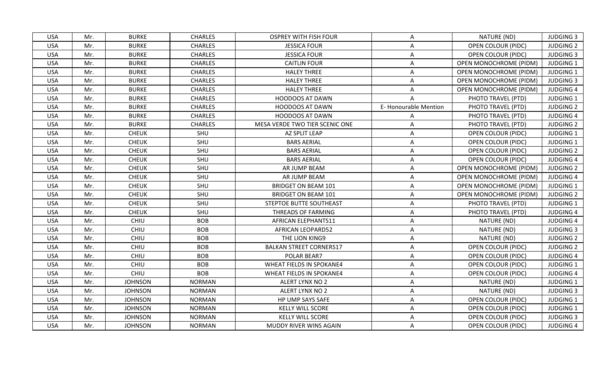| <b>USA</b> | Mr. | <b>BURKE</b>   | <b>CHARLES</b> | <b>OSPREY WITH FISH FOUR</b>    | A                    | NATURE (ND)                   | <b>JUDGING 3</b> |
|------------|-----|----------------|----------------|---------------------------------|----------------------|-------------------------------|------------------|
| <b>USA</b> | Mr. | <b>BURKE</b>   | <b>CHARLES</b> | <b>JESSICA FOUR</b>             | Α                    | OPEN COLOUR (PIDC)            | <b>JUDGING 2</b> |
| <b>USA</b> | Mr. | <b>BURKE</b>   | <b>CHARLES</b> | <b>JESSICA FOUR</b>             | A                    | <b>OPEN COLOUR (PIDC)</b>     | <b>JUDGING 3</b> |
| <b>USA</b> | Mr. | <b>BURKE</b>   | <b>CHARLES</b> | <b>CAITLIN FOUR</b>             | A                    | <b>OPEN MONOCHROME (PIDM)</b> | <b>JUDGING 1</b> |
| <b>USA</b> | Mr. | <b>BURKE</b>   | <b>CHARLES</b> | <b>HALEY THREE</b>              | A                    | <b>OPEN MONOCHROME (PIDM)</b> | <b>JUDGING 1</b> |
| <b>USA</b> | Mr. | <b>BURKE</b>   | <b>CHARLES</b> | <b>HALEY THREE</b>              | A                    | <b>OPEN MONOCHROME (PIDM)</b> | <b>JUDGING 3</b> |
| <b>USA</b> | Mr. | <b>BURKE</b>   | <b>CHARLES</b> | <b>HALEY THREE</b>              | A                    | OPEN MONOCHROME (PIDM)        | <b>JUDGING 4</b> |
| <b>USA</b> | Mr. | <b>BURKE</b>   | <b>CHARLES</b> | <b>HOODOOS AT DAWN</b>          |                      | PHOTO TRAVEL (PTD)            | <b>JUDGING 1</b> |
| <b>USA</b> | Mr. | <b>BURKE</b>   | <b>CHARLES</b> | <b>HOODOOS AT DAWN</b>          | E-Honourable Mention | PHOTO TRAVEL (PTD)            | <b>JUDGING 2</b> |
| <b>USA</b> | Mr. | <b>BURKE</b>   | <b>CHARLES</b> | <b>HOODOOS AT DAWN</b>          |                      | PHOTO TRAVEL (PTD)            | <b>JUDGING 4</b> |
| <b>USA</b> | Mr. | <b>BURKE</b>   | <b>CHARLES</b> | MESA VERDE TWO TIER SCENIC ONE  | A                    | PHOTO TRAVEL (PTD)            | <b>JUDGING 2</b> |
| <b>USA</b> | Mr. | <b>CHEUK</b>   | SHU            | AZ SPLIT LEAP                   | Α                    | OPEN COLOUR (PIDC)            | <b>JUDGING 1</b> |
| <b>USA</b> | Mr. | <b>CHEUK</b>   | SHU            | <b>BARS AERIAL</b>              | A                    | <b>OPEN COLOUR (PIDC)</b>     | <b>JUDGING 1</b> |
| <b>USA</b> | Mr. | <b>CHEUK</b>   | SHU            | <b>BARS AERIAL</b>              | Α                    | <b>OPEN COLOUR (PIDC)</b>     | <b>JUDGING 2</b> |
| <b>USA</b> | Mr. | <b>CHEUK</b>   | SHU            | <b>BARS AERIAL</b>              | A                    | OPEN COLOUR (PIDC)            | <b>JUDGING 4</b> |
| <b>USA</b> | Mr. | <b>CHEUK</b>   | SHU            | AR JUMP BEAM                    | A                    | <b>OPEN MONOCHROME (PIDM)</b> | <b>JUDGING 2</b> |
| <b>USA</b> | Mr. | <b>CHEUK</b>   | SHU            | AR JUMP BEAM                    | A                    | <b>OPEN MONOCHROME (PIDM)</b> | <b>JUDGING 4</b> |
| <b>USA</b> | Mr. | <b>CHEUK</b>   | SHU            | <b>BRIDGET ON BEAM 101</b>      | A                    | <b>OPEN MONOCHROME (PIDM)</b> | <b>JUDGING 1</b> |
| <b>USA</b> | Mr. | <b>CHEUK</b>   | SHU            | <b>BRIDGET ON BEAM 101</b>      | A                    | <b>OPEN MONOCHROME (PIDM)</b> | <b>JUDGING 2</b> |
| <b>USA</b> | Mr. | <b>CHEUK</b>   | SHU            | STEPTOE BUTTE SOUTHEAST         | A                    | PHOTO TRAVEL (PTD)            | <b>JUDGING 1</b> |
| <b>USA</b> | Mr. | <b>CHEUK</b>   | SHU            | THREADS OF FARMING              | A                    | PHOTO TRAVEL (PTD)            | <b>JUDGING 4</b> |
| <b>USA</b> | Mr. | CHIU           | <b>BOB</b>     | AFRICAN ELEPHANTS11             | Α                    | NATURE (ND)                   | <b>JUDGING 4</b> |
| <b>USA</b> | Mr. | CHIU           | <b>BOB</b>     | <b>AFRICAN LEOPARD52</b>        | A                    | NATURE (ND)                   | <b>JUDGING 3</b> |
| <b>USA</b> | Mr. | CHIU           | <b>BOB</b>     | THE LION KING9                  | A                    | NATURE (ND)                   | <b>JUDGING 2</b> |
| <b>USA</b> | Mr. | CHIU           | <b>BOB</b>     | <b>BALKAN STREET CORNERS17</b>  | Α                    | <b>OPEN COLOUR (PIDC)</b>     | <b>JUDGING 2</b> |
| <b>USA</b> | Mr. | CHIU           | <b>BOB</b>     | POLAR BEAR7                     | A                    | <b>OPEN COLOUR (PIDC)</b>     | <b>JUDGING 4</b> |
| <b>USA</b> | Mr. | CHIU           | <b>BOB</b>     | <b>WHEAT FIELDS IN SPOKANE4</b> | Α                    | OPEN COLOUR (PIDC)            | <b>JUDGING 1</b> |
| <b>USA</b> | Mr. | CHIU           | <b>BOB</b>     | <b>WHEAT FIELDS IN SPOKANE4</b> | A                    | OPEN COLOUR (PIDC)            | <b>JUDGING 4</b> |
| <b>USA</b> | Mr. | <b>JOHNSON</b> | <b>NORMAN</b>  | ALERT LYNX NO 2                 | A                    | NATURE (ND)                   | <b>JUDGING 1</b> |
| <b>USA</b> | Mr. | <b>JOHNSON</b> | <b>NORMAN</b>  | ALERT LYNX NO 2                 | A                    | NATURE (ND)                   | <b>JUDGING 3</b> |
| <b>USA</b> | Mr. | <b>JOHNSON</b> | <b>NORMAN</b>  | HP UMP SAYS SAFE                | A                    | <b>OPEN COLOUR (PIDC)</b>     | <b>JUDGING 1</b> |
| <b>USA</b> | Mr. | <b>JOHNSON</b> | <b>NORMAN</b>  | <b>KELLY WILL SCORE</b>         | A                    | <b>OPEN COLOUR (PIDC)</b>     | <b>JUDGING 1</b> |
| <b>USA</b> | Mr. | <b>JOHNSON</b> | <b>NORMAN</b>  | <b>KELLY WILL SCORE</b>         | $\mathsf{A}$         | OPEN COLOUR (PIDC)            | <b>JUDGING 3</b> |
| <b>USA</b> | Mr. | <b>JOHNSON</b> | <b>NORMAN</b>  | MUDDY RIVER WINS AGAIN          | A                    | <b>OPEN COLOUR (PIDC)</b>     | <b>JUDGING 4</b> |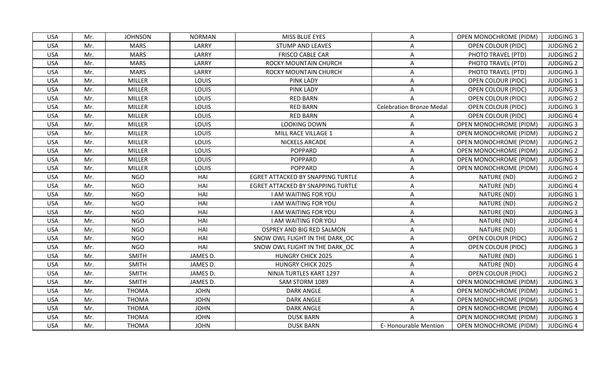| <b>JOHNSON</b><br><b>NORMAN</b><br>MISS BLUE EYES<br><b>OPEN MONOCHROME (PIDM)</b><br><b>USA</b><br>Mr.<br>A<br><b>USA</b><br>Mr.<br><b>MARS</b><br>LARRY<br><b>STUMP AND LEAVES</b><br><b>OPEN COLOUR (PIDC)</b><br>A<br><b>MARS</b><br><b>FRISCO CABLE CAR</b><br><b>USA</b><br>LARRY<br>PHOTO TRAVEL (PTD)<br>Mr.<br>A<br><b>USA</b><br><b>MARS</b><br>LARRY<br>PHOTO TRAVEL (PTD)<br>Mr.<br>ROCKY MOUNTAIN CHURCH<br>A<br><b>USA</b><br><b>MARS</b><br>LARRY<br>ROCKY MOUNTAIN CHURCH<br>PHOTO TRAVEL (PTD)<br>Mr.<br>Α<br><b>USA</b><br>Mr.<br><b>MILLER</b><br>LOUIS<br><b>PINK LADY</b><br><b>OPEN COLOUR (PIDC)</b><br>A<br><b>USA</b><br><b>MILLER</b><br>LOUIS<br><b>PINK LADY</b><br>Mr.<br>A<br><b>OPEN COLOUR (PIDC)</b><br><b>MILLER</b><br><b>USA</b><br>LOUIS<br><b>RED BARN</b><br><b>OPEN COLOUR (PIDC)</b><br>Mr.<br><b>USA</b><br>MILLER<br><b>LOUIS</b><br><b>RED BARN</b><br><b>Celebration Bronze Medal</b><br>Mr.<br><b>OPEN COLOUR (PIDC)</b><br><b>USA</b><br>MILLER<br>LOUIS<br><b>RED BARN</b><br>Mr.<br><b>OPEN COLOUR (PIDC)</b><br><b>MILLER</b><br>LOUIS<br>LOOKING DOWN<br><b>USA</b><br>Mr.<br><b>OPEN MONOCHROME (PIDM)</b><br>A<br><b>USA</b><br>MILLER<br><b>LOUIS</b><br>Mr.<br>MILL RACE VILLAGE 1<br>A<br><b>OPEN MONOCHROME (PIDM)</b><br><b>MILLER</b><br><b>USA</b><br>Mr.<br>LOUIS<br>NICKELS ARCADE<br>A<br><b>OPEN MONOCHROME (PIDM)</b><br><b>USA</b><br><b>LOUIS</b><br>Mr.<br>MILLER<br><b>POPPARD</b><br>A<br><b>OPEN MONOCHROME (PIDM)</b><br><b>USA</b><br><b>MILLER</b><br><b>POPPARD</b><br>Mr.<br>LOUIS<br><b>OPEN MONOCHROME (PIDM)</b><br>A<br><b>MILLER</b><br><b>USA</b><br><b>LOUIS</b><br><b>POPPARD</b><br><b>OPEN MONOCHROME (PIDM)</b><br>Mr.<br>A<br><b>USA</b><br><b>NGO</b><br>HAI<br>EGRET ATTACKED BY SNAPPING TURTLE<br>NATURE (ND)<br>Mr.<br>A<br><b>NGO</b><br>HAI<br>NATURE (ND)<br><b>USA</b><br>Mr.<br><b>EGRET ATTACKED BY SNAPPING TURTLE</b><br>Α<br><b>USA</b><br><b>NGO</b><br>HAI<br>NATURE (ND)<br>Mr.<br>I AM WAITING FOR YOU<br>A<br><b>NGO</b><br>HAI<br><b>USA</b><br>Mr.<br>I AM WAITING FOR YOU<br>Α<br>NATURE (ND)<br><b>NGO</b><br>HAI<br>NATURE (ND)<br><b>USA</b><br>Mr.<br><b>I AM WAITING FOR YOU</b><br>A<br><b>USA</b><br><b>NGO</b><br>NATURE (ND)<br>Mr.<br>HAI<br>I AM WAITING FOR YOU<br>Α<br><b>NGO</b><br>HAI<br>NATURE (ND)<br><b>USA</b><br>Mr.<br>OSPREY AND BIG RED SALMON<br>A<br><b>NGO</b><br><b>USA</b><br>Mr.<br>HAI<br>SNOW OWL FLIGHT IN THE DARK OC<br>A<br><b>OPEN COLOUR (PIDC)</b><br><b>NGO</b><br>HAI<br><b>USA</b><br>Mr.<br>SNOW OWL FLIGHT IN THE DARK OC<br><b>OPEN COLOUR (PIDC)</b><br>A<br><b>SMITH</b><br><b>USA</b><br>JAMES D.<br><b>HUNGRY CHICK 2025</b><br>NATURE (ND)<br>Mr.<br>A<br><b>USA</b><br><b>SMITH</b><br>JAMES D.<br><b>HUNGRY CHICK 2025</b><br>NATURE (ND)<br>Mr.<br>Α<br><b>SMITH</b><br><b>USA</b><br>Mr.<br>JAMES D.<br>NINJA TURTLES KART 1297<br><b>OPEN COLOUR (PIDC)</b><br>Α<br><b>SMITH</b><br><b>USA</b><br>Mr.<br>JAMES D.<br>SAM STORM 1089<br><b>OPEN MONOCHROME (PIDM)</b><br>A<br><b>USA</b><br>Mr.<br><b>THOMA</b><br><b>JOHN</b><br><b>DARK ANGLE</b><br>A<br><b>OPEN MONOCHROME (PIDM)</b><br><b>THOMA</b><br><b>DARK ANGLE</b><br><b>USA</b><br><b>JOHN</b><br><b>OPEN MONOCHROME (PIDM)</b><br>Mr.<br>$\mathsf{A}$<br><b>USA</b><br><b>THOMA</b><br><b>JOHN</b><br><b>DARK ANGLE</b><br>OPEN MONOCHROME (PIDM)<br>Mr.<br>$\mathsf{A}$<br><b>DUSK BARN</b><br><b>USA</b><br><b>THOMA</b><br><b>JOHN</b><br><b>OPEN MONOCHROME (PIDM)</b><br>Mr.<br>A |            |     |              |             |                  |                             |                        |                  |
|--------------------------------------------------------------------------------------------------------------------------------------------------------------------------------------------------------------------------------------------------------------------------------------------------------------------------------------------------------------------------------------------------------------------------------------------------------------------------------------------------------------------------------------------------------------------------------------------------------------------------------------------------------------------------------------------------------------------------------------------------------------------------------------------------------------------------------------------------------------------------------------------------------------------------------------------------------------------------------------------------------------------------------------------------------------------------------------------------------------------------------------------------------------------------------------------------------------------------------------------------------------------------------------------------------------------------------------------------------------------------------------------------------------------------------------------------------------------------------------------------------------------------------------------------------------------------------------------------------------------------------------------------------------------------------------------------------------------------------------------------------------------------------------------------------------------------------------------------------------------------------------------------------------------------------------------------------------------------------------------------------------------------------------------------------------------------------------------------------------------------------------------------------------------------------------------------------------------------------------------------------------------------------------------------------------------------------------------------------------------------------------------------------------------------------------------------------------------------------------------------------------------------------------------------------------------------------------------------------------------------------------------------------------------------------------------------------------------------------------------------------------------------------------------------------------------------------------------------------------------------------------------------------------------------------------------------------------------------------------------------------------------------------------------------------------------------------------------------------------------------------------------------------------------------------------------------------------------------------------------------------------------------------------------------------------------------------------------------------------------------------------------------------------------------------------------------------------------------------------------------------------------------|------------|-----|--------------|-------------|------------------|-----------------------------|------------------------|------------------|
|                                                                                                                                                                                                                                                                                                                                                                                                                                                                                                                                                                                                                                                                                                                                                                                                                                                                                                                                                                                                                                                                                                                                                                                                                                                                                                                                                                                                                                                                                                                                                                                                                                                                                                                                                                                                                                                                                                                                                                                                                                                                                                                                                                                                                                                                                                                                                                                                                                                                                                                                                                                                                                                                                                                                                                                                                                                                                                                                                                                                                                                                                                                                                                                                                                                                                                                                                                                                                                                                                                                          |            |     |              |             |                  |                             |                        | <b>JUDGING 3</b> |
|                                                                                                                                                                                                                                                                                                                                                                                                                                                                                                                                                                                                                                                                                                                                                                                                                                                                                                                                                                                                                                                                                                                                                                                                                                                                                                                                                                                                                                                                                                                                                                                                                                                                                                                                                                                                                                                                                                                                                                                                                                                                                                                                                                                                                                                                                                                                                                                                                                                                                                                                                                                                                                                                                                                                                                                                                                                                                                                                                                                                                                                                                                                                                                                                                                                                                                                                                                                                                                                                                                                          |            |     |              |             |                  |                             |                        | <b>JUDGING 2</b> |
|                                                                                                                                                                                                                                                                                                                                                                                                                                                                                                                                                                                                                                                                                                                                                                                                                                                                                                                                                                                                                                                                                                                                                                                                                                                                                                                                                                                                                                                                                                                                                                                                                                                                                                                                                                                                                                                                                                                                                                                                                                                                                                                                                                                                                                                                                                                                                                                                                                                                                                                                                                                                                                                                                                                                                                                                                                                                                                                                                                                                                                                                                                                                                                                                                                                                                                                                                                                                                                                                                                                          |            |     |              |             |                  |                             |                        | <b>JUDGING 2</b> |
|                                                                                                                                                                                                                                                                                                                                                                                                                                                                                                                                                                                                                                                                                                                                                                                                                                                                                                                                                                                                                                                                                                                                                                                                                                                                                                                                                                                                                                                                                                                                                                                                                                                                                                                                                                                                                                                                                                                                                                                                                                                                                                                                                                                                                                                                                                                                                                                                                                                                                                                                                                                                                                                                                                                                                                                                                                                                                                                                                                                                                                                                                                                                                                                                                                                                                                                                                                                                                                                                                                                          |            |     |              |             |                  |                             |                        | <b>JUDGING 2</b> |
|                                                                                                                                                                                                                                                                                                                                                                                                                                                                                                                                                                                                                                                                                                                                                                                                                                                                                                                                                                                                                                                                                                                                                                                                                                                                                                                                                                                                                                                                                                                                                                                                                                                                                                                                                                                                                                                                                                                                                                                                                                                                                                                                                                                                                                                                                                                                                                                                                                                                                                                                                                                                                                                                                                                                                                                                                                                                                                                                                                                                                                                                                                                                                                                                                                                                                                                                                                                                                                                                                                                          |            |     |              |             |                  |                             |                        | <b>JUDGING 3</b> |
|                                                                                                                                                                                                                                                                                                                                                                                                                                                                                                                                                                                                                                                                                                                                                                                                                                                                                                                                                                                                                                                                                                                                                                                                                                                                                                                                                                                                                                                                                                                                                                                                                                                                                                                                                                                                                                                                                                                                                                                                                                                                                                                                                                                                                                                                                                                                                                                                                                                                                                                                                                                                                                                                                                                                                                                                                                                                                                                                                                                                                                                                                                                                                                                                                                                                                                                                                                                                                                                                                                                          |            |     |              |             |                  |                             |                        | <b>JUDGING 1</b> |
|                                                                                                                                                                                                                                                                                                                                                                                                                                                                                                                                                                                                                                                                                                                                                                                                                                                                                                                                                                                                                                                                                                                                                                                                                                                                                                                                                                                                                                                                                                                                                                                                                                                                                                                                                                                                                                                                                                                                                                                                                                                                                                                                                                                                                                                                                                                                                                                                                                                                                                                                                                                                                                                                                                                                                                                                                                                                                                                                                                                                                                                                                                                                                                                                                                                                                                                                                                                                                                                                                                                          |            |     |              |             |                  |                             |                        | <b>JUDGING 3</b> |
|                                                                                                                                                                                                                                                                                                                                                                                                                                                                                                                                                                                                                                                                                                                                                                                                                                                                                                                                                                                                                                                                                                                                                                                                                                                                                                                                                                                                                                                                                                                                                                                                                                                                                                                                                                                                                                                                                                                                                                                                                                                                                                                                                                                                                                                                                                                                                                                                                                                                                                                                                                                                                                                                                                                                                                                                                                                                                                                                                                                                                                                                                                                                                                                                                                                                                                                                                                                                                                                                                                                          |            |     |              |             |                  |                             |                        | <b>JUDGING 2</b> |
|                                                                                                                                                                                                                                                                                                                                                                                                                                                                                                                                                                                                                                                                                                                                                                                                                                                                                                                                                                                                                                                                                                                                                                                                                                                                                                                                                                                                                                                                                                                                                                                                                                                                                                                                                                                                                                                                                                                                                                                                                                                                                                                                                                                                                                                                                                                                                                                                                                                                                                                                                                                                                                                                                                                                                                                                                                                                                                                                                                                                                                                                                                                                                                                                                                                                                                                                                                                                                                                                                                                          |            |     |              |             |                  |                             |                        | <b>JUDGING 3</b> |
|                                                                                                                                                                                                                                                                                                                                                                                                                                                                                                                                                                                                                                                                                                                                                                                                                                                                                                                                                                                                                                                                                                                                                                                                                                                                                                                                                                                                                                                                                                                                                                                                                                                                                                                                                                                                                                                                                                                                                                                                                                                                                                                                                                                                                                                                                                                                                                                                                                                                                                                                                                                                                                                                                                                                                                                                                                                                                                                                                                                                                                                                                                                                                                                                                                                                                                                                                                                                                                                                                                                          |            |     |              |             |                  |                             |                        | <b>JUDGING 4</b> |
|                                                                                                                                                                                                                                                                                                                                                                                                                                                                                                                                                                                                                                                                                                                                                                                                                                                                                                                                                                                                                                                                                                                                                                                                                                                                                                                                                                                                                                                                                                                                                                                                                                                                                                                                                                                                                                                                                                                                                                                                                                                                                                                                                                                                                                                                                                                                                                                                                                                                                                                                                                                                                                                                                                                                                                                                                                                                                                                                                                                                                                                                                                                                                                                                                                                                                                                                                                                                                                                                                                                          |            |     |              |             |                  |                             |                        | <b>JUDGING 3</b> |
|                                                                                                                                                                                                                                                                                                                                                                                                                                                                                                                                                                                                                                                                                                                                                                                                                                                                                                                                                                                                                                                                                                                                                                                                                                                                                                                                                                                                                                                                                                                                                                                                                                                                                                                                                                                                                                                                                                                                                                                                                                                                                                                                                                                                                                                                                                                                                                                                                                                                                                                                                                                                                                                                                                                                                                                                                                                                                                                                                                                                                                                                                                                                                                                                                                                                                                                                                                                                                                                                                                                          |            |     |              |             |                  |                             |                        | <b>JUDGING 2</b> |
|                                                                                                                                                                                                                                                                                                                                                                                                                                                                                                                                                                                                                                                                                                                                                                                                                                                                                                                                                                                                                                                                                                                                                                                                                                                                                                                                                                                                                                                                                                                                                                                                                                                                                                                                                                                                                                                                                                                                                                                                                                                                                                                                                                                                                                                                                                                                                                                                                                                                                                                                                                                                                                                                                                                                                                                                                                                                                                                                                                                                                                                                                                                                                                                                                                                                                                                                                                                                                                                                                                                          |            |     |              |             |                  |                             |                        | <b>JUDGING 2</b> |
|                                                                                                                                                                                                                                                                                                                                                                                                                                                                                                                                                                                                                                                                                                                                                                                                                                                                                                                                                                                                                                                                                                                                                                                                                                                                                                                                                                                                                                                                                                                                                                                                                                                                                                                                                                                                                                                                                                                                                                                                                                                                                                                                                                                                                                                                                                                                                                                                                                                                                                                                                                                                                                                                                                                                                                                                                                                                                                                                                                                                                                                                                                                                                                                                                                                                                                                                                                                                                                                                                                                          |            |     |              |             |                  |                             |                        | <b>JUDGING 2</b> |
|                                                                                                                                                                                                                                                                                                                                                                                                                                                                                                                                                                                                                                                                                                                                                                                                                                                                                                                                                                                                                                                                                                                                                                                                                                                                                                                                                                                                                                                                                                                                                                                                                                                                                                                                                                                                                                                                                                                                                                                                                                                                                                                                                                                                                                                                                                                                                                                                                                                                                                                                                                                                                                                                                                                                                                                                                                                                                                                                                                                                                                                                                                                                                                                                                                                                                                                                                                                                                                                                                                                          |            |     |              |             |                  |                             |                        | <b>JUDGING 3</b> |
|                                                                                                                                                                                                                                                                                                                                                                                                                                                                                                                                                                                                                                                                                                                                                                                                                                                                                                                                                                                                                                                                                                                                                                                                                                                                                                                                                                                                                                                                                                                                                                                                                                                                                                                                                                                                                                                                                                                                                                                                                                                                                                                                                                                                                                                                                                                                                                                                                                                                                                                                                                                                                                                                                                                                                                                                                                                                                                                                                                                                                                                                                                                                                                                                                                                                                                                                                                                                                                                                                                                          |            |     |              |             |                  |                             |                        | <b>JUDGING 4</b> |
|                                                                                                                                                                                                                                                                                                                                                                                                                                                                                                                                                                                                                                                                                                                                                                                                                                                                                                                                                                                                                                                                                                                                                                                                                                                                                                                                                                                                                                                                                                                                                                                                                                                                                                                                                                                                                                                                                                                                                                                                                                                                                                                                                                                                                                                                                                                                                                                                                                                                                                                                                                                                                                                                                                                                                                                                                                                                                                                                                                                                                                                                                                                                                                                                                                                                                                                                                                                                                                                                                                                          |            |     |              |             |                  |                             |                        | <b>JUDGING 2</b> |
|                                                                                                                                                                                                                                                                                                                                                                                                                                                                                                                                                                                                                                                                                                                                                                                                                                                                                                                                                                                                                                                                                                                                                                                                                                                                                                                                                                                                                                                                                                                                                                                                                                                                                                                                                                                                                                                                                                                                                                                                                                                                                                                                                                                                                                                                                                                                                                                                                                                                                                                                                                                                                                                                                                                                                                                                                                                                                                                                                                                                                                                                                                                                                                                                                                                                                                                                                                                                                                                                                                                          |            |     |              |             |                  |                             |                        | <b>JUDGING 4</b> |
|                                                                                                                                                                                                                                                                                                                                                                                                                                                                                                                                                                                                                                                                                                                                                                                                                                                                                                                                                                                                                                                                                                                                                                                                                                                                                                                                                                                                                                                                                                                                                                                                                                                                                                                                                                                                                                                                                                                                                                                                                                                                                                                                                                                                                                                                                                                                                                                                                                                                                                                                                                                                                                                                                                                                                                                                                                                                                                                                                                                                                                                                                                                                                                                                                                                                                                                                                                                                                                                                                                                          |            |     |              |             |                  |                             |                        | <b>JUDGING 1</b> |
|                                                                                                                                                                                                                                                                                                                                                                                                                                                                                                                                                                                                                                                                                                                                                                                                                                                                                                                                                                                                                                                                                                                                                                                                                                                                                                                                                                                                                                                                                                                                                                                                                                                                                                                                                                                                                                                                                                                                                                                                                                                                                                                                                                                                                                                                                                                                                                                                                                                                                                                                                                                                                                                                                                                                                                                                                                                                                                                                                                                                                                                                                                                                                                                                                                                                                                                                                                                                                                                                                                                          |            |     |              |             |                  |                             |                        | <b>JUDGING 2</b> |
|                                                                                                                                                                                                                                                                                                                                                                                                                                                                                                                                                                                                                                                                                                                                                                                                                                                                                                                                                                                                                                                                                                                                                                                                                                                                                                                                                                                                                                                                                                                                                                                                                                                                                                                                                                                                                                                                                                                                                                                                                                                                                                                                                                                                                                                                                                                                                                                                                                                                                                                                                                                                                                                                                                                                                                                                                                                                                                                                                                                                                                                                                                                                                                                                                                                                                                                                                                                                                                                                                                                          |            |     |              |             |                  |                             |                        | <b>JUDGING 3</b> |
|                                                                                                                                                                                                                                                                                                                                                                                                                                                                                                                                                                                                                                                                                                                                                                                                                                                                                                                                                                                                                                                                                                                                                                                                                                                                                                                                                                                                                                                                                                                                                                                                                                                                                                                                                                                                                                                                                                                                                                                                                                                                                                                                                                                                                                                                                                                                                                                                                                                                                                                                                                                                                                                                                                                                                                                                                                                                                                                                                                                                                                                                                                                                                                                                                                                                                                                                                                                                                                                                                                                          |            |     |              |             |                  |                             |                        | <b>JUDGING 4</b> |
|                                                                                                                                                                                                                                                                                                                                                                                                                                                                                                                                                                                                                                                                                                                                                                                                                                                                                                                                                                                                                                                                                                                                                                                                                                                                                                                                                                                                                                                                                                                                                                                                                                                                                                                                                                                                                                                                                                                                                                                                                                                                                                                                                                                                                                                                                                                                                                                                                                                                                                                                                                                                                                                                                                                                                                                                                                                                                                                                                                                                                                                                                                                                                                                                                                                                                                                                                                                                                                                                                                                          |            |     |              |             |                  |                             |                        | <b>JUDGING 1</b> |
|                                                                                                                                                                                                                                                                                                                                                                                                                                                                                                                                                                                                                                                                                                                                                                                                                                                                                                                                                                                                                                                                                                                                                                                                                                                                                                                                                                                                                                                                                                                                                                                                                                                                                                                                                                                                                                                                                                                                                                                                                                                                                                                                                                                                                                                                                                                                                                                                                                                                                                                                                                                                                                                                                                                                                                                                                                                                                                                                                                                                                                                                                                                                                                                                                                                                                                                                                                                                                                                                                                                          |            |     |              |             |                  |                             |                        | <b>JUDGING 2</b> |
|                                                                                                                                                                                                                                                                                                                                                                                                                                                                                                                                                                                                                                                                                                                                                                                                                                                                                                                                                                                                                                                                                                                                                                                                                                                                                                                                                                                                                                                                                                                                                                                                                                                                                                                                                                                                                                                                                                                                                                                                                                                                                                                                                                                                                                                                                                                                                                                                                                                                                                                                                                                                                                                                                                                                                                                                                                                                                                                                                                                                                                                                                                                                                                                                                                                                                                                                                                                                                                                                                                                          |            |     |              |             |                  |                             |                        | <b>JUDGING 3</b> |
|                                                                                                                                                                                                                                                                                                                                                                                                                                                                                                                                                                                                                                                                                                                                                                                                                                                                                                                                                                                                                                                                                                                                                                                                                                                                                                                                                                                                                                                                                                                                                                                                                                                                                                                                                                                                                                                                                                                                                                                                                                                                                                                                                                                                                                                                                                                                                                                                                                                                                                                                                                                                                                                                                                                                                                                                                                                                                                                                                                                                                                                                                                                                                                                                                                                                                                                                                                                                                                                                                                                          |            |     |              |             |                  |                             |                        | <b>JUDGING 1</b> |
|                                                                                                                                                                                                                                                                                                                                                                                                                                                                                                                                                                                                                                                                                                                                                                                                                                                                                                                                                                                                                                                                                                                                                                                                                                                                                                                                                                                                                                                                                                                                                                                                                                                                                                                                                                                                                                                                                                                                                                                                                                                                                                                                                                                                                                                                                                                                                                                                                                                                                                                                                                                                                                                                                                                                                                                                                                                                                                                                                                                                                                                                                                                                                                                                                                                                                                                                                                                                                                                                                                                          |            |     |              |             |                  |                             |                        | <b>JUDGING 4</b> |
|                                                                                                                                                                                                                                                                                                                                                                                                                                                                                                                                                                                                                                                                                                                                                                                                                                                                                                                                                                                                                                                                                                                                                                                                                                                                                                                                                                                                                                                                                                                                                                                                                                                                                                                                                                                                                                                                                                                                                                                                                                                                                                                                                                                                                                                                                                                                                                                                                                                                                                                                                                                                                                                                                                                                                                                                                                                                                                                                                                                                                                                                                                                                                                                                                                                                                                                                                                                                                                                                                                                          |            |     |              |             |                  |                             |                        | <b>JUDGING 2</b> |
|                                                                                                                                                                                                                                                                                                                                                                                                                                                                                                                                                                                                                                                                                                                                                                                                                                                                                                                                                                                                                                                                                                                                                                                                                                                                                                                                                                                                                                                                                                                                                                                                                                                                                                                                                                                                                                                                                                                                                                                                                                                                                                                                                                                                                                                                                                                                                                                                                                                                                                                                                                                                                                                                                                                                                                                                                                                                                                                                                                                                                                                                                                                                                                                                                                                                                                                                                                                                                                                                                                                          |            |     |              |             |                  |                             |                        | <b>JUDGING 3</b> |
|                                                                                                                                                                                                                                                                                                                                                                                                                                                                                                                                                                                                                                                                                                                                                                                                                                                                                                                                                                                                                                                                                                                                                                                                                                                                                                                                                                                                                                                                                                                                                                                                                                                                                                                                                                                                                                                                                                                                                                                                                                                                                                                                                                                                                                                                                                                                                                                                                                                                                                                                                                                                                                                                                                                                                                                                                                                                                                                                                                                                                                                                                                                                                                                                                                                                                                                                                                                                                                                                                                                          |            |     |              |             |                  |                             |                        | <b>JUDGING 1</b> |
|                                                                                                                                                                                                                                                                                                                                                                                                                                                                                                                                                                                                                                                                                                                                                                                                                                                                                                                                                                                                                                                                                                                                                                                                                                                                                                                                                                                                                                                                                                                                                                                                                                                                                                                                                                                                                                                                                                                                                                                                                                                                                                                                                                                                                                                                                                                                                                                                                                                                                                                                                                                                                                                                                                                                                                                                                                                                                                                                                                                                                                                                                                                                                                                                                                                                                                                                                                                                                                                                                                                          |            |     |              |             |                  |                             |                        | <b>JUDGING 3</b> |
|                                                                                                                                                                                                                                                                                                                                                                                                                                                                                                                                                                                                                                                                                                                                                                                                                                                                                                                                                                                                                                                                                                                                                                                                                                                                                                                                                                                                                                                                                                                                                                                                                                                                                                                                                                                                                                                                                                                                                                                                                                                                                                                                                                                                                                                                                                                                                                                                                                                                                                                                                                                                                                                                                                                                                                                                                                                                                                                                                                                                                                                                                                                                                                                                                                                                                                                                                                                                                                                                                                                          |            |     |              |             |                  |                             |                        | <b>JUDGING 4</b> |
|                                                                                                                                                                                                                                                                                                                                                                                                                                                                                                                                                                                                                                                                                                                                                                                                                                                                                                                                                                                                                                                                                                                                                                                                                                                                                                                                                                                                                                                                                                                                                                                                                                                                                                                                                                                                                                                                                                                                                                                                                                                                                                                                                                                                                                                                                                                                                                                                                                                                                                                                                                                                                                                                                                                                                                                                                                                                                                                                                                                                                                                                                                                                                                                                                                                                                                                                                                                                                                                                                                                          |            |     |              |             |                  |                             |                        | <b>JUDGING 3</b> |
|                                                                                                                                                                                                                                                                                                                                                                                                                                                                                                                                                                                                                                                                                                                                                                                                                                                                                                                                                                                                                                                                                                                                                                                                                                                                                                                                                                                                                                                                                                                                                                                                                                                                                                                                                                                                                                                                                                                                                                                                                                                                                                                                                                                                                                                                                                                                                                                                                                                                                                                                                                                                                                                                                                                                                                                                                                                                                                                                                                                                                                                                                                                                                                                                                                                                                                                                                                                                                                                                                                                          | <b>USA</b> | Mr. | <b>THOMA</b> | <b>JOHN</b> | <b>DUSK BARN</b> | <b>E-Honourable Mention</b> | OPEN MONOCHROME (PIDM) | <b>JUDGING 4</b> |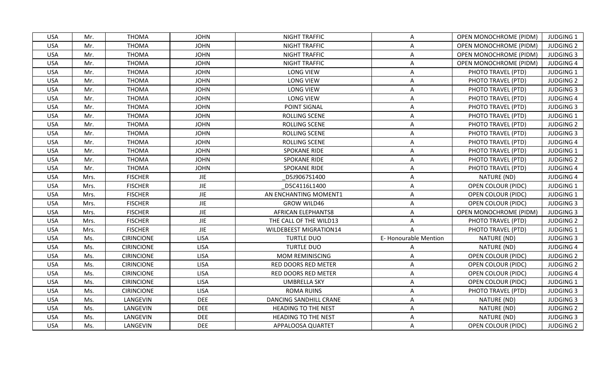| <b>USA</b> | Mr.  | <b>THOMA</b>      | <b>JOHN</b> | <b>NIGHT TRAFFIC</b>          | A                    | <b>OPEN MONOCHROME (PIDM)</b> | <b>JUDGING 1</b> |
|------------|------|-------------------|-------------|-------------------------------|----------------------|-------------------------------|------------------|
| <b>USA</b> | Mr.  | <b>THOMA</b>      | <b>JOHN</b> | <b>NIGHT TRAFFIC</b>          | A                    | OPEN MONOCHROME (PIDM)        | <b>JUDGING 2</b> |
| <b>USA</b> | Mr.  | <b>THOMA</b>      | <b>JOHN</b> | <b>NIGHT TRAFFIC</b>          | A                    | <b>OPEN MONOCHROME (PIDM)</b> | <b>JUDGING 3</b> |
| <b>USA</b> | Mr.  | THOMA             | <b>JOHN</b> | <b>NIGHT TRAFFIC</b>          | A                    | OPEN MONOCHROME (PIDM)        | <b>JUDGING 4</b> |
| <b>USA</b> | Mr.  | <b>THOMA</b>      | <b>JOHN</b> | <b>LONG VIEW</b>              | $\mathsf{A}$         | PHOTO TRAVEL (PTD)            | JUDGING 1        |
| <b>USA</b> | Mr.  | <b>THOMA</b>      | <b>JOHN</b> | <b>LONG VIEW</b>              | $\mathsf{A}$         | PHOTO TRAVEL (PTD)            | <b>JUDGING 2</b> |
| <b>USA</b> | Mr.  | <b>THOMA</b>      | <b>JOHN</b> | <b>LONG VIEW</b>              | A                    | PHOTO TRAVEL (PTD)            | <b>JUDGING 3</b> |
| <b>USA</b> | Mr.  | <b>THOMA</b>      | <b>JOHN</b> | <b>LONG VIEW</b>              | A                    | PHOTO TRAVEL (PTD)            | <b>JUDGING 4</b> |
| <b>USA</b> | Mr.  | <b>THOMA</b>      | <b>JOHN</b> | POINT SIGNAL                  | A                    | PHOTO TRAVEL (PTD)            | <b>JUDGING 3</b> |
| <b>USA</b> | Mr.  | <b>THOMA</b>      | <b>JOHN</b> | ROLLING SCENE                 | Α                    | PHOTO TRAVEL (PTD)            | <b>JUDGING 1</b> |
| <b>USA</b> | Mr.  | <b>THOMA</b>      | <b>JOHN</b> | ROLLING SCENE                 | A                    | PHOTO TRAVEL (PTD)            | <b>JUDGING 2</b> |
| <b>USA</b> | Mr.  | <b>THOMA</b>      | <b>JOHN</b> | ROLLING SCENE                 | A                    | PHOTO TRAVEL (PTD)            | <b>JUDGING 3</b> |
| <b>USA</b> | Mr.  | <b>THOMA</b>      | <b>JOHN</b> | ROLLING SCENE                 | A                    | PHOTO TRAVEL (PTD)            | <b>JUDGING 4</b> |
| <b>USA</b> | Mr.  | <b>THOMA</b>      | <b>JOHN</b> | <b>SPOKANE RIDE</b>           | A                    | PHOTO TRAVEL (PTD)            | <b>JUDGING 1</b> |
| <b>USA</b> | Mr.  | <b>THOMA</b>      | <b>JOHN</b> | <b>SPOKANE RIDE</b>           | Α                    | PHOTO TRAVEL (PTD)            | <b>JUDGING 2</b> |
| <b>USA</b> | Mr.  | <b>THOMA</b>      | <b>JOHN</b> | <b>SPOKANE RIDE</b>           | A                    | PHOTO TRAVEL (PTD)            | <b>JUDGING 4</b> |
| <b>USA</b> | Mrs. | <b>FISCHER</b>    | <b>JIE</b>  | D5J9067S1400                  | A                    | NATURE (ND)                   | <b>JUDGING 4</b> |
| <b>USA</b> | Mrs. | <b>FISCHER</b>    | <b>JIE</b>  | D5C4116L1400                  | A                    | <b>OPEN COLOUR (PIDC)</b>     | <b>JUDGING 1</b> |
| <b>USA</b> | Mrs. | <b>FISCHER</b>    | <b>JIE</b>  | AN ENCHANTING MOMENT1         | A                    | <b>OPEN COLOUR (PIDC)</b>     | <b>JUDGING 1</b> |
| <b>USA</b> | Mrs. | <b>FISCHER</b>    | <b>JIE</b>  | <b>GROW WILD46</b>            | A                    | <b>OPEN COLOUR (PIDC)</b>     | <b>JUDGING 3</b> |
| <b>USA</b> | Mrs. | <b>FISCHER</b>    | <b>JIE</b>  | <b>AFRICAN ELEPHANTS8</b>     | A                    | OPEN MONOCHROME (PIDM)        | <b>JUDGING 3</b> |
| <b>USA</b> | Mrs. | <b>FISCHER</b>    | <b>JIE</b>  | THE CALL OF THE WILD13        | A                    | PHOTO TRAVEL (PTD)            | <b>JUDGING 2</b> |
| <b>USA</b> | Mrs. | <b>FISCHER</b>    | <b>JIE</b>  | <b>WILDEBEEST MIGRATION14</b> | $\mathsf{A}$         | PHOTO TRAVEL (PTD)            | <b>JUDGING 1</b> |
| <b>USA</b> | Ms.  | <b>CIRINCIONE</b> | <b>LISA</b> | <b>TURTLE DUO</b>             | E-Honourable Mention | NATURE (ND)                   | <b>JUDGING 3</b> |
| <b>USA</b> | Ms.  | <b>CIRINCIONE</b> | <b>LISA</b> | <b>TURTLE DUO</b>             | A                    | NATURE (ND)                   | <b>JUDGING 4</b> |
| <b>USA</b> | Ms.  | <b>CIRINCIONE</b> | <b>LISA</b> | MOM REMINISCING               | A                    | <b>OPEN COLOUR (PIDC)</b>     | <b>JUDGING 2</b> |
| <b>USA</b> | Ms.  | <b>CIRINCIONE</b> | <b>LISA</b> | RED DOORS RED METER           | A                    | <b>OPEN COLOUR (PIDC)</b>     | <b>JUDGING 2</b> |
| <b>USA</b> | Ms.  | <b>CIRINCIONE</b> | <b>LISA</b> | <b>RED DOORS RED METER</b>    | A                    | <b>OPEN COLOUR (PIDC)</b>     | <b>JUDGING 4</b> |
| <b>USA</b> | Ms.  | <b>CIRINCIONE</b> | <b>LISA</b> | <b>UMBRELLA SKY</b>           | A                    | <b>OPEN COLOUR (PIDC)</b>     | <b>JUDGING 1</b> |
| <b>USA</b> | Ms.  | <b>CIRINCIONE</b> | <b>LISA</b> | <b>ROMA RUINS</b>             | A                    | PHOTO TRAVEL (PTD)            | <b>JUDGING 3</b> |
| <b>USA</b> | Ms.  | LANGEVIN          | <b>DEE</b>  | DANCING SANDHILL CRANE        | Α                    | NATURE (ND)                   | <b>JUDGING 3</b> |
| <b>USA</b> | Ms.  | LANGEVIN          | <b>DEE</b>  | <b>HEADING TO THE NEST</b>    | A                    | NATURE (ND)                   | <b>JUDGING 2</b> |
| <b>USA</b> | Ms.  | LANGEVIN          | <b>DEE</b>  | <b>HEADING TO THE NEST</b>    | Α                    | NATURE (ND)                   | <b>JUDGING 3</b> |
| <b>USA</b> | Ms.  | LANGEVIN          | <b>DEE</b>  | APPALOOSA QUARTET             | A                    | <b>OPEN COLOUR (PIDC)</b>     | <b>JUDGING 2</b> |
|            |      |                   |             |                               |                      |                               |                  |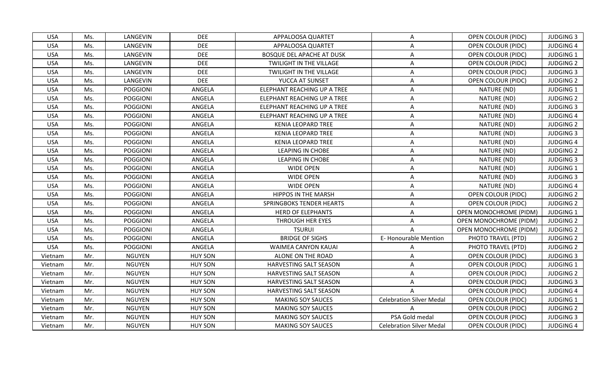| <b>USA</b><br>LANGEVIN<br><b>DEE</b><br>APPALOOSA QUARTET<br>OPEN COLOUR (PIDC)<br><b>JUDGING 3</b><br>Ms.<br>A<br><b>USA</b><br>Ms.<br>LANGEVIN<br><b>DEE</b><br>Α<br>OPEN COLOUR (PIDC)<br><b>JUDGING 4</b><br>APPALOOSA QUARTET<br><b>DEE</b><br>LANGEVIN<br><b>BOSQUE DEL APACHE AT DUSK</b><br><b>OPEN COLOUR (PIDC)</b><br><b>JUDGING 1</b><br><b>USA</b><br>Ms.<br>A<br><b>DEE</b><br><b>USA</b><br>LANGEVIN<br><b>JUDGING 2</b><br>Ms.<br>TWILIGHT IN THE VILLAGE<br>A<br><b>OPEN COLOUR (PIDC)</b><br><b>DEE</b><br><b>USA</b><br>LANGEVIN<br>TWILIGHT IN THE VILLAGE<br><b>OPEN COLOUR (PIDC)</b><br><b>JUDGING 3</b><br>Ms.<br>A<br><b>DEE</b><br><b>USA</b><br>LANGEVIN<br>YUCCA AT SUNSET<br><b>OPEN COLOUR (PIDC)</b><br><b>JUDGING 2</b><br>Ms.<br>A<br><b>POGGIONI</b><br><b>USA</b><br>Ms.<br>ANGELA<br>ELEPHANT REACHING UP A TREE<br>NATURE (ND)<br><b>JUDGING 1</b><br>Α<br><b>POGGIONI</b><br>NATURE (ND)<br><b>USA</b><br>ANGELA<br>ELEPHANT REACHING UP A TREE<br><b>JUDGING 2</b><br>Ms.<br>A<br><b>USA</b><br>Ms.<br><b>POGGIONI</b><br>ANGELA<br>ELEPHANT REACHING UP A TREE<br>Α<br>NATURE (ND)<br><b>JUDGING 3</b><br><b>USA</b><br><b>POGGIONI</b><br>ANGELA<br>ELEPHANT REACHING UP A TREE<br>NATURE (ND)<br><b>JUDGING 4</b><br>Ms.<br>A<br><b>USA</b><br><b>POGGIONI</b><br>ANGELA<br><b>KENIA LEOPARD TREE</b><br>NATURE (ND)<br><b>JUDGING 2</b><br>Ms.<br>A<br><b>USA</b><br>NATURE (ND)<br><b>JUDGING 3</b><br>Ms.<br><b>POGGIONI</b><br>ANGELA<br><b>KENIA LEOPARD TREE</b><br>Α<br><b>USA</b><br><b>POGGIONI</b><br>ANGELA<br><b>KENIA LEOPARD TREE</b><br>NATURE (ND)<br><b>JUDGING 4</b><br>Ms.<br>A<br>NATURE (ND)<br><b>JUDGING 2</b><br><b>USA</b><br><b>POGGIONI</b><br>ANGELA<br><b>LEAPING IN CHOBE</b><br>Ms.<br>Α<br>NATURE (ND)<br><b>USA</b><br><b>POGGIONI</b><br>ANGELA<br><b>LEAPING IN CHOBE</b><br><b>JUDGING 3</b><br>Ms.<br>A<br><b>POGGIONI</b><br>NATURE (ND)<br><b>USA</b><br>Ms.<br>ANGELA<br><b>WIDE OPEN</b><br>A<br><b>JUDGING 1</b><br>WIDE OPEN<br><b>USA</b><br><b>POGGIONI</b><br>ANGELA<br>A<br>NATURE (ND)<br><b>JUDGING 3</b><br>Ms.<br><b>WIDE OPEN</b><br>NATURE (ND)<br><b>JUDGING 4</b><br><b>USA</b><br><b>POGGIONI</b><br>ANGELA<br>A<br>Ms.<br><b>USA</b><br>POGGIONI<br>ANGELA<br><b>HIPPOS IN THE MARSH</b><br>A<br><b>OPEN COLOUR (PIDC)</b><br><b>JUDGING 2</b><br>Ms.<br><b>USA</b><br>Ms.<br><b>POGGIONI</b><br>ANGELA<br>SPRINGBOKS TENDER HEARTS<br><b>JUDGING 2</b><br>A<br><b>OPEN COLOUR (PIDC)</b><br><b>USA</b><br><b>POGGIONI</b><br>ANGELA<br><b>HERD OF ELEPHANTS</b><br><b>JUDGING 1</b><br>Ms.<br><b>OPEN MONOCHROME (PIDM)</b><br>Α<br><b>USA</b><br>OPEN MONOCHROME (PIDM)<br>Ms.<br><b>POGGIONI</b><br>ANGELA<br>THROUGH HER EYES<br><b>JUDGING 2</b><br>A<br><b>USA</b><br>ANGELA<br><b>TSURUI</b><br><b>OPEN MONOCHROME (PIDM)</b><br><b>JUDGING 2</b><br>Ms.<br><b>POGGIONI</b><br>A<br><b>E- Honourable Mention</b><br><b>USA</b><br><b>POGGIONI</b><br>ANGELA<br><b>BRIDGE OF SIGHS</b><br><b>JUDGING 2</b><br>Ms.<br>PHOTO TRAVEL (PTD)<br><b>USA</b><br><b>POGGIONI</b><br>ANGELA<br><b>JUDGING 2</b><br>Ms.<br><b>WAIMEA CANYON KAUAI</b><br>PHOTO TRAVEL (PTD)<br>Α<br><b>NGUYEN</b><br><b>HUY SON</b><br><b>JUDGING 3</b><br>Vietnam<br>Mr.<br>ALONE ON THE ROAD<br><b>OPEN COLOUR (PIDC)</b><br>Α<br><b>NGUYEN</b><br><b>HUY SON</b><br><b>JUDGING 1</b><br>Mr.<br><b>HARVESTING SALT SEASON</b><br>Α<br>OPEN COLOUR (PIDC)<br>Vietnam<br><b>NGUYEN</b><br><b>HUY SON</b><br><b>JUDGING 2</b><br>Mr.<br>HARVESTING SALT SEASON<br><b>OPEN COLOUR (PIDC)</b><br>A<br>Vietnam<br><b>HUY SON</b><br>Mr.<br><b>NGUYEN</b><br>HARVESTING SALT SEASON<br><b>OPEN COLOUR (PIDC)</b><br><b>JUDGING 3</b><br>A<br>Vietnam<br><b>NGUYEN</b><br><b>HUY SON</b><br><b>JUDGING 4</b><br>Mr.<br>HARVESTING SALT SEASON<br><b>OPEN COLOUR (PIDC)</b><br>Vietnam<br>Mr.<br><b>NGUYEN</b><br><b>HUY SON</b><br><b>Celebration Silver Medal</b><br><b>JUDGING 1</b><br><b>MAKING SOY SAUCES</b><br><b>OPEN COLOUR (PIDC)</b><br>Vietnam<br><b>NGUYEN</b><br><b>HUY SON</b><br>OPEN COLOUR (PIDC)<br><b>JUDGING 2</b><br>Mr.<br><b>MAKING SOY SAUCES</b><br>A<br>Vietnam<br>PSA Gold medal<br><b>HUY SON</b><br><b>JUDGING 3</b><br>Mr.<br><b>NGUYEN</b><br><b>MAKING SOY SAUCES</b><br>OPEN COLOUR (PIDC)<br>Vietnam<br>Mr.<br><b>NGUYEN</b><br><b>HUY SON</b><br><b>MAKING SOY SAUCES</b><br><b>Celebration Silver Medal</b><br><b>OPEN COLOUR (PIDC)</b><br><b>JUDGING 4</b><br>Vietnam |  |  |  |  |
|---------------------------------------------------------------------------------------------------------------------------------------------------------------------------------------------------------------------------------------------------------------------------------------------------------------------------------------------------------------------------------------------------------------------------------------------------------------------------------------------------------------------------------------------------------------------------------------------------------------------------------------------------------------------------------------------------------------------------------------------------------------------------------------------------------------------------------------------------------------------------------------------------------------------------------------------------------------------------------------------------------------------------------------------------------------------------------------------------------------------------------------------------------------------------------------------------------------------------------------------------------------------------------------------------------------------------------------------------------------------------------------------------------------------------------------------------------------------------------------------------------------------------------------------------------------------------------------------------------------------------------------------------------------------------------------------------------------------------------------------------------------------------------------------------------------------------------------------------------------------------------------------------------------------------------------------------------------------------------------------------------------------------------------------------------------------------------------------------------------------------------------------------------------------------------------------------------------------------------------------------------------------------------------------------------------------------------------------------------------------------------------------------------------------------------------------------------------------------------------------------------------------------------------------------------------------------------------------------------------------------------------------------------------------------------------------------------------------------------------------------------------------------------------------------------------------------------------------------------------------------------------------------------------------------------------------------------------------------------------------------------------------------------------------------------------------------------------------------------------------------------------------------------------------------------------------------------------------------------------------------------------------------------------------------------------------------------------------------------------------------------------------------------------------------------------------------------------------------------------------------------------------------------------------------------------------------------------------------------------------------------------------------------------------------------------------------------------------------------------------------------------------------------------------------------------------------------------------------------------------------------------------------------------------------------------------------------------------------------------------------------------------------------------------------------------------------------------------------------------------------------------------------------------------------------------------------------------------------------------------------------------------------------------------------------------------------------------------------------------------------------------------------------------------------------------------------------------------------------------|--|--|--|--|
|                                                                                                                                                                                                                                                                                                                                                                                                                                                                                                                                                                                                                                                                                                                                                                                                                                                                                                                                                                                                                                                                                                                                                                                                                                                                                                                                                                                                                                                                                                                                                                                                                                                                                                                                                                                                                                                                                                                                                                                                                                                                                                                                                                                                                                                                                                                                                                                                                                                                                                                                                                                                                                                                                                                                                                                                                                                                                                                                                                                                                                                                                                                                                                                                                                                                                                                                                                                                                                                                                                                                                                                                                                                                                                                                                                                                                                                                                                                                                                                                                                                                                                                                                                                                                                                                                                                                                                                                                                                                                       |  |  |  |  |
|                                                                                                                                                                                                                                                                                                                                                                                                                                                                                                                                                                                                                                                                                                                                                                                                                                                                                                                                                                                                                                                                                                                                                                                                                                                                                                                                                                                                                                                                                                                                                                                                                                                                                                                                                                                                                                                                                                                                                                                                                                                                                                                                                                                                                                                                                                                                                                                                                                                                                                                                                                                                                                                                                                                                                                                                                                                                                                                                                                                                                                                                                                                                                                                                                                                                                                                                                                                                                                                                                                                                                                                                                                                                                                                                                                                                                                                                                                                                                                                                                                                                                                                                                                                                                                                                                                                                                                                                                                                                                       |  |  |  |  |
|                                                                                                                                                                                                                                                                                                                                                                                                                                                                                                                                                                                                                                                                                                                                                                                                                                                                                                                                                                                                                                                                                                                                                                                                                                                                                                                                                                                                                                                                                                                                                                                                                                                                                                                                                                                                                                                                                                                                                                                                                                                                                                                                                                                                                                                                                                                                                                                                                                                                                                                                                                                                                                                                                                                                                                                                                                                                                                                                                                                                                                                                                                                                                                                                                                                                                                                                                                                                                                                                                                                                                                                                                                                                                                                                                                                                                                                                                                                                                                                                                                                                                                                                                                                                                                                                                                                                                                                                                                                                                       |  |  |  |  |
|                                                                                                                                                                                                                                                                                                                                                                                                                                                                                                                                                                                                                                                                                                                                                                                                                                                                                                                                                                                                                                                                                                                                                                                                                                                                                                                                                                                                                                                                                                                                                                                                                                                                                                                                                                                                                                                                                                                                                                                                                                                                                                                                                                                                                                                                                                                                                                                                                                                                                                                                                                                                                                                                                                                                                                                                                                                                                                                                                                                                                                                                                                                                                                                                                                                                                                                                                                                                                                                                                                                                                                                                                                                                                                                                                                                                                                                                                                                                                                                                                                                                                                                                                                                                                                                                                                                                                                                                                                                                                       |  |  |  |  |
|                                                                                                                                                                                                                                                                                                                                                                                                                                                                                                                                                                                                                                                                                                                                                                                                                                                                                                                                                                                                                                                                                                                                                                                                                                                                                                                                                                                                                                                                                                                                                                                                                                                                                                                                                                                                                                                                                                                                                                                                                                                                                                                                                                                                                                                                                                                                                                                                                                                                                                                                                                                                                                                                                                                                                                                                                                                                                                                                                                                                                                                                                                                                                                                                                                                                                                                                                                                                                                                                                                                                                                                                                                                                                                                                                                                                                                                                                                                                                                                                                                                                                                                                                                                                                                                                                                                                                                                                                                                                                       |  |  |  |  |
|                                                                                                                                                                                                                                                                                                                                                                                                                                                                                                                                                                                                                                                                                                                                                                                                                                                                                                                                                                                                                                                                                                                                                                                                                                                                                                                                                                                                                                                                                                                                                                                                                                                                                                                                                                                                                                                                                                                                                                                                                                                                                                                                                                                                                                                                                                                                                                                                                                                                                                                                                                                                                                                                                                                                                                                                                                                                                                                                                                                                                                                                                                                                                                                                                                                                                                                                                                                                                                                                                                                                                                                                                                                                                                                                                                                                                                                                                                                                                                                                                                                                                                                                                                                                                                                                                                                                                                                                                                                                                       |  |  |  |  |
|                                                                                                                                                                                                                                                                                                                                                                                                                                                                                                                                                                                                                                                                                                                                                                                                                                                                                                                                                                                                                                                                                                                                                                                                                                                                                                                                                                                                                                                                                                                                                                                                                                                                                                                                                                                                                                                                                                                                                                                                                                                                                                                                                                                                                                                                                                                                                                                                                                                                                                                                                                                                                                                                                                                                                                                                                                                                                                                                                                                                                                                                                                                                                                                                                                                                                                                                                                                                                                                                                                                                                                                                                                                                                                                                                                                                                                                                                                                                                                                                                                                                                                                                                                                                                                                                                                                                                                                                                                                                                       |  |  |  |  |
|                                                                                                                                                                                                                                                                                                                                                                                                                                                                                                                                                                                                                                                                                                                                                                                                                                                                                                                                                                                                                                                                                                                                                                                                                                                                                                                                                                                                                                                                                                                                                                                                                                                                                                                                                                                                                                                                                                                                                                                                                                                                                                                                                                                                                                                                                                                                                                                                                                                                                                                                                                                                                                                                                                                                                                                                                                                                                                                                                                                                                                                                                                                                                                                                                                                                                                                                                                                                                                                                                                                                                                                                                                                                                                                                                                                                                                                                                                                                                                                                                                                                                                                                                                                                                                                                                                                                                                                                                                                                                       |  |  |  |  |
|                                                                                                                                                                                                                                                                                                                                                                                                                                                                                                                                                                                                                                                                                                                                                                                                                                                                                                                                                                                                                                                                                                                                                                                                                                                                                                                                                                                                                                                                                                                                                                                                                                                                                                                                                                                                                                                                                                                                                                                                                                                                                                                                                                                                                                                                                                                                                                                                                                                                                                                                                                                                                                                                                                                                                                                                                                                                                                                                                                                                                                                                                                                                                                                                                                                                                                                                                                                                                                                                                                                                                                                                                                                                                                                                                                                                                                                                                                                                                                                                                                                                                                                                                                                                                                                                                                                                                                                                                                                                                       |  |  |  |  |
|                                                                                                                                                                                                                                                                                                                                                                                                                                                                                                                                                                                                                                                                                                                                                                                                                                                                                                                                                                                                                                                                                                                                                                                                                                                                                                                                                                                                                                                                                                                                                                                                                                                                                                                                                                                                                                                                                                                                                                                                                                                                                                                                                                                                                                                                                                                                                                                                                                                                                                                                                                                                                                                                                                                                                                                                                                                                                                                                                                                                                                                                                                                                                                                                                                                                                                                                                                                                                                                                                                                                                                                                                                                                                                                                                                                                                                                                                                                                                                                                                                                                                                                                                                                                                                                                                                                                                                                                                                                                                       |  |  |  |  |
|                                                                                                                                                                                                                                                                                                                                                                                                                                                                                                                                                                                                                                                                                                                                                                                                                                                                                                                                                                                                                                                                                                                                                                                                                                                                                                                                                                                                                                                                                                                                                                                                                                                                                                                                                                                                                                                                                                                                                                                                                                                                                                                                                                                                                                                                                                                                                                                                                                                                                                                                                                                                                                                                                                                                                                                                                                                                                                                                                                                                                                                                                                                                                                                                                                                                                                                                                                                                                                                                                                                                                                                                                                                                                                                                                                                                                                                                                                                                                                                                                                                                                                                                                                                                                                                                                                                                                                                                                                                                                       |  |  |  |  |
|                                                                                                                                                                                                                                                                                                                                                                                                                                                                                                                                                                                                                                                                                                                                                                                                                                                                                                                                                                                                                                                                                                                                                                                                                                                                                                                                                                                                                                                                                                                                                                                                                                                                                                                                                                                                                                                                                                                                                                                                                                                                                                                                                                                                                                                                                                                                                                                                                                                                                                                                                                                                                                                                                                                                                                                                                                                                                                                                                                                                                                                                                                                                                                                                                                                                                                                                                                                                                                                                                                                                                                                                                                                                                                                                                                                                                                                                                                                                                                                                                                                                                                                                                                                                                                                                                                                                                                                                                                                                                       |  |  |  |  |
|                                                                                                                                                                                                                                                                                                                                                                                                                                                                                                                                                                                                                                                                                                                                                                                                                                                                                                                                                                                                                                                                                                                                                                                                                                                                                                                                                                                                                                                                                                                                                                                                                                                                                                                                                                                                                                                                                                                                                                                                                                                                                                                                                                                                                                                                                                                                                                                                                                                                                                                                                                                                                                                                                                                                                                                                                                                                                                                                                                                                                                                                                                                                                                                                                                                                                                                                                                                                                                                                                                                                                                                                                                                                                                                                                                                                                                                                                                                                                                                                                                                                                                                                                                                                                                                                                                                                                                                                                                                                                       |  |  |  |  |
|                                                                                                                                                                                                                                                                                                                                                                                                                                                                                                                                                                                                                                                                                                                                                                                                                                                                                                                                                                                                                                                                                                                                                                                                                                                                                                                                                                                                                                                                                                                                                                                                                                                                                                                                                                                                                                                                                                                                                                                                                                                                                                                                                                                                                                                                                                                                                                                                                                                                                                                                                                                                                                                                                                                                                                                                                                                                                                                                                                                                                                                                                                                                                                                                                                                                                                                                                                                                                                                                                                                                                                                                                                                                                                                                                                                                                                                                                                                                                                                                                                                                                                                                                                                                                                                                                                                                                                                                                                                                                       |  |  |  |  |
|                                                                                                                                                                                                                                                                                                                                                                                                                                                                                                                                                                                                                                                                                                                                                                                                                                                                                                                                                                                                                                                                                                                                                                                                                                                                                                                                                                                                                                                                                                                                                                                                                                                                                                                                                                                                                                                                                                                                                                                                                                                                                                                                                                                                                                                                                                                                                                                                                                                                                                                                                                                                                                                                                                                                                                                                                                                                                                                                                                                                                                                                                                                                                                                                                                                                                                                                                                                                                                                                                                                                                                                                                                                                                                                                                                                                                                                                                                                                                                                                                                                                                                                                                                                                                                                                                                                                                                                                                                                                                       |  |  |  |  |
|                                                                                                                                                                                                                                                                                                                                                                                                                                                                                                                                                                                                                                                                                                                                                                                                                                                                                                                                                                                                                                                                                                                                                                                                                                                                                                                                                                                                                                                                                                                                                                                                                                                                                                                                                                                                                                                                                                                                                                                                                                                                                                                                                                                                                                                                                                                                                                                                                                                                                                                                                                                                                                                                                                                                                                                                                                                                                                                                                                                                                                                                                                                                                                                                                                                                                                                                                                                                                                                                                                                                                                                                                                                                                                                                                                                                                                                                                                                                                                                                                                                                                                                                                                                                                                                                                                                                                                                                                                                                                       |  |  |  |  |
|                                                                                                                                                                                                                                                                                                                                                                                                                                                                                                                                                                                                                                                                                                                                                                                                                                                                                                                                                                                                                                                                                                                                                                                                                                                                                                                                                                                                                                                                                                                                                                                                                                                                                                                                                                                                                                                                                                                                                                                                                                                                                                                                                                                                                                                                                                                                                                                                                                                                                                                                                                                                                                                                                                                                                                                                                                                                                                                                                                                                                                                                                                                                                                                                                                                                                                                                                                                                                                                                                                                                                                                                                                                                                                                                                                                                                                                                                                                                                                                                                                                                                                                                                                                                                                                                                                                                                                                                                                                                                       |  |  |  |  |
|                                                                                                                                                                                                                                                                                                                                                                                                                                                                                                                                                                                                                                                                                                                                                                                                                                                                                                                                                                                                                                                                                                                                                                                                                                                                                                                                                                                                                                                                                                                                                                                                                                                                                                                                                                                                                                                                                                                                                                                                                                                                                                                                                                                                                                                                                                                                                                                                                                                                                                                                                                                                                                                                                                                                                                                                                                                                                                                                                                                                                                                                                                                                                                                                                                                                                                                                                                                                                                                                                                                                                                                                                                                                                                                                                                                                                                                                                                                                                                                                                                                                                                                                                                                                                                                                                                                                                                                                                                                                                       |  |  |  |  |
|                                                                                                                                                                                                                                                                                                                                                                                                                                                                                                                                                                                                                                                                                                                                                                                                                                                                                                                                                                                                                                                                                                                                                                                                                                                                                                                                                                                                                                                                                                                                                                                                                                                                                                                                                                                                                                                                                                                                                                                                                                                                                                                                                                                                                                                                                                                                                                                                                                                                                                                                                                                                                                                                                                                                                                                                                                                                                                                                                                                                                                                                                                                                                                                                                                                                                                                                                                                                                                                                                                                                                                                                                                                                                                                                                                                                                                                                                                                                                                                                                                                                                                                                                                                                                                                                                                                                                                                                                                                                                       |  |  |  |  |
|                                                                                                                                                                                                                                                                                                                                                                                                                                                                                                                                                                                                                                                                                                                                                                                                                                                                                                                                                                                                                                                                                                                                                                                                                                                                                                                                                                                                                                                                                                                                                                                                                                                                                                                                                                                                                                                                                                                                                                                                                                                                                                                                                                                                                                                                                                                                                                                                                                                                                                                                                                                                                                                                                                                                                                                                                                                                                                                                                                                                                                                                                                                                                                                                                                                                                                                                                                                                                                                                                                                                                                                                                                                                                                                                                                                                                                                                                                                                                                                                                                                                                                                                                                                                                                                                                                                                                                                                                                                                                       |  |  |  |  |
|                                                                                                                                                                                                                                                                                                                                                                                                                                                                                                                                                                                                                                                                                                                                                                                                                                                                                                                                                                                                                                                                                                                                                                                                                                                                                                                                                                                                                                                                                                                                                                                                                                                                                                                                                                                                                                                                                                                                                                                                                                                                                                                                                                                                                                                                                                                                                                                                                                                                                                                                                                                                                                                                                                                                                                                                                                                                                                                                                                                                                                                                                                                                                                                                                                                                                                                                                                                                                                                                                                                                                                                                                                                                                                                                                                                                                                                                                                                                                                                                                                                                                                                                                                                                                                                                                                                                                                                                                                                                                       |  |  |  |  |
|                                                                                                                                                                                                                                                                                                                                                                                                                                                                                                                                                                                                                                                                                                                                                                                                                                                                                                                                                                                                                                                                                                                                                                                                                                                                                                                                                                                                                                                                                                                                                                                                                                                                                                                                                                                                                                                                                                                                                                                                                                                                                                                                                                                                                                                                                                                                                                                                                                                                                                                                                                                                                                                                                                                                                                                                                                                                                                                                                                                                                                                                                                                                                                                                                                                                                                                                                                                                                                                                                                                                                                                                                                                                                                                                                                                                                                                                                                                                                                                                                                                                                                                                                                                                                                                                                                                                                                                                                                                                                       |  |  |  |  |
|                                                                                                                                                                                                                                                                                                                                                                                                                                                                                                                                                                                                                                                                                                                                                                                                                                                                                                                                                                                                                                                                                                                                                                                                                                                                                                                                                                                                                                                                                                                                                                                                                                                                                                                                                                                                                                                                                                                                                                                                                                                                                                                                                                                                                                                                                                                                                                                                                                                                                                                                                                                                                                                                                                                                                                                                                                                                                                                                                                                                                                                                                                                                                                                                                                                                                                                                                                                                                                                                                                                                                                                                                                                                                                                                                                                                                                                                                                                                                                                                                                                                                                                                                                                                                                                                                                                                                                                                                                                                                       |  |  |  |  |
|                                                                                                                                                                                                                                                                                                                                                                                                                                                                                                                                                                                                                                                                                                                                                                                                                                                                                                                                                                                                                                                                                                                                                                                                                                                                                                                                                                                                                                                                                                                                                                                                                                                                                                                                                                                                                                                                                                                                                                                                                                                                                                                                                                                                                                                                                                                                                                                                                                                                                                                                                                                                                                                                                                                                                                                                                                                                                                                                                                                                                                                                                                                                                                                                                                                                                                                                                                                                                                                                                                                                                                                                                                                                                                                                                                                                                                                                                                                                                                                                                                                                                                                                                                                                                                                                                                                                                                                                                                                                                       |  |  |  |  |
|                                                                                                                                                                                                                                                                                                                                                                                                                                                                                                                                                                                                                                                                                                                                                                                                                                                                                                                                                                                                                                                                                                                                                                                                                                                                                                                                                                                                                                                                                                                                                                                                                                                                                                                                                                                                                                                                                                                                                                                                                                                                                                                                                                                                                                                                                                                                                                                                                                                                                                                                                                                                                                                                                                                                                                                                                                                                                                                                                                                                                                                                                                                                                                                                                                                                                                                                                                                                                                                                                                                                                                                                                                                                                                                                                                                                                                                                                                                                                                                                                                                                                                                                                                                                                                                                                                                                                                                                                                                                                       |  |  |  |  |
|                                                                                                                                                                                                                                                                                                                                                                                                                                                                                                                                                                                                                                                                                                                                                                                                                                                                                                                                                                                                                                                                                                                                                                                                                                                                                                                                                                                                                                                                                                                                                                                                                                                                                                                                                                                                                                                                                                                                                                                                                                                                                                                                                                                                                                                                                                                                                                                                                                                                                                                                                                                                                                                                                                                                                                                                                                                                                                                                                                                                                                                                                                                                                                                                                                                                                                                                                                                                                                                                                                                                                                                                                                                                                                                                                                                                                                                                                                                                                                                                                                                                                                                                                                                                                                                                                                                                                                                                                                                                                       |  |  |  |  |
|                                                                                                                                                                                                                                                                                                                                                                                                                                                                                                                                                                                                                                                                                                                                                                                                                                                                                                                                                                                                                                                                                                                                                                                                                                                                                                                                                                                                                                                                                                                                                                                                                                                                                                                                                                                                                                                                                                                                                                                                                                                                                                                                                                                                                                                                                                                                                                                                                                                                                                                                                                                                                                                                                                                                                                                                                                                                                                                                                                                                                                                                                                                                                                                                                                                                                                                                                                                                                                                                                                                                                                                                                                                                                                                                                                                                                                                                                                                                                                                                                                                                                                                                                                                                                                                                                                                                                                                                                                                                                       |  |  |  |  |
|                                                                                                                                                                                                                                                                                                                                                                                                                                                                                                                                                                                                                                                                                                                                                                                                                                                                                                                                                                                                                                                                                                                                                                                                                                                                                                                                                                                                                                                                                                                                                                                                                                                                                                                                                                                                                                                                                                                                                                                                                                                                                                                                                                                                                                                                                                                                                                                                                                                                                                                                                                                                                                                                                                                                                                                                                                                                                                                                                                                                                                                                                                                                                                                                                                                                                                                                                                                                                                                                                                                                                                                                                                                                                                                                                                                                                                                                                                                                                                                                                                                                                                                                                                                                                                                                                                                                                                                                                                                                                       |  |  |  |  |
|                                                                                                                                                                                                                                                                                                                                                                                                                                                                                                                                                                                                                                                                                                                                                                                                                                                                                                                                                                                                                                                                                                                                                                                                                                                                                                                                                                                                                                                                                                                                                                                                                                                                                                                                                                                                                                                                                                                                                                                                                                                                                                                                                                                                                                                                                                                                                                                                                                                                                                                                                                                                                                                                                                                                                                                                                                                                                                                                                                                                                                                                                                                                                                                                                                                                                                                                                                                                                                                                                                                                                                                                                                                                                                                                                                                                                                                                                                                                                                                                                                                                                                                                                                                                                                                                                                                                                                                                                                                                                       |  |  |  |  |
|                                                                                                                                                                                                                                                                                                                                                                                                                                                                                                                                                                                                                                                                                                                                                                                                                                                                                                                                                                                                                                                                                                                                                                                                                                                                                                                                                                                                                                                                                                                                                                                                                                                                                                                                                                                                                                                                                                                                                                                                                                                                                                                                                                                                                                                                                                                                                                                                                                                                                                                                                                                                                                                                                                                                                                                                                                                                                                                                                                                                                                                                                                                                                                                                                                                                                                                                                                                                                                                                                                                                                                                                                                                                                                                                                                                                                                                                                                                                                                                                                                                                                                                                                                                                                                                                                                                                                                                                                                                                                       |  |  |  |  |
|                                                                                                                                                                                                                                                                                                                                                                                                                                                                                                                                                                                                                                                                                                                                                                                                                                                                                                                                                                                                                                                                                                                                                                                                                                                                                                                                                                                                                                                                                                                                                                                                                                                                                                                                                                                                                                                                                                                                                                                                                                                                                                                                                                                                                                                                                                                                                                                                                                                                                                                                                                                                                                                                                                                                                                                                                                                                                                                                                                                                                                                                                                                                                                                                                                                                                                                                                                                                                                                                                                                                                                                                                                                                                                                                                                                                                                                                                                                                                                                                                                                                                                                                                                                                                                                                                                                                                                                                                                                                                       |  |  |  |  |
|                                                                                                                                                                                                                                                                                                                                                                                                                                                                                                                                                                                                                                                                                                                                                                                                                                                                                                                                                                                                                                                                                                                                                                                                                                                                                                                                                                                                                                                                                                                                                                                                                                                                                                                                                                                                                                                                                                                                                                                                                                                                                                                                                                                                                                                                                                                                                                                                                                                                                                                                                                                                                                                                                                                                                                                                                                                                                                                                                                                                                                                                                                                                                                                                                                                                                                                                                                                                                                                                                                                                                                                                                                                                                                                                                                                                                                                                                                                                                                                                                                                                                                                                                                                                                                                                                                                                                                                                                                                                                       |  |  |  |  |
|                                                                                                                                                                                                                                                                                                                                                                                                                                                                                                                                                                                                                                                                                                                                                                                                                                                                                                                                                                                                                                                                                                                                                                                                                                                                                                                                                                                                                                                                                                                                                                                                                                                                                                                                                                                                                                                                                                                                                                                                                                                                                                                                                                                                                                                                                                                                                                                                                                                                                                                                                                                                                                                                                                                                                                                                                                                                                                                                                                                                                                                                                                                                                                                                                                                                                                                                                                                                                                                                                                                                                                                                                                                                                                                                                                                                                                                                                                                                                                                                                                                                                                                                                                                                                                                                                                                                                                                                                                                                                       |  |  |  |  |
|                                                                                                                                                                                                                                                                                                                                                                                                                                                                                                                                                                                                                                                                                                                                                                                                                                                                                                                                                                                                                                                                                                                                                                                                                                                                                                                                                                                                                                                                                                                                                                                                                                                                                                                                                                                                                                                                                                                                                                                                                                                                                                                                                                                                                                                                                                                                                                                                                                                                                                                                                                                                                                                                                                                                                                                                                                                                                                                                                                                                                                                                                                                                                                                                                                                                                                                                                                                                                                                                                                                                                                                                                                                                                                                                                                                                                                                                                                                                                                                                                                                                                                                                                                                                                                                                                                                                                                                                                                                                                       |  |  |  |  |